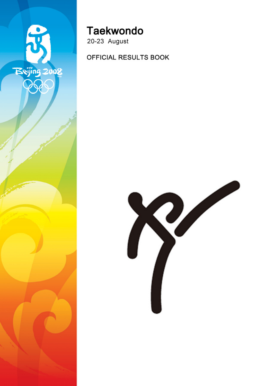

# **Taekwondo**

20-23 August

OFFICIAL RESULTS BOOK

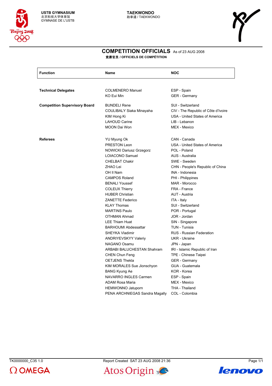

#### **COMPETITION OFFICIALS** As of 23 AUG 2008 竞赛官员 **/ OFFICIELS DE COMPÉTITION**

| <b>Function</b>                      | Name                            | <b>NOC</b>                          |
|--------------------------------------|---------------------------------|-------------------------------------|
|                                      |                                 |                                     |
| <b>Technical Delegates</b>           | <b>COLMENERO Manuel</b>         | ESP - Spain                         |
|                                      | KO Eui Min                      | <b>GER</b> - Germany                |
| <b>Competition Supervisory Board</b> | <b>BUNDELI Rene</b>             | SUI - Switzerland                   |
|                                      | COULIBALY Siaka Minayaha        | CIV - The Republic of Côte d'Ivoire |
|                                      | KIM Hong Ki                     | USA - United States of America      |
|                                      | <b>LAHOUD Carine</b>            | LIB - Lebanon                       |
|                                      | <b>MOON Dai Won</b>             | MEX - Mexico                        |
| <b>Referees</b>                      | YU Myung Ok                     | CAN - Canada                        |
|                                      | <b>PRESTON Leon</b>             | USA - United States of America      |
|                                      | <b>NOWICKI Dariusz Grzegorz</b> | POL - Poland                        |
|                                      | LOIACONO Samuel                 | AUS - Australia                     |
|                                      | <b>CHELBAT Chakir</b>           | SWE - Sweden                        |
|                                      | ZHAO Lei                        | CHN - People's Republic of China    |
|                                      | OH II Nam                       | INA - Indonesia                     |
|                                      | <b>CAMPOS Roland</b>            | PHI - Philippines                   |
|                                      | <b>BENALI Youssef</b>           | MAR - Morocco                       |
|                                      | <b>COLEUX Thierry</b>           | FRA - France                        |
|                                      | <b>HUBER Christian</b>          | AUT - Austria                       |
|                                      | <b>ZANETTE Federico</b>         | ITA - Italy                         |
|                                      | <b>KLAY Thomas</b>              | SUI - Switzerland                   |
|                                      | <b>MARTINS Paulo</b>            | POR - Portugal                      |
|                                      | <b>OTHMAN Ahmad</b>             | JOR - Jordan                        |
|                                      | <b>LEE Thiam Huat</b>           | SIN - Singapore                     |
|                                      | <b>BARHOUMI Abdessattar</b>     | TUN - Tunisia                       |
|                                      | SHEYKA Vladimir                 | <b>RUS - Russian Federation</b>     |
|                                      | <b>ANDRIYEVSKYY Valeriy</b>     | UKR - Ukraine                       |
|                                      | NAGANO Osamu                    | JPN - Japan                         |
|                                      | ARBABI BALUCHESTAN Shahram      | IRI - Islamic Republic of Iran      |
|                                      | <b>CHEN Chun Feng</b>           | TPE - Chinese Taipei                |
|                                      | <b>OETJENS Thekla</b>           | <b>GER</b> - Germany                |
|                                      | KIM MORALES Sue Jionschyon      | GUA - Guatemala                     |
|                                      | <b>BANG Kyung Ae</b>            | KOR - Korea                         |
|                                      | <b>NAVARRO INGLES Carmen</b>    | ESP - Spain                         |
|                                      | ADAM Rosa Maria                 | MEX - Mexico                        |
|                                      | <b>HEMWONNO Jatuporn</b>        | THA - Thailand                      |
|                                      | PENA ARCHNIEGAS Sandra Magally  | COL - Colombia                      |



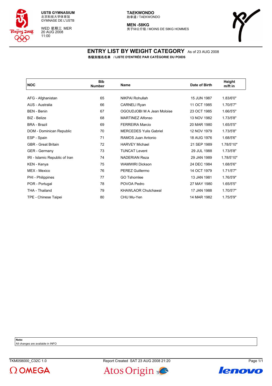

WED 星期三 MER 20 AUG 2008 11:00

**MEN -58KG** 男子58公斤级 / MOINS DE 58KG HOMMES



#### **ENTRY LIST BY WEIGHT CATEGORY** As of 23 AUG 2008 各级别报名名单 **/ LISTE D'ENTRÉE PAR CATÉGORIE DU POIDS**

| <b>NOC</b>                     | <b>Bib</b><br><b>Number</b> | Name                          | Date of Birth | Height<br>m/ft in |
|--------------------------------|-----------------------------|-------------------------------|---------------|-------------------|
|                                |                             |                               |               |                   |
| AFG - Afghanistan              | 65                          | NIKPAI Rohullah               | 15 JUN 1987   | 1.83/6'0"         |
| AUS - Australia                | 66                          | <b>CARNELI Ryan</b>           | 11 OCT 1985   | 1.70/5'7"         |
| <b>BEN</b> - Benin             | 67                          | OGOUDJOBI M A Jean Moloise    | 23 OCT 1985   | 1.66/5'5"         |
| BIZ - Belize                   | 68                          | <b>MARTINEZ Alfonso</b>       | 13 NOV 1982   | 1.73/5'8"         |
| <b>BRA - Brazil</b>            | 69                          | <b>FERREIRA Marcio</b>        | 20 MAR 1980   | 1.65/5'5"         |
| DOM - Dominican Republic       | 70                          | <b>MERCEDES Yulis Gabriel</b> | 12 NOV 1979   | 1.73/5'8"         |
| ESP - Spain                    | 71                          | RAMOS Juan Antonio            | 18 AUG 1976   | 1.68/5'6"         |
| <b>GBR</b> - Great Britain     | 72                          | <b>HARVEY Michael</b>         | 21 SEP 1989   | 1.78/5'10"        |
| <b>GER</b> - Germany           | 73                          | <b>TUNCAT Levent</b>          | 29 JUL 1988   | 1.73/5'8"         |
| IRI - Islamic Republic of Iran | 74                          | <b>NADERIAN Reza</b>          | 29 JAN 1989   | 1.78/5'10"        |
| KEN - Kenya                    | 75                          | <b>WAMWIRI Dickson</b>        | 24 DEC 1984   | 1.68/5'6"         |
| MEX - Mexico                   | 76                          | <b>PEREZ Guillermo</b>        | 14 OCT 1979   | 1.71/5'7"         |
| PHI - Philippines              | 77                          | <b>GO Tshomlee</b>            | 13 JAN 1981   | 1.76/5'9"         |
| POR - Portugal                 | 78                          | POVOA Pedro                   | 27 MAY 1980   | 1.65/5'5"         |
| THA - Thailand                 | 79                          | <b>KHAWLAOR Chutchawal</b>    | 17 JAN 1988   | 1.70/5'7"         |
| TPE - Chinese Taipei           | 80                          | CHU Mu-Yen                    | 14 MAR 1982   | 1.75/5'9"         |

**Note:**

All changes are available in INFO





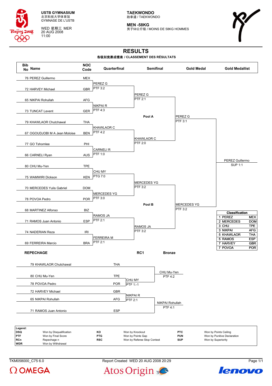

WED 星期三 MER 20 AUG 2008 11:00

**TAEKWONDO** 跆拳道 / TAEKWONDO

**MEN -58KG** 男子58公斤级 / MOINS DE 58KG HOMMES



# **RESULTS**

#### 各级别竞赛成绩表 **/ CLASSEMENT DES RÉSULTATS**



**WDR** Won by Withdrawa

 $\Omega$  OMEGA

TKM058000 C75 6.0 Report Created WED 20 AUG 2008 20:29 Page 1/1



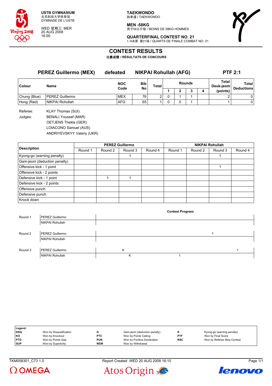

WED 星期三 MER 20 AUG 2008 16:00

**TAEKWONDO** 跆拳道 / TAEKWONDO

**MEN -58KG** 男子58公斤级 / MOINS DE 58KG HOMMES



**QUARTERFINAL CONTEST NO. 21** 1/4决赛 第21场 / QUARTS DE FINALE COMBAT NO. 21

# **CONTEST RESULTS**

比赛成绩 **/ RÉSULTATS DE CONCOURS**

|              | <b>PEREZ Guillermo (MEX)</b> | defeated   | <b>NIKPAI Rohullah (AFG)</b> |                |               |   |  |   | <b>PTF 2:1</b>     |                   |
|--------------|------------------------------|------------|------------------------------|----------------|---------------|---|--|---|--------------------|-------------------|
| Colour       | <b>Name</b>                  | <b>NOC</b> | <b>Bib</b>                   | Total          | <b>Rounds</b> |   |  |   | Total<br>Deuk-jeom | Total             |
|              |                              | Code       | <b>No</b>                    |                |               | 2 |  | 4 | (points)           | <b>Deductions</b> |
| Chung (Blue) | <b>PEREZ Guillermo</b>       | <b>MEX</b> | 76                           | $\overline{2}$ | 0             |   |  |   | ົ                  | 0                 |
| Hong (Red)   | NIKPAI Rohullah              | <b>AFG</b> | 65                           |                | 0             | 0 |  |   |                    | 0                 |
| Referee:     | <b>KLAY Thomas (SUI)</b>     |            |                              |                |               |   |  |   |                    |                   |
| Judges:      | <b>BENALI Youssef (MAR)</b>  |            |                              |                |               |   |  |   |                    |                   |
|              | <b>OETJENS Thekla (GER)</b>  |            |                              |                |               |   |  |   |                    |                   |

LOIACONO Samuel (AUS) ANDRIYEVSKYY Valeriy (UKR)

|                              |         |         | <b>PEREZ Guillermo</b> |         | <b>NIKPAI Rohullah</b> |         |         |         |  |
|------------------------------|---------|---------|------------------------|---------|------------------------|---------|---------|---------|--|
| <b>Description</b>           | Round 1 | Round 2 | Round 3                | Round 4 | Round 1                | Round 2 | Round 3 | Round 4 |  |
| Kyong-go (warning penalty)   |         |         |                        |         |                        |         |         |         |  |
| Gam-jeom (deduction penalty) |         |         |                        |         |                        |         |         |         |  |
| Offensive kick - 1 point     |         |         |                        |         |                        |         |         |         |  |
| Offensive kick - 2 points    |         |         |                        |         |                        |         |         |         |  |
| Defensive kick - 1 point     |         |         |                        |         |                        |         |         |         |  |
| Defensive kick - 2 points    |         |         |                        |         |                        |         |         |         |  |
| Offensive punch              |         |         |                        |         |                        |         |         |         |  |
| Defensive punch              |         |         |                        |         |                        |         |         |         |  |
| Knock down                   |         |         |                        |         |                        |         |         |         |  |

|         |                 |   | <b>Contest Progress</b> |  |
|---------|-----------------|---|-------------------------|--|
| Round 1 | PEREZ Guillermo |   |                         |  |
|         | NIKPAI Rohullah |   |                         |  |
|         |                 |   |                         |  |
| Round 2 | PEREZ Guillermo |   |                         |  |
|         | NIKPAI Rohullah |   |                         |  |
|         |                 |   |                         |  |
| Round 3 | PEREZ Guillermo | Κ |                         |  |
|         | NIKPAI Rohullah | Κ |                         |  |

| Legend:    |                         |            |                              |            |                             |
|------------|-------------------------|------------|------------------------------|------------|-----------------------------|
| l DSQ      | Won by Disqualification |            | Gam-jeom (deduction penalty) |            | Kyong-go (warning penalty)  |
| KO         | Won by Knockout         | <b>PTC</b> | Won by Points Ceiling        | <b>PTF</b> | Won by Final Score          |
| <b>PTG</b> | Won by Points Gap       | <b>PUN</b> | Won by Punitive Declaration  | <b>RSC</b> | Won by Referee Stop Contest |
| <b>SUP</b> | Won by Superiority      | <b>WDR</b> | Won by Withdrawal            |            |                             |

TKM058301\_C73 1.0 Report Created WED 20 AUG 2008 16:10 Page 1/1



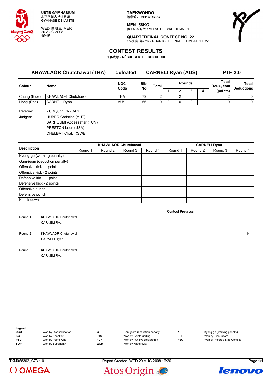

WED 星期三 MER 20 AUG 2008 16:15

**TAEKWONDO** 跆拳道 / TAEKWONDO

**MEN -58KG** 男子58公斤级 / MOINS DE 58KG HOMMES



**QUARTERFINAL CONTEST NO. 22** 1/4决赛 第22场 / QUARTS DE FINALE COMBAT NO. 22

### **CONTEST RESULTS**

比赛成绩 **/ RÉSULTATS DE CONCOURS**

### **KHAWLAOR Chutchawal (THA) defeated CARNELI Ryan (AUS) PTF 2:0**

| Colour       | Name                       | <b>NOC</b><br><b>Bib</b><br>No<br>Code |    | Total | <b>Rounds</b> |  |   |  | <b>Total</b><br>Deuk-jeom | Total<br><b>Deductions</b> |
|--------------|----------------------------|----------------------------------------|----|-------|---------------|--|---|--|---------------------------|----------------------------|
|              |                            |                                        |    |       |               |  | ^ |  | (points)                  |                            |
| Chung (Blue) | <b>KHAWLAOR Chutchawal</b> | <b>THA</b>                             | 79 | ົ     |               |  |   |  |                           |                            |
| Hong (Red)   | CARNELI Rvan               | <b>AUS</b>                             | 66 | 0     |               |  |   |  |                           |                            |

Referee: YU Myung Ok (CAN) Judges: HUBER Christian (AUT) BARHOUMI Abdessattar (TUN) PRESTON Leon (USA)

CHELBAT Chakir (SWE)

|                              |         |         | <b>KHAWLAOR Chutchawal</b> |         | <b>CARNELI Ryan</b> |         |         |         |  |
|------------------------------|---------|---------|----------------------------|---------|---------------------|---------|---------|---------|--|
| <b>Description</b>           | Round 1 | Round 2 | Round 3                    | Round 4 | Round 1             | Round 2 | Round 3 | Round 4 |  |
| Kyong-go (warning penalty)   |         |         |                            |         |                     |         |         |         |  |
| Gam-jeom (deduction penalty) |         |         |                            |         |                     |         |         |         |  |
| Offensive kick - 1 point     |         |         |                            |         |                     |         |         |         |  |
| Offensive kick - 2 points    |         |         |                            |         |                     |         |         |         |  |
| Defensive kick - 1 point     |         |         |                            |         |                     |         |         |         |  |
| Defensive kick - 2 points    |         |         |                            |         |                     |         |         |         |  |
| Offensive punch              |         |         |                            |         |                     |         |         |         |  |
| Defensive punch              |         |         |                            |         |                     |         |         |         |  |
| Knock down                   |         |         |                            |         |                     |         |         |         |  |

|         |                            |  | <b>Contest Progress</b> |   |
|---------|----------------------------|--|-------------------------|---|
| Round 1 | <b>KHAWLAOR Chutchawal</b> |  |                         |   |
|         | <b>CARNELI Ryan</b>        |  |                         |   |
|         |                            |  |                         |   |
| Round 2 | <b>KHAWLAOR Chutchawal</b> |  |                         | Κ |
|         | <b>CARNELI Ryan</b>        |  |                         |   |
|         |                            |  |                         |   |
| Round 3 | <b>KHAWLAOR Chutchawal</b> |  |                         |   |
|         | <b>CARNELI Ryan</b>        |  |                         |   |

| Legend:    |                         |            |                              |     |                             |
|------------|-------------------------|------------|------------------------------|-----|-----------------------------|
| <b>DSQ</b> | Won by Disqualification |            | Gam-jeom (deduction penalty) |     | Kyong-go (warning penalty)  |
| KO         | Won by Knockout         | <b>PTC</b> | Won by Points Ceiling        | PTF | Won by Final Score          |
| <b>PTG</b> | Won by Points Gap       | <b>PUN</b> | Won by Punitive Declaration  | RSC | Won by Referee Stop Contest |
| <b>SUP</b> | Won by Superiority      | <b>WDR</b> | Won by Withdrawal            |     |                             |





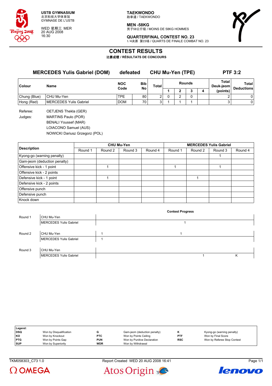

WED 星期三 MER 20 AUG 2008 16:30

**TAEKWONDO** 跆拳道 / TAEKWONDO

**MEN -58KG** 男子58公斤级 / MOINS DE 58KG HOMMES



**QUARTERFINAL CONTEST NO. 23** 1/4决赛 第23场 / QUARTS DE FINALE COMBAT NO. 23

# **CONTEST RESULTS**

比赛成绩 **/ RÉSULTATS DE CONCOURS**

### **MERCEDES Yulis Gabriel (DOM) defeated CHU Mu-Yen (TPE) PTF 3:2**

| Colour       | Name                   | <b>NOC</b><br>Code | <b>Bib</b><br>No | Total | <b>Rounds</b> |  |  | Total<br>Deuk-jeom | Total<br><b>Deductions</b> |
|--------------|------------------------|--------------------|------------------|-------|---------------|--|--|--------------------|----------------------------|
|              |                        |                    |                  |       |               |  |  | (points)           |                            |
| Chung (Blue) | CHU Mu-Yen             | <b>TPE</b>         | 80               | າ     |               |  |  |                    |                            |
| Hong (Red)   | MERCEDES Yulis Gabriel | <b>DOM</b>         | 70               | 2     |               |  |  |                    |                            |
|              |                        |                    |                  |       |               |  |  |                    |                            |

Referee: OETJENS Thekla (GER) Judges: MARTINS Paulo (POR) BENALI Youssef (MAR) LOIACONO Samuel (AUS) NOWICKI Dariusz Grzegorz (POL)

|                              |         |         | <b>CHU Mu-Yen</b> |         | <b>MERCEDES Yulis Gabriel</b> |         |         |         |  |  |
|------------------------------|---------|---------|-------------------|---------|-------------------------------|---------|---------|---------|--|--|
| <b>Description</b>           | Round 1 | Round 2 | Round 3           | Round 4 | Round 1                       | Round 2 | Round 3 | Round 4 |  |  |
| Kyong-go (warning penalty)   |         |         |                   |         |                               |         |         |         |  |  |
| Gam-jeom (deduction penalty) |         |         |                   |         |                               |         |         |         |  |  |
| Offensive kick - 1 point     |         |         |                   |         |                               |         |         |         |  |  |
| Offensive kick - 2 points    |         |         |                   |         |                               |         |         |         |  |  |
| Defensive kick - 1 point     |         |         |                   |         |                               |         |         |         |  |  |
| Defensive kick - 2 points    |         |         |                   |         |                               |         |         |         |  |  |
| Offensive punch              |         |         |                   |         |                               |         |         |         |  |  |
| Defensive punch              |         |         |                   |         |                               |         |         |         |  |  |
| Knock down                   |         |         |                   |         |                               |         |         |         |  |  |

|         |                        |  | <b>Contest Progress</b> |   |
|---------|------------------------|--|-------------------------|---|
| Round 1 | CHU Mu-Yen             |  |                         |   |
|         | MERCEDES Yulis Gabriel |  |                         |   |
|         |                        |  |                         |   |
| Round 2 | CHU Mu-Yen             |  |                         |   |
|         | MERCEDES Yulis Gabriel |  |                         |   |
|         |                        |  |                         |   |
| Round 3 | CHU Mu-Yen             |  |                         |   |
|         | MERCEDES Yulis Gabriel |  |                         | κ |

| Legend:    |                         |            |                              |            |                             |
|------------|-------------------------|------------|------------------------------|------------|-----------------------------|
| DSQ        | Won by Disqualification |            | Gam-jeom (deduction penalty) |            | Kyong-go (warning penalty)  |
| l KO       | Won by Knockout         | <b>PTC</b> | Won by Points Ceiling        | <b>PTF</b> | Won by Final Score          |
| <b>PTG</b> | Won by Points Gap       | PUN        | Won by Punitive Declaration  | <b>RSC</b> | Won by Referee Stop Contest |
| <b>SUP</b> | Won by Superiority      | <b>WDR</b> | Won by Withdrawal            |            |                             |

TKM058303\_C73 1.0 Report Created WED 20 AUG 2008 16:41 Page 1/1





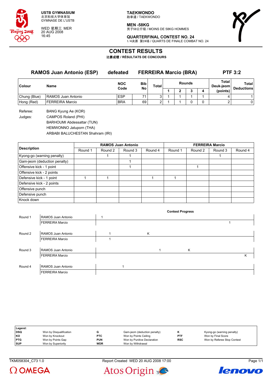

WED 星期三 MER 20 AUG 2008 16:45

**TAEKWONDO** 跆拳道 / TAEKWONDO

**MEN -58KG** -------<br>男子58公斤级 / MOINS DE 58KG HOMMES



**QUARTERFINAL CONTEST NO. 24** 1/4决赛 第24场 / QUARTS DE FINALE COMBAT NO. 24

### **CONTEST RESULTS**

比赛成绩 **/ RÉSULTATS DE CONCOURS**

| <b>RAMOS Juan Antonio (ESP)</b> |                                                | defeated           |                  | <b>FERREIRA Marcio (BRA)</b> | <b>PTF 3:2</b> |  |   |   |                    |                            |
|---------------------------------|------------------------------------------------|--------------------|------------------|------------------------------|----------------|--|---|---|--------------------|----------------------------|
| <b>Colour</b>                   | <b>Name</b>                                    | <b>NOC</b><br>Code | <b>Bib</b><br>No | Total                        | <b>Rounds</b>  |  |   |   | Total<br>Deuk-jeom | Total<br><b>Deductions</b> |
|                                 |                                                |                    |                  |                              |                |  | ∍ | 4 | (points)           |                            |
| Chung (Blue)                    | RAMOS Juan Antonio                             | <b>ESP</b>         |                  | 3                            |                |  |   |   | 4                  |                            |
| Hong (Red)                      | <b>FERREIRA Marcio</b>                         | <b>BRA</b>         | 69               | ົ                            |                |  |   |   |                    | $\mathbf{0}$               |
| $D = 5$                         | $DANDU$ $V_{2}$ in $\alpha$ , $\beta$ , $UCDU$ |                    |                  |                              |                |  |   |   |                    |                            |

Referee: BANG Kyung Ae (KOR) Judges: CAMPOS Roland (PHI) BARHOUMI Abdessattar (TUN) HEMWONNO Jatuporn (THA) ARBABI BALUCHESTAN Shahram (IRI)

|                              |         |         | <b>RAMOS Juan Antonio</b> |         | <b>FERREIRA Marcio</b> |         |         |         |  |
|------------------------------|---------|---------|---------------------------|---------|------------------------|---------|---------|---------|--|
| <b>Description</b>           | Round 1 | Round 2 | Round 3                   | Round 4 | Round 1                | Round 2 | Round 3 | Round 4 |  |
| Kyong-go (warning penalty)   |         |         |                           |         |                        |         |         |         |  |
| Gam-jeom (deduction penalty) |         |         |                           |         |                        |         |         |         |  |
| Offensive kick - 1 point     |         |         |                           |         |                        |         |         |         |  |
| Offensive kick - 2 points    |         |         |                           |         |                        |         |         |         |  |
| Defensive kick - 1 point     |         |         |                           |         |                        |         |         |         |  |
| Defensive kick - 2 points    |         |         |                           |         |                        |         |         |         |  |
| Offensive punch              |         |         |                           |         |                        |         |         |         |  |
| Defensive punch              |         |         |                           |         |                        |         |         |         |  |
| Knock down                   |         |         |                           |         |                        |         |         |         |  |

|         |                        |   | <b>Contest Progress</b> |   |
|---------|------------------------|---|-------------------------|---|
| Round 1 | RAMOS Juan Antonio     |   |                         |   |
|         | <b>FERREIRA Marcio</b> |   |                         |   |
|         |                        |   |                         |   |
| Round 2 | RAMOS Juan Antonio     | Κ |                         |   |
|         | <b>FERREIRA Marcio</b> |   |                         |   |
|         |                        |   |                         |   |
| Round 3 | RAMOS Juan Antonio     |   | Κ                       |   |
|         | <b>FERREIRA Marcio</b> |   |                         | Κ |
|         |                        |   |                         |   |
| Round 4 | RAMOS Juan Antonio     |   |                         |   |
|         | <b>FERREIRA Marcio</b> |   |                         |   |

| Legend:    |                         |            |                              |            |                             |
|------------|-------------------------|------------|------------------------------|------------|-----------------------------|
| DSQ        | Won by Disqualification |            | Gam-jeom (deduction penalty) |            | Kyong-go (warning penalty)  |
| KO         | Won by Knockout         | <b>PTC</b> | Won by Points Ceiling        | <b>PTF</b> | Won by Final Score          |
| <b>PTG</b> | Won by Points Gap       | <b>PUN</b> | Won by Punitive Declaration  | <b>RSC</b> | Won by Referee Stop Contest |
| <b>SUP</b> | Won by Superiority      | <b>WDR</b> | Won by Withdrawal            |            |                             |

TKM058304\_C73 1.0 Report Created WED 20 AUG 2008 17:00 Page 1/1





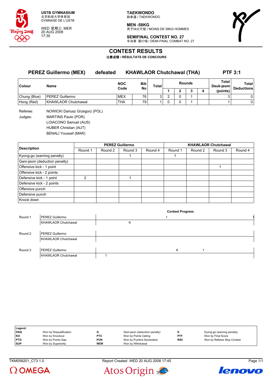

WED 星期三 MER 20 AUG 2008 17:30

**TAEKWONDO** 跆拳道 / TAEKWONDO

**MEN -58KG** -------<br>男子58公斤级 / MOINS DE 58KG HOMMES



**SEMIFINAL CONTEST NO. 27** 半决赛 第27场 / DEMI-FINAL COMBAT NO. 27

# **CONTEST RESULTS**

比赛成绩 **/ RÉSULTATS DE CONCOURS**

| <b>PEREZ Guillermo (MEX)</b> |                            | defeated | <b>KHAWLAOR Chutchawal (THA)</b> |                  |              |   |  |        |   | <b>PTF 3:1</b>     |                                   |  |
|------------------------------|----------------------------|----------|----------------------------------|------------------|--------------|---|--|--------|---|--------------------|-----------------------------------|--|
| Colour                       | <b>Name</b>                |          | <b>NOC</b><br>Code               | <b>Bib</b><br>No | <b>Total</b> |   |  | Rounds |   | Total<br>Deuk-jeom | <b>Total</b><br><b>Deductions</b> |  |
|                              |                            |          |                                  |                  |              |   |  |        | 4 | (points)           |                                   |  |
| Chung (Blue)                 | PEREZ Guillermo            |          | <b>MEX</b>                       | 76               | 3            | ົ |  |        |   |                    |                                   |  |
| Hong (Red)                   | <b>KHAWLAOR Chutchawal</b> |          | THA                              | 79               |              |   |  |        |   |                    |                                   |  |
|                              |                            |          |                                  |                  |              |   |  |        |   |                    |                                   |  |

Referee: NOWICKI Dariusz Grzegorz (POL) Judges: MARTINS Paulo (POR) LOIACONO Samuel (AUS) HUBER Christian (AUT) BENALI Youssef (MAR)

|                              |         |         | <b>PEREZ Guillermo</b> |         | <b>KHAWLAOR Chutchawal</b> |         |         |         |  |  |
|------------------------------|---------|---------|------------------------|---------|----------------------------|---------|---------|---------|--|--|
| <b>Description</b>           | Round 1 | Round 2 | Round 3                | Round 4 | Round 1                    | Round 2 | Round 3 | Round 4 |  |  |
| Kyong-go (warning penalty)   |         |         |                        |         |                            |         |         |         |  |  |
| Gam-jeom (deduction penalty) |         |         |                        |         |                            |         |         |         |  |  |
| Offensive kick - 1 point     |         |         |                        |         |                            |         |         |         |  |  |
| Offensive kick - 2 points    |         |         |                        |         |                            |         |         |         |  |  |
| Defensive kick - 1 point     | 2       |         |                        |         |                            |         |         |         |  |  |
| Defensive kick - 2 points    |         |         |                        |         |                            |         |         |         |  |  |
| Offensive punch              |         |         |                        |         |                            |         |         |         |  |  |
| Defensive punch              |         |         |                        |         |                            |         |         |         |  |  |
| Knock down                   |         |         |                        |         |                            |         |         |         |  |  |

|         |                            |   | <b>Contest Progress</b> |  |
|---------|----------------------------|---|-------------------------|--|
| Round 1 | PEREZ Guillermo            |   |                         |  |
|         | <b>KHAWLAOR Chutchawal</b> | Κ |                         |  |
|         |                            |   |                         |  |
| Round 2 | PEREZ Guillermo            |   |                         |  |
|         | <b>KHAWLAOR Chutchawal</b> |   |                         |  |
|         |                            |   |                         |  |
| Round 3 | PEREZ Guillermo            |   | K                       |  |
|         | <b>KHAWLAOR Chutchawal</b> |   |                         |  |

| Legend:    |                         |            |                              |            |                             |
|------------|-------------------------|------------|------------------------------|------------|-----------------------------|
| <b>DSQ</b> | Won by Disqualification |            | Gam-jeom (deduction penalty) |            | Kyong-go (warning penalty)  |
| l KO       | Won by Knockout         | <b>PTC</b> | Won by Points Ceiling        | <b>PTF</b> | Won by Final Score          |
| <b>PTG</b> | Won by Points Gap       | <b>PUN</b> | Won by Punitive Declaration  | <b>RSC</b> | Won by Referee Stop Contest |
| <b>SUP</b> | Won by Superiority      | <b>WDR</b> | Won by Withdrawal            |            |                             |

TKM058201\_C73 1.0 Report Created WED 20 AUG 2008 17:45 Page 1/1





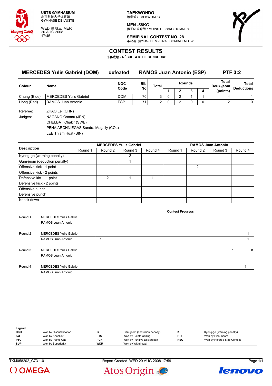

WED 星期三 MER 20 AUG 2008 17:45

**TAEKWONDO** 跆拳道 / TAEKWONDO

**MEN -58KG** -------<br>男子58公斤级 / MOINS DE 58KG HOMMES

**SEMIFINAL CONTEST NO. 28** 半决赛 第28场 / DEMI-FINAL COMBAT NO. 28

# **CONTEST RESULTS**

比赛成绩 **/ RÉSULTATS DE CONCOURS**

# **MERCEDES Yulis Gabriel (DOM) defeated RAMOS Juan Antonio (ESP) PTF 3:2**

| <b>Colour</b> | Name                   | <b>NOC</b><br><b>Bib</b><br>No<br>Code |                 | Total | <b>Rounds</b> |  |  | Total<br>Deuk-jeom | Total<br><b>Deductions</b> |
|---------------|------------------------|----------------------------------------|-----------------|-------|---------------|--|--|--------------------|----------------------------|
|               |                        |                                        |                 |       |               |  |  | (points)           |                            |
| Chung (Blue)  | MERCEDES Yulis Gabriel | <b>DOM</b>                             | 70 <sub>1</sub> |       |               |  |  |                    |                            |
| Hong (Red)    | RAMOS Juan Antonio     | <b>ESP</b>                             |                 | ⌒     |               |  |  |                    |                            |

Referee: ZHAO Lei (CHN) Judges: NAGANO Osamu (JPN) CHELBAT Chakir (SWE) PENA ARCHNIEGAS Sandra Magally (COL)

LEE Thiam Huat (SIN)

|                              |         | <b>MERCEDES Yulis Gabriel</b> |         |         | <b>RAMOS Juan Antonio</b> |         |         |         |  |  |
|------------------------------|---------|-------------------------------|---------|---------|---------------------------|---------|---------|---------|--|--|
| <b>Description</b>           | Round 1 | Round 2                       | Round 3 | Round 4 | Round 1                   | Round 2 | Round 3 | Round 4 |  |  |
| Kyong-go (warning penalty)   |         |                               | 2       |         |                           |         |         |         |  |  |
| Gam-jeom (deduction penalty) |         |                               |         |         |                           |         |         |         |  |  |
| Offensive kick - 1 point     |         |                               |         |         |                           | 2       |         |         |  |  |
| Offensive kick - 2 points    |         |                               |         |         |                           |         |         |         |  |  |
| Defensive kick - 1 point     |         | $\mathfrak{p}$                |         |         |                           |         |         |         |  |  |
| Defensive kick - 2 points    |         |                               |         |         |                           |         |         |         |  |  |
| Offensive punch              |         |                               |         |         |                           |         |         |         |  |  |
| Defensive punch              |         |                               |         |         |                           |         |         |         |  |  |
| Knock down                   |         |                               |         |         |                           |         |         |         |  |  |

|         |                               | <b>Contest Progress</b> |        |
|---------|-------------------------------|-------------------------|--------|
| Round 1 | MERCEDES Yulis Gabriel        |                         |        |
|         | RAMOS Juan Antonio            |                         |        |
|         |                               |                         |        |
| Round 2 | <b>MERCEDES Yulis Gabriel</b> | 1                       |        |
|         | RAMOS Juan Antonio            |                         |        |
|         |                               |                         |        |
| Round 3 | MERCEDES Yulis Gabriel        |                         | K<br>K |
|         | RAMOS Juan Antonio            |                         |        |
|         |                               |                         |        |
| Round 4 | MERCEDES Yulis Gabriel        |                         |        |
|         | RAMOS Juan Antonio            |                         |        |

| Legend:    |                         |            |                              |            |                             |
|------------|-------------------------|------------|------------------------------|------------|-----------------------------|
| DSQ        | Won by Disqualification |            | Gam-jeom (deduction penalty) |            | Kyong-go (warning penalty)  |
| KO         | Won by Knockout         | <b>PTC</b> | Won by Points Ceiling        | <b>PTF</b> | Won by Final Score          |
| <b>PTG</b> | Won by Points Gap       | <b>PUN</b> | Won by Punitive Declaration  | <b>RSC</b> | Won by Referee Stop Contest |
| <b>SUP</b> | Won by Superiority      | <b>WDR</b> | Won by Withdrawal            |            |                             |







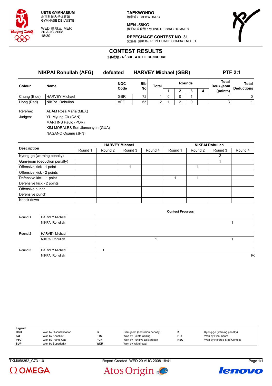

WED 星期三 MER 20 AUG 2008 18:30

**TAEKWONDO** 跆拳道 / TAEKWONDO

**MEN -58KG** 男子58公斤级 / MOINS DE 58KG HOMMES



**REPECHAGE CONTEST NO. 31** 复活赛 第31场 / REPÊCHAGE COMBAT NO. 31

# **CONTEST RESULTS**

比赛成绩 **/ RÉSULTATS DE CONCOURS**

**NIKPAI Rohullah (AFG) defeated HARVEY Michael (GBR) PTF 2:1 Colour Name NOC Code Bib No Total Rounds Total Deuk-jeom Total Deductions 1 2 3 4 (points)** Chung (Blue) HARVEY Michael GBR 72 1 0 0 1 1 0 Hong (Red) NIKPAI Rohullah AFG 65 2 1 2 0 3 1

Referee: ADAM Rosa Maria (MEX) Judges: YU Myung Ok (CAN) MARTINS Paulo (POR) KIM MORALES Sue Jionschyon (GUA) NAGANO Osamu (JPN)

|                              |         |         | <b>HARVEY Michael</b> |         | <b>NIKPAI Rohullah</b> |         |         |         |
|------------------------------|---------|---------|-----------------------|---------|------------------------|---------|---------|---------|
| <b>Description</b>           | Round 1 | Round 2 | Round 3               | Round 4 | Round 1                | Round 2 | Round 3 | Round 4 |
| Kyong-go (warning penalty)   |         |         |                       |         |                        |         | 2       |         |
| Gam-jeom (deduction penalty) |         |         |                       |         |                        |         |         |         |
| Offensive kick - 1 point     |         |         |                       |         |                        |         |         |         |
| Offensive kick - 2 points    |         |         |                       |         |                        |         |         |         |
| Defensive kick - 1 point     |         |         |                       |         |                        |         |         |         |
| Defensive kick - 2 points    |         |         |                       |         |                        |         |         |         |
| Offensive punch              |         |         |                       |         |                        |         |         |         |
| Defensive punch              |         |         |                       |         |                        |         |         |         |
| Knock down                   |         |         |                       |         |                        |         |         |         |

| Round 1 | <b>HARVEY Michael</b> |   |    |
|---------|-----------------------|---|----|
|         | NIKPAI Rohullah       |   |    |
|         |                       |   |    |
| Round 2 | <b>HARVEY Michael</b> |   |    |
|         | NIKPAI Rohullah       |   |    |
|         |                       |   |    |
| Round 3 | <b>HARVEY Michael</b> | и |    |
|         | NIKPAI Rohullah       |   | КK |
|         |                       |   |    |

| Legend:    |                         |            |                              |            |                             |
|------------|-------------------------|------------|------------------------------|------------|-----------------------------|
| <b>DSQ</b> | Won by Disqualification |            | Gam-jeom (deduction penalty) |            | Kyong-go (warning penalty)  |
| KO         | Won by Knockout         | <b>PTC</b> | Won by Points Ceiling        | <b>PTF</b> | Won by Final Score          |
| <b>PTG</b> | Won by Points Gap       | <b>PUN</b> | Won by Punitive Declaration  | <b>RSC</b> | Won by Referee Stop Contest |
| <b>SUP</b> | Won by Superiority      | <b>WDR</b> | Won by Withdrawal            |            |                             |







**Contest Progress**

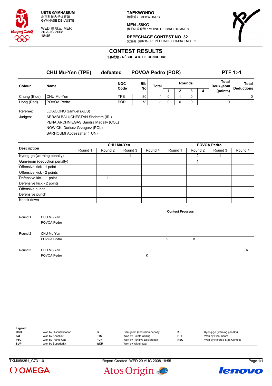

WED 星期三 MER 20 AUG 2008 18:45

**TAEKWONDO** 跆拳道 / TAEKWONDO

**MEN -58KG** -------<br>男子58公斤级 / MOINS DE 58KG HOMMES

# **REPECHAGE CONTEST NO. 32**

复活赛 第32场 / REPÊCHAGE COMBAT NO. 32



# **CONTEST RESULTS**

比赛成绩 **/ RÉSULTATS DE CONCOURS**

|              | <b>CHU Mu-Yen (TPE)</b> | defeated           | <b>POVOA Pedro (POR)</b> |                          |        |   |  | <b>PTF 1:-1</b> |                    |                   |  |
|--------------|-------------------------|--------------------|--------------------------|--------------------------|--------|---|--|-----------------|--------------------|-------------------|--|
| Colour       | Name                    | <b>NOC</b><br>Code | Bib                      | Total                    | Rounds |   |  |                 | Total<br>Deuk-jeom | <b>Total</b>      |  |
|              |                         |                    | No                       |                          |        | 2 |  | 4               | (points)           | <b>Deductions</b> |  |
| Chung (Blue) | CHU Mu-Yen              | <b>TPE</b>         | 80                       |                          |        |   |  |                 |                    | 0                 |  |
| Hong (Red)   | POVOA Pedro             | <b>POR</b>         | 78                       | $\overline{\phantom{0}}$ |        |   |  |                 |                    |                   |  |
|              |                         |                    |                          |                          |        |   |  |                 |                    |                   |  |

Referee: LOIACONO Samuel (AUS)

Judges: ARBABI BALUCHESTAN Shahram (IRI)

PENA ARCHNIEGAS Sandra Magally (COL)

NOWICKI Dariusz Grzegorz (POL)

BARHOUMI Abdessattar (TUN)

|                              | <b>CHU Mu-Yen</b> |         |         |         | <b>POVOA Pedro</b> |         |         |         |
|------------------------------|-------------------|---------|---------|---------|--------------------|---------|---------|---------|
| <b>Description</b>           | Round 1           | Round 2 | Round 3 | Round 4 | Round 1            | Round 2 | Round 3 | Round 4 |
| Kyong-go (warning penalty)   |                   |         |         |         |                    | 2       |         |         |
| Gam-jeom (deduction penalty) |                   |         |         |         |                    |         |         |         |
| Offensive kick - 1 point     |                   |         |         |         |                    |         |         |         |
| Offensive kick - 2 points    |                   |         |         |         |                    |         |         |         |
| Defensive kick - 1 point     |                   |         |         |         |                    |         |         |         |
| Defensive kick - 2 points    |                   |         |         |         |                    |         |         |         |
| Offensive punch              |                   |         |         |         |                    |         |         |         |
| Defensive punch              |                   |         |         |         |                    |         |         |         |
| Knock down                   |                   |         |         |         |                    |         |         |         |

|         |             | <b>Contest Progress</b> |   |
|---------|-------------|-------------------------|---|
| Round 1 | CHU Mu-Yen  |                         |   |
|         | POVOA Pedro |                         |   |
|         |             |                         |   |
| Round 2 | CHU Mu-Yen  |                         |   |
|         | POVOA Pedro | Κ<br>Κ                  |   |
|         |             |                         |   |
| Round 3 | CHU Mu-Yen  |                         | Κ |
|         | POVOA Pedro | Κ                       |   |

| Legend:    |                         |            |                              |            |                             |
|------------|-------------------------|------------|------------------------------|------------|-----------------------------|
| DSQ        | Won by Disqualification |            | Gam-jeom (deduction penalty) |            | Kyong-go (warning penalty)  |
| KO         | Won by Knockout         | <b>PTC</b> | Won by Points Ceiling        | PTF        | Won by Final Score          |
| <b>PTG</b> | Won by Points Gap       | <b>PUN</b> | Won by Punitive Declaration  | <b>RSC</b> | Won by Referee Stop Contest |
| <b>SUP</b> | Won by Superiority      | <b>WDR</b> | Won by Withdrawal            |            |                             |

 $\Omega$  OMEGA





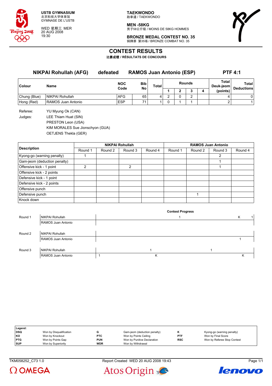

WED 星期三 MER 20 AUG 2008 19:30

**TAEKWONDO** 跆拳道 / TAEKWONDO

**MEN -58KG** 男子58公斤级 / MOINS DE 58KG HOMMES



**BRONZE MEDAL CONTEST NO. 35** 铜牌赛 第35场 / BRONZE COMBAT NO. 35

# **CONTEST RESULTS**

比赛成绩 **/ RÉSULTATS DE CONCOURS**

**NIKPAI Rohullah (AFG) defeated RAMOS Juan Antonio (ESP) PTF 4:1 Colour Name NOC Code Bib No Total Rounds Total Deuk-jeom Total Deductions 1 2 3 4 (points)** Chung (Blue) NIKPAI Rohullah AFG 65 4 2 0 2 4 0 Hong (Red) RAMOS Juan Antonio **ESP** 71 1 0 1 1 1 2 1

Referee: YU Myung Ok (CAN) Judges: LEE Thiam Huat (SIN) PRESTON Leon (USA) KIM MORALES Sue Jionschyon (GUA) OETJENS Thekla (GER)

|                              | <b>NIKPAI Rohullah</b> |         |         |         | <b>RAMOS Juan Antonio</b> |         |         |         |
|------------------------------|------------------------|---------|---------|---------|---------------------------|---------|---------|---------|
| <b>Description</b>           | Round 1                | Round 2 | Round 3 | Round 4 | Round 1                   | Round 2 | Round 3 | Round 4 |
| Kyong-go (warning penalty)   |                        |         |         |         |                           |         | 2       |         |
| Gam-jeom (deduction penalty) |                        |         |         |         |                           |         |         |         |
| Offensive kick - 1 point     | 2                      |         | 2       |         |                           |         |         |         |
| Offensive kick - 2 points    |                        |         |         |         |                           |         |         |         |
| Defensive kick - 1 point     |                        |         |         |         |                           |         |         |         |
| Defensive kick - 2 points    |                        |         |         |         |                           |         |         |         |
| Offensive punch              |                        |         |         |         |                           |         |         |         |
| Defensive punch              |                        |         |         |         |                           |         |         |         |
| Knock down                   |                        |         |         |         |                           |         |         |         |

|         |                        | <b>Contest Progress</b> |   |  |   |  |  |
|---------|------------------------|-------------------------|---|--|---|--|--|
| Round 1 | NIKPAI Rohullah        |                         |   |  | κ |  |  |
|         | RAMOS Juan Antonio     |                         |   |  |   |  |  |
|         |                        |                         |   |  |   |  |  |
| Round 2 | NIKPAI Rohullah        |                         |   |  |   |  |  |
|         | RAMOS Juan Antonio     |                         |   |  |   |  |  |
|         |                        |                         |   |  |   |  |  |
| Round 3 | <b>NIKPAI Rohullah</b> |                         |   |  |   |  |  |
|         | RAMOS Juan Antonio     |                         | Κ |  | κ |  |  |

| Legend:    |                         |            |                              |            |                             |
|------------|-------------------------|------------|------------------------------|------------|-----------------------------|
| <b>DSQ</b> | Won by Disqualification |            | Gam-jeom (deduction penalty) | n          | Kyong-go (warning penalty)  |
| KO         | Won by Knockout         | <b>PTC</b> | Won by Points Ceiling        | PTF        | Won by Final Score          |
| <b>PTG</b> | Won by Points Gap       | <b>PUN</b> | Won by Punitive Declaration  | <b>RSC</b> | Won by Referee Stop Contest |
| <b>SUP</b> | Won by Superiority      | <b>WDR</b> | Won by Withdrawal            |            |                             |

TKM058252\_C73 1.0 Report Created WED 20 AUG 2008 19:43 Page 1/1





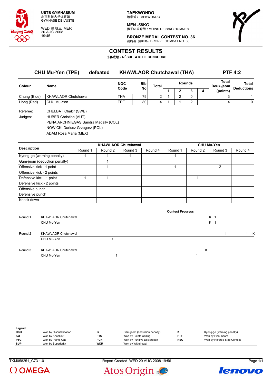

WED 星期三 MER 20 AUG 2008 19:45

**TAEKWONDO** 跆拳道 / TAEKWONDO

**MEN -58KG** -------<br>男子58公斤级 / MOINS DE 58KG HOMMES

**BRONZE MEDAL CONTEST NO. 36** 铜牌赛 第36场 / BRONZE COMBAT NO. 36



**CONTEST RESULTS**

比赛成绩 **/ RÉSULTATS DE CONCOURS**

| <b>CHU Mu-Yen (TPE)</b><br>defeated |                            |  | <b>KHAWLAOR Chutchawal (THA)</b> |                  |              |        |   |   | <b>PTF 4:2</b>     |          |                            |
|-------------------------------------|----------------------------|--|----------------------------------|------------------|--------------|--------|---|---|--------------------|----------|----------------------------|
| Colour                              | <b>Name</b>                |  | <b>NOC</b><br>Code               | <b>Bib</b><br>No | <b>Total</b> | Rounds |   |   | Total<br>Deuk-jeom |          | Total<br><b>Deductions</b> |
|                                     |                            |  |                                  |                  |              |        | n | っ |                    | (points) |                            |
| Chung (Blue)                        | <b>KHAWLAOR Chutchawal</b> |  | <b>THA</b>                       | 79               |              |        |   |   |                    |          |                            |
| Hong (Red)                          | CHU Mu-Yen                 |  | <b>TPE</b>                       | 80               |              |        |   | ົ |                    | 4        | 0                          |
|                                     |                            |  |                                  |                  |              |        |   |   |                    |          |                            |

Referee: CHELBAT Chakir (SWE) Judges: HUBER Christian (AUT) PENA ARCHNIEGAS Sandra Magally (COL) NOWICKI Dariusz Grzegorz (POL) ADAM Rosa Maria (MEX)

|                              |         |         | <b>KHAWLAOR Chutchawal</b> |         | <b>CHU Mu-Yen</b> |         |         |         |  |
|------------------------------|---------|---------|----------------------------|---------|-------------------|---------|---------|---------|--|
| <b>Description</b>           | Round 1 | Round 2 | Round 3                    | Round 4 | Round 1           | Round 2 | Round 3 | Round 4 |  |
| Kyong-go (warning penalty)   |         |         |                            |         |                   |         |         |         |  |
| Gam-jeom (deduction penalty) |         |         |                            |         |                   |         |         |         |  |
| Offensive kick - 1 point     |         |         |                            |         |                   |         | 2       |         |  |
| Offensive kick - 2 points    |         |         |                            |         |                   |         |         |         |  |
| Defensive kick - 1 point     |         |         |                            |         |                   |         |         |         |  |
| Defensive kick - 2 points    |         |         |                            |         |                   |         |         |         |  |
| Offensive punch              |         |         |                            |         |                   |         |         |         |  |
| Defensive punch              |         |         |                            |         |                   |         |         |         |  |
| Knock down                   |         |         |                            |         |                   |         |         |         |  |

|         |                            | <b>Contest Progress</b> |   |
|---------|----------------------------|-------------------------|---|
| Round 1 | <b>KHAWLAOR Chutchawal</b> | K <sub>1</sub>          |   |
|         | CHU Mu-Yen                 | K <sub>1</sub>          |   |
| Round 2 | <b>KHAWLAOR Chutchawal</b> |                         | K |
|         | CHU Mu-Yen                 |                         |   |
| Round 3 | <b>KHAWLAOR Chutchawal</b> | Κ                       |   |
|         | CHU Mu-Yen                 |                         |   |

| Legend:    |                         |            |                              |            |                             |
|------------|-------------------------|------------|------------------------------|------------|-----------------------------|
| DSQ        | Won by Disqualification |            | Gam-jeom (deduction penalty) |            | Kyong-go (warning penalty)  |
| KO         | Won by Knockout         | <b>PTC</b> | Won by Points Ceiling        | <b>PTF</b> | Won by Final Score          |
| <b>PTG</b> | Won by Points Gap       | <b>PUN</b> | Won by Punitive Declaration  | <b>RSC</b> | Won by Referee Stop Contest |
| <b>SUP</b> | Won by Superiority      | <b>WDR</b> | Won by Withdrawal            |            |                             |

 $\Omega$  OMEGA





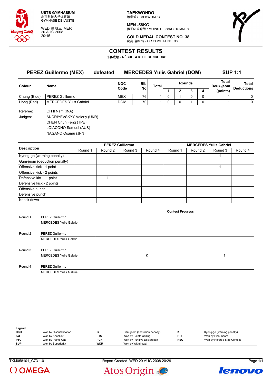

WED 星期三 MER 20 AUG 2008 20:15

**TAEKWONDO** 跆拳道 / TAEKWONDO

**MEN -58KG** 男子58公斤级 / MOINS DE 58KG HOMMES



**GOLD MEDAL CONTEST NO. 38** 决赛 第38场 / OR COMBAT NO. 38

# **CONTEST RESULTS**

比赛成绩 **/ RÉSULTATS DE CONCOURS**

| <b>PEREZ Guillermo (MEX)</b> |                               | <b>MERCEDES Yulis Gabriel (DOM)</b><br>defeated |                    |                 |       |  |   | <b>SUP 1:1</b> |   |                    |                            |
|------------------------------|-------------------------------|-------------------------------------------------|--------------------|-----------------|-------|--|---|----------------|---|--------------------|----------------------------|
| Colour                       | <b>Name</b>                   |                                                 | <b>NOC</b><br>Code | Bib<br>No       | Total |  |   | <b>Rounds</b>  |   | Total<br>Deuk-ieom | Total<br><b>Deductions</b> |
|                              |                               |                                                 |                    |                 |       |  |   |                | 4 | (points)           |                            |
| Chung (Blue)                 | PEREZ Guillermo               |                                                 | <b>MEX</b>         | 76              |       |  |   |                |   |                    | 0                          |
| Hong (Red)                   | <b>MERCEDES Yulis Gabriel</b> |                                                 | <b>DOM</b>         | 70 <sub>1</sub> |       |  | 0 |                |   |                    | 0                          |

Referee: OH II Nam (INA) Judges: ANDRIYEVSKYY Valeriy (UKR) CHEN Chun Feng (TPE) LOIACONO Samuel (AUS) NAGANO Osamu (JPN)

|                              |         |         | <b>PEREZ Guillermo</b> |         | <b>MERCEDES Yulis Gabriel</b> |         |         |         |  |
|------------------------------|---------|---------|------------------------|---------|-------------------------------|---------|---------|---------|--|
| <b>Description</b>           | Round 1 | Round 2 | Round 3                | Round 4 | Round 1                       | Round 2 | Round 3 | Round 4 |  |
| Kyong-go (warning penalty)   |         |         |                        |         |                               |         |         |         |  |
| Gam-jeom (deduction penalty) |         |         |                        |         |                               |         |         |         |  |
| Offensive kick - 1 point     |         |         |                        |         |                               |         |         |         |  |
| Offensive kick - 2 points    |         |         |                        |         |                               |         |         |         |  |
| Defensive kick - 1 point     |         |         |                        |         |                               |         |         |         |  |
| Defensive kick - 2 points    |         |         |                        |         |                               |         |         |         |  |
| Offensive punch              |         |         |                        |         |                               |         |         |         |  |
| Defensive punch              |         |         |                        |         |                               |         |         |         |  |
| Knock down                   |         |         |                        |         |                               |         |         |         |  |

|         |                               | <b>Contest Progress</b> |  |
|---------|-------------------------------|-------------------------|--|
| Round 1 | PEREZ Guillermo               |                         |  |
|         | <b>MERCEDES Yulis Gabriel</b> |                         |  |
|         |                               |                         |  |
| Round 2 | <b>PEREZ Guillermo</b>        | ◢                       |  |
|         | MERCEDES Yulis Gabriel        |                         |  |
|         |                               |                         |  |
| Round 3 | <b>PEREZ Guillermo</b>        |                         |  |
|         | MERCEDES Yulis Gabriel        | Κ                       |  |
|         |                               |                         |  |
| Round 4 | <b>PEREZ Guillermo</b>        |                         |  |
|         | MERCEDES Yulis Gabriel        |                         |  |

| Legend:    |                         |            |                              |            |                             |
|------------|-------------------------|------------|------------------------------|------------|-----------------------------|
| DSQ        | Won by Disqualification |            | Gam-jeom (deduction penalty) |            | Kyong-go (warning penalty)  |
| l KO       | Won by Knockout         | <b>PTC</b> | Won by Points Ceiling        | <b>PTF</b> | Won by Final Score          |
| <b>PTG</b> | Won by Points Gap       | <b>PUN</b> | Won by Punitive Declaration  | <b>RSC</b> | Won by Referee Stop Contest |
| <b>SUP</b> | Won by Superiority      | <b>WDR</b> | Won by Withdrawal            |            |                             |

 $\Omega$  OMEGA





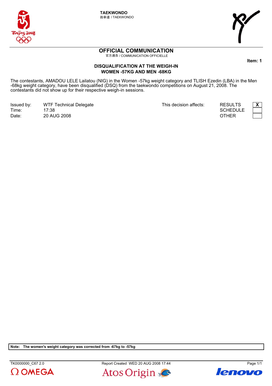

**TAEKWONDO** 跆拳道 / TAEKWONDO



# **OFFICIAL COMMUNICATION**

官方通告 / COMMUNICATION OFFICIELLE

#### **DISQUALIFICATION AT THE WEIGH-IN WOMEN -57KG AND MEN -68KG**

The contestants, AMADOU LELE Lailatou (NIG) in the Women -57kg weight category and TLISH Ezedin (LBA) in the Men -68kg weight category, have been disqualified (DSQ) from the taekwondo competitions on August 21, 2008. The contestants did not show up for their respective weigh-in sessions.

Issued by: WTF Technical Delegate **1992 12: All in the Convention Convention** 7 This decision affects: RESULTS **X** Time: Date: 17:38 20 AUG 2008

**SCHEDULE** 



ltem: 1

OTHER

Note: The women's weight category was corrected from -67kg to -57kg

 $\Omega$  OMEGA

TK0000000\_C67 2.0 Report Created WED 20 AUG 2008 17:44 Report Created WED 20 AUG 2008 17:44



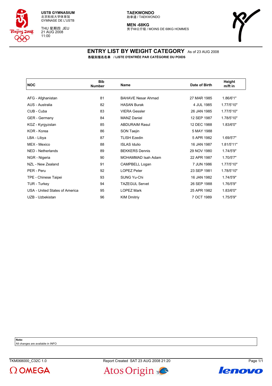

THU 星期四 JEU 21 AUG 2008 11:00

**MEN -68KG** 男子68公斤级 / MOINS DE 68KG HOMMES



#### **ENTRY LIST BY WEIGHT CATEGORY** As of 23 AUG 2008 各级别报名名单 **/ LISTE D'ENTRÉE PAR CATÉGORIE DU POIDS**

| <b>NOC</b>                     | <b>Bib</b><br><b>Number</b> | <b>Name</b>               | Date of Birth | Height<br>m/ft in |
|--------------------------------|-----------------------------|---------------------------|---------------|-------------------|
|                                | 81                          | <b>BAHAVE Nesar Ahmad</b> |               |                   |
| AFG - Afghanistan              |                             |                           | 27 MAR 1985   | 1.86/6'1"         |
| AUS - Australia                | 82                          | <b>HASAN Burak</b>        | 4 JUL 1985    | 1.77/5'10"        |
| CUB - Cuba                     | 83                          | <b>VIERA Gessler</b>      | 26 JAN 1985   | 1.77/5'10"        |
| <b>GER</b> - Germany           | 84                          | <b>MANZ Daniel</b>        | 12 SEP 1987   | 1.78/5'10"        |
| KGZ - Kyrgyzstan               | 85                          | <b>ABDURAIM Rasul</b>     | 12 DEC 1988   | 1.83/6'0"         |
| KOR - Korea                    | 86                          | SON Taejin                | 5 MAY 1988    |                   |
| LBA - Libya                    | 87                          | <b>TLISH Ezedin</b>       | 5 APR 1982    | 1.69/5'7"         |
| MEX - Mexico                   | 88                          | <b>ISLAS Idulio</b>       | 16 JAN 1987   | 1.81/5'11"        |
| NED - Netherlands              | 89                          | <b>BEKKERS Dennis</b>     | 29 NOV 1980   | 1.74/5'9"         |
| NGR - Nigeria                  | 90                          | MOHAMMAD Isah Adam        | 22 APR 1987   | 1.70/5'7"         |
| NZL - New Zealand              | 91                          | CAMPBELL Logan            | 7 JUN 1986    | 1.77/5'10"        |
| PER - Peru                     | 92                          | <b>LOPEZ Peter</b>        | 23 SEP 1981   | 1.78/5'10"        |
| TPE - Chinese Taipei           | 93                          | <b>SUNG Yu-Chi</b>        | 16 JAN 1982   | 1.74/5'9"         |
| TUR - Turkey                   | 94                          | <b>TAZEGUL Servet</b>     | 26 SEP 1988   | 1.76/5'9"         |
| USA - United States of America | 95                          | <b>LOPEZ Mark</b>         | 25 APR 1982   | 1.83/6'0"         |
| UZB - Uzbekistan               | 96                          | <b>KIM Dmitriy</b>        | 7 OCT 1989    | 1.75/5'9"         |
|                                |                             |                           |               |                   |

**Note:**

All changes are available in INFO





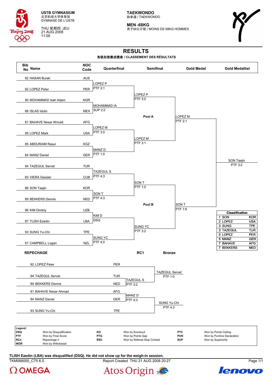

THU 星期四 JEU 21 AUG 2008 11:00

**TAEKWONDO** 跆拳道 / TAEKWONDO

**MEN -68KG** 男子68公斤级 / MOINS DE 68KG HOMMES



# **RESULTS**

#### 各级别竞赛成绩表 **/ CLASSEMENT DES RÉSULTATS**



TKM068000 C75 6.0 Report Created THU 21 AUG 2008 20:27 Page 1/1 **TLISH Ezedin (LBA) was disqualified (DSQ). He did not show up for the weigh-in session.**





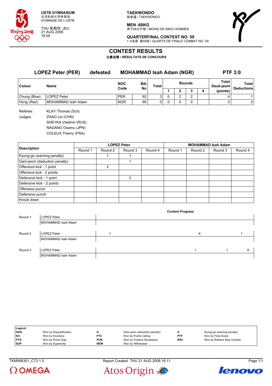

THU 星期四 JEU 21 AUG 2008 16:00

**TAEKWONDO** 跆拳道 / TAEKWONDO

**MEN -68KG** 男子68公斤级 / MOINS DE 68KG HOMMES



**QUARTERFINAL CONTEST NO. 59** 1/4决赛 第59场 / QUARTS DE FINALE COMBAT NO. 59

# **CONTEST RESULTS**

比赛成绩 **/ RÉSULTATS DE CONCOURS**

| <b>LOPEZ Peter (PER)</b><br>defeated |                                                                                                                          |                    | <b>MOHAMMAD Isah Adam (NGR)</b> |       |               |   |   |   | <b>PTF 3:0</b>     |                   |  |
|--------------------------------------|--------------------------------------------------------------------------------------------------------------------------|--------------------|---------------------------------|-------|---------------|---|---|---|--------------------|-------------------|--|
| Colour                               | <b>Name</b>                                                                                                              | <b>NOC</b><br>Code | Bib<br><b>No</b>                | Total | <b>Rounds</b> |   |   |   | Total<br>Deuk-jeom | Total             |  |
|                                      |                                                                                                                          |                    |                                 |       |               | 2 | 3 | 4 | (points)           | <b>Deductions</b> |  |
| Chung (Blue)                         | <b>LOPEZ Peter</b>                                                                                                       | <b>PER</b>         | 92                              | 3     | 0             | 2 | 2 |   | 4                  |                   |  |
| Hong (Red)                           | MOHAMMAD Isah Adam                                                                                                       | <b>NGR</b>         | 90 <sub>1</sub>                 | 0     | 0             | 0 | 0 |   | 0                  | 0                 |  |
| Referee:<br>Judges:                  | <b>KLAY Thomas (SUI)</b><br>ZHAO Lei (CHN)<br>SHEYKA Vladimir (RUS)<br>NAGANO Osamu (JPN)<br><b>COLEUX Thierry (FRA)</b> |                    |                                 |       |               |   |   |   |                    |                   |  |

|                              |         |                | <b>LOPEZ Peter</b> |         | <b>MOHAMMAD Isah Adam</b> |         |         |         |  |
|------------------------------|---------|----------------|--------------------|---------|---------------------------|---------|---------|---------|--|
| <b>Description</b>           | Round 1 | Round 2        | Round 3            | Round 4 | Round 1                   | Round 2 | Round 3 | Round 4 |  |
| Kyong-go (warning penalty)   |         |                |                    |         |                           |         |         |         |  |
| Gam-jeom (deduction penalty) |         |                |                    |         |                           |         |         |         |  |
| Offensive kick - 1 point     |         | $\overline{2}$ |                    |         |                           |         |         |         |  |
| Offensive kick - 2 points    |         |                |                    |         |                           |         |         |         |  |
| Defensive kick - 1 point     |         |                | 2                  |         |                           |         |         |         |  |
| Defensive kick - 2 points    |         |                |                    |         |                           |         |         |         |  |
| Offensive punch              |         |                |                    |         |                           |         |         |         |  |
| Defensive punch              |         |                |                    |         |                           |         |         |         |  |
| Knock down                   |         |                |                    |         |                           |         |         |         |  |

|         |                    | <b>Contest Progress</b> |   |   |
|---------|--------------------|-------------------------|---|---|
| Round 1 | <b>LOPEZ Peter</b> |                         |   |   |
|         | MOHAMMAD Isah Adam |                         |   |   |
|         |                    |                         |   |   |
| Round 2 | <b>LOPEZ Peter</b> |                         | Κ |   |
|         | MOHAMMAD Isah Adam |                         |   |   |
|         |                    |                         |   |   |
| Round 3 | <b>LOPEZ Peter</b> |                         |   | K |
|         | MOHAMMAD Isah Adam |                         |   |   |

| Legend:    |                         |            |                              |            |                             |
|------------|-------------------------|------------|------------------------------|------------|-----------------------------|
| DSQ        | Won by Disqualification |            | Gam-jeom (deduction penalty) |            | Kyong-go (warning penalty)  |
| KO         | Won by Knockout         | <b>PTC</b> | Won by Points Ceiling        | <b>PTF</b> | Won by Final Score          |
| <b>PTG</b> | Won by Points Gap       | <b>PUN</b> | Won by Punitive Declaration  | <b>RSC</b> | Won by Referee Stop Contest |
| <b>SUP</b> | Won by Superiority      | <b>WDR</b> | Won by Withdrawal            |            |                             |

TKM068301\_C73 1.0 Report Created THU 21 AUG 2008 16:11 Page 1/1



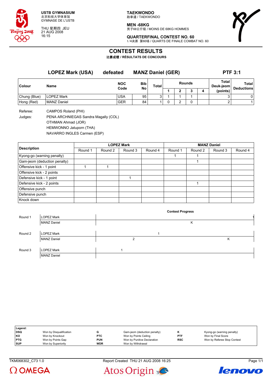

THU 星期四 JEU 21 AUG 2008 16:15

**TAEKWONDO** 跆拳道 / TAEKWONDO

**MEN -68KG** -------<br>男子68公斤级 / MOINS DE 68KG HOMMES



**QUARTERFINAL CONTEST NO. 60** 1/4决赛 第60场 / QUARTS DE FINALE COMBAT NO. 60

# **CONTEST RESULTS**

比赛成绩 **/ RÉSULTATS DE CONCOURS**

|              | <b>LOPEZ Mark (USA)</b> | defeated           | <b>MANZ Daniel (GER)</b> |              | <b>PTF 3:1</b> |  |   |                    |                                   |
|--------------|-------------------------|--------------------|--------------------------|--------------|----------------|--|---|--------------------|-----------------------------------|
| Colour       | Name                    | <b>NOC</b><br>Code | <b>Bib</b><br>No         | <b>Total</b> | <b>Rounds</b>  |  |   | Total<br>Deuk-jeom | <b>Total</b><br><b>Deductions</b> |
|              |                         |                    |                          |              |                |  | ◠ | (points)           |                                   |
| Chung (Blue) | <b>LOPEZ Mark</b>       | USA                | 95                       | ິ            |                |  |   |                    | 0                                 |
| Hong (Red)   | MANZ Daniel             | <b>GER</b>         | 84                       |              |                |  |   |                    |                                   |

Referee: CAMPOS Roland (PHI)

Judges: PENA ARCHNIEGAS Sandra Magally (COL) OTHMAN Ahmad (JOR) HEMWONNO Jatuporn (THA) NAVARRO INGLES Carmen (ESP)

|                                                                                                                                          |         |         | <b>LOPEZ Mark</b> |         | <b>MANZ Daniel</b> |         |         |         |  |  |
|------------------------------------------------------------------------------------------------------------------------------------------|---------|---------|-------------------|---------|--------------------|---------|---------|---------|--|--|
| <b>Description</b><br>Gam-jeom (deduction penalty)<br>Offensive kick - 1 point<br>Offensive kick - 2 points<br>Defensive kick - 2 points | Round 1 | Round 2 | Round 3           | Round 4 | Round 1            | Round 2 | Round 3 | Round 4 |  |  |
| Kyong-go (warning penalty)                                                                                                               |         |         |                   |         |                    |         |         |         |  |  |
|                                                                                                                                          |         |         |                   |         |                    |         |         |         |  |  |
|                                                                                                                                          |         |         |                   |         |                    |         |         |         |  |  |
|                                                                                                                                          |         |         |                   |         |                    |         |         |         |  |  |
| Defensive kick - 1 point                                                                                                                 |         |         |                   |         |                    |         |         |         |  |  |
|                                                                                                                                          |         |         |                   |         |                    |         |         |         |  |  |
| Offensive punch                                                                                                                          |         |         |                   |         |                    |         |         |         |  |  |
| Defensive punch                                                                                                                          |         |         |                   |         |                    |         |         |         |  |  |
| Knock down                                                                                                                               |         |         |                   |         |                    |         |         |         |  |  |

|         |                    |                | <b>Contest Progress</b> |   |
|---------|--------------------|----------------|-------------------------|---|
| Round 1 | <b>LOPEZ Mark</b>  |                |                         |   |
|         | <b>MANZ Daniel</b> |                | Κ                       |   |
|         |                    |                |                         |   |
| Round 2 | <b>LOPEZ Mark</b>  |                |                         |   |
|         | <b>MANZ Daniel</b> | $\overline{2}$ |                         | Κ |
|         |                    |                |                         |   |
| Round 3 | <b>LOPEZ Mark</b>  |                |                         |   |
|         | <b>MANZ Daniel</b> |                |                         |   |

| Legend:    |                         |            |                              |            |                             |
|------------|-------------------------|------------|------------------------------|------------|-----------------------------|
| <b>DSQ</b> | Won by Disqualification |            | Gam-jeom (deduction penalty) |            | Kyong-go (warning penalty)  |
| KO         | Won by Knockout         | <b>PTC</b> | Won by Points Ceiling        | <b>PTF</b> | Won by Final Score          |
| <b>PTG</b> | Won by Points Gap       | <b>PUN</b> | Won by Punitive Declaration  | <b>RSC</b> | Won by Referee Stop Contest |
| <b>SUP</b> | Won by Superiority      | <b>WDR</b> | Won by Withdrawal            |            |                             |

TKM068302\_C73 1.0 Report Created THU 21 AUG 2008 16:25 Page 1/1





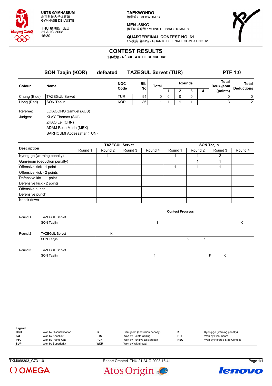

THU 星期四 JEU 21 AUG 2008 16:30

**TAEKWONDO** 跆拳道 / TAEKWONDO

**MEN -68KG** 男子68公斤级 / MOINS DE 68KG HOMMES



**QUARTERFINAL CONTEST NO. 61** 1/4决赛 第61场 / QUARTS DE FINALE COMBAT NO. 61

# **CONTEST RESULTS**

比赛成绩 **/ RÉSULTATS DE CONCOURS**

|              | <b>SON Taejin (KOR)</b>  | defeated   |      | <b>TAZEGUL Servet (TUR)</b> |       |   |   |               |   |                    | <b>PTF 1:0</b>    |
|--------------|--------------------------|------------|------|-----------------------------|-------|---|---|---------------|---|--------------------|-------------------|
| Colour       | Name                     | <b>NOC</b> |      | <b>Bib</b>                  | Total |   |   | <b>Rounds</b> |   | Total<br>Deuk-jeom | Total             |
|              |                          |            | Code | No                          |       |   | 2 |               | 4 | (points)           | <b>Deductions</b> |
| Chung (Blue) | <b>TAZEGUL Servet</b>    | <b>TUR</b> |      | 94                          | 0     | 0 | 0 |               |   | 0                  | 0                 |
| Hong (Red)   | SON Taejin               | <b>KOR</b> |      | 86                          |       |   |   |               |   | 3                  | 2                 |
| Referee:     | LOIACONO Samuel (AUS)    |            |      |                             |       |   |   |               |   |                    |                   |
| Judges:      | <b>KLAY Thomas (SUI)</b> |            |      |                             |       |   |   |               |   |                    |                   |
|              | ZHAO Lei (CHN)           |            |      |                             |       |   |   |               |   |                    |                   |
|              | ADAM Doop Morio (MEV)    |            |      |                             |       |   |   |               |   |                    |                   |

ADAM Rosa Maria (MEX) BARHOUMI Abdessattar (TUN)

|                                                                                                                                           |         |         | <b>TAZEGUL Servet</b> |         | <b>SON Taejin</b> |         |         |         |  |  |
|-------------------------------------------------------------------------------------------------------------------------------------------|---------|---------|-----------------------|---------|-------------------|---------|---------|---------|--|--|
| <b>Description</b><br>Kyong-go (warning penalty)<br>Gam-jeom (deduction penalty)<br>Offensive kick - 1 point<br>Offensive kick - 2 points | Round 1 | Round 2 | Round 3               | Round 4 | Round 1           | Round 2 | Round 3 | Round 4 |  |  |
|                                                                                                                                           |         |         |                       |         |                   |         | 2       |         |  |  |
|                                                                                                                                           |         |         |                       |         |                   |         |         |         |  |  |
|                                                                                                                                           |         |         |                       |         |                   |         |         |         |  |  |
|                                                                                                                                           |         |         |                       |         |                   |         |         |         |  |  |
| Defensive kick - 1 point                                                                                                                  |         |         |                       |         |                   |         |         |         |  |  |
| Defensive kick - 2 points                                                                                                                 |         |         |                       |         |                   |         |         |         |  |  |
| Offensive punch                                                                                                                           |         |         |                       |         |                   |         |         |         |  |  |
| Defensive punch                                                                                                                           |         |         |                       |         |                   |         |         |         |  |  |
| Knock down                                                                                                                                |         |         |                       |         |                   |         |         |         |  |  |

|         |                       |   | <b>Contest Progress</b> |   |   |   |
|---------|-----------------------|---|-------------------------|---|---|---|
| Round 1 | <b>TAZEGUL Servet</b> |   |                         |   |   |   |
|         | SON Taejin            |   |                         |   |   | κ |
|         |                       |   |                         |   |   |   |
| Round 2 | <b>TAZEGUL Servet</b> | Κ |                         |   |   |   |
|         | SON Taejin            |   | Κ                       |   |   |   |
|         |                       |   |                         |   |   |   |
| Round 3 | <b>TAZEGUL Servet</b> |   |                         |   |   |   |
|         | SON Taejin            |   |                         | Κ | Κ |   |
|         |                       |   |                         |   |   |   |

| Legend:    |                         |            |                              |            |                             |
|------------|-------------------------|------------|------------------------------|------------|-----------------------------|
| DSQ        | Won by Disqualification |            | Gam-jeom (deduction penalty) |            | Kyong-go (warning penalty)  |
| KO         | Won by Knockout         | <b>PTC</b> | Won by Points Ceiling        | <b>PTF</b> | Won by Final Score          |
| <b>PTG</b> | Won by Points Gap       | <b>PUN</b> | Won by Punitive Declaration  | <b>RSC</b> | Won by Referee Stop Contest |
| <b>SUP</b> | Won by Superiority      | <b>WDR</b> | Won by Withdrawal            |            |                             |

 $\Omega$  OMEGA

TKM068303\_C73 1.0 Report Created THU 21 AUG 2008 16:41 Page 1/1



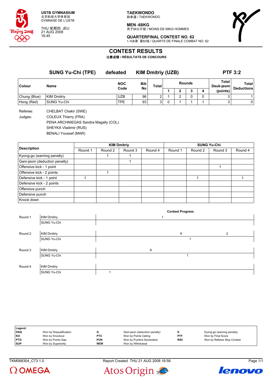

THU 星期四 JEU 21 AUG 2008 16:45

**TAEKWONDO** 跆拳道 / TAEKWONDO

**MEN -68KG** -------<br>男子68公斤级 / MOINS DE 68KG HOMMES



**QUARTERFINAL CONTEST NO. 62** 1/4决赛 第62场 / QUARTS DE FINALE COMBAT NO. 62

# **CONTEST RESULTS**

比赛成绩 **/ RÉSULTATS DE CONCOURS**

|              | <b>SUNG Yu-Chi (TPE)</b> | defeated   |                  | <b>KIM Dmitriy (UZB)</b> |               | <b>PTF 3:2</b> |  |                    |          |                   |  |
|--------------|--------------------------|------------|------------------|--------------------------|---------------|----------------|--|--------------------|----------|-------------------|--|
| Colour       | Name                     | <b>NOC</b> | <b>Bib</b><br>No | Total                    | <b>Rounds</b> |                |  | Total<br>Deuk-jeom |          | Total             |  |
|              |                          | Code       |                  |                          |               |                |  |                    | (points) | <b>Deductions</b> |  |
| Chung (Blue) | <b>KIM Dmitriy</b>       | <b>UZB</b> | 96               | ົ                        |               |                |  |                    |          |                   |  |
| Hong (Red)   | SUNG Yu-Chi              | <b>TPE</b> | 93               | 3 <sub>1</sub>           |               |                |  |                    | 3        | 0                 |  |
|              |                          |            |                  |                          |               |                |  |                    |          |                   |  |

Referee: CHELBAT Chakir (SWE) Judges: COLEUX Thierry (FRA) PENA ARCHNIEGAS Sandra Magally (COL) SHEYKA Vladimir (RUS) BENALI Youssef (MAR)

| <b>Description</b><br>Gam-jeom (deduction penalty)<br>Offensive kick - 1 point<br>Offensive kick - 2 points<br>Defensive kick - 2 points |         |         | <b>KIM Dmitriy</b> |         | <b>SUNG Yu-Chi</b> |         |         |         |  |
|------------------------------------------------------------------------------------------------------------------------------------------|---------|---------|--------------------|---------|--------------------|---------|---------|---------|--|
|                                                                                                                                          | Round 1 | Round 2 | Round 3            | Round 4 | Round 1            | Round 2 | Round 3 | Round 4 |  |
| Kyong-go (warning penalty)                                                                                                               |         |         |                    |         |                    |         |         |         |  |
|                                                                                                                                          |         |         |                    |         |                    |         |         |         |  |
|                                                                                                                                          |         |         |                    |         |                    |         |         |         |  |
|                                                                                                                                          |         |         |                    |         |                    |         |         |         |  |
| Defensive kick - 1 point                                                                                                                 |         |         |                    |         |                    |         |         |         |  |
|                                                                                                                                          |         |         |                    |         |                    |         |         |         |  |
| Offensive punch                                                                                                                          |         |         |                    |         |                    |         |         |         |  |
| Defensive punch                                                                                                                          |         |         |                    |         |                    |         |         |         |  |
| Knock down                                                                                                                               |         |         |                    |         |                    |         |         |         |  |

|         |                    | <b>Contest Progress</b> |   |  |
|---------|--------------------|-------------------------|---|--|
| Round 1 | <b>KIM Dmitriy</b> | 1                       |   |  |
|         | <b>SUNG Yu-Chi</b> |                         |   |  |
|         |                    |                         |   |  |
| Round 2 | <b>KIM Dmitriy</b> | Κ                       | 2 |  |
|         | <b>SUNG Yu-Chi</b> |                         |   |  |
|         |                    |                         |   |  |
| Round 3 | <b>KIM Dmitriy</b> | Κ                       |   |  |
|         | <b>SUNG Yu-Chi</b> |                         |   |  |
|         |                    |                         |   |  |
| Round 4 | <b>KIM Dmitriy</b> |                         |   |  |
|         | <b>SUNG Yu-Chi</b> |                         |   |  |

| Legend:    |                         |            |                              |            |                             |
|------------|-------------------------|------------|------------------------------|------------|-----------------------------|
| DSQ        | Won by Disqualification |            | Gam-jeom (deduction penalty) |            | Kyong-go (warning penalty)  |
| KO         | Won by Knockout         | <b>PTC</b> | Won by Points Ceiling        | <b>PTF</b> | Won by Final Score          |
| <b>PTG</b> | Won by Points Gap       | <b>PUN</b> | Won by Punitive Declaration  | <b>RSC</b> | Won by Referee Stop Contest |
| <b>SUP</b> | Won by Superiority      | <b>WDR</b> | Won by Withdrawal            |            |                             |

TKM068304\_C73 1.0 Report Created THU 21 AUG 2008 16:56 Page 1/1





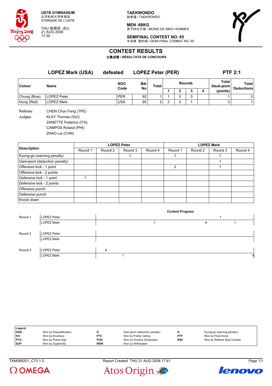

THU 星期四 JEU 21 AUG 2008 17:30

**TAEKWONDO** 跆拳道 / TAEKWONDO

**MEN -68KG** 男子68公斤级 / MOINS DE 68KG HOMMES

**SEMIFINAL CONTEST NO. 65**

半决赛 第65场 / DEMI-FINAL COMBAT NO. 65



# **CONTEST RESULTS**

比赛成绩 **/ RÉSULTATS DE CONCOURS**

|                     | <b>LOPEZ Mark (USA)</b><br>Name                                                                                     | defeated   | <b>LOPEZ Peter (PER)</b> |                | <b>PTF 2:1</b> |   |   |   |                    |                   |
|---------------------|---------------------------------------------------------------------------------------------------------------------|------------|--------------------------|----------------|----------------|---|---|---|--------------------|-------------------|
| <b>Colour</b>       |                                                                                                                     | <b>NOC</b> | <b>Bib</b>               | <b>Total</b>   | <b>Rounds</b>  |   |   |   | Total<br>Deuk-jeom | <b>Total</b>      |
|                     |                                                                                                                     | Code       | No                       |                |                | 2 | 3 | 4 | (points)           | <b>Deductions</b> |
| Chung (Blue)        | <b>LOPEZ Peter</b>                                                                                                  | <b>PER</b> | 92                       |                |                | 0 | 0 |   |                    | 0                 |
| Hong (Red)          | <b>LOPEZ Mark</b>                                                                                                   | <b>USA</b> | 95                       | $\overline{2}$ | 2              | 0 |   |   | 3                  |                   |
| Referee:<br>Judges: | CHEN Chun Feng (TPE)<br><b>KLAY Thomas (SUI)</b><br>ZANETTE Federico (ITA)<br>CAMPOS Roland (PHI)<br>ZHAO Lei (CHN) |            |                          |                |                |   |   |   |                    |                   |

|                              |         |         | <b>LOPEZ Peter</b> |         | <b>LOPEZ Mark</b> |         |         |         |  |
|------------------------------|---------|---------|--------------------|---------|-------------------|---------|---------|---------|--|
| <b>Description</b>           | Round 1 | Round 2 | Round 3            | Round 4 | Round 1           | Round 2 | Round 3 | Round 4 |  |
| Kyong-go (warning penalty)   |         |         |                    |         |                   |         |         |         |  |
| Gam-jeom (deduction penalty) |         |         |                    |         |                   |         |         |         |  |
| Offensive kick - 1 point     |         |         |                    |         | $\mathcal{P}$     |         |         |         |  |
| Offensive kick - 2 points    |         |         |                    |         |                   |         |         |         |  |
| Defensive kick - 1 point     |         |         |                    |         |                   |         |         |         |  |
| Defensive kick - 2 points    |         |         |                    |         |                   |         |         |         |  |
| Offensive punch              |         |         |                    |         |                   |         |         |         |  |
| Defensive punch              |         |         |                    |         |                   |         |         |         |  |
| Knock down                   |         |         |                    |         |                   |         |         |         |  |

|         |                   |   | <b>Contest Progress</b> |   |   |
|---------|-------------------|---|-------------------------|---|---|
| Round 1 | LOPEZ Peter       |   |                         |   |   |
|         | <b>LOPEZ Mark</b> |   |                         | κ |   |
|         |                   |   |                         |   |   |
| Round 2 | LOPEZ Peter       |   |                         |   |   |
|         | <b>LOPEZ Mark</b> |   |                         |   |   |
|         |                   |   |                         |   |   |
| Round 3 | LOPEZ Peter       | Κ |                         |   |   |
|         | <b>LOPEZ Mark</b> |   |                         |   | к |

| Legend:    |                         |            |                              |            |                             |
|------------|-------------------------|------------|------------------------------|------------|-----------------------------|
| DSQ        | Won by Disqualification | G          | Gam-jeom (deduction penalty) |            | Kyong-go (warning penalty)  |
| KO         | Won by Knockout         | <b>PTC</b> | Won by Points Ceiling        | PTF        | Won by Final Score          |
| <b>PTG</b> | Won by Points Gap       | <b>PUN</b> | Won by Punitive Declaration  | <b>RSC</b> | Won by Referee Stop Contest |
| <b>SUP</b> | Won by Superiority      | <b>WDR</b> | Won by Withdrawal            |            |                             |

TKM068201\_C73 1.0 Report Created THU 21 AUG 2008 17:41 Page 1/1





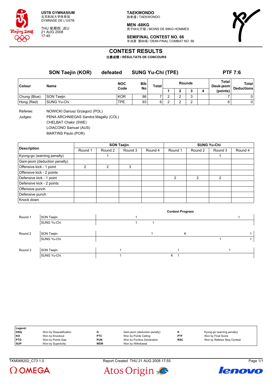

THU 星期四 JEU 21 AUG 2008 17:45

**TAEKWONDO** 跆拳道 / TAEKWONDO

**MEN -68KG**

-------<br>男子68公斤级 / MOINS DE 68KG HOMMES

**SEMIFINAL CONTEST NO. 66** 半决赛 第66场 / DEMI-FINAL COMBAT NO. 66



### **CONTEST RESULTS**

比赛成绩 **/ RÉSULTATS DE CONCOURS**

|              | SON Taejin (KOR)  | defeated   | <b>SUNG Yu-Chi (TPE)</b> |       |               |   |  |   | <b>PTF 7:6</b>     |                   |  |
|--------------|-------------------|------------|--------------------------|-------|---------------|---|--|---|--------------------|-------------------|--|
| Colour       | Name              | <b>NOC</b> | <b>Bib</b><br>Code<br>No | Total | <b>Rounds</b> |   |  |   | Total<br>Deuk-jeom | Total             |  |
|              |                   |            |                          |       |               | ∍ |  | 4 | (points)           | <b>Deductions</b> |  |
| Chung (Blue) | <b>SON Taejin</b> | <b>KOR</b> | 86                       |       | ົ<br>∼        | ົ |  |   |                    | 0                 |  |
| Hong (Red)   | SUNG Yu-Chi       | TPE        | 93 <sub>1</sub>          | 6     | ົ             | ົ |  |   | 6                  | 0                 |  |

Referee: NOWICKI Dariusz Grzegorz (POL)

Judges: PENA ARCHNIEGAS Sandra Magally (COL) CHELBAT Chakir (SWE) LOIACONO Samuel (AUS)

MARTINS Paulo (POR)

|                              |         |         | <b>SON Taejin</b> |         | <b>SUNG Yu-Chi</b> |         |         |         |  |
|------------------------------|---------|---------|-------------------|---------|--------------------|---------|---------|---------|--|
| <b>Description</b>           | Round 1 | Round 2 | Round 3           | Round 4 | Round 1            | Round 2 | Round 3 | Round 4 |  |
| Kyong-go (warning penalty)   |         |         |                   |         |                    |         |         |         |  |
| Gam-jeom (deduction penalty) |         |         |                   |         |                    |         |         |         |  |
| Offensive kick - 1 point     | 2       | 2       | 3                 |         |                    |         |         |         |  |
| Offensive kick - 2 points    |         |         |                   |         |                    |         |         |         |  |
| Defensive kick - 1 point     |         |         |                   |         | $\mathcal{P}$      | 2       | 2       |         |  |
| Defensive kick - 2 points    |         |         |                   |         |                    |         |         |         |  |
| Offensive punch              |         |         |                   |         |                    |         |         |         |  |
| Defensive punch              |         |         |                   |         |                    |         |         |         |  |
| Knock down                   |         |         |                   |         |                    |         |         |         |  |

|         |                    |  | <b>Contest Progress</b> |  |
|---------|--------------------|--|-------------------------|--|
| Round 1 | SON Taejin         |  |                         |  |
|         | <b>SUNG Yu-Chi</b> |  |                         |  |
|         |                    |  |                         |  |
| Round 2 | SON Taejin         |  | Κ                       |  |
|         | <b>SUNG Yu-Chi</b> |  |                         |  |
|         |                    |  |                         |  |
| Round 3 | SON Taejin         |  |                         |  |
|         | <b>SUNG Yu-Chi</b> |  | K                       |  |

| Legend:    |                         |            |                              |            |                             |
|------------|-------------------------|------------|------------------------------|------------|-----------------------------|
| DSQ        | Won by Disqualification |            | Gam-jeom (deduction penalty) | в.         | Kyong-go (warning penalty)  |
| KO         | Won by Knockout         | <b>PTC</b> | Won by Points Ceiling        | PTF        | Won by Final Score          |
| <b>PTG</b> | Won by Points Gap       | <b>PUN</b> | Won by Punitive Declaration  | <b>RSC</b> | Won by Referee Stop Contest |
| <b>SUP</b> | Won by Superiority      | <b>WDR</b> | Won by Withdrawal            |            |                             |

TKM068202\_C73 1.0 Report Created THU 21 AUG 2008 17:55 Page 1/1





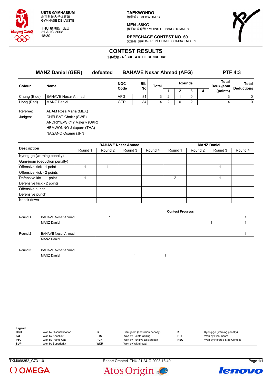

THU 星期四 JEU 21 AUG 2008 18:30

**MEN -68KG** 男子68公斤级 / MOINS DE 68KG HOMMES

**REPECHAGE CONTEST NO. 69**

**Contest Progress**

复活赛 第69场 / REPÊCHAGE COMBAT NO. 69



# **CONTEST RESULTS**

比赛成绩 **/ RÉSULTATS DE CONCOURS**

**MANZ Daniel (GER) defeated BAHAVE Nesar Ahmad (AFG) PTF 4:3 Colour Name NOC Code Bib No Total Rounds Total Deuk-jeom Total Deductions 1 2 3 4 (points)** Chung (Blue) BAHAVE Nesar Ahmad AFG 81 3 2 1 0 3 0 Hong (Red) MANZ Daniel GER 84 4 2 0 2 4 0 Referee: ADAM Rosa Maria (MEX) Judges: CHELBAT Chakir (SWE) ANDRIYEVSKYY Valeriy (UKR) HEMWONNO Jatuporn (THA)

NAGANO Osamu (JPN)

|                              |         |         | <b>BAHAVE Nesar Ahmad</b> |         | <b>MANZ Daniel</b> |         |         |         |  |
|------------------------------|---------|---------|---------------------------|---------|--------------------|---------|---------|---------|--|
| <b>Description</b>           | Round 1 | Round 2 | Round 3                   | Round 4 | Round 1            | Round 2 | Round 3 | Round 4 |  |
| Kyong-go (warning penalty)   |         |         |                           |         |                    |         |         |         |  |
| Gam-jeom (deduction penalty) |         |         |                           |         |                    |         |         |         |  |
| Offensive kick - 1 point     |         |         |                           |         |                    |         |         |         |  |
| Offensive kick - 2 points    |         |         |                           |         |                    |         |         |         |  |
| Defensive kick - 1 point     |         |         |                           |         | $\mathcal{P}$      |         |         |         |  |
| Defensive kick - 2 points    |         |         |                           |         |                    |         |         |         |  |
| Offensive punch              |         |         |                           |         |                    |         |         |         |  |
| Defensive punch              |         |         |                           |         |                    |         |         |         |  |
| Knock down                   |         |         |                           |         |                    |         |         |         |  |

| Round 1 | <b>BAHAVE Nesar Ahmad</b> |  |  |  |
|---------|---------------------------|--|--|--|
|         | <b>MANZ Daniel</b>        |  |  |  |
|         |                           |  |  |  |
| Round 2 | <b>BAHAVE Nesar Ahmad</b> |  |  |  |
|         | <b>MANZ Daniel</b>        |  |  |  |
|         |                           |  |  |  |
| Round 3 | <b>BAHAVE Nesar Ahmad</b> |  |  |  |
|         | <b>MANZ Daniel</b>        |  |  |  |
|         |                           |  |  |  |

| Legend:    |                         |            |                              |            |                             |
|------------|-------------------------|------------|------------------------------|------------|-----------------------------|
| <b>DSQ</b> | Won by Disqualification |            | Gam-jeom (deduction penalty) |            | Kyong-go (warning penalty)  |
| <b>KO</b>  | Won by Knockout         | <b>PTC</b> | Won by Points Ceiling        | <b>PTF</b> | Won by Final Score          |
| <b>PTG</b> | Won by Points Gap       | <b>PUN</b> | Won by Punitive Declaration  | <b>RSC</b> | Won by Referee Stop Contest |
| <b>SUP</b> | Won by Superiority      | <b>WDR</b> | Won by Withdrawal            |            |                             |

 $\Omega$  OMEGA



Atos Origin

lenovo

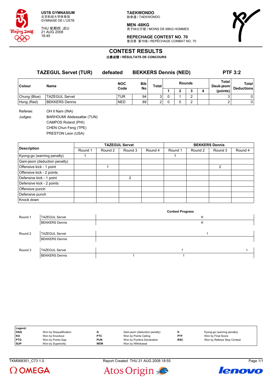

THU 星期四 JEU 21 AUG 2008 18:45

**TAEKWONDO** 跆拳道 / TAEKWONDO

**MEN -68KG** -------<br>男子68公斤级 / MOINS DE 68KG HOMMES



**REPECHAGE CONTEST NO. 70** 复活赛 第70场 / REPÊCHAGE COMBAT NO. 70

# **CONTEST RESULTS**

比赛成绩 **/ RÉSULTATS DE CONCOURS**

|               | <b>TAZEGUL Servet (TUR)</b> | defeated   | <b>BEKKERS Dennis (NED)</b> |                |        |   |  |   | <b>PTF 3:2</b>     |                                   |  |
|---------------|-----------------------------|------------|-----------------------------|----------------|--------|---|--|---|--------------------|-----------------------------------|--|
| <b>Colour</b> | Name                        | <b>NOC</b> | <b>Bib</b><br>Code<br>No    | Total          | Rounds |   |  |   | Total<br>Deuk-jeom | <b>Total</b><br><b>Deductions</b> |  |
|               |                             |            |                             |                |        | ŋ |  | 4 | (points)           |                                   |  |
| Chung (Blue)  | <b>TAZEGUL Servet</b>       | TUR        | 94                          | 3 <sub>1</sub> |        |   |  |   |                    | 0                                 |  |
| Hong (Red)    | BEKKERS Dennis              | <b>NED</b> | 89                          | 2              |        |   |  |   |                    | 0                                 |  |

Referee: OH II Nam (INA) Judges: BARHOUMI Abdessattar (TUN) CAMPOS Roland (PHI) CHEN Chun Feng (TPE) PRESTON Leon (USA)

|                              |         |         | <b>TAZEGUL Servet</b> |         | <b>BEKKERS Dennis</b> |         |         |         |  |
|------------------------------|---------|---------|-----------------------|---------|-----------------------|---------|---------|---------|--|
| <b>Description</b>           | Round 1 | Round 2 | Round 3               | Round 4 | Round 1               | Round 2 | Round 3 | Round 4 |  |
| Kyong-go (warning penalty)   |         |         |                       |         |                       |         |         |         |  |
| Gam-jeom (deduction penalty) |         |         |                       |         |                       |         |         |         |  |
| Offensive kick - 1 point     |         |         |                       |         |                       |         | 2       |         |  |
| Offensive kick - 2 points    |         |         |                       |         |                       |         |         |         |  |
| Defensive kick - 1 point     |         |         | 2                     |         |                       |         |         |         |  |
| Defensive kick - 2 points    |         |         |                       |         |                       |         |         |         |  |
| Offensive punch              |         |         |                       |         |                       |         |         |         |  |
| Defensive punch              |         |         |                       |         |                       |         |         |         |  |
| Knock down                   |         |         |                       |         |                       |         |         |         |  |

|         |                       | <b>Contest Progress</b> |  |
|---------|-----------------------|-------------------------|--|
| Round 1 | <b>TAZEGUL Servet</b> | K                       |  |
|         | <b>BEKKERS Dennis</b> | Κ                       |  |
|         |                       |                         |  |
| Round 2 | <b>TAZEGUL Servet</b> |                         |  |
|         | <b>BEKKERS Dennis</b> |                         |  |
|         |                       |                         |  |
| Round 3 | <b>TAZEGUL Servet</b> |                         |  |
|         | <b>BEKKERS Dennis</b> |                         |  |

| Legend:    |                         |            |                              |            |                             |
|------------|-------------------------|------------|------------------------------|------------|-----------------------------|
| <b>DSQ</b> | Won by Disqualification |            | Gam-jeom (deduction penalty) |            | Kyong-go (warning penalty)  |
| KO         | Won by Knockout         | <b>PTC</b> | Won by Points Ceiling        | PTF        | Won by Final Score          |
| <b>PTG</b> | Won by Points Gap       | <b>PUN</b> | Won by Punitive Declaration  | <b>RSC</b> | Won by Referee Stop Contest |
| <b>SUP</b> | Won by Superiority      | <b>WDR</b> | Won by Withdrawal            |            |                             |

 $\Omega$  OMEGA

TKM068351\_C73 1.0 Report Created THU 21 AUG 2008 18:55 Page 1/1



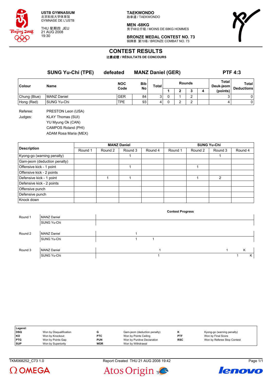

THU 星期四 JEU 21 AUG 2008 19:30

**TAEKWONDO** 跆拳道 / TAEKWONDO

**MEN -68KG** 男子68公斤级 / MOINS DE 68KG HOMMES



**BRONZE MEDAL CONTEST NO. 73** 铜牌赛 第73场 / BRONZE COMBAT NO. 73

# **CONTEST RESULTS**

比赛成绩 **/ RÉSULTATS DE CONCOURS**

|                     | <b>SUNG Yu-Chi (TPE)</b><br>Name                                                                             | defeated   | <b>MANZ Daniel (GER)</b> |       |               |   |                |   | <b>PTF 4:3</b>     |                   |  |
|---------------------|--------------------------------------------------------------------------------------------------------------|------------|--------------------------|-------|---------------|---|----------------|---|--------------------|-------------------|--|
| <b>Colour</b>       |                                                                                                              | <b>NOC</b> | <b>Bib</b>               | Total | <b>Rounds</b> |   |                |   | Total<br>Deuk-jeom | <b>Total</b>      |  |
|                     |                                                                                                              | Code       | <b>No</b>                |       |               | 2 | 3              | 4 | (points)           | <b>Deductions</b> |  |
| Chung (Blue)        | <b>MANZ Daniel</b>                                                                                           | <b>GER</b> | 84                       | 3     | 0             |   | $\overline{2}$ |   | 3                  | 0                 |  |
| Hong (Red)          | SUNG Yu-Chi                                                                                                  | <b>TPE</b> | 93                       | 4     | 0             | 2 | 2              |   | 4                  | $\overline{0}$    |  |
| Referee:<br>Judges: | PRESTON Leon (USA)<br>KLAY Thomas (SUI)<br>YU Myung Ok (CAN)<br>CAMPOS Roland (PHI)<br>ADAM Rosa Maria (MEX) |            |                          |       |               |   |                |   |                    |                   |  |

|                              |         |         | <b>MANZ Daniel</b> |         | <b>SUNG Yu-Chi</b> |         |         |         |  |
|------------------------------|---------|---------|--------------------|---------|--------------------|---------|---------|---------|--|
| <b>Description</b>           | Round 1 | Round 2 | Round 3            | Round 4 | Round 1            | Round 2 | Round 3 | Round 4 |  |
| Kyong-go (warning penalty)   |         |         |                    |         |                    |         |         |         |  |
| Gam-jeom (deduction penalty) |         |         |                    |         |                    |         |         |         |  |
| Offensive kick - 1 point     |         |         |                    |         |                    |         |         |         |  |
| Offensive kick - 2 points    |         |         |                    |         |                    |         |         |         |  |
| Defensive kick - 1 point     |         |         |                    |         |                    |         | 2       |         |  |
| Defensive kick - 2 points    |         |         |                    |         |                    |         |         |         |  |
| Offensive punch              |         |         |                    |         |                    |         |         |         |  |
| Defensive punch              |         |         |                    |         |                    |         |         |         |  |
| Knock down                   |         |         |                    |         |                    |         |         |         |  |

|                    | <b>Contest Progress</b> |  |   |
|--------------------|-------------------------|--|---|
| <b>MANZ Daniel</b> |                         |  |   |
| SUNG Yu-Chi        |                         |  |   |
|                    |                         |  |   |
| <b>MANZ Daniel</b> |                         |  |   |
| SUNG Yu-Chi        |                         |  |   |
|                    |                         |  |   |
| <b>MANZ Daniel</b> |                         |  | K |
| SUNG Yu-Chi        |                         |  | Κ |
|                    |                         |  |   |

| Legend:    |                         |            |                              |            |                             |
|------------|-------------------------|------------|------------------------------|------------|-----------------------------|
| l DSQ      | Won by Disqualification |            | Gam-jeom (deduction penalty) |            | Kyong-go (warning penalty)  |
| KO         | Won by Knockout         | <b>PTC</b> | Won by Points Ceiling        | <b>PTF</b> | Won by Final Score          |
| <b>PTG</b> | Won by Points Gap       | <b>PUN</b> | Won by Punitive Declaration  | <b>RSC</b> | Won by Referee Stop Contest |
| <b>SUP</b> | Won by Superiority      | <b>WDR</b> | Won by Withdrawal            |            |                             |

 $\Omega$  OMEGA

TKM068252\_C73 1.0 Report Created THU 21 AUG 2008 19:42 Page 1/1



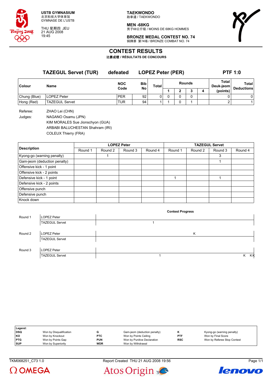

THU 星期四 JEU 21 AUG 2008 19:45

**TAEKWONDO** 跆拳道 / TAEKWONDO

**MEN -68KG** -------<br>男子68公斤级 / MOINS DE 68KG HOMMES



**BRONZE MEDAL CONTEST NO. 74** 铜牌赛 第74场 / BRONZE COMBAT NO. 74

# **CONTEST RESULTS**

比赛成绩 **/ RÉSULTATS DE CONCOURS**

|              | <b>TAZEGUL Servet (TUR)</b> | defeated           |                         | <b>LOPEZ Peter (PER)</b> |               |  |   |  |                    | <b>PTF 1:0</b>                    |  |  |
|--------------|-----------------------------|--------------------|-------------------------|--------------------------|---------------|--|---|--|--------------------|-----------------------------------|--|--|
| Colour       | Name                        | <b>NOC</b><br>Code | <b>Bib</b><br><b>No</b> | Total                    | <b>Rounds</b> |  |   |  | Total<br>Deuk-jeom | <b>Total</b><br><b>Deductions</b> |  |  |
|              |                             |                    |                         |                          |               |  | 3 |  | (points)           |                                   |  |  |
| Chung (Blue) | LOPEZ Peter                 | <b>PER</b>         | 92                      |                          |               |  | 0 |  | 0                  | 0                                 |  |  |
| Hong (Red)   | <b>TAZEGUL Servet</b>       | TUR                | 94                      |                          |               |  |   |  | ົ                  |                                   |  |  |
|              |                             |                    |                         |                          |               |  |   |  |                    |                                   |  |  |

Referee: ZHAO Lei (CHN) Judges: NAGANO Osamu (JPN) KIM MORALES Sue Jionschyon (GUA) ARBABI BALUCHESTAN Shahram (IRI) COLEUX Thierry (FRA)

|                              |         |         | <b>LOPEZ Peter</b> |         | <b>TAZEGUL Servet</b> |         |         |         |  |
|------------------------------|---------|---------|--------------------|---------|-----------------------|---------|---------|---------|--|
| <b>Description</b>           | Round 1 | Round 2 | Round 3            | Round 4 | Round 1               | Round 2 | Round 3 | Round 4 |  |
| Kyong-go (warning penalty)   |         |         |                    |         |                       |         | 3       |         |  |
| Gam-jeom (deduction penalty) |         |         |                    |         |                       |         |         |         |  |
| Offensive kick - 1 point     |         |         |                    |         |                       |         |         |         |  |
| Offensive kick - 2 points    |         |         |                    |         |                       |         |         |         |  |
| Defensive kick - 1 point     |         |         |                    |         |                       |         |         |         |  |
| Defensive kick - 2 points    |         |         |                    |         |                       |         |         |         |  |
| Offensive punch              |         |         |                    |         |                       |         |         |         |  |
| Defensive punch              |         |         |                    |         |                       |         |         |         |  |
| Knock down                   |         |         |                    |         |                       |         |         |         |  |

|         |                       | <b>Contest Progress</b> |    |
|---------|-----------------------|-------------------------|----|
| Round 1 | LOPEZ Peter           |                         |    |
|         | <b>TAZEGUL Servet</b> |                         |    |
|         |                       |                         |    |
| Round 2 | LOPEZ Peter           | K                       |    |
|         | <b>TAZEGUL Servet</b> |                         |    |
|         |                       |                         |    |
| Round 3 | LOPEZ Peter           |                         |    |
|         | <b>TAZEGUL Servet</b> | Κ                       | кĸ |

| Legend:    |                         |            |                              |            |                             |
|------------|-------------------------|------------|------------------------------|------------|-----------------------------|
| DSQ        | Won by Disqualification |            | Gam-jeom (deduction penalty) |            | Kyong-go (warning penalty)  |
| <b>KO</b>  | Won by Knockout         | <b>PTC</b> | Won by Points Ceiling        | <b>PTF</b> | Won by Final Score          |
| <b>PTG</b> | Won by Points Gap       | <b>PUN</b> | Won by Punitive Declaration  | <b>RSC</b> | Won by Referee Stop Contest |
| <b>SUP</b> | Won by Superiority      | <b>WDR</b> | Won by Withdrawal            |            |                             |

TKM068251\_C73 1.0 Report Created THU 21 AUG 2008 19:56 Page 1/1





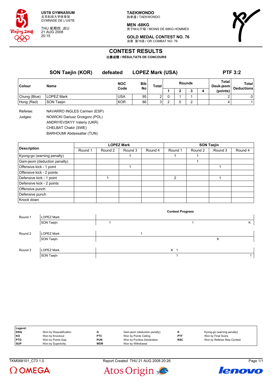

THU 星期四 JEU 21 AUG 2008 20:15

**TAEKWONDO** 跆拳道 / TAEKWONDO

**MEN -68KG** 男子68公斤级 / MOINS DE 68KG HOMMES



**GOLD MEDAL CONTEST NO. 76** 决赛 第76场 / OR COMBAT NO. 76

# **CONTEST RESULTS**

比赛成绩 **/ RÉSULTATS DE CONCOURS**

|                     | <b>SON Taejin (KOR)</b>                                       | defeated   | <b>LOPEZ Mark (USA)</b> |              | <b>PTF 3:2</b> |   |               |   |                    |                   |
|---------------------|---------------------------------------------------------------|------------|-------------------------|--------------|----------------|---|---------------|---|--------------------|-------------------|
| <b>Colour</b>       | Name                                                          | <b>NOC</b> | <b>Bib</b><br>No        | <b>Total</b> |                |   | <b>Rounds</b> |   | Total<br>Deuk-jeom | <b>Total</b>      |
|                     |                                                               | Code       |                         |              |                |   | 3             | 4 | (points)           | <b>Deductions</b> |
| Chung (Blue)        | <b>LOPEZ Mark</b>                                             | <b>USA</b> | 95                      | 2            | 0              |   |               |   |                    | 0                 |
| Hong (Red)          | <b>SON Taejin</b>                                             | <b>KOR</b> | 86                      | 3            |                | 0 | 2             |   | 4                  | 11                |
| Referee:<br>Judges: | NAVARRO INGLES Carmen (ESP)<br>NOWICKI Dariusz Grzegorz (POL) |            |                         |              |                |   |               |   |                    |                   |

ANDRIYEVSKYY Valeriy (UKR)

CHELBAT Chakir (SWE) BARHOUMI Abdessattar (TUN)

|                              |         |         | <b>LOPEZ Mark</b> |         | <b>SON Taejin</b> |         |         |         |  |  |
|------------------------------|---------|---------|-------------------|---------|-------------------|---------|---------|---------|--|--|
| <b>Description</b>           | Round 1 | Round 2 | Round 3           | Round 4 | Round 1           | Round 2 | Round 3 | Round 4 |  |  |
| Kyong-go (warning penalty)   |         |         |                   |         |                   |         |         |         |  |  |
| Gam-jeom (deduction penalty) |         |         |                   |         |                   |         |         |         |  |  |
| Offensive kick - 1 point     |         |         |                   |         |                   |         |         |         |  |  |
| Offensive kick - 2 points    |         |         |                   |         |                   |         |         |         |  |  |
| Defensive kick - 1 point     |         |         |                   |         | 2                 |         |         |         |  |  |
| Defensive kick - 2 points    |         |         |                   |         |                   |         |         |         |  |  |
| Offensive punch              |         |         |                   |         |                   |         |         |         |  |  |
| Defensive punch              |         |         |                   |         |                   |         |         |         |  |  |
| Knock down                   |         |         |                   |         |                   |         |         |         |  |  |

|         |                   |  | <b>Contest Progress</b> |   |   |
|---------|-------------------|--|-------------------------|---|---|
| Round 1 | <b>LOPEZ Mark</b> |  |                         |   |   |
|         | SON Taejin        |  |                         |   | Κ |
|         |                   |  |                         |   |   |
| Round 2 | LOPEZ Mark        |  |                         |   |   |
|         | SON Taejin        |  |                         | Κ |   |
|         |                   |  |                         |   |   |
| Round 3 | <b>LOPEZ Mark</b> |  | K <sub>1</sub>          |   |   |
|         | SON Taejin        |  |                         |   |   |

| Legend:    |                         |            |                              |            |                             |
|------------|-------------------------|------------|------------------------------|------------|-----------------------------|
| <b>DSQ</b> | Won by Disqualification |            | Gam-jeom (deduction penalty) |            | Kyong-go (warning penalty)  |
| KO         | Won by Knockout         | <b>PTC</b> | Won by Points Ceiling        | <b>PTF</b> | Won by Final Score          |
| <b>PTG</b> | Won by Points Gap       | <b>PUN</b> | Won by Punitive Declaration  | <b>RSC</b> | Won by Referee Stop Contest |
| <b>SUP</b> | Won by Superiority      | <b>WDR</b> | Won by Withdrawal            |            |                             |

TKM068101\_C73 1.0 Report Created THU 21 AUG 2008 20:26 Page 1/1



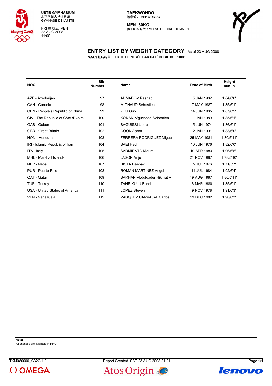

FRI 星期五 VEN 22 AUG 2008 11:00

**MEN -80KG** 男子80公斤级 / MOINS DE 80KG HOMMES



#### **ENTRY LIST BY WEIGHT CATEGORY** As of 23 AUG 2008 各级别报名名单 **/ LISTE D'ENTRÉE PAR CATÉGORIE DU POIDS**

| <b>NOC</b>                          | <b>Bib</b><br><b>Number</b> | <b>Name</b>                     | Date of Birth | Height<br>m/ft in |
|-------------------------------------|-----------------------------|---------------------------------|---------------|-------------------|
|                                     |                             |                                 |               |                   |
| AZE - Azerbaijan                    | 97                          | AHMADOV Rashad                  | 5 JAN 1982    | 1.84/6'0"         |
| CAN - Canada                        | 98                          | MICHAUD Sebastien               | 7 MAY 1987    | 1.85/6'1"         |
| CHN - People's Republic of China    | 99                          | ZHU Guo                         | 14 JUN 1985   | 1.87/6'2"         |
| CIV - The Republic of Côte d'Ivoire | 100                         | KONAN N'guessan Sebastien       | 1 JAN 1980    | 1.85/6'1"         |
| GAB - Gabon                         | 101                         | <b>BAGUISSI Lionel</b>          | 5 JUN 1974    | 1.86/6'1"         |
| <b>GBR</b> - Great Britain          | 102                         | COOK Aaron                      | 2 JAN 1991    | 1.83/6'0"         |
| <b>HON - Honduras</b>               | 103                         | <b>FERRERA RODRIGUEZ Miguel</b> | 25 MAY 1981   | 1.80/5'11"        |
| IRI - Islamic Republic of Iran      | 104                         | SAEI Hadi                       | 10 JUN 1976   | 1.82/6'0"         |
| ITA - Italy                         | 105                         | <b>SARMIENTO Mauro</b>          | 10 APR 1983   | 1.96/6'5"         |
| MHL - Marshall Islands              | 106                         | <b>JASON Anju</b>               | 21 NOV 1987   | 1.78/5'10"        |
| NEP - Nepal                         | 107                         | <b>BISTA Deepak</b>             | 2 JUL 1976    | 1.71/5'7"         |
| PUR - Puerto Rico                   | 108                         | ROMAN MARTINEZ Angel            | 11 JUL 1984   | 1.92/6'4"         |
| QAT - Qatar                         | 109                         | SARHAN Abdulgader Hikmat A      | 19 AUG 1987   | 1.80/5'11"        |
| TUR - Turkey                        | 110                         | <b>TANRIKULU Bahri</b>          | 16 MAR 1980   | 1.85/6'1"         |
| USA - United States of America      | 111                         | <b>LOPEZ Steven</b>             | 9 NOV 1978    | 1.91/6'3"         |
| VEN - Venezuela                     | 112                         | VASQUEZ CARVAJAL Carlos         | 19 DEC 1982   | 1.90/6'3"         |

**Note:**

All changes are available in INFO





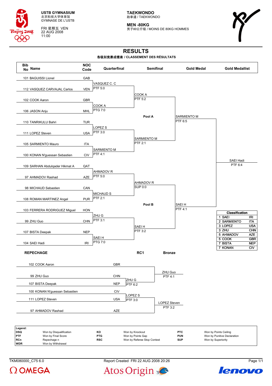

FRI 星期五 VEN 22 AUG 2008 11:00

**TAEKWONDO** 跆拳道 / TAEKWONDO

**MEN -80KG** 男子80公斤级 / MOINS DE 80KG HOMMES



# **RESULTS**

#### 各级别竞赛成绩表 **/ CLASSEMENT DES RÉSULTATS**



| , Leyenu.  |                         |            |                             |            |                             |
|------------|-------------------------|------------|-----------------------------|------------|-----------------------------|
| <b>DSQ</b> | Won by Disqualification | ĸо         | Won by Knockout             | <b>PTC</b> | Won by Points Ceiling       |
| <b>PTF</b> | Won by Final Score      | <b>PTG</b> | Won by Points Gap           | <b>PUN</b> | Won by Punitive Declaration |
| RCn        | Repechage n             | <b>RSC</b> | Won by Referee Stop Contest | <b>SUP</b> | Won by Superiority          |
| <b>WDR</b> | Won by Withdrawal       |            |                             |            |                             |

TKM080000\_C75 6.0 Report Created FRI 22 AUG 2008 20:26 Page 1/1



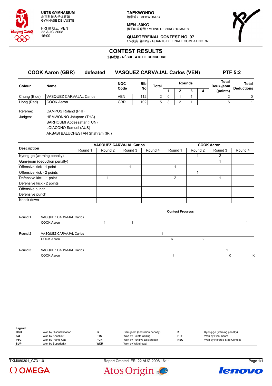

FRI 星期五 VEN 22 AUG 2008 16:00

**TAEKWONDO** 跆拳道 / TAEKWONDO

**MEN -80KG** -------<br>男子80公斤级 / MOINS DE 80KG HOMMES



**QUARTERFINAL CONTEST NO. 97** 1/4决赛 第97场 / QUARTS DE FINALE COMBAT NO. 97

# **CONTEST RESULTS**

比赛成绩 **/ RÉSULTATS DE CONCOURS**

|              | <b>COOK Aaron (GBR)</b> | defeated | <b>VASQUEZ CARVAJAL Carlos (VEN)</b> |                  |       |               |   |                    |          | <b>PTF 5:2</b>             |
|--------------|-------------------------|----------|--------------------------------------|------------------|-------|---------------|---|--------------------|----------|----------------------------|
| Colour       | <b>Name</b>             |          | <b>NOC</b><br>Code                   | <b>Bib</b><br>No | Total | <b>Rounds</b> |   | Total<br>Deuk-ieom |          | Total<br><b>Deductions</b> |
|              |                         |          |                                      |                  |       |               | ∍ |                    | (points) |                            |
| Chung (Blue) | VASQUEZ CARVAJAL Carlos |          | <b>VEN</b>                           | 112              | ົ     |               |   |                    |          |                            |
| Hong (Red)   | COOK Aaron              |          | <b>GBR</b>                           | 102              | 5     |               |   |                    | 6        |                            |

Referee: CAMPOS Roland (PHI) Judges: HEMWONNO Jatuporn (THA) BARHOUMI Abdessattar (TUN) LOIACONO Samuel (AUS) ARBABI BALUCHESTAN Shahram (IRI)

|                              |         | <b>VASQUEZ CARVAJAL Carlos</b> |         |         | <b>COOK Aaron</b> |         |         |         |  |  |
|------------------------------|---------|--------------------------------|---------|---------|-------------------|---------|---------|---------|--|--|
| <b>Description</b>           | Round 1 | Round 2                        | Round 3 | Round 4 | Round 1           | Round 2 | Round 3 | Round 4 |  |  |
| Kyong-go (warning penalty)   |         |                                |         |         |                   |         | 2       |         |  |  |
| Gam-jeom (deduction penalty) |         |                                |         |         |                   |         |         |         |  |  |
| Offensive kick - 1 point     |         |                                |         |         |                   |         |         |         |  |  |
| Offensive kick - 2 points    |         |                                |         |         |                   |         |         |         |  |  |
| Defensive kick - 1 point     |         |                                |         |         | $\mathcal{P}$     |         |         |         |  |  |
| Defensive kick - 2 points    |         |                                |         |         |                   |         |         |         |  |  |
| Offensive punch              |         |                                |         |         |                   |         |         |         |  |  |
| Defensive punch              |         |                                |         |         |                   |         |         |         |  |  |
| Knock down                   |         |                                |         |         |                   |         |         |         |  |  |

|         |                         |  | <b>Contest Progress</b> |   |   |  |
|---------|-------------------------|--|-------------------------|---|---|--|
| Round 1 | VASQUEZ CARVAJAL Carlos |  |                         |   |   |  |
|         | COOK Aaron              |  |                         |   |   |  |
|         |                         |  |                         |   |   |  |
| Round 2 | VASQUEZ CARVAJAL Carlos |  |                         |   |   |  |
|         | COOK Aaron              |  | Κ                       | ົ |   |  |
|         |                         |  |                         |   |   |  |
| Round 3 | VASQUEZ CARVAJAL Carlos |  |                         |   |   |  |
|         | COOK Aaron              |  |                         |   | κ |  |

| Legend:    |                         |            |                              |            |                             |
|------------|-------------------------|------------|------------------------------|------------|-----------------------------|
| DSQ        | Won by Disqualification |            | Gam-jeom (deduction penalty) |            | Kyong-go (warning penalty)  |
| KO         | Won by Knockout         | <b>PTC</b> | Won by Points Ceiling        | <b>PTF</b> | Won by Final Score          |
| <b>PTG</b> | Won by Points Gap       | <b>PUN</b> | Won by Punitive Declaration  | <b>RSC</b> | Won by Referee Stop Contest |
| <b>SUP</b> | Won by Superiority      | <b>WDR</b> | Won by Withdrawal            |            |                             |

TKM080301\_C73 1.0 Report Created FRI 22 AUG 2008 16:11 Page 1/1





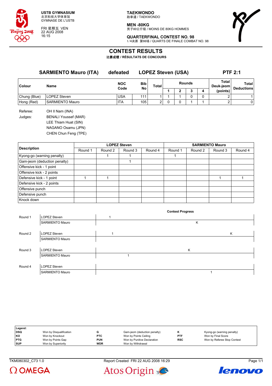

FRI 星期五 VEN 22 AUG 2008 16:15

**TAEKWONDO** 跆拳道 / TAEKWONDO

**MEN -80KG**

男子80公斤级 / MOINS DE 80KG HOMMES



**QUARTERFINAL CONTEST NO. 98** 1/4决赛 第98场 / QUARTS DE FINALE COMBAT NO. 98

# **CONTEST RESULTS**

比赛成绩 **/ RÉSULTATS DE CONCOURS**

|              | <b>SARMIENTO Mauro (ITA)</b> | defeated                          |     | <b>LOPEZ Steven (USA)</b> |                    |              |   |   |          | <b>PTF 2:1</b>    |
|--------------|------------------------------|-----------------------------------|-----|---------------------------|--------------------|--------------|---|---|----------|-------------------|
| Colour       | Name                         | <b>Bib</b><br><b>NOC</b><br>Total |     | <b>Rounds</b>             | Total<br>Deuk-jeom | <b>Total</b> |   |   |          |                   |
|              |                              | Code                              | No  |                           |                    | 2            | 3 | 4 | (points) | <b>Deductions</b> |
| Chung (Blue) | LOPEZ Steven                 | <b>USA</b>                        | 111 |                           |                    |              | 0 | 0 | 2        |                   |
| Hong (Red)   | <b>SARMIENTO Mauro</b>       | <b>ITA</b>                        | 105 | $\overline{2}$            | 0                  | 0            |   |   | 2        | 0                 |
| Referee:     | OH II Nam (INA)              |                                   |     |                           |                    |              |   |   |          |                   |
| Judges:      | <b>BENALI Youssef (MAR)</b>  |                                   |     |                           |                    |              |   |   |          |                   |
|              | LEE Thiam Huat (SIN)         |                                   |     |                           |                    |              |   |   |          |                   |
|              | NAGANO Osamu (JPN)           |                                   |     |                           |                    |              |   |   |          |                   |
|              | CHEN Chun Feng (TPE)         |                                   |     |                           |                    |              |   |   |          |                   |

|                              |         |         | <b>LOPEZ Steven</b> |         | <b>SARMIENTO Mauro</b> |         |         |         |  |  |
|------------------------------|---------|---------|---------------------|---------|------------------------|---------|---------|---------|--|--|
| <b>Description</b>           | Round 1 | Round 2 | Round 3             | Round 4 | Round 1                | Round 2 | Round 3 | Round 4 |  |  |
| Kyong-go (warning penalty)   |         |         |                     |         |                        |         |         |         |  |  |
| Gam-jeom (deduction penalty) |         |         |                     |         |                        |         |         |         |  |  |
| Offensive kick - 1 point     |         |         |                     |         |                        |         |         |         |  |  |
| Offensive kick - 2 points    |         |         |                     |         |                        |         |         |         |  |  |
| Defensive kick - 1 point     |         |         |                     |         |                        |         |         |         |  |  |
| Defensive kick - 2 points    |         |         |                     |         |                        |         |         |         |  |  |
| Offensive punch              |         |         |                     |         |                        |         |         |         |  |  |
| Defensive punch              |         |         |                     |         |                        |         |         |         |  |  |
| Knock down                   |         |         |                     |         |                        |         |         |         |  |  |

|         |                        | <b>Contest Progress</b> |   |
|---------|------------------------|-------------------------|---|
| Round 1 | LOPEZ Steven           |                         |   |
|         | <b>SARMIENTO Mauro</b> | Κ                       |   |
|         |                        |                         |   |
| Round 2 | <b>LOPEZ Steven</b>    |                         | Κ |
|         | <b>SARMIENTO Mauro</b> |                         |   |
|         |                        |                         |   |
| Round 3 | <b>LOPEZ Steven</b>    | κ                       |   |
|         | <b>SARMIENTO Mauro</b> |                         |   |
|         |                        |                         |   |
| Round 4 | LOPEZ Steven           |                         |   |
|         | <b>SARMIENTO Mauro</b> |                         |   |

| Legend:    |                         |            |                              |            |                             |
|------------|-------------------------|------------|------------------------------|------------|-----------------------------|
| DSQ        | Won by Disqualification |            | Gam-jeom (deduction penalty) |            | Kyong-go (warning penalty)  |
| KO         | Won by Knockout         | <b>PTC</b> | Won by Points Ceiling        | <b>PTF</b> | Won by Final Score          |
| <b>PTG</b> | Won by Points Gap       | <b>PUN</b> | Won by Punitive Declaration  | <b>RSC</b> | Won by Referee Stop Contest |
| <b>SUP</b> | Won by Superiority      | <b>WDR</b> | Won by Withdrawal            |            |                             |

TKM080302\_C73 1.0 Report Created FRI 22 AUG 2008 16:29 Page 1/1



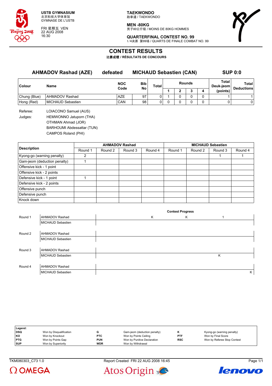

FRI 星期五 VEN 22 AUG 2008 16:30

**TAEKWONDO** 跆拳道 / TAEKWONDO

**MEN -80KG** 男子80公斤级 / MOINS DE 80KG HOMMES



**QUARTERFINAL CONTEST NO. 99** 1/4决赛 第99场 / QUARTS DE FINALE COMBAT NO. 99

### **CONTEST RESULTS**

比赛成绩 **/ RÉSULTATS DE CONCOURS**

| <b>AHMADOV Rashad (AZE)</b> |                          | defeated   | <b>MICHAUD Sebastien (CAN)</b> |              |               |   |    |   | <b>SUP 0:0</b>     |                   |  |
|-----------------------------|--------------------------|------------|--------------------------------|--------------|---------------|---|----|---|--------------------|-------------------|--|
| <b>Colour</b>               | Name                     | <b>NOC</b> | <b>Bib</b><br>No               | <b>Total</b> | <b>Rounds</b> |   |    |   | Total<br>Deuk-jeom | <b>Total</b>      |  |
|                             |                          | Code       |                                |              |               | 2 | J. | 4 | (points)           | <b>Deductions</b> |  |
| Chung (Blue)                | <b>AHMADOV Rashad</b>    | <b>AZE</b> | 97                             |              |               | 0 |    | 0 |                    |                   |  |
| Hong (Red)                  | <b>MICHAUD Sebastien</b> | CAN        | 98                             | 0            |               | 0 |    | 0 |                    | 0                 |  |
| Referee:                    | LOIACONO Samuel (AUS)    |            |                                |              |               |   |    |   |                    |                   |  |
| Judges:                     | HEMWONNO Jatuporn (THA)  |            |                                |              |               |   |    |   |                    |                   |  |

OTHMAN Ahmad (JOR)

BARHOUMI Abdessattar (TUN)

CAMPOS Roland (PHI)

|                              |         | <b>AHMADOV Rashad</b> |         |         |         | <b>MICHAUD Sebastien</b> |         |         |  |  |  |
|------------------------------|---------|-----------------------|---------|---------|---------|--------------------------|---------|---------|--|--|--|
| <b>Description</b>           | Round 1 | Round 2               | Round 3 | Round 4 | Round 1 | Round 2                  | Round 3 | Round 4 |  |  |  |
| Kyong-go (warning penalty)   |         |                       |         |         |         |                          |         |         |  |  |  |
| Gam-jeom (deduction penalty) |         |                       |         |         |         |                          |         |         |  |  |  |
| Offensive kick - 1 point     |         |                       |         |         |         |                          |         |         |  |  |  |
| Offensive kick - 2 points    |         |                       |         |         |         |                          |         |         |  |  |  |
| Defensive kick - 1 point     |         |                       |         |         |         |                          |         |         |  |  |  |
| Defensive kick - 2 points    |         |                       |         |         |         |                          |         |         |  |  |  |
| Offensive punch              |         |                       |         |         |         |                          |         |         |  |  |  |
| Defensive punch              |         |                       |         |         |         |                          |         |         |  |  |  |
| Knock down                   |         |                       |         |         |         |                          |         |         |  |  |  |

|         |                       |   | <b>Contest Progress</b> |   |   |
|---------|-----------------------|---|-------------------------|---|---|
| Round 1 | <b>AHMADOV Rashad</b> | Κ | Κ                       |   |   |
|         | MICHAUD Sebastien     |   |                         |   |   |
|         |                       |   |                         |   |   |
| Round 2 | <b>AHMADOV Rashad</b> |   |                         |   |   |
|         | MICHAUD Sebastien     |   |                         |   |   |
|         |                       |   |                         |   |   |
| Round 3 | <b>AHMADOV Rashad</b> |   |                         |   |   |
|         | MICHAUD Sebastien     |   |                         | Κ |   |
|         |                       |   |                         |   |   |
| Round 4 | <b>AHMADOV Rashad</b> |   |                         |   |   |
|         | MICHAUD Sebastien     |   |                         |   | K |

| Legend:    |                         |            |                              |            |                             |
|------------|-------------------------|------------|------------------------------|------------|-----------------------------|
| <b>DSQ</b> | Won by Disqualification |            | Gam-jeom (deduction penalty) |            | Kyong-go (warning penalty)  |
| <b>KO</b>  | Won by Knockout         | <b>PTC</b> | Won by Points Ceiling        | <b>PTF</b> | Won by Final Score          |
| <b>PTG</b> | Won by Points Gap       | PUN        | Won by Punitive Declaration  | <b>RSC</b> | Won by Referee Stop Contest |
| <b>SUP</b> | Won by Superiority      | <b>WDR</b> | Won by Withdrawal            |            |                             |

 $\Omega$  OMEGA



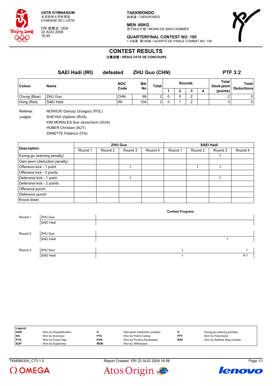

FRI 星期五 VEN 22 AUG 2008 16:45

**TAEKWONDO** 跆拳道 / TAEKWONDO

**MEN -80KG** 男子80公斤级 / MOINS DE 80KG HOMMES

**QUARTERFINAL CONTEST NO. 100** 1/4决赛 第100场 / QUARTS DE FINALE COMBAT NO. 100

# **CONTEST RESULTS**

比赛成绩 **/ RÉSULTATS DE CONCOURS**

**SAEI Hadi (IRI) defeated ZHU Guo (CHN) PTF 3:2 Colour Name NOC Code Bib No Total Rounds Total Deuk-jeom Total Deductions 1 2 3 4 (points)** Chung (Blue) ZHU Guo CHN | 99 | 2 | 0 2 | 2 | 0 Hong (Red) SAEI Hadi IRI 104 3 0 1 2 3 0

Referee: NOWICKI Dariusz Grzegorz (POL) Judges: SHEYKA Vladimir (RUS) KIM MORALES Sue Jionschyon (GUA) HUBER Christian (AUT) ZANETTE Federico (ITA)

**Description ZHU Guo SAEI Hadi** Round 1 | Round 2 | Round 3 | Round 4 | Round 1 | Round 2 | Round 3 | Round 4 Kyong-go (warning penalty) and the control of the control of the control of the control of the control of the control of the control of the control of the control of the control of the control of the control of the control Gam-jeom (deduction penalty) Offensive kick - 1 point 1 1 1 Offensive kick - 2 points Defensive kick - 1 point 1 1 Defensive kick - 2 points Offensive punch Defensive punch Knock down

|         |           | <b>Contest Progress</b> |                |
|---------|-----------|-------------------------|----------------|
| Round 1 | ZHU Guo   |                         |                |
|         | SAEI Hadi |                         |                |
|         |           |                         |                |
| Round 2 | ZHU Guo   |                         |                |
|         | SAEI Hadi |                         |                |
|         |           |                         |                |
| Round 3 | ZHU Guo   |                         |                |
|         | SAEI Hadi |                         | K <sub>1</sub> |

| Legend:    |                         |            |                              |            |                             |
|------------|-------------------------|------------|------------------------------|------------|-----------------------------|
| DSQ        | Won by Disqualification |            | Gam-jeom (deduction penalty) |            | Kyong-go (warning penalty)  |
| KO         | Won by Knockout         | <b>PTC</b> | Won by Points Ceiling        | <b>PTF</b> | Won by Final Score          |
| <b>PTG</b> | Won by Points Gap       | <b>PUN</b> | Won by Punitive Declaration  | <b>RSC</b> | Won by Referee Stop Contest |
| <b>SUP</b> | Won by Superiority      | <b>WDR</b> | Won by Withdrawal            |            |                             |

TKM080304 C73 1.0 Report Created FRI 22 AUG 2008 16:56 Page 1/1





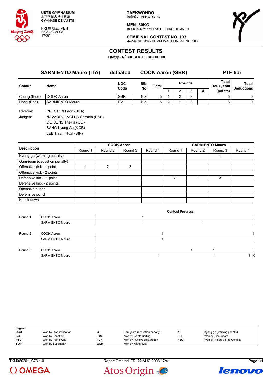

FRI 星期五 VEN 22 AUG 2008 17:30

**TAEKWONDO** 跆拳道 / TAEKWONDO

**MEN -80KG** -------<br>男子80公斤级 / MOINS DE 80KG HOMMES



**SEMIFINAL CONTEST NO. 103** 半决赛 第103场 / DEMI-FINAL COMBAT NO. 103

# **CONTEST RESULTS**

比赛成绩 **/ RÉSULTATS DE CONCOURS**

|              | <b>SARMIENTO Mauro (ITA)</b> | defeated   | <b>COOK Aaron (GBR)</b> |       |        |   |        | <b>PTF 6:5</b> |                    |                            |
|--------------|------------------------------|------------|-------------------------|-------|--------|---|--------|----------------|--------------------|----------------------------|
| Colour       | Name                         | <b>NOC</b> | Bib                     | Total | Rounds |   |        |                | Total<br>Deuk-jeom | Total<br><b>Deductions</b> |
|              |                              |            |                         |       |        |   |        | 4              | (points)           |                            |
| Chung (Blue) | COOK Aaron                   | <b>GBR</b> | 102                     | 5     |        | ີ |        |                |                    | 0                          |
| Hong (Red)   | <b>SARMIENTO Mauro</b>       | <b>ITA</b> | 105                     | 6     |        |   | $\sim$ |                | 6                  | 0                          |
|              |                              | Code       | No                      |       |        |   |        |                |                    |                            |

Referee: PRESTON Leon (USA)

Judges: NAVARRO INGLES Carmen (ESP) OETJENS Thekla (GER) BANG Kyung Ae (KOR) LEE Thiam Huat (SIN)

|                              |         |               | <b>COOK Aaron</b> |         | <b>SARMIENTO Mauro</b> |         |         |         |  |
|------------------------------|---------|---------------|-------------------|---------|------------------------|---------|---------|---------|--|
| <b>Description</b>           | Round 1 | Round 2       | Round 3           | Round 4 | Round 1                | Round 2 | Round 3 | Round 4 |  |
| Kyong-go (warning penalty)   |         |               |                   |         |                        |         |         |         |  |
| Gam-jeom (deduction penalty) |         |               |                   |         |                        |         |         |         |  |
| Offensive kick - 1 point     |         | $\mathcal{P}$ | 2                 |         |                        |         |         |         |  |
| Offensive kick - 2 points    |         |               |                   |         |                        |         |         |         |  |
| Defensive kick - 1 point     |         |               |                   |         | $\mathfrak{p}$         |         | 3       |         |  |
| Defensive kick - 2 points    |         |               |                   |         |                        |         |         |         |  |
| Offensive punch              |         |               |                   |         |                        |         |         |         |  |
| Defensive punch              |         |               |                   |         |                        |         |         |         |  |
| Knock down                   |         |               |                   |         |                        |         |         |         |  |

|         |                        | <b>Contest Progress</b> |  |  |     |  |  |  |  |
|---------|------------------------|-------------------------|--|--|-----|--|--|--|--|
| Round 1 | COOK Aaron             |                         |  |  |     |  |  |  |  |
|         | <b>SARMIENTO Mauro</b> |                         |  |  |     |  |  |  |  |
|         |                        |                         |  |  |     |  |  |  |  |
| Round 2 | COOK Aaron             |                         |  |  |     |  |  |  |  |
|         | <b>SARMIENTO Mauro</b> |                         |  |  |     |  |  |  |  |
|         |                        |                         |  |  |     |  |  |  |  |
| Round 3 | COOK Aaron             |                         |  |  |     |  |  |  |  |
|         | <b>SARMIENTO Mauro</b> |                         |  |  | 1 K |  |  |  |  |

| Legend:    |                         |            |                              |            |                             |
|------------|-------------------------|------------|------------------------------|------------|-----------------------------|
| <b>DSQ</b> | Won by Disqualification |            | Gam-jeom (deduction penalty) |            | Kyong-go (warning penalty)  |
| l KO       | Won by Knockout         | <b>PTC</b> | Won by Points Ceiling        | <b>PTF</b> | Won by Final Score          |
| <b>PTG</b> | Won by Points Gap       | <b>PUN</b> | Won by Punitive Declaration  | <b>RSC</b> | Won by Referee Stop Contest |
| <b>SUP</b> | Won by Superiority      | <b>WDR</b> | Won by Withdrawal            |            |                             |

 $\Omega$  OMEGA





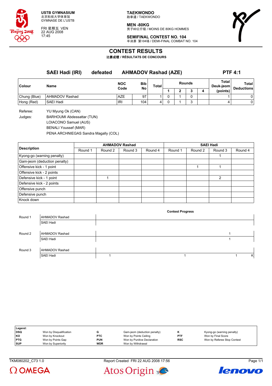

FRI 星期五 VEN 22 AUG 2008 17:45

**TAEKWONDO** 跆拳道 / TAEKWONDO

**MEN -80KG** 男子80公斤级 / MOINS DE 80KG HOMMES



**SEMIFINAL CONTEST NO. 104** 半决赛 第104场 / DEMI-FINAL COMBAT NO. 104

### **CONTEST RESULTS**

比赛成绩 **/ RÉSULTATS DE CONCOURS**

|                     | SAEI Hadi (IRI)                                 | defeated | <b>AHMADOV Rashad (AZE)</b> |           |       |               |  |   |   | <b>PTF 4:1</b>     |                                   |  |  |
|---------------------|-------------------------------------------------|----------|-----------------------------|-----------|-------|---------------|--|---|---|--------------------|-----------------------------------|--|--|
| Colour              | Name                                            |          | <b>NOC</b><br>Code          | Bib<br>No | Total | <b>Rounds</b> |  |   |   | Total<br>Deuk-jeom | <b>Total</b><br><b>Deductions</b> |  |  |
|                     |                                                 |          |                             |           |       |               |  | J | 4 | (points)           |                                   |  |  |
| Chung (Blue)        | AHMADOV Rashad                                  |          | <b>AZE</b>                  | 97        |       | 0             |  | 0 |   |                    | 0                                 |  |  |
| Hong (Red)          | SAEI Hadi                                       |          | IRI                         | 104       | 4     | 0             |  | 3 |   |                    | 0                                 |  |  |
| Referee:<br>Judges: | YU Myung Ok (CAN)<br>BARHOUMI Abdessattar (TUN) |          |                             |           |       |               |  |   |   |                    |                                   |  |  |

LOIACONO Samuel (AUS)

BENALI Youssef (MAR)

PENA ARCHNIEGAS Sandra Magally (COL)

|                              |         |         | <b>AHMADOV Rashad</b> |         | <b>SAEI Hadi</b> |         |         |         |  |  |
|------------------------------|---------|---------|-----------------------|---------|------------------|---------|---------|---------|--|--|
| <b>Description</b>           | Round 1 | Round 2 | Round 3               | Round 4 | Round 1          | Round 2 | Round 3 | Round 4 |  |  |
| Kyong-go (warning penalty)   |         |         |                       |         |                  |         |         |         |  |  |
| Gam-jeom (deduction penalty) |         |         |                       |         |                  |         |         |         |  |  |
| Offensive kick - 1 point     |         |         |                       |         |                  |         |         |         |  |  |
| Offensive kick - 2 points    |         |         |                       |         |                  |         |         |         |  |  |
| Defensive kick - 1 point     |         |         |                       |         |                  |         | 2       |         |  |  |
| Defensive kick - 2 points    |         |         |                       |         |                  |         |         |         |  |  |
| Offensive punch              |         |         |                       |         |                  |         |         |         |  |  |
| Defensive punch              |         |         |                       |         |                  |         |         |         |  |  |
| Knock down                   |         |         |                       |         |                  |         |         |         |  |  |

|         |                       | <b>Contest Progress</b> |   |
|---------|-----------------------|-------------------------|---|
| Round 1 | <b>AHMADOV Rashad</b> |                         |   |
|         | SAEI Hadi             |                         |   |
|         |                       |                         |   |
| Round 2 | AHMADOV Rashad        |                         |   |
|         | SAEI Hadi             |                         |   |
|         |                       |                         |   |
| Round 3 | AHMADOV Rashad        |                         |   |
|         | SAEI Hadi             |                         | Κ |

| Legend:    |                         |            |                              |            |                             |
|------------|-------------------------|------------|------------------------------|------------|-----------------------------|
| DSQ        | Won by Disqualification |            | Gam-jeom (deduction penalty) |            | Kyong-go (warning penalty)  |
| l KO       | Won by Knockout         | <b>PTC</b> | Won by Points Ceiling        | <b>PTF</b> | Won by Final Score          |
| <b>PTG</b> | Won by Points Gap       | <b>PUN</b> | Won by Punitive Declaration  | <b>RSC</b> | Won by Referee Stop Contest |
| <b>SUP</b> | Won by Superiority      | <b>WDR</b> | Won by Withdrawal            |            |                             |

TKM080202\_C73 1.0 Report Created FRI 22 AUG 2008 17:56 Page 1/1





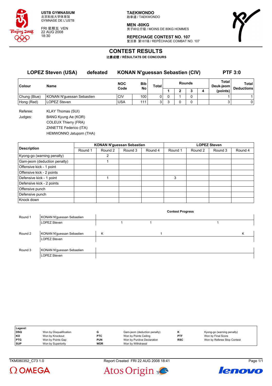

FRI 星期五 VEN 22 AUG 2008 18:30

**TAEKWONDO** 跆拳道 / TAEKWONDO

**MEN -80KG** -------<br>男子80公斤级 / MOINS DE 80KG HOMMES



**REPECHAGE CONTEST NO. 107** 复活赛 第107场 / REPÊCHAGE COMBAT NO. 107

### **CONTEST RESULTS**

比赛成绩 **/ RÉSULTATS DE CONCOURS**

| <b>LOPEZ Steven (USA)</b><br>defeated |                                  | <b>KONAN N'guessan Sebastien (CIV)</b> |                    | <b>PTF 3:0</b> |                |               |   |  |   |                    |                            |
|---------------------------------------|----------------------------------|----------------------------------------|--------------------|----------------|----------------|---------------|---|--|---|--------------------|----------------------------|
| Colour                                | Name                             |                                        | <b>NOC</b><br>Code | Bib            | Total          | <b>Rounds</b> |   |  |   | Total<br>Deuk-jeom | Total<br><b>Deductions</b> |
|                                       |                                  |                                        |                    | No             |                |               |   |  | 4 | (points)           |                            |
| Chung (Blue)                          | <b>KONAN N'quessan Sebastien</b> |                                        | CIV                | 100            | 0              | 0             |   |  |   |                    |                            |
| Hong (Red)                            | LOPEZ Steven                     |                                        | <b>USA</b>         | 111            | 3 <sub>1</sub> | 3             | 0 |  |   | 3                  | $\Omega$                   |
| Referee:                              | <b>KLAY Thomas (SUI)</b>         |                                        |                    |                |                |               |   |  |   |                    |                            |

Judges: BANG Kyung Ae (KOR) COLEUX Thierry (FRA) ZANETTE Federico (ITA) HEMWONNO Jatuporn (THA)

|                              |         | <b>KONAN N'guessan Sebastien</b> |         |         | <b>LOPEZ Steven</b> |         |         |         |  |  |
|------------------------------|---------|----------------------------------|---------|---------|---------------------|---------|---------|---------|--|--|
| <b>Description</b>           | Round 1 | Round 2                          | Round 3 | Round 4 | Round 1             | Round 2 | Round 3 | Round 4 |  |  |
| Kyong-go (warning penalty)   |         | 2                                |         |         |                     |         |         |         |  |  |
| Gam-jeom (deduction penalty) |         |                                  |         |         |                     |         |         |         |  |  |
| Offensive kick - 1 point     |         |                                  |         |         |                     |         |         |         |  |  |
| Offensive kick - 2 points    |         |                                  |         |         |                     |         |         |         |  |  |
| Defensive kick - 1 point     |         |                                  |         |         | 3                   |         |         |         |  |  |
| Defensive kick - 2 points    |         |                                  |         |         |                     |         |         |         |  |  |
| Offensive punch              |         |                                  |         |         |                     |         |         |         |  |  |
| Defensive punch              |         |                                  |         |         |                     |         |         |         |  |  |
| Knock down                   |         |                                  |         |         |                     |         |         |         |  |  |

|         |                           |   | <b>Contest Progress</b> |   |
|---------|---------------------------|---|-------------------------|---|
| Round 1 | KONAN N'guessan Sebastien |   |                         |   |
|         | <b>LOPEZ Steven</b>       |   |                         |   |
|         |                           |   |                         |   |
| Round 2 | KONAN N'guessan Sebastien | K |                         | κ |
|         | LOPEZ Steven              |   |                         |   |
|         |                           |   |                         |   |
| Round 3 | KONAN N'guessan Sebastien |   |                         |   |
|         | LOPEZ Steven              |   |                         |   |

| Legend:    |                         |            |                              |            |                             |
|------------|-------------------------|------------|------------------------------|------------|-----------------------------|
| DSQ        | Won by Disqualification |            | Gam-jeom (deduction penalty) |            | Kyong-go (warning penalty)  |
| KO         | Won by Knockout         | <b>PTC</b> | Won by Points Ceiling        | <b>PTF</b> | Won by Final Score          |
| <b>PTG</b> | Won by Points Gap       | <b>PUN</b> | Won by Punitive Declaration  | <b>RSC</b> | Won by Referee Stop Contest |
| <b>SUP</b> | Won by Superiority      | <b>WDR</b> | Won by Withdrawal            |            |                             |

 $\Omega$  OMEGA





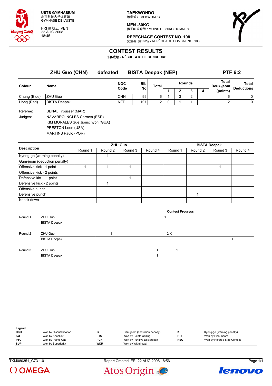

FRI 星期五 VEN 22 AUG 2008 18:45

**TAEKWONDO** 跆拳道 / TAEKWONDO

**MEN -80KG** -------<br>男子80公斤级 / MOINS DE 80KG HOMMES



**REPECHAGE CONTEST NO. 108** 复活赛 第108场 / REPÊCHAGE COMBAT NO. 108

### **CONTEST RESULTS**

比赛成绩 **/ RÉSULTATS DE CONCOURS**

|              | <b>ZHU Guo (CHN)</b> | <b>BISTA Deepak (NEP)</b><br>defeated |                  |              |        |   |   |   | <b>PTF 6:2</b>     |                            |  |
|--------------|----------------------|---------------------------------------|------------------|--------------|--------|---|---|---|--------------------|----------------------------|--|
| Colour       | Name                 | <b>NOC</b><br>Code                    | <b>Bib</b><br>No | <b>Total</b> | Rounds |   |   |   | Total<br>Deuk-jeom | Total<br><b>Deductions</b> |  |
|              |                      |                                       |                  |              |        | っ |   | 4 | (points)           |                            |  |
| Chung (Blue) | ZHU Guo              | <b>CHN</b>                            | 99               | 6            |        | ◠ | ົ |   |                    | 0                          |  |
| Hong (Red)   | <b>BISTA Deepak</b>  | <b>NEP</b>                            | 107              | 2            |        |   |   |   | ີ                  | 0                          |  |

Referee: BENALI Youssef (MAR)

Judges: NAVARRO INGLES Carmen (ESP)

KIM MORALES Sue Jionschyon (GUA)

PRESTON Leon (USA)

MARTINS Paulo (POR)

|                              |         |         | <b>ZHU Guo</b> |         | <b>BISTA Deepak</b> |         |         |         |  |  |
|------------------------------|---------|---------|----------------|---------|---------------------|---------|---------|---------|--|--|
| <b>Description</b>           | Round 1 | Round 2 | Round 3        | Round 4 | Round 1             | Round 2 | Round 3 | Round 4 |  |  |
| Kyong-go (warning penalty)   |         |         |                |         |                     |         |         |         |  |  |
| Gam-jeom (deduction penalty) |         |         |                |         |                     |         |         |         |  |  |
| Offensive kick - 1 point     |         |         |                |         |                     |         |         |         |  |  |
| Offensive kick - 2 points    |         |         |                |         |                     |         |         |         |  |  |
| Defensive kick - 1 point     |         |         |                |         |                     |         |         |         |  |  |
| Defensive kick - 2 points    |         |         |                |         |                     |         |         |         |  |  |
| Offensive punch              |         |         |                |         |                     |         |         |         |  |  |
| Defensive punch              |         |         |                |         |                     |         |         |         |  |  |
| Knock down                   |         |         |                |         |                     |         |         |         |  |  |

|         |                     | <b>Contest Progress</b> |  |
|---------|---------------------|-------------------------|--|
| Round 1 | ZHU Guo             |                         |  |
|         | <b>BISTA Deepak</b> |                         |  |
|         |                     |                         |  |
| Round 2 | ZHU Guo             | 2 K                     |  |
|         | <b>BISTA Deepak</b> |                         |  |
|         |                     |                         |  |
| Round 3 | ZHU Guo             |                         |  |
|         | <b>BISTA Deepak</b> |                         |  |

| Legend:    |                         |            |                              |            |                             |
|------------|-------------------------|------------|------------------------------|------------|-----------------------------|
| <b>DSQ</b> | Won by Disqualification |            | Gam-jeom (deduction penalty) |            | Kyong-go (warning penalty)  |
| l KO       | Won by Knockout         | <b>PTC</b> | Won by Points Ceiling        | <b>PTF</b> | Won by Final Score          |
| <b>PTG</b> | Won by Points Gap       | <b>PUN</b> | Won by Punitive Declaration  | <b>RSC</b> | Won by Referee Stop Contest |
| <b>SUP</b> | Won by Superiority      | <b>WDR</b> | Won by Withdrawal            |            |                             |

TKM080351\_C73 1.0 Report Created FRI 22 AUG 2008 18:56 Page 1/1





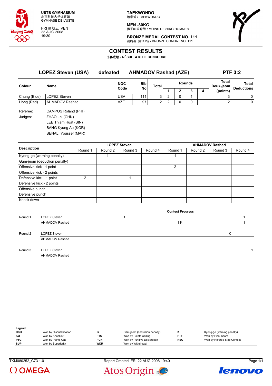

FRI 星期五 VEN 22 AUG 2008 19:30

**TAEKWONDO** 跆拳道 / TAEKWONDO

**MEN -80KG** 男子80公斤级 / MOINS DE 80KG HOMMES



**BRONZE MEDAL CONTEST NO. 111** 铜牌赛 第111场 / BRONZE COMBAT NO. 111

# **CONTEST RESULTS**

比赛成绩 **/ RÉSULTATS DE CONCOURS**

| <b>LOPEZ Steven (USA)</b> |                             | defeated   | <b>AHMADOV Rashad (AZE)</b> |       |               |          |   |   | <b>PTF 3:2</b>     |                            |  |
|---------------------------|-----------------------------|------------|-----------------------------|-------|---------------|----------|---|---|--------------------|----------------------------|--|
| <b>Colour</b>             | <b>Name</b>                 | <b>NOC</b> | Bib                         | Total | <b>Rounds</b> |          |   |   | Total<br>Deuk-jeom | Total<br><b>Deductions</b> |  |
|                           |                             | Code       | <b>No</b>                   |       |               | 2        | 3 | 4 | (points)           |                            |  |
| Chung (Blue)              | <b>LOPEZ Steven</b>         | <b>USA</b> | 111                         | 3     | 2             | $\Omega$ |   |   | 3                  | 0                          |  |
| Hong (Red)                | <b>AHMADOV Rashad</b>       | AZE        | 97                          | 2     | 2             | $\Omega$ | 0 |   | 2                  | 0                          |  |
| Referee:                  | CAMPOS Roland (PHI)         |            |                             |       |               |          |   |   |                    |                            |  |
| Judges:                   | ZHAO Lei (CHN)              |            |                             |       |               |          |   |   |                    |                            |  |
|                           | LEE Thiam Huat (SIN)        |            |                             |       |               |          |   |   |                    |                            |  |
|                           | BANG Kyung Ae (KOR)         |            |                             |       |               |          |   |   |                    |                            |  |
|                           | <b>BENALI Youssef (MAR)</b> |            |                             |       |               |          |   |   |                    |                            |  |

|                              |         |         | <b>LOPEZ Steven</b> |         | <b>AHMADOV Rashad</b> |         |         |         |
|------------------------------|---------|---------|---------------------|---------|-----------------------|---------|---------|---------|
| <b>Description</b>           | Round 1 | Round 2 | Round 3             | Round 4 | Round 1               | Round 2 | Round 3 | Round 4 |
| Kyong-go (warning penalty)   |         |         |                     |         |                       |         |         |         |
| Gam-jeom (deduction penalty) |         |         |                     |         |                       |         |         |         |
| Offensive kick - 1 point     |         |         |                     |         | $\overline{2}$        |         |         |         |
| Offensive kick - 2 points    |         |         |                     |         |                       |         |         |         |
| Defensive kick - 1 point     | 2       |         |                     |         |                       |         |         |         |
| Defensive kick - 2 points    |         |         |                     |         |                       |         |         |         |
| Offensive punch              |         |         |                     |         |                       |         |         |         |
| Defensive punch              |         |         |                     |         |                       |         |         |         |
| Knock down                   |         |         |                     |         |                       |         |         |         |

|         |                       | <b>Contest Progress</b> |              |
|---------|-----------------------|-------------------------|--------------|
| Round 1 | <b>LOPEZ Steven</b>   |                         |              |
|         | <b>AHMADOV Rashad</b> | 1 K                     |              |
|         |                       |                         |              |
| Round 2 | <b>LOPEZ Steven</b>   |                         | K            |
|         | <b>AHMADOV Rashad</b> |                         |              |
|         |                       |                         |              |
| Round 3 | <b>LOPEZ Steven</b>   |                         | $\mathbf{1}$ |
|         | <b>AHMADOV Rashad</b> |                         |              |

| Legend:    |                         |            |                              |            |                             |
|------------|-------------------------|------------|------------------------------|------------|-----------------------------|
| DSQ        | Won by Disqualification |            | Gam-jeom (deduction penalty) |            | Kyong-go (warning penalty)  |
| KO         | Won by Knockout         | <b>PTC</b> | Won by Points Ceiling        | <b>PTF</b> | Won by Final Score          |
| PTG        | Won by Points Gap       | <b>PUN</b> | Won by Punitive Declaration  | <b>RSC</b> | Won by Referee Stop Contest |
| <b>SUP</b> | Won by Superiority      | <b>WDR</b> | Won by Withdrawal            |            |                             |

TKM080252\_C73 1.0 Report Created FRI 22 AUG 2008 19:40 Page 1/1





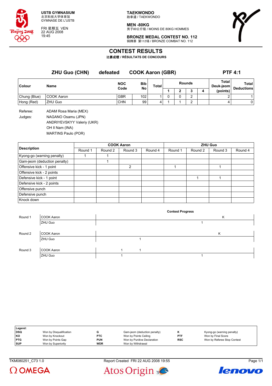

FRI 星期五 VEN 22 AUG 2008 19:45

**TAEKWONDO** 跆拳道 / TAEKWONDO

**MEN -80KG** 男子80公斤级 / MOINS DE 80KG HOMMES



**BRONZE MEDAL CONTEST NO. 112** 铜牌赛 第112场 / BRONZE COMBAT NO. 112

### **CONTEST RESULTS**

比赛成绩 **/ RÉSULTATS DE CONCOURS**

**ZHU Guo (CHN) defeated COOK Aaron (GBR) PTF 4:1 Colour Name NOC Code Bib No Total Rounds Total Deuk-jeom Total Deductions 1 2 3 4 (points)** Chung (Blue) COOK Aaron GBR 102 1 0 0 2 2 1 Hong (Red) |ZHU Guo |CHN | 99 | 4 | 1 | 2 | 4 | 0 Referee: ADAM Rosa Maria (MEX) Judges: NAGANO Osamu (JPN) ANDRIYEVSKYY Valeriy (UKR)

OH Il Nam (INA)

MARTINS Paulo (POR)

|                              |         |         | <b>COOK Aaron</b> |         |         |         | <b>ZHU Guo</b> |         |
|------------------------------|---------|---------|-------------------|---------|---------|---------|----------------|---------|
| <b>Description</b>           | Round 1 | Round 2 | Round 3           | Round 4 | Round 1 | Round 2 | Round 3        | Round 4 |
| Kyong-go (warning penalty)   |         |         |                   |         |         |         |                |         |
| Gam-jeom (deduction penalty) |         |         |                   |         |         |         |                |         |
| Offensive kick - 1 point     |         |         | 2                 |         |         |         |                |         |
| Offensive kick - 2 points    |         |         |                   |         |         |         |                |         |
| Defensive kick - 1 point     |         |         |                   |         |         |         |                |         |
| Defensive kick - 2 points    |         |         |                   |         |         |         |                |         |
| Offensive punch              |         |         |                   |         |         |         |                |         |
| Defensive punch              |         |         |                   |         |         |         |                |         |
| Knock down                   |         |         |                   |         |         |         |                |         |

|         |            |  | <b>Contest Progress</b> |   |  |
|---------|------------|--|-------------------------|---|--|
| Round 1 | COOK Aaron |  |                         | Κ |  |
|         | ZHU Guo    |  |                         |   |  |
|         |            |  |                         |   |  |
| Round 2 | COOK Aaron |  |                         | Κ |  |
|         | ZHU Guo    |  |                         |   |  |
|         |            |  |                         |   |  |
| Round 3 | COOK Aaron |  |                         |   |  |
|         | ZHU Guo    |  |                         |   |  |

| Legend:    |                         |            |                              |            |                             |
|------------|-------------------------|------------|------------------------------|------------|-----------------------------|
| DSQ        | Won by Disqualification |            | Gam-jeom (deduction penalty) |            | Kyong-go (warning penalty)  |
| l KO       | Won by Knockout         | <b>PTC</b> | Won by Points Ceiling        | <b>PTF</b> | Won by Final Score          |
| <b>PTG</b> | Won by Points Gap       | <b>PUN</b> | Won by Punitive Declaration  | <b>RSC</b> | Won by Referee Stop Contest |
| <b>SUP</b> | Won by Superiority      | <b>WDR</b> | Won by Withdrawal            |            |                             |

TKM080251\_C73 1.0 Report Created FRI 22 AUG 2008 19:55 Page 1/1





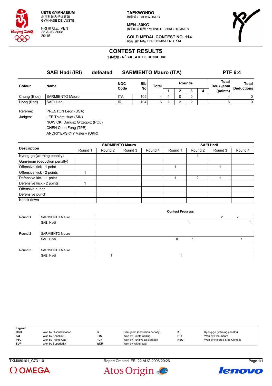

FRI 星期五 VEN 22 AUG 2008 20:15

**TAEKWONDO** 跆拳道 / TAEKWONDO

**MEN -80KG** 男子80公斤级 / MOINS DE 80KG HOMMES



**GOLD MEDAL CONTEST NO. 114** 决赛 第114场 / OR COMBAT NO. 114

# **CONTEST RESULTS**

比赛成绩 **/ RÉSULTATS DE CONCOURS**

**SAEI Hadi (IRI) defeated SARMIENTO Mauro (ITA) PTF 6:4 Colour Name NOC Code Bib No Total Rounds Total Deuk-jeom Total Deductions 1 2 3 4 (points)** Chung (Blue) SARMIENTO Mauro ITA 105 4 4 0 0 4 0 Hong (Red) SAEI Hadi IRI 104 6 2 2 2 6 0 Referee: PRESTON Leon (USA) Judges: LEE Thiam Huat (SIN)

NOWICKI Dariusz Grzegorz (POL) CHEN Chun Feng (TPE) ANDRIYEVSKYY Valeriy (UKR)

| <b>Description</b><br>Kyong-go (warning penalty)<br>Gam-jeom (deduction penalty)<br>Offensive kick - 1 point<br>Offensive kick - 2 points<br>Defensive kick - 1 point<br>Defensive kick - 2 points |         | <b>SARMIENTO Mauro</b> |         |         |         | <b>SAEI Hadi</b> |         |         |  |  |
|----------------------------------------------------------------------------------------------------------------------------------------------------------------------------------------------------|---------|------------------------|---------|---------|---------|------------------|---------|---------|--|--|
|                                                                                                                                                                                                    | Round 1 | Round 2                | Round 3 | Round 4 | Round 1 | Round 2          | Round 3 | Round 4 |  |  |
|                                                                                                                                                                                                    |         |                        |         |         |         |                  |         |         |  |  |
|                                                                                                                                                                                                    |         |                        |         |         |         |                  |         |         |  |  |
|                                                                                                                                                                                                    |         |                        |         |         |         |                  |         |         |  |  |
|                                                                                                                                                                                                    |         |                        |         |         |         |                  |         |         |  |  |
|                                                                                                                                                                                                    |         |                        |         |         |         | $\mathcal{P}$    |         |         |  |  |
|                                                                                                                                                                                                    |         |                        |         |         |         |                  |         |         |  |  |
| Offensive punch                                                                                                                                                                                    |         |                        |         |         |         |                  |         |         |  |  |
| Defensive punch                                                                                                                                                                                    |         |                        |         |         |         |                  |         |         |  |  |
| Knock down                                                                                                                                                                                         |         |                        |         |         |         |                  |         |         |  |  |

|         |                        | <b>Contest Progress</b> |                |   |
|---------|------------------------|-------------------------|----------------|---|
| Round 1 | <b>SARMIENTO Mauro</b> |                         | $\overline{2}$ | 2 |
|         | SAEI Hadi              |                         |                |   |
| Round 2 | <b>SARMIENTO Mauro</b> |                         |                |   |
|         | SAEI Hadi              | Κ                       |                |   |
| Round 3 | <b>SARMIENTO Mauro</b> |                         |                |   |
|         | SAEI Hadi              |                         |                |   |

| Legend:    |                         |            |                              |            |                             |
|------------|-------------------------|------------|------------------------------|------------|-----------------------------|
| <b>DSQ</b> | Won by Disqualification |            | Gam-jeom (deduction penalty) |            | Kyong-go (warning penalty)  |
| l KO       | Won by Knockout         | <b>PTC</b> | Won by Points Ceiling        | <b>PTF</b> | Won by Final Score          |
| <b>PTG</b> | Won by Points Gap       | <b>PUN</b> | Won by Punitive Declaration  | <b>RSC</b> | Won by Referee Stop Contest |
| <b>SUP</b> | Won by Superiority      | <b>WDR</b> | Won by Withdrawal            |            |                             |

TKM080101 C73 1.0 Report Created FRI 22 AUG 2008 20:26 Page 1/1





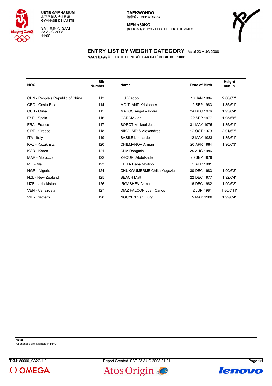

SAT 星期六 SAM 23 AUG 2008 11:00

**MEN +80KG** -------<br>男子80公斤以上级 / PLUS DE 80KG HOMMES



### **ENTRY LIST BY WEIGHT CATEGORY** As of 23 AUG 2008 各级别报名名单 **/ LISTE D'ENTRÉE PAR CATÉGORIE DU POIDS**

| <b>NOC</b>                       | <b>Bib</b><br><b>Number</b> | <b>Name</b>                 | Date of Birth | Height<br>m/ft in |
|----------------------------------|-----------------------------|-----------------------------|---------------|-------------------|
|                                  |                             |                             |               |                   |
| CHN - People's Republic of China | 113                         | LIU Xiaobo                  | 16 JAN 1984   | 2.00/6'7"         |
| CRC - Costa Rica                 | 114                         | <b>MOITLAND Kristopher</b>  | 2 SEP 1983    | 1.85/6'1"         |
| CUB - Cuba                       | 115                         | <b>MATOS Angel Valodia</b>  | 24 DEC 1976   | 1.93/6'4"         |
| ESP - Spain                      | 116                         | <b>GARCIA Jon</b>           | 22 SEP 1977   | 1.95/6'5"         |
| FRA - France                     | 117                         | <b>BOROT Mickael Justin</b> | 31 MAY 1975   | 1.85/6'1"         |
| GRE - Greece                     | 118                         | NIKOLAIDIS Alexandros       | 17 OCT 1979   | 2.01/6'7"         |
| ITA - Italy                      | 119                         | <b>BASILE Leonardo</b>      | 12 MAY 1983   | 1.85/6'1"         |
| KAZ - Kazakhstan                 | 120                         | CHILMANOV Arman             | 20 APR 1984   | 1.90/6'3"         |
| KOR - Korea                      | 121                         | CHA Dongmin                 | 24 AUG 1986   |                   |
| MAR - Morocco                    | 122                         | <b>ZROURI Abdelkader</b>    | 20 SEP 1976   |                   |
| MLI - Mali                       | 123                         | KEITA Daba Modibo           | 5 APR 1981    |                   |
| NGR - Nigeria                    | 124                         | CHUKWUMERIJE Chika Yagazie  | 30 DEC 1983   | 1.90/6'3"         |
| NZL - New Zealand                | 125                         | <b>BEACH Matt</b>           | 22 DEC 1977   | 1.92/6'4"         |
| UZB - Uzbekistan                 | 126                         | <b>IRGASHEV Akmal</b>       | 16 DEC 1982   | 1.90/6'3"         |
| VEN - Venezuela                  | 127                         | DIAZ FALCON Juan Carlos     | 2 JUN 1981    | 1.80/5'11"        |
| VIE - Vietnam                    | 128                         | NGUYEN Van Hung             | 5 MAY 1980    | 1.92/6'4"         |

**Note:**

All changes are available in INFO





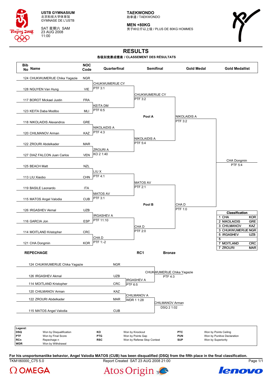

SAT 星期六 SAM 23 AUG 2008 11:00

**TAEKWONDO** 跆拳道 / TAEKWONDO

**MEN +80KG** -------<br>男子80公斤以上级 / PLUS DE 80KG HOMMES



# **RESULTS**

### 各级别竞赛成绩表 **/ CLASSEMENT DES RÉSULTATS**

| <b>Bib</b><br>No Name                                              | <b>NOC</b><br>Code | Quarterfinal           |                                      | <b>Semifinal</b>              | <b>Gold Medal</b>          |                                                      | <b>Gold Medallist</b>    |
|--------------------------------------------------------------------|--------------------|------------------------|--------------------------------------|-------------------------------|----------------------------|------------------------------------------------------|--------------------------|
| 124 CHUKWUMERIJE Chika Yagazie                                     | <b>NGR</b>         |                        |                                      |                               |                            |                                                      |                          |
|                                                                    |                    | <b>CHUKWUMERIJE CY</b> |                                      |                               |                            |                                                      |                          |
| 128 NGUYEN Van Hung                                                | VIE                | <b>PTF 3:1</b>         |                                      |                               |                            |                                                      |                          |
|                                                                    |                    |                        | CHUKWUMERIJE CY                      |                               |                            |                                                      |                          |
| 117 BOROT Mickael Justin                                           | <b>FRA</b>         |                        | PTF 3:2                              |                               |                            |                                                      |                          |
|                                                                    |                    | <b>KEITA DM</b>        |                                      |                               |                            |                                                      |                          |
| 123 KEITA Daba Modibo                                              | MLI                | PTF 6:5                |                                      |                               |                            |                                                      |                          |
|                                                                    |                    |                        | Pool A                               |                               | <b>NIKOLAIDIS A</b>        |                                                      |                          |
| 118 NIKOLAIDIS Alexandros                                          | <b>GRE</b>         |                        |                                      |                               | PTF 3:2                    |                                                      |                          |
|                                                                    |                    | <b>NIKOLAIDIS A</b>    |                                      |                               |                            |                                                      |                          |
| 120 CHILMANOV Arman                                                | KAZ                | <b>PTF 4:3</b>         |                                      |                               |                            |                                                      |                          |
|                                                                    |                    |                        | <b>NIKOLAIDIS A</b>                  |                               |                            |                                                      |                          |
| 122 ZROURI Abdelkader                                              | <b>MAR</b>         |                        | PTF 5:4                              |                               |                            |                                                      |                          |
|                                                                    |                    | <b>ZROURIA</b>         |                                      |                               |                            |                                                      |                          |
| 127 DIAZ FALCON Juan Carlos                                        | <b>VEN</b>         | KO 2 1:40              |                                      |                               |                            |                                                      |                          |
|                                                                    |                    |                        |                                      |                               |                            |                                                      | CHA Dongmin              |
| 125 BEACH Matt                                                     | <b>NZL</b>         |                        |                                      |                               |                            |                                                      | PTF 5:4                  |
|                                                                    |                    | LIU X                  |                                      |                               |                            |                                                      |                          |
| 113 LIU Xiaobo                                                     | CHN                | PTF 4:1                |                                      |                               |                            |                                                      |                          |
|                                                                    |                    |                        | <b>MATOS AV</b>                      |                               |                            |                                                      |                          |
| 119 BASILE Leonardo                                                | ITA                |                        | PTF 2:1                              |                               |                            |                                                      |                          |
|                                                                    |                    | <b>MATOS AV</b>        |                                      |                               |                            |                                                      |                          |
| 115 MATOS Angel Valodia                                            | <b>CUB</b>         | PTF 3:1                |                                      |                               |                            |                                                      |                          |
|                                                                    |                    |                        | Pool B                               |                               | CHA <sub>D</sub>           |                                                      |                          |
| 126 IRGASHEV Akmal                                                 | <b>UZB</b>         |                        |                                      |                               | PTF 1:0                    |                                                      |                          |
|                                                                    |                    | <b>IRGASHEV A</b>      |                                      |                               |                            |                                                      | <b>Classification</b>    |
| 116 GARCIA Jon                                                     | <b>ESP</b>         | PTF 11:10              |                                      |                               |                            | 1 CHA<br>2 NIKOLAIDIS                                | <b>KOR</b><br><b>GRE</b> |
|                                                                    |                    |                        | CHA D                                |                               |                            | 3 CHILMANOV                                          | <b>KAZ</b>               |
| 114 MOITLAND Kristopher                                            | CRC                |                        | PTF 2:0                              |                               |                            | 3 CHUKWUMERIJE NGR                                   |                          |
|                                                                    |                    | CHA <sub>D</sub>       |                                      |                               |                            | 5 IRGASHEV                                           | <b>UZB</b>               |
| 121 CHA Dongmin                                                    | <b>KOR</b>         | PTF 1:-2               |                                      |                               |                            | 5<br>7 MOITLAND                                      | <b>CRC</b>               |
|                                                                    |                    |                        |                                      |                               |                            | 7 ZROURI                                             | <b>MAR</b>               |
| <b>REPECHAGE</b>                                                   |                    |                        | RC1                                  | <b>Bronze</b>                 |                            |                                                      |                          |
|                                                                    |                    |                        |                                      |                               |                            |                                                      |                          |
| 124 CHUKWUMERIJE Chika Yagazie                                     |                    | <b>NGR</b>             |                                      |                               |                            |                                                      |                          |
|                                                                    |                    |                        |                                      |                               |                            |                                                      |                          |
|                                                                    |                    | <b>UZB</b>             |                                      |                               | CHUKWUMERIJE Chika Yagazie |                                                      |                          |
| 126 IRGASHEV Akmal                                                 |                    |                        | <b>IRGASHEV A</b>                    | PTF 4:3                       |                            |                                                      |                          |
| 114 MOITLAND Kristopher                                            |                    | CRC                    | PTF 6:5                              |                               |                            |                                                      |                          |
| 120 CHILMANOV Arman                                                |                    | KAZ                    |                                      |                               |                            |                                                      |                          |
|                                                                    |                    |                        | <b>CHILMANOV A</b>                   |                               |                            |                                                      |                          |
| 122 ZROURI Abdelkader                                              |                    | <b>MAR</b>             | WDR 1 1:28                           |                               |                            |                                                      |                          |
|                                                                    |                    |                        |                                      | CHILMANOV Arman<br>DSQ 2 1:02 |                            |                                                      |                          |
| 115 MATOS Angel Valodia                                            |                    | <b>CUB</b>             |                                      |                               |                            |                                                      |                          |
|                                                                    |                    |                        |                                      |                               |                            |                                                      |                          |
| Legend:                                                            |                    |                        |                                      |                               |                            |                                                      |                          |
| <b>DSQ</b><br>Won by Disqualification<br>PTF<br>Won by Final Score |                    | ΚO<br><b>PTG</b>       | Won by Knockout<br>Won by Points Gap |                               | <b>PTC</b><br><b>PUN</b>   | Won by Points Ceiling<br>Won by Punitive Declaration |                          |
| <b>RCn</b><br>Repechage n                                          |                    | <b>RSC</b>             | Won by Referee Stop Contest          |                               | <b>SUP</b>                 | Won by Superiority                                   |                          |
| <b>WDR</b><br>Won by Withdrawal                                    |                    |                        |                                      |                               |                            |                                                      |                          |

TKM180000\_C75 5.0 Report Created SAT 23 AUG 2008 21:00 Page 1/1 **For his unsportsmanlike behavior, Angel Valodia MATOS (CUB) has been disqualified (DSQ) from the fifth place in the final classification.**





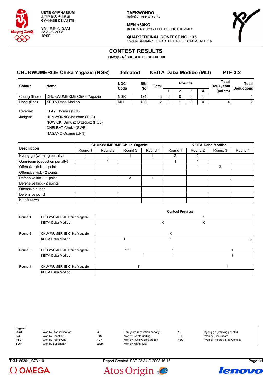

SAT 星期六 SAM 23 AUG 2008 16:00

**TAEKWONDO** 跆拳道 / TAEKWONDO

**MEN +80KG** 男子80公斤以上级 / PLUS DE 80KG HOMMES



**QUARTERFINAL CONTEST NO. 135** 1/4决赛 第135场 / QUARTS DE FINALE COMBAT NO. 135

### **CONTEST RESULTS**

比赛成绩 **/ RÉSULTATS DE CONCOURS**

### **CHUKWUMERIJE Chika Yagazie (NGR) defeated KEITA Daba Modibo (MLI) PTF 3:2**

| Colour       | Name                       | <b>Bib</b><br><b>NOC</b><br>Code |                  | <b>Total</b> | <b>Rounds</b> |  |   | Total<br>Deuk-jeom | Total<br><b>Deductions</b> |
|--------------|----------------------------|----------------------------------|------------------|--------------|---------------|--|---|--------------------|----------------------------|
|              |                            |                                  | No               |              |               |  |   | (points)           |                            |
| Chung (Blue) | CHUKWUMERIJE Chika Yaqazie | <b>NGR</b>                       | 124 <sub>1</sub> |              |               |  | ⌒ |                    |                            |
| Hong (Red)   | KEITA Daba Modibo          | <b>ML</b>                        | 123              |              |               |  |   |                    |                            |

Referee: KLAY Thomas (SUI) Judges: HEMWONNO Jatuporn (THA) NOWICKI Dariusz Grzegorz (POL) CHELBAT Chakir (SWE) NAGANO Osamu (JPN)

**Description**<br> **CHUKWUMERIJE Chika Yagazie CHUKWUMERIJE Chika Yagazie KEITA Daba Modibo**<br>
Round 1 Round 1 Round 3 Round 4 Round 1 Round 2 Round 3 Round 1 | Round 2 | Round 3 | Round 4 | Round 1 | Round 2 | Round 3 | Round 4 Kyong-go (warning penalty) 1 1 1 1 1 1 2 2 Gam-jeom (deduction penalty) 1 1 1 Offensive kick - 1 point 1 3 Offensive kick - 2 points Defensive kick - 1 point 3 1 Defensive kick - 2 points Offensive punch Defensive punch Knock down

|         |                            |     | <b>Contest Progress</b> |   |   |
|---------|----------------------------|-----|-------------------------|---|---|
| Round 1 | CHUKWUMERIJE Chika Yagazie |     |                         | K |   |
|         | KEITA Daba Modibo          |     | ĸ                       | ĸ |   |
| Round 2 | CHUKWUMERIJE Chika Yagazie |     | Κ                       |   |   |
|         | KEITA Daba Modibo          |     | Κ                       |   | Κ |
| Round 3 | CHUKWUMERIJE Chika Yagazie | 1 K |                         |   |   |
|         | KEITA Daba Modibo          |     |                         |   |   |
| Round 4 | CHUKWUMERIJE Chika Yagazie | κ   |                         |   |   |
|         | KEITA Daba Modibo          |     |                         |   |   |

| Legend:    |                         |            |                              |            |                             |
|------------|-------------------------|------------|------------------------------|------------|-----------------------------|
| <b>DSQ</b> | Won by Disqualification |            | Gam-jeom (deduction penalty) |            | Kyong-go (warning penalty)  |
| l KO       | Won by Knockout         | <b>PTC</b> | Won by Points Ceiling        | <b>PTF</b> | Won by Final Score          |
| <b>PTG</b> | Won by Points Gap       | <b>PUN</b> | Won by Punitive Declaration  | <b>RSC</b> | Won by Referee Stop Contest |
| <b>SUP</b> | Won by Superiority      | <b>WDR</b> | Won by Withdrawal            |            |                             |



TKM180301 C73 1.0 Report Created SAT 23 AUG 2008 16:15 Page 1/1



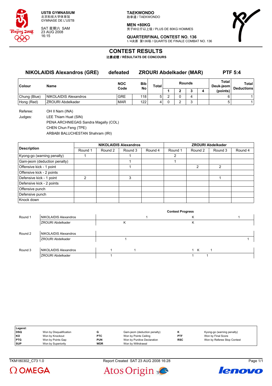

SAT 星期六 SAM 23 AUG 2008 16:15

**TAEKWONDO** 跆拳道 / TAEKWONDO

**MEN +80KG**

-------<br>男子80公斤以上级 / PLUS DE 80KG HOMMES



**QUARTERFINAL CONTEST NO. 136** 1/4决赛 第136场 / QUARTS DE FINALE COMBAT NO. 136

### **CONTEST RESULTS**

比赛成绩 **/ RÉSULTATS DE CONCOURS**

### **NIKOLAIDIS Alexandros (GRE) defeated ZROURI Abdelkader (MAR) PTF 5:4**

| <b>Colour</b> | <b>Name</b>              | <b>NOC</b><br>Code | <b>Bib</b><br><b>No</b> | <b>Total</b> | Rounds |  | Total<br>Deuk-jeom⊺ | Total<br><b>Deductions</b> |
|---------------|--------------------------|--------------------|-------------------------|--------------|--------|--|---------------------|----------------------------|
|               |                          |                    |                         |              | -      |  | (points)            |                            |
| Chung (Blue)  | NIKOLAIDIS Alexandros    | <b>GRE</b>         | 118                     | 5            |        |  |                     |                            |
| Hong (Red)    | <b>ZROURI Abdelkader</b> | <b>MAR</b>         | 122                     |              |        |  |                     |                            |

Referee: OH II Nam (INA) Judges: LEE Thiam Huat (SIN) PENA ARCHNIEGAS Sandra Magally (COL) CHEN Chun Feng (TPE) ARBABI BALUCHESTAN Shahram (IRI)

|                              |         |         | <b>NIKOLAIDIS Alexandros</b> |         | <b>ZROURI Abdelkader</b> |         |         |         |  |  |
|------------------------------|---------|---------|------------------------------|---------|--------------------------|---------|---------|---------|--|--|
| <b>Description</b>           | Round 1 | Round 2 | Round 3                      | Round 4 | Round 1                  | Round 2 | Round 3 | Round 4 |  |  |
| Kyong-go (warning penalty)   |         |         |                              |         | 2                        |         |         |         |  |  |
| Gam-jeom (deduction penalty) |         |         |                              |         |                          |         |         |         |  |  |
| Offensive kick - 1 point     |         |         |                              |         |                          | 2       | 2       |         |  |  |
| Offensive kick - 2 points    |         |         |                              |         |                          |         |         |         |  |  |
| Defensive kick - 1 point     | າ       |         | 3                            |         |                          |         |         |         |  |  |
| Defensive kick - 2 points    |         |         |                              |         |                          |         |         |         |  |  |
| Offensive punch              |         |         |                              |         |                          |         |         |         |  |  |
| Defensive punch              |         |         |                              |         |                          |         |         |         |  |  |
| Knock down                   |         |         |                              |         |                          |         |         |         |  |  |

|         |                              |  | <b>Contest Progress</b> |     |  |
|---------|------------------------------|--|-------------------------|-----|--|
| Round 1 | NIKOLAIDIS Alexandros        |  | r                       |     |  |
|         | <b>ZROURI Abdelkader</b>     |  | N                       |     |  |
|         |                              |  |                         |     |  |
| Round 2 | NIKOLAIDIS Alexandros        |  |                         |     |  |
|         | <b>ZROURI Abdelkader</b>     |  |                         |     |  |
|         |                              |  |                         |     |  |
| Round 3 | <b>NIKOLAIDIS Alexandros</b> |  |                         | – K |  |
|         | <b>ZROURI Abdelkader</b>     |  |                         |     |  |

| Legend:    |                         |            |                              |            |                             |
|------------|-------------------------|------------|------------------------------|------------|-----------------------------|
| DSQ        | Won by Disqualification |            | Gam-jeom (deduction penalty) |            | Kyong-go (warning penalty)  |
| KO         | Won by Knockout         | <b>PTC</b> | Won by Points Ceiling        | PTF        | Won by Final Score          |
| <b>PTG</b> | Won by Points Gap       | <b>PUN</b> | Won by Punitive Declaration  | <b>RSC</b> | Won by Referee Stop Contest |
| <b>SUP</b> | Won by Superiority      | <b>WDR</b> | Won by Withdrawal            |            |                             |

TKM180302\_C73 1.0 Report Created SAT 23 AUG 2008 16:28 Page 1/1





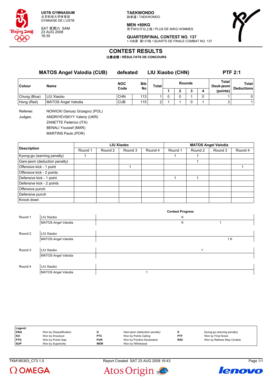

SAT 星期六 SAM 23 AUG 2008 16:30

**TAEKWONDO** 跆拳道 / TAEKWONDO

**MEN +80KG** 男子80公斤以上级 / PLUS DE 80KG HOMMES



**QUARTERFINAL CONTEST NO. 137** 1/4决赛 第137场 / QUARTS DE FINALE COMBAT NO. 137

### **CONTEST RESULTS**

比赛成绩 **/ RÉSULTATS DE CONCOURS**

|                     | <b>MATOS Angel Valodia (CUB)</b>                             | defeated   |     | LIU Xiaobo (CHN) |   |   |               |   |                                | <b>PTF 2:1</b>             |
|---------------------|--------------------------------------------------------------|------------|-----|------------------|---|---|---------------|---|--------------------------------|----------------------------|
| Colour              | Name                                                         | <b>NOC</b> | Bib | Total            |   |   | <b>Rounds</b> |   | Total<br>Deuk-jeom<br>(points) | Total<br><b>Deductions</b> |
|                     |                                                              | Code       | No  |                  |   | , |               | 4 |                                |                            |
| Chung (Blue)        | LIU Xiaobo                                                   | <b>CHN</b> | 113 |                  | 0 | 0 |               | 0 |                                | 0                          |
| Hong (Red)          | MATOS Angel Valodia                                          | <b>CUB</b> | 115 | 2                |   |   |               |   | 3                              |                            |
| Referee:<br>andoes: | NOWICKI Dariusz Grzegorz (POL)<br>ANDRIYEVSKYY Valeriy (UKR) |            |     |                  |   |   |               |   |                                |                            |

Judges: ANDRIYEVSKYY Valeriy (UKR) ZANETTE Federico (ITA) BENALI Youssef (MAR) MARTINS Paulo (POR)

|                              |         |         | <b>LIU Xiaobo</b> |         | <b>MATOS Angel Valodia</b> |         |         |         |  |  |
|------------------------------|---------|---------|-------------------|---------|----------------------------|---------|---------|---------|--|--|
| <b>Description</b>           | Round 1 | Round 2 | Round 3           | Round 4 | Round 1                    | Round 2 | Round 3 | Round 4 |  |  |
| Kyong-go (warning penalty)   |         |         |                   |         |                            |         |         |         |  |  |
| Gam-jeom (deduction penalty) |         |         |                   |         |                            |         |         |         |  |  |
| Offensive kick - 1 point     |         |         |                   |         |                            |         |         |         |  |  |
| Offensive kick - 2 points    |         |         |                   |         |                            |         |         |         |  |  |
| Defensive kick - 1 point     |         |         |                   |         |                            |         |         |         |  |  |
| Defensive kick - 2 points    |         |         |                   |         |                            |         |         |         |  |  |
| Offensive punch              |         |         |                   |         |                            |         |         |         |  |  |
| Defensive punch              |         |         |                   |         |                            |         |         |         |  |  |
| Knock down                   |         |         |                   |         |                            |         |         |         |  |  |

|         |                            |  | <b>Contest Progress</b> |   |     |
|---------|----------------------------|--|-------------------------|---|-----|
| Round 1 | LIU Xiaobo                 |  | Κ                       |   |     |
|         | <b>MATOS Angel Valodia</b> |  | κ                       |   |     |
|         |                            |  |                         |   |     |
| Round 2 | LIU Xiaobo                 |  |                         |   |     |
|         | <b>MATOS Angel Valodia</b> |  |                         |   | 1 K |
|         |                            |  |                         |   |     |
| Round 3 | LIU Xiaobo                 |  |                         | 1 |     |
|         | <b>MATOS Angel Valodia</b> |  |                         |   |     |
|         |                            |  |                         |   |     |
| Round 4 | LIU Xiaobo                 |  |                         |   |     |
|         | <b>MATOS Angel Valodia</b> |  |                         |   |     |

| Legend:    |                         |            |                              |            |                             |
|------------|-------------------------|------------|------------------------------|------------|-----------------------------|
| <b>DSQ</b> | Won by Disqualification |            | Gam-jeom (deduction penalty) |            | Kyong-go (warning penalty)  |
| KO         | Won by Knockout         | <b>PTC</b> | Won by Points Ceiling        | <b>PTF</b> | Won by Final Score          |
| <b>PTG</b> | Won by Points Gap       | <b>PUN</b> | Won by Punitive Declaration  | <b>RSC</b> | Won by Referee Stop Contest |
| <b>SUP</b> | Won by Superiority      | <b>WDR</b> | Won by Withdrawal            |            |                             |

TKM180303\_C73 1.0 Report Created SAT 23 AUG 2008 16:43 Page 1/1





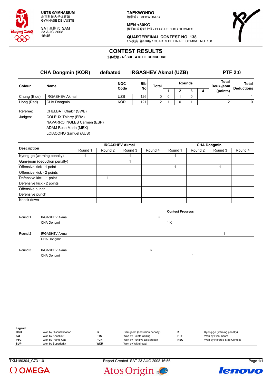

SAT 星期六 SAM 23 AUG 2008 16:45

**TAEKWONDO** 跆拳道 / TAEKWONDO

**MEN +80KG** -------<br>男子80公斤以上级 / PLUS DE 80KG HOMMES



**QUARTERFINAL CONTEST NO. 138** 1/4决赛 第138场 / QUARTS DE FINALE COMBAT NO. 138

### **CONTEST RESULTS**

比赛成绩 **/ RÉSULTATS DE CONCOURS**

| <b>CHA Dongmin (KOR)</b> |                       | defeated           | <b>IRGASHEV Akmal (UZB)</b> |              | <b>PTF 2:0</b> |               |   |                    |                                   |
|--------------------------|-----------------------|--------------------|-----------------------------|--------------|----------------|---------------|---|--------------------|-----------------------------------|
| Colour                   | Name                  | <b>NOC</b><br>Code | <b>Bib</b><br>No            | <b>Total</b> |                | <b>Rounds</b> |   | Total<br>Deuk-ieom | <b>Total</b><br><b>Deductions</b> |
|                          |                       |                    |                             |              |                |               | 4 | (points)           |                                   |
| Chung (Blue)             | <b>IRGASHEV Akmal</b> | <b>UZB</b>         | 126                         | 0            |                |               |   |                    |                                   |
| Hong (Red)               | CHA Dongmin           | <b>KOR</b>         | 121                         |              |                |               |   |                    | 0                                 |
|                          |                       |                    |                             |              |                |               |   |                    |                                   |

Referee: CHELBAT Chakir (SWE) Judges: COLEUX Thierry (FRA) NAVARRO INGLES Carmen (ESP) ADAM Rosa Maria (MEX) LOIACONO Samuel (AUS)

| <b>Description</b>           |         |         | <b>IRGASHEV Akmal</b> |         | <b>CHA Dongmin</b> |         |         |         |  |
|------------------------------|---------|---------|-----------------------|---------|--------------------|---------|---------|---------|--|
|                              | Round 1 | Round 2 | Round 3               | Round 4 | Round 1            | Round 2 | Round 3 | Round 4 |  |
| Kyong-go (warning penalty)   |         |         |                       |         |                    |         |         |         |  |
| Gam-jeom (deduction penalty) |         |         |                       |         |                    |         |         |         |  |
| Offensive kick - 1 point     |         |         |                       |         |                    |         |         |         |  |
| Offensive kick - 2 points    |         |         |                       |         |                    |         |         |         |  |
| Defensive kick - 1 point     |         |         |                       |         |                    |         |         |         |  |
| Defensive kick - 2 points    |         |         |                       |         |                    |         |         |         |  |
| Offensive punch              |         |         |                       |         |                    |         |         |         |  |
| Defensive punch              |         |         |                       |         |                    |         |         |         |  |
| Knock down                   |         |         |                       |         |                    |         |         |         |  |

|         |                       |   |   | <b>Contest Progress</b> |  |
|---------|-----------------------|---|---|-------------------------|--|
| Round 1 | <b>IRGASHEV Akmal</b> |   | Κ |                         |  |
|         | CHA Dongmin           |   |   | 1 K                     |  |
|         |                       |   |   |                         |  |
| Round 2 | <b>IRGASHEV Akmal</b> |   |   |                         |  |
|         | CHA Dongmin           |   |   |                         |  |
|         |                       |   |   |                         |  |
| Round 3 | <b>IRGASHEV Akmal</b> | Κ |   |                         |  |
|         | CHA Dongmin           |   |   |                         |  |

| Legend:    |                         |            |                              |            |                             |
|------------|-------------------------|------------|------------------------------|------------|-----------------------------|
| DSQ        | Won by Disqualification |            | Gam-jeom (deduction penalty) |            | Kyong-go (warning penalty)  |
| l KO       | Won by Knockout         | <b>PTC</b> | Won by Points Ceiling        | <b>PTF</b> | Won by Final Score          |
| <b>PTG</b> | Won by Points Gap       | <b>PUN</b> | Won by Punitive Declaration  | <b>RSC</b> | Won by Referee Stop Contest |
| <b>SUP</b> | Won by Superiority      | <b>WDR</b> | Won by Withdrawal            |            |                             |

TKM180304\_C73 1.0 Report Created SAT 23 AUG 2008 16:56 Page 1/1





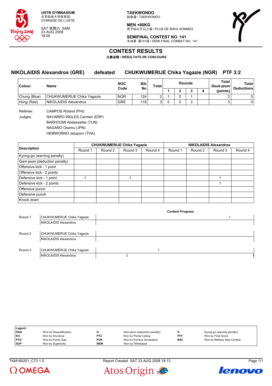

SAT 星期六 SAM 23 AUG 2008 18:00

**TAEKWONDO** 跆拳道 / TAEKWONDO

**MEN +80KG** 男子80公斤以上级 / PLUS DE 80KG HOMMES



**SEMIFINAL CONTEST NO. 141** 半决赛 第141场 / DEMI-FINAL COMBAT NO. 141

### **CONTEST RESULTS**

比赛成绩 **/ RÉSULTATS DE CONCOURS**

# **NIKOLAIDIS Alexandros (GRE) defeated CHUKWUMERIJE Chika Yagazie (NGR) PTF 3:2**

| Colour       | <b>Name</b>                | <b>NOC</b><br>Code | Bib<br>No | Total | <b>Rounds</b> |  |   |  | Total<br>Deuk-ieoml | Total<br><b>Deductions</b> |
|--------------|----------------------------|--------------------|-----------|-------|---------------|--|---|--|---------------------|----------------------------|
|              |                            |                    |           |       |               |  |   |  | (points)            |                            |
| Chung (Blue) | CHUKWUMERIJE Chika Yaqazie | <b>NGR</b>         | 124       |       |               |  |   |  |                     | 0                          |
| Hong (Red)   | NIKOLAIDIS Alexandros      | <b>GRE</b>         | 118       |       |               |  | ∽ |  | ⌒                   | 0                          |

Referee: CAMPOS Roland (PHI) Judges: NAVARRO INGLES Carmen (ESP) BARHOUMI Abdessattar (TUN) NAGANO Osamu (JPN) HEMWONNO Jatuporn (THA)

|                              |         |         | <b>CHUKWUMERIJE Chika Yagazie</b> |         | <b>NIKOLAIDIS Alexandros</b> |         |         |         |  |
|------------------------------|---------|---------|-----------------------------------|---------|------------------------------|---------|---------|---------|--|
| <b>Description</b>           | Round 1 | Round 2 | Round 3                           | Round 4 | Round 1                      | Round 2 | Round 3 | Round 4 |  |
| Kyong-go (warning penalty)   |         |         |                                   |         |                              |         |         |         |  |
| Gam-jeom (deduction penalty) |         |         |                                   |         |                              |         |         |         |  |
| Offensive kick - 1 point     |         |         |                                   |         |                              |         |         |         |  |
| Offensive kick - 2 points    |         |         |                                   |         |                              |         |         |         |  |
| Defensive kick - 1 point     |         |         |                                   |         |                              |         |         |         |  |
| Defensive kick - 2 points    |         |         |                                   |         |                              |         |         |         |  |
| Offensive punch              |         |         |                                   |         |                              |         |         |         |  |
| Defensive punch              |         |         |                                   |         |                              |         |         |         |  |
| Knock down                   |         |         |                                   |         |                              |         |         |         |  |

| Round 1 | CHUKWUMERIJE Chika Yagazie |  |
|---------|----------------------------|--|
|         | NIKOLAIDIS Alexandros      |  |
|         |                            |  |
| Round 2 | CHUKWUMERIJE Chika Yaqazie |  |
|         | NIKOLAIDIS Alexandros      |  |
|         |                            |  |
| Round 3 | CHUKWUMERIJE Chika Yaqazie |  |
|         | NIKOLAIDIS Alexandros      |  |
|         |                            |  |

| Legend:    |                         |            |                              |            |                             |
|------------|-------------------------|------------|------------------------------|------------|-----------------------------|
| DSQ        | Won by Disqualification | G          | Gam-jeom (deduction penalty) |            | Kyong-go (warning penalty)  |
| KO         | Won by Knockout         | <b>PTC</b> | Won by Points Ceiling        | <b>PTF</b> | Won by Final Score          |
| <b>PTG</b> | Won by Points Gap       | <b>PUN</b> | Won by Punitive Declaration  | <b>RSC</b> | Won by Referee Stop Contest |
| <b>SUP</b> | Won by Superiority      | <b>WDR</b> | Won by Withdrawal            |            |                             |

 $\Omega$  OMEGA

TKM180201\_C73 1.0 Report Created SAT 23 AUG 2008 18:13 Page 1/1



**Contest Progress**

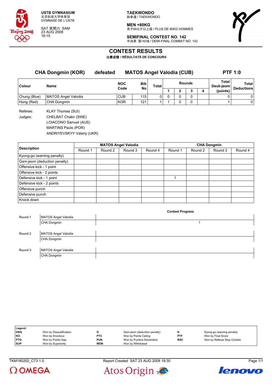

SAT 星期六 SAM 23 AUG 2008 18:15

**TAEKWONDO** 跆拳道 / TAEKWONDO

**MEN +80KG** -------<br>男子80公斤以上级 / PLUS DE 80KG HOMMES



**SEMIFINAL CONTEST NO. 142** 半决赛 第142场 / DEMI-FINAL COMBAT NO. 142

### **CONTEST RESULTS**

比赛成绩 **/ RÉSULTATS DE CONCOURS**

**CHA Dongmin (KOR) defeated MATOS Angel Valodia (CUB) PTF 1:0 Colour Name NOC Code Bib No Total Rounds Total Deuk-jeom Total Deductions 1 2 3 4 (points)** Chung (Blue) MATOS Angel Valodia  $\begin{vmatrix} CDB & 115 & 0 & 0 & 0 & 0 \end{vmatrix}$  0 0 0 0 0 0 0 0 0 0 Hong (Red) CHA Dongmin KOR 121 1 1 0 0 1 1 0 Referee: KLAY Thomas (SUI) Judges: CHELBAT Chakir (SWE) LOIACONO Samuel (AUS) MARTINS Paulo (POR)

ANDRIYEVSKYY Valeriy (UKR)

|                              |         |         | <b>MATOS Angel Valodia</b> |         | <b>CHA Dongmin</b> |         |         |         |  |
|------------------------------|---------|---------|----------------------------|---------|--------------------|---------|---------|---------|--|
| <b>Description</b>           | Round 1 | Round 2 | Round 3                    | Round 4 | Round 1            | Round 2 | Round 3 | Round 4 |  |
| Kyong-go (warning penalty)   |         |         |                            |         |                    |         |         |         |  |
| Gam-jeom (deduction penalty) |         |         |                            |         |                    |         |         |         |  |
| Offensive kick - 1 point     |         |         |                            |         |                    |         |         |         |  |
| Offensive kick - 2 points    |         |         |                            |         |                    |         |         |         |  |
| Defensive kick - 1 point     |         |         |                            |         |                    |         |         |         |  |
| Defensive kick - 2 points    |         |         |                            |         |                    |         |         |         |  |
| Offensive punch              |         |         |                            |         |                    |         |         |         |  |
| Defensive punch              |         |         |                            |         |                    |         |         |         |  |
| Knock down                   |         |         |                            |         |                    |         |         |         |  |

| Round 1 | MATOS Angel Valodia |  |
|---------|---------------------|--|
|         | CHA Dongmin         |  |
|         |                     |  |
| Round 2 | MATOS Angel Valodia |  |
|         | CHA Dongmin         |  |
|         |                     |  |
| Round 3 | MATOS Angel Valodia |  |
|         | CHA Dongmin         |  |

**Contest Progress**

| Legend:    |                         |            |                              |            |                             |
|------------|-------------------------|------------|------------------------------|------------|-----------------------------|
| <b>DSQ</b> | Won by Disqualification |            | Gam-jeom (deduction penalty) |            | Kyong-go (warning penalty)  |
| KO         | Won by Knockout         | <b>PTC</b> | Won by Points Ceiling        | <b>PTF</b> | Won by Final Score          |
| <b>PTG</b> | Won by Points Gap       | <b>PUN</b> | Won by Punitive Declaration  | <b>RSC</b> | Won by Referee Stop Contest |
| <b>SUP</b> | Won by Superiority      | <b>WDR</b> | Won by Withdrawal            |            |                             |

 $\Omega$  OMEGA





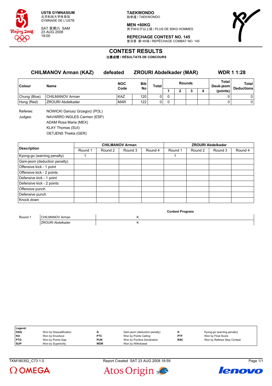

SAT 星期六 SAM 23 AUG 2008 19:00

**TAEKWONDO** 跆拳道 / TAEKWONDO

**MEN +80KG** -------<br>男子80公斤以上级 / PLUS DE 80KG HOMMES



**REPECHAGE CONTEST NO. 145** 复活赛 第145场 / REPÊCHAGE COMBAT NO. 145

### **CONTEST RESULTS**

比赛成绩 **/ RÉSULTATS DE CONCOURS**

| <b>CHILMANOV Arman (KAZ)</b> |                                | defeated   | <b>ZROURI Abdelkader (MAR)</b> |              | <b>WDR 1 1:28</b> |  |  |   |                    |                   |
|------------------------------|--------------------------------|------------|--------------------------------|--------------|-------------------|--|--|---|--------------------|-------------------|
| Colour                       | Name                           | <b>NOC</b> | Bib<br>No                      | <b>Total</b> | <b>Rounds</b>     |  |  |   | Total<br>Deuk-jeom | Total             |
|                              |                                | Code       |                                |              |                   |  |  | 4 | (points)           | <b>Deductions</b> |
| Chung (Blue)                 | CHILMANOV Arman                | <b>KAZ</b> | 120                            | 0            | 0                 |  |  |   | 0                  | 0                 |
| Hong (Red)                   | <b>ZROURI Abdelkader</b>       | <b>MAR</b> | 122                            | 0            | 0                 |  |  |   | 0                  | 0                 |
| Referee:                     | NOWICKI Dariusz Grzegorz (POL) |            |                                |              |                   |  |  |   |                    |                   |
| Judges:                      | NAVARRO INGLES Carmen (ESP)    |            |                                |              |                   |  |  |   |                    |                   |
|                              | ADAM Rosa Maria (MEX)          |            |                                |              |                   |  |  |   |                    |                   |

KLAY Thomas (SUI) OETJENS Thekla (GER)

|                              |         |         | <b>CHILMANOV Arman</b> |         | <b>ZROURI Abdelkader</b> |         |         |         |  |
|------------------------------|---------|---------|------------------------|---------|--------------------------|---------|---------|---------|--|
| <b>Description</b>           | Round 1 | Round 2 | Round 3                | Round 4 | Round 1                  | Round 2 | Round 3 | Round 4 |  |
| Kyong-go (warning penalty)   |         |         |                        |         |                          |         |         |         |  |
| Gam-jeom (deduction penalty) |         |         |                        |         |                          |         |         |         |  |
| Offensive kick - 1 point     |         |         |                        |         |                          |         |         |         |  |
| Offensive kick - 2 points    |         |         |                        |         |                          |         |         |         |  |
| Defensive kick - 1 point     |         |         |                        |         |                          |         |         |         |  |
| Defensive kick - 2 points    |         |         |                        |         |                          |         |         |         |  |
| Offensive punch              |         |         |                        |         |                          |         |         |         |  |
| Defensive punch              |         |         |                        |         |                          |         |         |         |  |
| Knock down                   |         |         |                        |         |                          |         |         |         |  |

|         |                   | <b>Contest Progress</b> |  |
|---------|-------------------|-------------------------|--|
| Round 1 | CHILMANOV Arman   |                         |  |
|         | ZROURI Abdelkader |                         |  |

| Legend:    |                         |            |                              |            |                             |
|------------|-------------------------|------------|------------------------------|------------|-----------------------------|
| <b>DSQ</b> | Won by Disqualification |            | Gam-jeom (deduction penalty) |            | Kyong-go (warning penalty)  |
| KO         | Won by Knockout         | <b>PTC</b> | Won by Points Ceiling        | <b>PTF</b> | Won by Final Score          |
| <b>PTG</b> | Won by Points Gap       | <b>PUN</b> | Won by Punitive Declaration  | <b>RSC</b> | Won by Referee Stop Contest |
| <b>SUP</b> | Won by Superiority      | <b>WDR</b> | Won by Withdrawal            |            |                             |
|            |                         |            |                              |            |                             |

 $\Omega$  OMEGA



Atos Origin

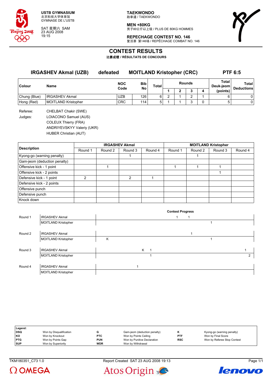

SAT 星期六 SAM 23 AUG 2008 19:15

**TAEKWONDO** 跆拳道 / TAEKWONDO

**MEN +80KG** 男子80公斤以上级 / PLUS DE 80KG HOMMES



**REPECHAGE CONTEST NO. 146** 复活赛 第146场 / REPÊCHAGE COMBAT NO. 146

### **CONTEST RESULTS**

比赛成绩 **/ RÉSULTATS DE CONCOURS**

| <b>IRGASHEV Akmal (UZB)</b> |                       | defeated           | <b>MOITLAND Kristopher (CRC)</b> |   |                               |  |   |   | <b>PTF 6:5</b>     |                            |
|-----------------------------|-----------------------|--------------------|----------------------------------|---|-------------------------------|--|---|---|--------------------|----------------------------|
| Colour                      | <b>Name</b>           | <b>NOC</b><br>Code | Bib<br>No                        |   | <b>Rounds</b><br><b>Total</b> |  |   |   | Total<br>Deuk-jeom | Total<br><b>Deductions</b> |
|                             |                       |                    |                                  |   |                               |  | っ | 4 | (points)           |                            |
| Chung (Blue)                | <b>IRGASHEV Akmal</b> | <b>UZB</b>         | 126                              | 6 | ◠                             |  | ົ |   | 6                  | 0                          |
| Hong (Red)                  | MOITLAND Kristopher   | <b>CRC</b>         | 114                              | 5 |                               |  | ົ |   | 5                  | 0                          |
|                             |                       |                    |                                  |   |                               |  |   |   |                    |                            |

Referee: CHELBAT Chakir (SWE) Judges: LOIACONO Samuel (AUS) COLEUX Thierry (FRA) ANDRIYEVSKYY Valeriy (UKR) HUBER Christian (AUT)

**Description IRGASHEV Akmal MOITLAND Kristopher** Round 1 | Round 2 | Round 3 | Round 4 | Round 1 | Round 2 | Round 3 | Round 4 Kyong-go (warning penalty) and the contract of the contract of the contract of the contract of the contract of the contract of the contract of the contract of the contract of the contract of the contract of the contract of Gam-jeom (deduction penalty) Offensive kick - 1 point 1 1 1 1 Offensive kick - 2 points 1 Defensive kick - 1 point 2 2 1 Defensive kick - 2 points Offensive punch Defensive punch Knock down

|         |                            |   |   | <b>Contest Progress</b> |  |   |
|---------|----------------------------|---|---|-------------------------|--|---|
| Round 1 | <b>IRGASHEV Akmal</b>      |   |   |                         |  |   |
|         | <b>MOITLAND Kristopher</b> |   |   |                         |  |   |
|         |                            |   |   |                         |  |   |
| Round 2 | <b>IRGASHEV Akmal</b>      |   |   |                         |  |   |
|         | MOITLAND Kristopher        | Κ |   |                         |  |   |
|         |                            |   |   |                         |  |   |
| Round 3 | <b>IRGASHEV Akmal</b>      |   | K |                         |  |   |
|         | <b>MOITLAND Kristopher</b> |   |   |                         |  | 2 |
|         |                            |   |   |                         |  |   |
| Round 4 | <b>IRGASHEV Akmal</b>      |   |   |                         |  |   |
|         | <b>MOITLAND Kristopher</b> |   |   |                         |  |   |

| Legend:    |                         |            |                              |            |                             |
|------------|-------------------------|------------|------------------------------|------------|-----------------------------|
| DSQ        | Won by Disqualification |            | Gam-jeom (deduction penalty) | n          | Kyong-go (warning penalty)  |
| l KO       | Won by Knockout         | <b>PTC</b> | Won by Points Ceiling        | <b>PTF</b> | Won by Final Score          |
| <b>PTG</b> | Won by Points Gap       | <b>PUN</b> | Won by Punitive Declaration  | <b>RSC</b> | Won by Referee Stop Contest |
| <b>SUP</b> | Won by Superiority      | <b>WDR</b> | Won by Withdrawal            |            |                             |





Atos Origin

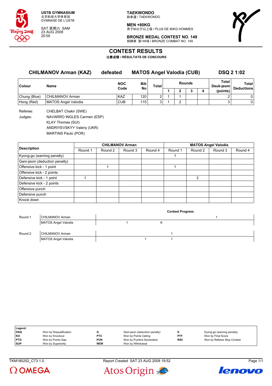

SAT 星期六 SAM 23 AUG 2008 20:00

**TAEKWONDO** 跆拳道 / TAEKWONDO

**MEN +80KG** -------<br>男子80公斤以上级 / PLUS DE 80KG HOMMES



**BRONZE MEDAL CONTEST NO. 149** 铜牌赛 第149场 / BRONZE COMBAT NO. 149

# **CONTEST RESULTS**

比赛成绩 **/ RÉSULTATS DE CONCOURS**

| <b>CHILMANOV Arman (KAZ)</b> |                     | <b>MATOS Angel Valodia (CUB)</b><br>defeated |                  |   |       |               |  | <b>DSQ 2 1:02</b> |                    |                            |
|------------------------------|---------------------|----------------------------------------------|------------------|---|-------|---------------|--|-------------------|--------------------|----------------------------|
| Colour                       | Name                | <b>NOC</b><br>Code                           | <b>Bib</b><br>No |   | Total | <b>Rounds</b> |  |                   | Total<br>Deuk-jeom | Total<br><b>Deductions</b> |
|                              |                     |                                              |                  |   |       |               |  | 4                 | (points)           |                            |
| Chung (Blue)                 | CHILMANOV Arman     | <b>KAZ</b>                                   | 120              | ົ |       |               |  |                   |                    | 01                         |
| Hong (Red)                   | MATOS Angel Valodia | <b>CUB</b>                                   | 115              | C |       |               |  |                   | っ                  | $\Omega$                   |

Referee: CHELBAT Chakir (SWE) Judges: NAVARRO INGLES Carmen (ESP) KLAY Thomas (SUI) ANDRIYEVSKYY Valeriy (UKR) MARTINS Paulo (POR)

|                              |         |         | <b>CHILMANOV Arman</b> |         | <b>MATOS Angel Valodia</b> |         |         |         |  |
|------------------------------|---------|---------|------------------------|---------|----------------------------|---------|---------|---------|--|
| <b>Description</b>           | Round 1 | Round 2 | Round 3                | Round 4 | Round 1                    | Round 2 | Round 3 | Round 4 |  |
| Kyong-go (warning penalty)   |         |         |                        |         |                            |         |         |         |  |
| Gam-jeom (deduction penalty) |         |         |                        |         |                            |         |         |         |  |
| Offensive kick - 1 point     |         |         |                        |         |                            |         |         |         |  |
| Offensive kick - 2 points    |         |         |                        |         |                            |         |         |         |  |
| Defensive kick - 1 point     |         |         |                        |         |                            | 2       |         |         |  |
| Defensive kick - 2 points    |         |         |                        |         |                            |         |         |         |  |
| Offensive punch              |         |         |                        |         |                            |         |         |         |  |
| Defensive punch              |         |         |                        |         |                            |         |         |         |  |
| Knock down                   |         |         |                        |         |                            |         |         |         |  |

|         |                     | <b>Contest Progress</b> |  |  |  |  |  |  |  |
|---------|---------------------|-------------------------|--|--|--|--|--|--|--|
| Round 1 | CHILMANOV Arman     |                         |  |  |  |  |  |  |  |
|         | MATOS Angel Valodia |                         |  |  |  |  |  |  |  |
|         |                     |                         |  |  |  |  |  |  |  |
| Round 2 | CHILMANOV Arman     |                         |  |  |  |  |  |  |  |
|         | MATOS Angel Valodia |                         |  |  |  |  |  |  |  |

| Legend:    |                         |            |                              |            |                             |
|------------|-------------------------|------------|------------------------------|------------|-----------------------------|
| <b>DSQ</b> | Won by Disqualification |            | Gam-jeom (deduction penalty) |            | Kyong-go (warning penalty)  |
| l KO       | Won by Knockout         | <b>PTC</b> | Won by Points Ceiling        | <b>PTF</b> | Won by Final Score          |
| <b>PTG</b> | Won by Points Gap       | <b>PUN</b> | Won by Punitive Declaration  | <b>RSC</b> | Won by Referee Stop Contest |
| <b>SUP</b> | Won by Superiority      | <b>WDR</b> | Won by Withdrawal            |            |                             |
|            |                         |            |                              |            |                             |



TKM180252\_C73 1.0 Report Created SAT 23 AUG 2008 19:52 Page 1/1



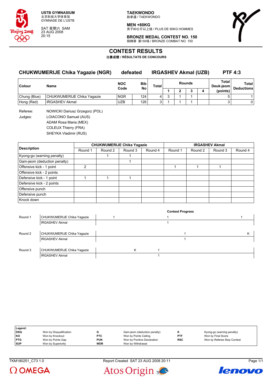

SAT 星期六 SAM 23 AUG 2008 20:15

**TAEKWONDO** 跆拳道 / TAEKWONDO

**MEN +80KG** -------<br>男子80公斤以上级 / PLUS DE 80KG HOMMES

**BRONZE MEDAL CONTEST NO. 150** 铜牌赛 第150场 / BRONZE COMBAT NO. 150



**CONTEST RESULTS**

比赛成绩 **/ RÉSULTATS DE CONCOURS**

### **CHUKWUMERIJE Chika Yagazie (NGR) defeated IRGASHEV Akmal (UZB) PTF 4:3**

| <b>Colour</b> | Name                       | <b>NOC</b><br><b>Bib</b><br>No<br>Code |     | Total |  |  | <b>Rounds</b> |  | Total<br>Deuk-jeom | Total<br><b>Deductions</b> |
|---------------|----------------------------|----------------------------------------|-----|-------|--|--|---------------|--|--------------------|----------------------------|
|               |                            |                                        |     |       |  |  |               |  | (points)           |                            |
| Chung (Blue)  | CHUKWUMERIJE Chika Yaqazie | <b>NGR</b>                             | 124 |       |  |  |               |  |                    |                            |
| Hong (Red)    | <b>IRGASHEV Akmal</b>      | <b>UZB</b>                             | 126 |       |  |  |               |  |                    |                            |

Referee: NOWICKI Dariusz Grzegorz (POL) Judges: LOIACONO Samuel (AUS) ADAM Rosa Maria (MEX) COLEUX Thierry (FRA) SHEYKA Vladimir (RUS)

|                              |         |         | <b>CHUKWUMERIJE Chika Yagazie</b> |         | <b>IRGASHEV Akmal</b> |         |         |         |  |
|------------------------------|---------|---------|-----------------------------------|---------|-----------------------|---------|---------|---------|--|
| <b>Description</b>           | Round 1 | Round 2 | Round 3                           | Round 4 | Round 1               | Round 2 | Round 3 | Round 4 |  |
| Kyong-go (warning penalty)   |         |         |                                   |         |                       |         |         |         |  |
| Gam-jeom (deduction penalty) |         |         |                                   |         |                       |         |         |         |  |
| Offensive kick - 1 point     |         |         |                                   |         |                       |         |         |         |  |
| Offensive kick - 2 points    |         |         |                                   |         |                       |         |         |         |  |
| Defensive kick - 1 point     |         |         |                                   |         |                       |         |         |         |  |
| Defensive kick - 2 points    |         |         |                                   |         |                       |         |         |         |  |
| Offensive punch              |         |         |                                   |         |                       |         |         |         |  |
| Defensive punch              |         |         |                                   |         |                       |         |         |         |  |
| Knock down                   |         |         |                                   |         |                       |         |         |         |  |

|         |                            |   | <b>Contest Progress</b> |   |
|---------|----------------------------|---|-------------------------|---|
| Round 1 | CHUKWUMERIJE Chika Yagazie |   |                         |   |
|         | <b>IRGASHEV Akmal</b>      |   |                         |   |
|         |                            |   |                         |   |
| Round 2 | CHUKWUMERIJE Chika Yagazie |   |                         | ĸ |
|         | <b>IRGASHEV Akmal</b>      |   |                         |   |
|         |                            |   |                         |   |
| Round 3 | CHUKWUMERIJE Chika Yagazie | Κ |                         |   |
|         | <b>IRGASHEV Akmal</b>      |   |                         |   |

| Legend:    |                         |            |                              |            |                             |
|------------|-------------------------|------------|------------------------------|------------|-----------------------------|
| DSQ        | Won by Disqualification |            | Gam-jeom (deduction penalty) |            | Kyong-go (warning penalty)  |
| KO         | Won by Knockout         | <b>PTC</b> | Won by Points Ceiling        | <b>PTF</b> | Won by Final Score          |
| <b>PTG</b> | Won by Points Gap       | <b>PUN</b> | Won by Punitive Declaration  | <b>RSC</b> | Won by Referee Stop Contest |
| <b>SUP</b> | Won by Superiority      | <b>WDR</b> | Won by Withdrawal            |            |                             |

TKM180251\_C73 1.0 Report Created SAT 23 AUG 2008 20:11 Page 1/1

Atos Origin



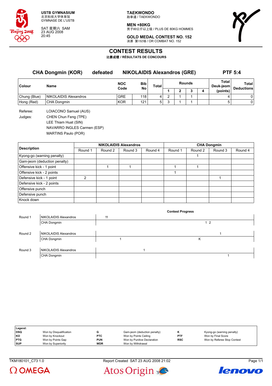

SAT 星期六 SAM 23 AUG 2008 20:45

**TAEKWONDO** 跆拳道 / TAEKWONDO

**MEN +80KG** -------<br>男子80公斤以上级 / PLUS DE 80KG HOMMES



**GOLD MEDAL CONTEST NO. 152** 决赛 第152场 / OR COMBAT NO. 152

### **CONTEST RESULTS**

比赛成绩 **/ RÉSULTATS DE CONCOURS**

**CHA Dongmin (KOR) defeated NIKOLAIDIS Alexandros (GRE) PTF 5:4 Colour Name NOC Code Bib No Total Rounds Total Deuk-jeom Total Deductions 1 2 3 4 (points)** Chung (Blue) NIKOLAIDIS Alexandros GRE | 118 4 2 1 1 1 | 4 0 Hong (Red) CHA Dongmin KOR 121 5 3 1 1 1 5 0 Referee: LOIACONO Samuel (AUS) Judges: CHEN Chun Feng (TPE)

LEE Thiam Huat (SIN) NAVARRO INGLES Carmen (ESP)

MARTINS Paulo (POR)

|                              |         |         | <b>NIKOLAIDIS Alexandros</b> |         | <b>CHA Dongmin</b> |         |         |         |  |
|------------------------------|---------|---------|------------------------------|---------|--------------------|---------|---------|---------|--|
| <b>Description</b>           | Round 1 | Round 2 | Round 3                      | Round 4 | Round 1            | Round 2 | Round 3 | Round 4 |  |
| Kyong-go (warning penalty)   |         |         |                              |         |                    |         |         |         |  |
| Gam-jeom (deduction penalty) |         |         |                              |         |                    |         |         |         |  |
| Offensive kick - 1 point     |         |         |                              |         |                    |         |         |         |  |
| Offensive kick - 2 points    |         |         |                              |         |                    |         |         |         |  |
| Defensive kick - 1 point     | 2       |         |                              |         |                    |         |         |         |  |
| Defensive kick - 2 points    |         |         |                              |         |                    |         |         |         |  |
| Offensive punch              |         |         |                              |         |                    |         |         |         |  |
| Defensive punch              |         |         |                              |         |                    |         |         |         |  |
| Knock down                   |         |         |                              |         |                    |         |         |         |  |

|         |                              |    | <b>Contest Progress</b> |           |  |
|---------|------------------------------|----|-------------------------|-----------|--|
| Round 1 | NIKOLAIDIS Alexandros        | 11 |                         |           |  |
|         | CHA Dongmin                  |    |                         | $1\quad2$ |  |
|         |                              |    |                         |           |  |
| Round 2 | NIKOLAIDIS Alexandros        |    |                         |           |  |
|         | CHA Dongmin                  |    |                         | Κ         |  |
|         |                              |    |                         |           |  |
| Round 3 | <b>NIKOLAIDIS Alexandros</b> |    |                         |           |  |
|         | CHA Dongmin                  |    |                         |           |  |

| Legend:    |                         |            |                              |            |                             |
|------------|-------------------------|------------|------------------------------|------------|-----------------------------|
| <b>DSQ</b> | Won by Disqualification |            | Gam-jeom (deduction penalty) |            | Kyong-go (warning penalty)  |
| <b>KO</b>  | Won by Knockout         | <b>PTC</b> | Won by Points Ceiling        | <b>PTF</b> | Won by Final Score          |
| <b>PTG</b> | Won by Points Gap       | <b>PUN</b> | Won by Punitive Declaration  | <b>RSC</b> | Won by Referee Stop Contest |
| <b>SUP</b> | Won by Superiority      | <b>WDR</b> | Won by Withdrawal            |            |                             |

TKM180101 C73 1.0 Report Created SAT 23 AUG 2008 21:02 Page 1/1

Atos Origin





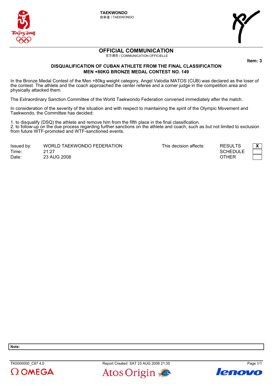

**TAEKWONDO** 跆拳道 / TAEKWONDO



# **OFFICIAL COMMUNICATION**

官方通告 / COMMUNICATION OFFICIELLE

**ltem: 3** 

### **DISQUALIFICATION OF CUBAN ATHLETE FROM THE FINAL CLASSIFICATION MEN +80KG BRONZE MEDAL CONTEST NO. 149**

In the Bronze Medal Contest of the Men +80kg weight category, Angel Valodia MATOS (CUB) was declared as the loser of WHE ENTERTMENT CONSULTED THE MELTIC COMBINISHING SURPRISH CONSULTING THE COMBINED THAT IS CONSULTED THE MELTIC<br>the contest. The athlete and the coach approached the center referee and a corner judge in the competition area physically attacked them.

The Extraordinary Sanction Committee of the World Taekwondo Federation convened immediately after the match.

In consideration of the severity of the situation and with respect to maintaining the spirit of the Olympic Movement and Taekwondo, the Committee has decided:

1. to disqualify (DSQ) the athlete and remove him from the fifth place in the final classification. 2. to follow-up on the due process regarding further sanctions on the athlete and coach, such as but not limited to exclusion from future WTF-promoted and WTF-sanctioned events.

| Issued by: | WORLD TAEKWONDO FEDERATION |
|------------|----------------------------|
| Time:      | 21:27                      |
| Date:      | 23 AUG 2008                |

This decision affects: **RESULTS** 



**Note:** 



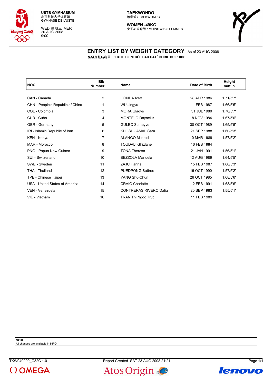

WED 星期三 MER 20 AUG 2008 9:00

#### **TAEKWONDO** 跆拳道 / TAEKWONDO

**WOMEN -49KG** 女子49公斤级 / MOINS 49KG FEMMES



### **ENTRY LIST BY WEIGHT CATEGORY** As of 23 AUG 2008 各级别报名名单 **/ LISTE D'ENTRÉE PAR CATÉGORIE DU POIDS**

| <b>NOC</b>                       | <b>Bib</b><br><b>Number</b> | Name                          | Date of Birth | Height<br>$m$ /ft in |
|----------------------------------|-----------------------------|-------------------------------|---------------|----------------------|
|                                  |                             |                               |               |                      |
| CAN - Canada                     | 2                           | <b>GONDA Ivett</b>            | 28 APR 1986   | 1.71/5'7"            |
| CHN - People's Republic of China | 1                           | WU Jingyu                     | 1 FEB 1987    | 1.66/5'5"            |
| COL - Colombia                   | 3                           | <b>MORA Gladys</b>            | 31 JUL 1980   | 1.70/5'7"            |
| CUB - Cuba                       | 4                           | <b>MONTEJO Daynellis</b>      | 8 NOV 1984    | 1.67/5'6"            |
| <b>GER</b> - Germany             | 5                           | <b>GULEC Sumeyye</b>          | 30 OCT 1989   | 1.65/5'5"            |
| IRI - Islamic Republic of Iran   | 6                           | KHOSH JAMAL Sara              | 21 SEP 1988   | 1.60/5'3"            |
| KEN - Kenya                      | 7                           | <b>ALANGO Mildred</b>         | 10 MAR 1989   | 1.57/5'2"            |
| MAR - Morocco                    | 8                           | <b>TOUDALI Ghizlane</b>       | 16 FEB 1984   |                      |
| PNG - Papua New Guinea           | 9                           | <b>TONA Theresa</b>           | 21 JAN 1991   | 1.56/5'1"            |
| SUI - Switzerland                | 10                          | BEZZOLA Manuela               | 12 AUG 1989   | 1.64/5'5"            |
| SWE - Sweden                     | 11                          | ZAJC Hanna                    | 15 FEB 1987   | 1.60/5'3"            |
| THA - Thailand                   | 12                          | <b>PUEDPONG Buttree</b>       | 16 OCT 1990   | 1.57/5'2"            |
| TPE - Chinese Taipei             | 13                          | YANG Shu-Chun                 | 26 OCT 1985   | 1.68/5'6"            |
| USA - United States of America   | 14                          | <b>CRAIG Charlotte</b>        | 2 FEB 1991    | 1.68/5'6"            |
| VEN - Venezuela                  | 15                          | <b>CONTRERAS RIVERO Dalia</b> | 20 SEP 1983   | 1.55/5'1"            |
| VIE - Vietnam                    | 16                          | TRAN Thi Ngoc Truc            | 11 FEB 1989   |                      |
|                                  |                             |                               |               |                      |

**Note:**

All changes are available in INFO





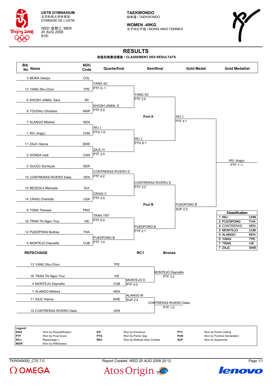

WED 星期三 MER 20 AUG 2008 9:00

**TAEKWONDO** 跆拳道 / TAEKWONDO

**WOMEN -49KG** 女子49公斤级 / MOINS 49KG FEMMES



# **RESULTS**

### 各级别竞赛成绩表 **/ CLASSEMENT DES RÉSULTATS**



| <b>DSQ</b> | Won by Disqualification | ĸо         | Won by Knockout             | <b>PTC</b> | Won by Points Ceiling       |
|------------|-------------------------|------------|-----------------------------|------------|-----------------------------|
| <b>PTF</b> | Won by Final Score      | <b>PTG</b> | Won by Points Gap           | <b>PUN</b> | Won by Punitive Declaration |
| <b>RCn</b> | Repechage n             | <b>RSC</b> | Won by Referee Stop Contest | <b>SUP</b> | Won by Superiority          |
| <b>WDR</b> | Won by Withdrawal       |            |                             |            |                             |





TKW049000\_C75 7.0 Report Created WED 20 AUG 2008 20:12 Page 1/1

Atos Origin

lenovo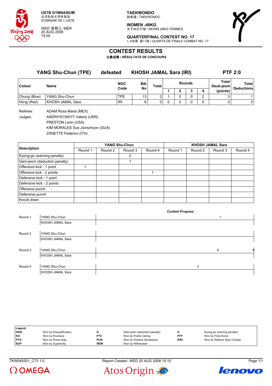

WED 星期三 MER 20 AUG 2008 15:00

**TAEKWONDO** 跆拳道 / TAEKWONDO

**WOMEN -49KG** 女子49公斤级 / MOINS 49KG FEMMES



**QUARTERFINAL CONTEST NO. 17** 1/4决赛 第17场 / QUARTS DE FINALE COMBAT NO. 17

### **CONTEST RESULTS**

比赛成绩 **/ RÉSULTATS DE CONCOURS**

| <b>YANG Shu-Chun (TPE)</b> |                  | defeated           | <b>KHOSH JAMAL Sara (IRI)</b> |       |               |   |  |   | <b>PTF 2:0</b>     |                            |  |
|----------------------------|------------------|--------------------|-------------------------------|-------|---------------|---|--|---|--------------------|----------------------------|--|
| Colour<br><b>Name</b>      |                  | <b>NOC</b><br>Code | <b>Bib</b><br>No              | Total | <b>Rounds</b> |   |  |   | Total<br>Deuk-jeom | Total<br><b>Deductions</b> |  |
|                            |                  |                    |                               |       |               | o |  | 4 | (points)           |                            |  |
| Chung (Blue)               | YANG Shu-Chun    | TPE.               | 13 <sub>1</sub>               | ົ     |               | 0 |  | ົ |                    |                            |  |
| Hong (Red)                 | KHOSH JAMAL Sara | <b>IRI</b>         | 6                             | 0     |               | 0 |  | 0 |                    |                            |  |

Referee: ADAM Rosa Maria (MEX) Judges: ANDRIYEVSKYY Valeriy (UKR) PRESTON Leon (USA) KIM MORALES Sue Jionschyon (GUA) ZANETTE Federico (ITA)

|                              |         |         | YANG Shu-Chun |         | <b>KHOSH JAMAL Sara</b> |         |         |         |  |
|------------------------------|---------|---------|---------------|---------|-------------------------|---------|---------|---------|--|
| <b>Description</b>           | Round 1 | Round 2 | Round 3       | Round 4 | Round 1                 | Round 2 | Round 3 | Round 4 |  |
| Kyong-go (warning penalty)   |         |         | 2             |         |                         |         |         |         |  |
| Gam-jeom (deduction penalty) |         |         |               |         |                         |         |         |         |  |
| Offensive kick - 1 point     |         |         |               |         |                         |         |         |         |  |
| Offensive kick - 2 points    |         |         |               |         |                         |         |         |         |  |
| Defensive kick - 1 point     |         |         |               |         |                         |         |         |         |  |
| Defensive kick - 2 points    |         |         |               |         |                         |         |         |         |  |
| Offensive punch              |         |         |               |         |                         |         |         |         |  |
| Defensive punch              |         |         |               |         |                         |         |         |         |  |
| Knock down                   |         |         |               |         |                         |         |         |         |  |

|         |                         | <b>Contest Progress</b> |   |   |
|---------|-------------------------|-------------------------|---|---|
| Round 1 | YANG Shu-Chun           |                         |   |   |
|         | KHOSH JAMAL Sara        |                         |   |   |
|         |                         |                         |   |   |
| Round 2 | YANG Shu-Chun           |                         |   |   |
|         | <b>KHOSH JAMAL Sara</b> |                         |   |   |
|         |                         |                         |   |   |
| Round 3 | YANG Shu-Chun           |                         | K | к |
|         | KHOSH JAMAL Sara        |                         |   |   |
|         |                         |                         |   |   |
| Round 4 | YANG Shu-Chun           | 2                       |   |   |
|         | <b>KHOSH JAMAL Sara</b> |                         |   |   |

| Legend:    |                         |            |                              |            |                             |
|------------|-------------------------|------------|------------------------------|------------|-----------------------------|
| <b>DSQ</b> | Won by Disqualification |            | Gam-jeom (deduction penalty) |            | Kyong-go (warning penalty)  |
| KO         | Won by Knockout         | <b>PTC</b> | Won by Points Ceiling        | <b>PTF</b> | Won by Final Score          |
| <b>PTG</b> | Won by Points Gap       | <b>PUN</b> | Won by Punitive Declaration  | <b>RSC</b> | Won by Referee Stop Contest |
| <b>SUP</b> | Won by Superiority      | <b>WDR</b> | Won by Withdrawal            |            |                             |

 $\Omega$  OMEGA





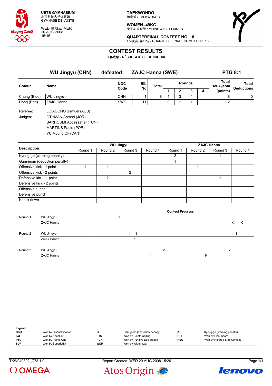

WED 星期三 MER 20 AUG 2008 15:15

**TAEKWONDO** 跆拳道 / TAEKWONDO

**WOMEN -49KG** 女子49公斤级 / MOINS 49KG FEMMES



**QUARTERFINAL CONTEST NO. 18** 1/4决赛 第18场 / QUARTS DE FINALE COMBAT NO. 18

### **CONTEST RESULTS**

比赛成绩 **/ RÉSULTATS DE CONCOURS**

|                     | <b>WU Jingyu (CHN)</b>                      | defeated   | <b>ZAJC Hanna (SWE)</b> |       |               |   |    |   | <b>PTG 8:1</b>     |                   |  |
|---------------------|---------------------------------------------|------------|-------------------------|-------|---------------|---|----|---|--------------------|-------------------|--|
| <b>Colour</b>       | Name                                        | <b>NOC</b> | <b>Bib</b>              | Total | <b>Rounds</b> |   |    |   | Total<br>Deuk-jeom | Total             |  |
|                     |                                             | Code       | No                      |       |               |   | J. | 4 | (points)           | <b>Deductions</b> |  |
| Chung (Blue)        | <b>WU Jingyu</b>                            | <b>CHN</b> |                         | 8     |               | 3 | 4  |   | 8                  | 0                 |  |
| Hong (Red)          | ZAJC Hanna                                  | <b>SWE</b> | 1                       |       | 0             |   |    |   |                    | 1.                |  |
| Referee:<br>Judges: | LOIACONO Samuel (AUS)<br>OTHMAN Ahmad (JOR) |            |                         |       |               |   |    |   |                    |                   |  |

BARHOUMI Abdessattar (TUN)

MARTINS Paulo (POR) YU Myung Ok (CAN)

**Description WU Jingyu ZAJC Hanna** Round 1 | Round 2 | Round 3 | Round 4 | Round 1 | Round 2 | Round 3 | Round 4 Kyong-go (warning penalty) and the contract of the contract of the contract of the contract of the contract of the contract of the contract of the contract of the contract of the contract of the contract of the contract of Gam-jeom (deduction penalty) 1 Offensive kick - 1 point 1 1 1 Offensive kick - 2 points 2 Defensive kick - 1 point 2 1 Defensive kick - 2 points Offensive punch Defensive punch Knock down

|         |            | <b>Contest Progress</b>  |        |
|---------|------------|--------------------------|--------|
| Round 1 | WU Jingyu  |                          |        |
|         | ZAJC Hanna |                          | K<br>К |
|         |            |                          |        |
| Round 2 | WU Jingyu  | $\overline{\phantom{a}}$ |        |
|         | ZAJC Hanna |                          |        |
|         |            |                          |        |
| Round 3 | WU Jingyu  | 2                        | 2      |
|         | ZAJC Hanna |                          | κ      |

| Legend:    |                         |            |                              |            |                             |
|------------|-------------------------|------------|------------------------------|------------|-----------------------------|
| <b>DSQ</b> | Won by Disqualification |            | Gam-jeom (deduction penalty) |            | Kyong-go (warning penalty)  |
| l KO       | Won by Knockout         | <b>PTC</b> | Won by Points Ceiling        | PTF        | Won by Final Score          |
| <b>PTG</b> | Won by Points Gap       | <b>PUN</b> | Won by Punitive Declaration  | <b>RSC</b> | Won by Referee Stop Contest |
| <b>SUP</b> | Won by Superiority      | <b>WDR</b> | Won by Withdrawal            |            |                             |



Atos Origin



lenovo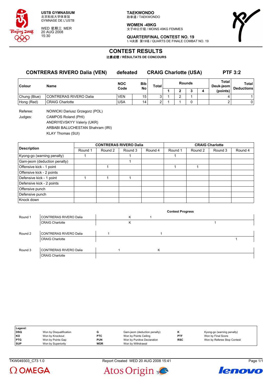

WED 星期三 MER 20 AUG 2008 15:30

**TAEKWONDO** 跆拳道 / TAEKWONDO

**WOMEN -49KG** 女子49公斤级 / MOINS 49KG FEMMES



**QUARTERFINAL CONTEST NO. 19** 1/4决赛 第19场 / QUARTS DE FINALE COMBAT NO. 19

### **CONTEST RESULTS**

比赛成绩 **/ RÉSULTATS DE CONCOURS**

### **CONTRERAS RIVERO Dalia (VEN) defeated CRAIG Charlotte (USA) PTF 3:2**

| <b>Colour</b> | Name                   | <b>NOC</b><br>Code | Bib<br>No | Total | <b>Rounds</b> |  |  |  | Total<br>Deuk-jeom | Total<br><b>Deductions</b> |
|---------------|------------------------|--------------------|-----------|-------|---------------|--|--|--|--------------------|----------------------------|
|               |                        |                    |           |       |               |  |  |  | (points)           |                            |
| Chung (Blue)  | CONTRERAS RIVERO Dalia | <b>VEN</b>         | 15        | ⌒     |               |  |  |  |                    |                            |
| Hong (Red)    | <b>CRAIG Charlotte</b> | USA                | 14        | ⌒     |               |  |  |  |                    |                            |

Referee: NOWICKI Dariusz Grzegorz (POL) Judges: CAMPOS Roland (PHI) ANDRIYEVSKYY Valeriy (UKR) ARBABI BALUCHESTAN Shahram (IRI)

KLAY Thomas (SUI)

|                              |         | <b>CONTRERAS RIVERO Dalia</b> |         |         | <b>CRAIG Charlotte</b> |         |         |         |  |
|------------------------------|---------|-------------------------------|---------|---------|------------------------|---------|---------|---------|--|
| <b>Description</b>           | Round 1 | Round 2                       | Round 3 | Round 4 | Round 1                | Round 2 | Round 3 | Round 4 |  |
| Kyong-go (warning penalty)   |         |                               |         |         |                        |         |         |         |  |
| Gam-jeom (deduction penalty) |         |                               |         |         |                        |         |         |         |  |
| Offensive kick - 1 point     |         |                               |         |         |                        |         |         |         |  |
| Offensive kick - 2 points    |         |                               |         |         |                        |         |         |         |  |
| Defensive kick - 1 point     |         |                               |         |         |                        |         |         |         |  |
| Defensive kick - 2 points    |         |                               |         |         |                        |         |         |         |  |
| Offensive punch              |         |                               |         |         |                        |         |         |         |  |
| Defensive punch              |         |                               |         |         |                        |         |         |         |  |
| Knock down                   |         |                               |         |         |                        |         |         |         |  |

|         |                        |   |   | <b>Contest Progress</b> |  |
|---------|------------------------|---|---|-------------------------|--|
| Round 1 | CONTRERAS RIVERO Dalia | Κ |   |                         |  |
|         | <b>CRAIG Charlotte</b> | Κ |   |                         |  |
|         |                        |   |   |                         |  |
| Round 2 | CONTRERAS RIVERO Dalia |   |   |                         |  |
|         | <b>CRAIG Charlotte</b> |   |   |                         |  |
|         |                        |   |   |                         |  |
| Round 3 | CONTRERAS RIVERO Dalia |   | K |                         |  |
|         | <b>CRAIG Charlotte</b> |   |   |                         |  |

| Legend:    |                         |            |                              |            |                             |
|------------|-------------------------|------------|------------------------------|------------|-----------------------------|
| <b>DSQ</b> | Won by Disqualification |            | Gam-jeom (deduction penalty) |            | Kyong-go (warning penalty)  |
| KO         | Won by Knockout         | <b>PTC</b> | Won by Points Ceiling        | <b>PTF</b> | Won by Final Score          |
| <b>PTG</b> | Won by Points Gap       | <b>PUN</b> | Won by Punitive Declaration  | <b>RSC</b> | Won by Referee Stop Contest |
| <b>SUP</b> | Won by Superiority      | <b>WDR</b> | Won by Withdrawal            |            |                             |

 $\Omega$  OMEGA





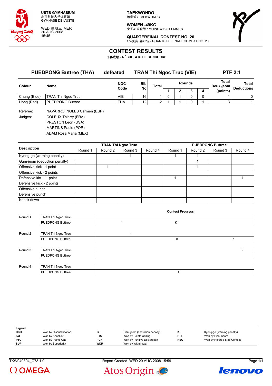

WED 星期三 MER 20 AUG 2008 15:45

**TAEKWONDO** 跆拳道 / TAEKWONDO

**WOMEN -49KG** 女子49公斤级 / MOINS 49KG FEMMES



**QUARTERFINAL CONTEST NO. 20** 1/4决赛 第20场 / QUARTS DE FINALE COMBAT NO. 20

### **CONTEST RESULTS**

比赛成绩 **/ RÉSULTATS DE CONCOURS**

| <b>PUEDPONG Buttree (THA)</b> |                             | defeated   | <b>TRAN Thi Ngoc Truc (VIE)</b> |       | <b>PTF 2:1</b> |   |               |   |                                |                                   |
|-------------------------------|-----------------------------|------------|---------------------------------|-------|----------------|---|---------------|---|--------------------------------|-----------------------------------|
| <b>Colour</b>                 | Name                        | <b>NOC</b> | <b>Bib</b><br>No                | Total |                |   | <b>Rounds</b> |   | Total<br>Deuk-jeom<br>(points) | <b>Total</b><br><b>Deductions</b> |
|                               |                             | Code       |                                 |       |                | 2 | з             | 4 |                                |                                   |
| Chung (Blue)                  | TRAN Thi Ngoc Truc          | <b>VIE</b> | 16                              |       | 0              |   |               | 0 |                                | 0                                 |
| Hong (Red)                    | <b>PUEDPONG Buttree</b>     | <b>THA</b> | 12                              | າ     |                |   |               |   |                                |                                   |
| Referee:                      | NAVARRO INGLES Carmen (ESP) |            |                                 |       |                |   |               |   |                                |                                   |
| andries.                      | COLELIX Thierry (FRA)       |            |                                 |       |                |   |               |   |                                |                                   |

Judges: COLEUX Thierry (FRA) PRESTON Leon (USA) MARTINS Paulo (POR)

ADAM Rosa Maria (MEX)

|                              |         |         | <b>TRAN Thi Ngoc Truc</b> |         | <b>PUEDPONG Buttree</b> |         |         |         |  |  |
|------------------------------|---------|---------|---------------------------|---------|-------------------------|---------|---------|---------|--|--|
| <b>Description</b>           | Round 1 | Round 2 | Round 3                   | Round 4 | Round 1                 | Round 2 | Round 3 | Round 4 |  |  |
| Kyong-go (warning penalty)   |         |         |                           |         |                         |         |         |         |  |  |
| Gam-jeom (deduction penalty) |         |         |                           |         |                         |         |         |         |  |  |
| Offensive kick - 1 point     |         |         |                           |         |                         |         |         |         |  |  |
| Offensive kick - 2 points    |         |         |                           |         |                         |         |         |         |  |  |
| Defensive kick - 1 point     |         |         |                           |         |                         |         |         |         |  |  |
| Defensive kick - 2 points    |         |         |                           |         |                         |         |         |         |  |  |
| Offensive punch              |         |         |                           |         |                         |         |         |         |  |  |
| Defensive punch              |         |         |                           |         |                         |         |         |         |  |  |
| Knock down                   |         |         |                           |         |                         |         |         |         |  |  |

|         |                         | <b>Contest Progress</b> |   |
|---------|-------------------------|-------------------------|---|
| Round 1 | TRAN Thi Ngoc Truc      |                         |   |
|         | <b>PUEDPONG Buttree</b> | Κ                       |   |
|         |                         |                         |   |
| Round 2 | TRAN Thi Ngoc Truc      |                         |   |
|         | <b>PUEDPONG Buttree</b> | Κ                       |   |
|         |                         |                         |   |
| Round 3 | TRAN Thi Ngoc Truc      |                         | K |
|         | <b>PUEDPONG Buttree</b> |                         |   |
|         |                         |                         |   |
| Round 4 | TRAN Thi Ngoc Truc      |                         |   |
|         | <b>PUEDPONG Buttree</b> |                         |   |

| Legend:    |                         |            |                              |            |                             |
|------------|-------------------------|------------|------------------------------|------------|-----------------------------|
| DSQ        | Won by Disqualification |            | Gam-jeom (deduction penalty) |            | Kyong-go (warning penalty)  |
| KO         | Won by Knockout         | <b>PTC</b> | Won by Points Ceiling        | <b>PTF</b> | Won by Final Score          |
| <b>PTG</b> | Won by Points Gap       | <b>PUN</b> | Won by Punitive Declaration  | <b>RSC</b> | Won by Referee Stop Contest |
| <b>SUP</b> | Won by Superiority      | <b>WDR</b> | Won by Withdrawal            |            |                             |

TKW049304\_C73 1.0 Report Created WED 20 AUG 2008 15:59 Page 1/1





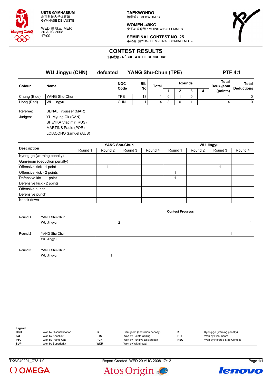

WED 星期三 MER 20 AUG 2008 17:00

**TAEKWONDO** 跆拳道 / TAEKWONDO

**WOMEN -49KG** 女子49公斤级 / MOINS 49KG FEMMES



**SEMIFINAL CONTEST NO. 25** 半决赛 第25场 / DEMI-FINAL COMBAT NO. 25

### **CONTEST RESULTS**

比赛成绩 **/ RÉSULTATS DE CONCOURS**

**WU Jingyu (CHN) defeated YANG Shu-Chun (TPE) PTF 4:1 Colour Name NOC Code Bib No Total Rounds Total Deuk-jeom Total Deductions 1 2 3 4 (points)** Chung (Blue) YANG Shu-Chun  $\vert$ TPE  $\vert$  13 1 0 1 0 1  $\vert$  1 0 1 1 0 1 Hong (Red) |WU Jingyu |CHN | 1 | 4 | 3 | 0 | 1 | 4 | 0 Referee: BENALI Youssef (MAR) Judges: YU Myung Ok (CAN) SHEYKA Vladimir (RUS) MARTINS Paulo (POR) LOIACONO Samuel (AUS)

|                              |         |         | YANG Shu-Chun |         | <b>WU Jingyu</b> |         |         |         |  |  |
|------------------------------|---------|---------|---------------|---------|------------------|---------|---------|---------|--|--|
| <b>Description</b>           | Round 1 | Round 2 | Round 3       | Round 4 | Round 1          | Round 2 | Round 3 | Round 4 |  |  |
| Kyong-go (warning penalty)   |         |         |               |         |                  |         |         |         |  |  |
| Gam-jeom (deduction penalty) |         |         |               |         |                  |         |         |         |  |  |
| Offensive kick - 1 point     |         |         |               |         |                  |         |         |         |  |  |
| Offensive kick - 2 points    |         |         |               |         |                  |         |         |         |  |  |
| Defensive kick - 1 point     |         |         |               |         |                  |         |         |         |  |  |
| Defensive kick - 2 points    |         |         |               |         |                  |         |         |         |  |  |
| Offensive punch              |         |         |               |         |                  |         |         |         |  |  |
| Defensive punch              |         |         |               |         |                  |         |         |         |  |  |
| Knock down                   |         |         |               |         |                  |         |         |         |  |  |

**Contest Progress**

| Legend:    |                         |            |                              |            |                             |
|------------|-------------------------|------------|------------------------------|------------|-----------------------------|
| <b>DSQ</b> | Won by Disqualification |            | Gam-jeom (deduction penalty) | n          | Kyong-go (warning penalty)  |
| KO         | Won by Knockout         | <b>PTC</b> | Won by Points Ceiling        | <b>PTF</b> | Won by Final Score          |
| <b>PTG</b> | Won by Points Gap       | <b>PUN</b> | Won by Punitive Declaration  | <b>RSC</b> | Won by Referee Stop Contest |
| <b>SUP</b> | Won by Superiority      | <b>WDR</b> | Won by Withdrawal            |            |                             |

TKW049201 C73 1.0 Report Created WED 20 AUG 2008 17:12 Page 1/1





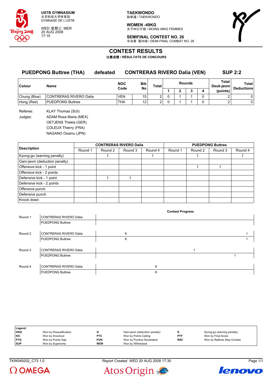

WED 星期三 MER 20 AUG 2008 17:15

**TAEKWONDO** 跆拳道 / TAEKWONDO

**WOMEN -49KG** 女子49公斤级 / MOINS 49KG FEMMES



**SEMIFINAL CONTEST NO. 26** 半决赛 第26场 / DEMI-FINAL COMBAT NO. 26

# **CONTEST RESULTS**

比赛成绩 **/ RÉSULTATS DE CONCOURS**

|              | <b>PUEDPONG Buttree (THA)</b> | defeated |                    | <b>CONTRERAS RIVERO Dalia (VEN)</b> |                |               |  |          |                    | <b>SUP 2:2</b>             |
|--------------|-------------------------------|----------|--------------------|-------------------------------------|----------------|---------------|--|----------|--------------------|----------------------------|
| Colour       | <b>Name</b>                   |          | <b>NOC</b><br>Code | <b>Bib</b><br>No                    | Total          | <b>Rounds</b> |  |          | Total<br>Deuk-ieom | Total<br><b>Deductions</b> |
|              |                               |          |                    |                                     |                |               |  | (points) |                    |                            |
| Chung (Blue) | <b>CONTRERAS RIVERO Dalia</b> |          | <b>VEN</b>         | 15 <sub>1</sub>                     | 2 <sub>1</sub> |               |  |          |                    |                            |

Hong (Red) PUEDPONG Buttree THA 12 2 0 1 1 0 2 0 Referee: KLAY Thomas (SUI) Judges: ADAM Rosa Maria (MEX) OETJENS Thekla (GER) COLEUX Thierry (FRA) NAGANO Osamu (JPN)

|                              |         | <b>CONTRERAS RIVERO Dalia</b> |         |         | <b>PUEDPONG Buttree</b> |         |         |         |  |
|------------------------------|---------|-------------------------------|---------|---------|-------------------------|---------|---------|---------|--|
| <b>Description</b>           | Round 1 | Round 2                       | Round 3 | Round 4 | Round 1                 | Round 2 | Round 3 | Round 4 |  |
| Kyong-go (warning penalty)   |         |                               |         |         |                         |         |         |         |  |
| Gam-jeom (deduction penalty) |         |                               |         |         |                         |         |         |         |  |
| Offensive kick - 1 point     |         |                               |         |         |                         |         |         |         |  |
| Offensive kick - 2 points    |         |                               |         |         |                         |         |         |         |  |
| Defensive kick - 1 point     |         |                               |         |         |                         |         |         |         |  |
| Defensive kick - 2 points    |         |                               |         |         |                         |         |         |         |  |
| Offensive punch              |         |                               |         |         |                         |         |         |         |  |
| Defensive punch              |         |                               |         |         |                         |         |         |         |  |
| Knock down                   |         |                               |         |         |                         |         |         |         |  |

|         |                         |   |   | <b>Contest Progress</b> |  |
|---------|-------------------------|---|---|-------------------------|--|
| Round 1 | CONTRERAS RIVERO Dalia  |   |   |                         |  |
|         | <b>PUEDPONG Buttree</b> |   |   |                         |  |
|         |                         |   |   |                         |  |
| Round 2 | CONTRERAS RIVERO Dalia  | K |   |                         |  |
|         | <b>PUEDPONG Buttree</b> | Κ |   |                         |  |
|         |                         |   |   |                         |  |
| Round 3 | CONTRERAS RIVERO Dalia  |   |   |                         |  |
|         | <b>PUEDPONG Buttree</b> |   |   |                         |  |
|         |                         |   |   |                         |  |
| Round 4 | CONTRERAS RIVERO Dalia  |   | K |                         |  |
|         | <b>PUEDPONG Buttree</b> |   | Κ |                         |  |

| Legend:    |                         |            |                              |            |                             |
|------------|-------------------------|------------|------------------------------|------------|-----------------------------|
| <b>DSQ</b> | Won by Disqualification |            | Gam-jeom (deduction penalty) |            | Kyong-go (warning penalty)  |
| l KO       | Won by Knockout         | <b>PTC</b> | Won by Points Ceiling        | <b>PTF</b> | Won by Final Score          |
| PTG        | Won by Points Gap       | <b>PUN</b> | Won by Punitive Declaration  | <b>RSC</b> | Won by Referee Stop Contest |
| <b>SUP</b> | Won by Superiority      | <b>WDR</b> | Won by Withdrawal            |            |                             |





Atos Origin

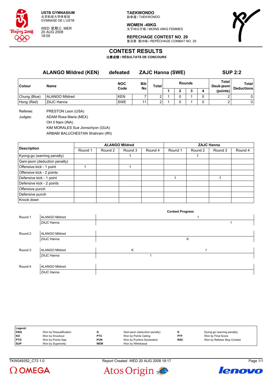

WED 星期三 MER 20 AUG 2008 18:00

**TAEKWONDO** 跆拳道 / TAEKWONDO

**WOMEN -49KG** 女子49公斤级 / MOINS 49KG FEMMES

**REPECHAGE CONTEST NO. 29** 复活赛 第29场 / REPÊCHAGE COMBAT NO. 29



# **CONTEST RESULTS**

比赛成绩 **/ RÉSULTATS DE CONCOURS**

|              | <b>ALANGO Mildred (KEN)</b> | defeated           |                         | <b>ZAJC Hanna (SWE)</b> |        |  | <b>SUP 2:2</b> |   |                    |                            |
|--------------|-----------------------------|--------------------|-------------------------|-------------------------|--------|--|----------------|---|--------------------|----------------------------|
| Colour       | Name                        | <b>NOC</b><br>Code | <b>Bib</b><br><b>No</b> | Total                   | Rounds |  |                |   | Total<br>Deuk-jeom | Total<br><b>Deductions</b> |
|              |                             |                    |                         |                         |        |  |                | 4 | (points)           |                            |
| Chung (Blue) | <b>ALANGO Mildred</b>       | <b>KEN</b>         |                         |                         |        |  |                |   |                    | 0                          |
| Hong (Red)   | <b>ZAJC Hanna</b>           | <b>SWE</b>         | 11                      | ົ                       |        |  |                | 0 |                    | 01                         |
|              |                             |                    |                         |                         |        |  |                |   |                    |                            |

Referee: PRESTON Leon (USA) Judges: ADAM Rosa Maria (MEX)

OH Il Nam (INA)

KIM MORALES Sue Jionschyon (GUA)

ARBABI BALUCHESTAN Shahram (IRI)

|                              |         |         | <b>ALANGO Mildred</b> |         | <b>ZAJC Hanna</b> |         |         |         |  |  |
|------------------------------|---------|---------|-----------------------|---------|-------------------|---------|---------|---------|--|--|
| <b>Description</b>           | Round 1 | Round 2 | Round 3               | Round 4 | Round 1           | Round 2 | Round 3 | Round 4 |  |  |
| Kyong-go (warning penalty)   |         |         |                       |         |                   |         |         |         |  |  |
| Gam-jeom (deduction penalty) |         |         |                       |         |                   |         |         |         |  |  |
| Offensive kick - 1 point     |         |         |                       |         |                   |         |         |         |  |  |
| Offensive kick - 2 points    |         |         |                       |         |                   |         |         |         |  |  |
| Defensive kick - 1 point     |         |         |                       |         |                   |         |         |         |  |  |
| Defensive kick - 2 points    |         |         |                       |         |                   |         |         |         |  |  |
| Offensive punch              |         |         |                       |         |                   |         |         |         |  |  |
| Defensive punch              |         |         |                       |         |                   |         |         |         |  |  |
| Knock down                   |         |         |                       |         |                   |         |         |         |  |  |

|         |                       |   | <b>Contest Progress</b> |  |
|---------|-----------------------|---|-------------------------|--|
| Round 1 | <b>ALANGO Mildred</b> |   |                         |  |
|         | ZAJC Hanna            |   |                         |  |
|         |                       |   |                         |  |
| Round 2 | <b>ALANGO Mildred</b> |   |                         |  |
|         | ZAJC Hanna            |   | Κ                       |  |
|         |                       |   |                         |  |
| Round 3 | <b>ALANGO Mildred</b> | Κ |                         |  |
|         | ZAJC Hanna            |   |                         |  |
|         |                       |   |                         |  |
| Round 4 | <b>ALANGO Mildred</b> |   |                         |  |
|         | ZAJC Hanna            |   |                         |  |

| Legend:    |                         |            |                              |            |                             |
|------------|-------------------------|------------|------------------------------|------------|-----------------------------|
| DSQ        | Won by Disqualification |            | Gam-jeom (deduction penalty) |            | Kyong-go (warning penalty)  |
| KO         | Won by Knockout         | <b>PTC</b> | Won by Points Ceiling        | PTF        | Won by Final Score          |
| <b>PTG</b> | Won by Points Gap       | <b>PUN</b> | Won by Punitive Declaration  | <b>RSC</b> | Won by Referee Stop Contest |
| <b>SUP</b> | Won by Superiority      | <b>WDR</b> | Won by Withdrawal            |            |                             |

TKW049352\_C73 1.0 Report Created WED 20 AUG 2008 18:17 Page 1/1





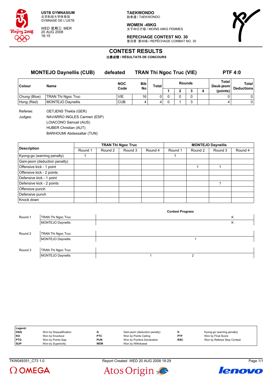

WED 星期三 MER 20 AUG 2008 18:15

**TAEKWONDO** 跆拳道 / TAEKWONDO

**WOMEN -49KG** 女子49公斤级 / MOINS 49KG FEMMES



**REPECHAGE CONTEST NO. 30** 复活赛 第30场 / REPÊCHAGE COMBAT NO. 30

### **CONTEST RESULTS**

比赛成绩 **/ RÉSULTATS DE CONCOURS**

| <b>MONTEJO Daynellis (CUB)</b> |            |                  |       | <b>PTF 4:0</b> |  |   |   |                                 |                   |
|--------------------------------|------------|------------------|-------|----------------|--|---|---|---------------------------------|-------------------|
| Name                           | <b>NOC</b> | <b>Bib</b>       | Total | <b>Rounds</b>  |  |   |   | <b>Total</b><br>Deuk-jeom       | Total             |
|                                |            |                  |       |                |  | ≏ | 4 | (points)                        | <b>Deductions</b> |
| TRAN Thi Ngoc Truc             | <b>VIE</b> | 16               |       |                |  | 0 |   |                                 |                   |
| MONTEJO Daynellis              | <b>CUB</b> |                  | 4     |                |  | 2 |   | 4                               |                   |
|                                |            | defeated<br>Code | No    |                |  |   |   | <b>TRAN Thi Ngoc Truc (VIE)</b> |                   |

Referee: OETJENS Thekla (GER) Judges: NAVARRO INGLES Carmen (ESP) LOIACONO Samuel (AUS) HUBER Christian (AUT) BARHOUMI Abdessattar (TUN)

|                              |         |         | <b>TRAN Thi Ngoc Truc</b> |         | <b>MONTEJO Daynellis</b> |         |         |         |  |
|------------------------------|---------|---------|---------------------------|---------|--------------------------|---------|---------|---------|--|
| <b>Description</b>           | Round 1 | Round 2 | Round 3                   | Round 4 | Round 1                  | Round 2 | Round 3 | Round 4 |  |
| Kyong-go (warning penalty)   |         |         |                           |         |                          |         |         |         |  |
| Gam-jeom (deduction penalty) |         |         |                           |         |                          |         |         |         |  |
| Offensive kick - 1 point     |         |         |                           |         |                          |         |         |         |  |
| Offensive kick - 2 points    |         |         |                           |         |                          |         |         |         |  |
| Defensive kick - 1 point     |         |         |                           |         |                          |         |         |         |  |
| Defensive kick - 2 points    |         |         |                           |         |                          |         |         |         |  |
| Offensive punch              |         |         |                           |         |                          |         |         |         |  |
| Defensive punch              |         |         |                           |         |                          |         |         |         |  |
| Knock down                   |         |         |                           |         |                          |         |         |         |  |

|         |                    |  | <b>Contest Progress</b> |   |
|---------|--------------------|--|-------------------------|---|
| Round 1 | TRAN Thi Ngoc Truc |  |                         | K |
|         | MONTEJO Daynellis  |  |                         | Κ |
|         |                    |  |                         |   |
| Round 2 | TRAN Thi Ngoc Truc |  |                         |   |
|         | MONTEJO Daynellis  |  |                         |   |
|         |                    |  |                         |   |
| Round 3 | TRAN Thi Ngoc Truc |  |                         |   |
|         | MONTEJO Daynellis  |  |                         |   |

| Legend:    |                         |            |                              |            |                             |
|------------|-------------------------|------------|------------------------------|------------|-----------------------------|
| <b>DSQ</b> | Won by Disqualification |            | Gam-jeom (deduction penalty) |            | Kyong-go (warning penalty)  |
| KO         | Won by Knockout         | <b>PTC</b> | Won by Points Ceiling        | PTF        | Won by Final Score          |
| <b>PTG</b> | Won by Points Gap       | <b>PUN</b> | Won by Punitive Declaration  | <b>RSC</b> | Won by Referee Stop Contest |
| <b>SUP</b> | Won by Superiority      | <b>WDR</b> | Won by Withdrawal            |            |                             |

 $\Omega$  OMEGA



lenovo

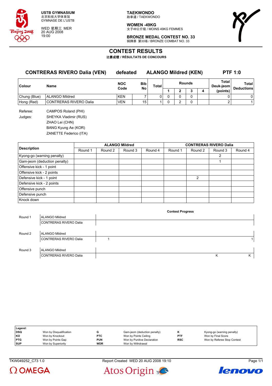

WED 星期三 MER 20 AUG 2008 19:00

**TAEKWONDO** 跆拳道 / TAEKWONDO

**WOMEN -49KG** 女子49公斤级 / MOINS 49KG FEMMES



**BRONZE MEDAL CONTEST NO. 33** 铜牌赛 第33场 / BRONZE COMBAT NO. 33

### **CONTEST RESULTS**

比赛成绩 **/ RÉSULTATS DE CONCOURS**

### **CONTRERAS RIVERO Dalia (VEN) defeated ALANGO Mildred (KEN) PTF 1:0**

**Contest Progress**

| Colour       | <b>NOC</b><br>Name<br>Code |            | <b>Bib</b><br>No |  |  | <b>Rounds</b> |   | Total<br>Deuk-jeom | Total<br><b>Deductions</b> |
|--------------|----------------------------|------------|------------------|--|--|---------------|---|--------------------|----------------------------|
|              |                            |            |                  |  |  |               | 4 | (points)           |                            |
| Chung (Blue) | ALANGO Mildred             | <b>KEN</b> |                  |  |  |               |   |                    | 0                          |
| Hong (Red)   | CONTRERAS RIVERO Dalia     | <b>VEN</b> | 15               |  |  |               |   |                    |                            |
|              |                            |            |                  |  |  |               |   |                    |                            |

Referee: CAMPOS Roland (PHI) Judges: SHEYKA Vladimir (RUS) ZHAO Lei (CHN) BANG Kyung Ae (KOR) ZANETTE Federico (ITA)

|                              |         |         | <b>ALANGO Mildred</b> |         | <b>CONTRERAS RIVERO Dalia</b> |         |         |         |  |  |
|------------------------------|---------|---------|-----------------------|---------|-------------------------------|---------|---------|---------|--|--|
| <b>Description</b>           | Round 1 | Round 2 | Round 3               | Round 4 | Round 1                       | Round 2 | Round 3 | Round 4 |  |  |
| Kyong-go (warning penalty)   |         |         |                       |         |                               |         | 2       |         |  |  |
| Gam-jeom (deduction penalty) |         |         |                       |         |                               |         |         |         |  |  |
| Offensive kick - 1 point     |         |         |                       |         |                               |         |         |         |  |  |
| Offensive kick - 2 points    |         |         |                       |         |                               |         |         |         |  |  |
| Defensive kick - 1 point     |         |         |                       |         |                               | 2       |         |         |  |  |
| Defensive kick - 2 points    |         |         |                       |         |                               |         |         |         |  |  |
| Offensive punch              |         |         |                       |         |                               |         |         |         |  |  |
| Defensive punch              |         |         |                       |         |                               |         |         |         |  |  |
| Knock down                   |         |         |                       |         |                               |         |         |         |  |  |

| Round 1 | <b>ALANGO Mildred</b>  |  |  |   |
|---------|------------------------|--|--|---|
|         | CONTRERAS RIVERO Dalia |  |  |   |
|         |                        |  |  |   |
| Round 2 | <b>ALANGO Mildred</b>  |  |  |   |
|         | CONTRERAS RIVERO Dalia |  |  |   |
|         |                        |  |  |   |
| Round 3 | <b>ALANGO Mildred</b>  |  |  |   |
|         | CONTRERAS RIVERO Dalia |  |  | K |
|         |                        |  |  |   |

| Legend:    |                         |            |                              |            |                             |
|------------|-------------------------|------------|------------------------------|------------|-----------------------------|
| DSQ        | Won by Disqualification |            | Gam-jeom (deduction penalty) |            | Kyong-go (warning penalty)  |
| l KO       | Won by Knockout         | <b>PTC</b> | Won by Points Ceiling        | <b>PTF</b> | Won by Final Score          |
| <b>PTG</b> | Won by Points Gap       | PUN        | Won by Punitive Declaration  | <b>RSC</b> | Won by Referee Stop Contest |
| <b>SUP</b> | Won by Superiority      | <b>WDR</b> | Won by Withdrawal            |            |                             |



TKW049252\_C73 1.0 Report Created WED 20 AUG 2008 19:10 Page 1/1



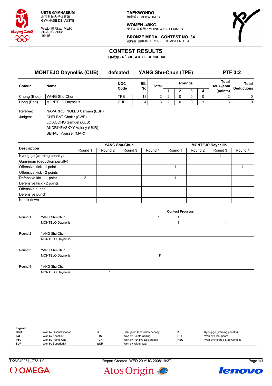

WED 星期三 MER 20 AUG 2008 19:15

**TAEKWONDO** 跆拳道 / TAEKWONDO

**WOMEN -49KG** 女子49公斤级 / MOINS 49KG FEMMES



**BRONZE MEDAL CONTEST NO. 34** 铜牌赛 第34场 / BRONZE COMBAT NO. 34

### **CONTEST RESULTS**

比赛成绩 **/ RÉSULTATS DE CONCOURS**

| <b>MONTEJO Daynellis (CUB)</b> |                             | defeated           |           |       | <b>YANG Shu-Chun (TPE)</b> |  |        | <b>PTF 3:2</b> |                    |                            |
|--------------------------------|-----------------------------|--------------------|-----------|-------|----------------------------|--|--------|----------------|--------------------|----------------------------|
| <b>Colour</b>                  | Name                        | <b>NOC</b><br>Code | Bib<br>No | Total | <b>Rounds</b>              |  |        |                | Total<br>Deuk-jeom | Total<br><b>Deductions</b> |
|                                |                             |                    |           |       |                            |  | ◠<br>c | 4              | (points)           |                            |
| Chung (Blue)                   | YANG Shu-Chun               | TPE                | 13        | 2     | າ                          |  |        |                | ົ                  | 0                          |
| Hong (Red)                     | MONTEJO Daynellis           | <b>CUB</b>         | 4         | 3     | ົ                          |  |        |                | 3                  | $\overline{0}$             |
| Referee:                       | NAVARRO INGLES Carmen (ESP) |                    |           |       |                            |  |        |                |                    |                            |

Judges: CHELBAT Chakir (SWE) LOIACONO Samuel (AUS) ANDRIYEVSKYY Valeriy (UKR) BENALI Youssef (MAR)

|                              |         |         | YANG Shu-Chun |         | <b>MONTEJO Daynellis</b> |         |         |         |  |  |
|------------------------------|---------|---------|---------------|---------|--------------------------|---------|---------|---------|--|--|
| <b>Description</b>           | Round 1 | Round 2 | Round 3       | Round 4 | Round 1                  | Round 2 | Round 3 | Round 4 |  |  |
| Kyong-go (warning penalty)   |         |         |               |         |                          |         |         |         |  |  |
| Gam-jeom (deduction penalty) |         |         |               |         |                          |         |         |         |  |  |
| Offensive kick - 1 point     |         |         |               |         |                          |         |         |         |  |  |
| Offensive kick - 2 points    |         |         |               |         |                          |         |         |         |  |  |
| Defensive kick - 1 point     | າ       |         |               |         |                          |         |         |         |  |  |
| Defensive kick - 2 points    |         |         |               |         |                          |         |         |         |  |  |
| Offensive punch              |         |         |               |         |                          |         |         |         |  |  |
| Defensive punch              |         |         |               |         |                          |         |         |         |  |  |
| Knock down                   |         |         |               |         |                          |         |         |         |  |  |

|         |                   |   | <b>Contest Progress</b> |  |
|---------|-------------------|---|-------------------------|--|
| Round 1 | YANG Shu-Chun     | ٠ |                         |  |
|         | MONTEJO Daynellis |   |                         |  |
|         |                   |   |                         |  |
| Round 2 | YANG Shu-Chun     |   |                         |  |
|         | MONTEJO Daynellis |   |                         |  |
|         |                   |   |                         |  |
| Round 3 | YANG Shu-Chun     |   |                         |  |
|         | MONTEJO Daynellis | Κ |                         |  |
|         |                   |   |                         |  |
| Round 4 | YANG Shu-Chun     |   |                         |  |
|         | MONTEJO Daynellis |   |                         |  |

| Legend:    |                         |            |                              |            |                             |
|------------|-------------------------|------------|------------------------------|------------|-----------------------------|
| <b>DSQ</b> | Won by Disqualification |            | Gam-jeom (deduction penalty) |            | Kyong-go (warning penalty)  |
| l KO       | Won by Knockout         | <b>PTC</b> | Won by Points Ceiling        | <b>PTF</b> | Won by Final Score          |
| <b>PTG</b> | Won by Points Gap       | <b>PUN</b> | Won by Punitive Declaration  | <b>RSC</b> | Won by Referee Stop Contest |
| <b>SUP</b> | Won by Superiority      | <b>WDR</b> | Won by Withdrawal            |            |                             |

TKW049251\_C73 1.0 Report Created WED 20 AUG 2008 19:27 Page 1/1





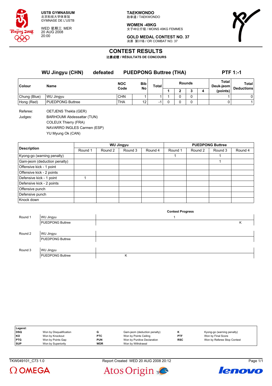

WED 星期三 MER 20 AUG 2008 20:00

**TAEKWONDO** 跆拳道 / TAEKWONDO

**WOMEN -49KG** 女子49公斤级 / MOINS 49KG FEMMES



**GOLD MEDAL CONTEST NO. 37** 决赛 第37场 / OR COMBAT NO. 37

# **CONTEST RESULTS**

比赛成绩 **/ RÉSULTATS DE CONCOURS**

|               | <b>WU Jingyu (CHN)</b> | <b>PUEDPONG Buttree (THA)</b><br>defeated |                    |                 |                          |        |   |  |   | <b>PTF 1:-1</b>    |                            |  |
|---------------|------------------------|-------------------------------------------|--------------------|-----------------|--------------------------|--------|---|--|---|--------------------|----------------------------|--|
| <b>Colour</b> | <b>Name</b>            |                                           | <b>NOC</b><br>Code | Bib             | Total                    | Rounds |   |  |   | Total<br>Deuk-ieom | Total<br><b>Deductions</b> |  |
|               |                        |                                           |                    | No              |                          |        |   |  | 4 | (points)           |                            |  |
| Chung (Blue)  | <b>WU Jingvu</b>       |                                           | <b>CHN</b>         |                 |                          |        | 0 |  |   |                    | 0                          |  |
| Hong (Red)    | PUEDPONG Buttree       |                                           | <b>THA</b>         | 12 <sub>1</sub> | $\overline{\phantom{0}}$ |        | 0 |  |   |                    |                            |  |

Referee: OETJENS Thekla (GER) Judges: BARHOUMI Abdessattar (TUN) COLEUX Thierry (FRA) NAVARRO INGLES Carmen (ESP) YU Myung Ok (CAN)

|                              |         |         | <b>WU Jingyu</b> |         | <b>PUEDPONG Buttree</b> |         |         |         |  |  |
|------------------------------|---------|---------|------------------|---------|-------------------------|---------|---------|---------|--|--|
| <b>Description</b>           | Round 1 | Round 2 | Round 3          | Round 4 | Round 1                 | Round 2 | Round 3 | Round 4 |  |  |
| Kyong-go (warning penalty)   |         |         |                  |         |                         |         |         |         |  |  |
| Gam-jeom (deduction penalty) |         |         |                  |         |                         |         |         |         |  |  |
| Offensive kick - 1 point     |         |         |                  |         |                         |         |         |         |  |  |
| Offensive kick - 2 points    |         |         |                  |         |                         |         |         |         |  |  |
| Defensive kick - 1 point     |         |         |                  |         |                         |         |         |         |  |  |
| Defensive kick - 2 points    |         |         |                  |         |                         |         |         |         |  |  |
| Offensive punch              |         |         |                  |         |                         |         |         |         |  |  |
| Defensive punch              |         |         |                  |         |                         |         |         |         |  |  |
| Knock down                   |         |         |                  |         |                         |         |         |         |  |  |

|         |                         | <b>Contest Progress</b> |   |
|---------|-------------------------|-------------------------|---|
| Round 1 | WU Jingyu               |                         |   |
|         | <b>PUEDPONG Buttree</b> |                         | Κ |
|         |                         |                         |   |
| Round 2 | WU Jingyu               |                         |   |
|         | <b>PUEDPONG Buttree</b> |                         |   |
|         |                         |                         |   |
| Round 3 | WU Jingyu               |                         |   |
|         | <b>PUEDPONG Buttree</b> | Κ                       |   |

| Legend:    |                         |            |                              |            |                             |
|------------|-------------------------|------------|------------------------------|------------|-----------------------------|
| <b>DSQ</b> | Won by Disqualification |            | Gam-jeom (deduction penalty) |            | Kyong-go (warning penalty)  |
| KO         | Won by Knockout         | <b>PTC</b> | Won by Points Ceiling        | PTF        | Won by Final Score          |
| <b>PTG</b> | Won by Points Gap       | <b>PUN</b> | Won by Punitive Declaration  | <b>RSC</b> | Won by Referee Stop Contest |
| <b>SUP</b> | Won by Superiority      | <b>WDR</b> | Won by Withdrawal            |            |                             |

TKW049101\_C73 1.0 Report Created WED 20 AUG 2008 20:12 Page 1/1





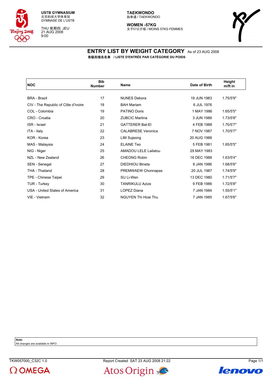

THU 星期四 JEU 21 AUG 2008 9:00

#### **TAEKWONDO** 跆拳道 / TAEKWONDO

**WOMEN -57KG** 女子57公斤级 / MOINS 57KG FEMMES



### **ENTRY LIST BY WEIGHT CATEGORY** As of 23 AUG 2008 各级别报名名单 **/ LISTE D'ENTRÉE PAR CATÉGORIE DU POIDS**

| <b>NOC</b>                          | <b>Bib</b><br><b>Number</b> | <b>Name</b>                | Date of Birth | Height<br>$m$ /ft in |  |
|-------------------------------------|-----------------------------|----------------------------|---------------|----------------------|--|
|                                     |                             |                            |               |                      |  |
| <b>BRA - Brazil</b>                 | 17                          | <b>NUNES Debora</b>        | 19 JUN 1983   | 1.75/5'9"            |  |
| CIV - The Republic of Côte d'Ivoire | 18                          | <b>BAH Mariam</b>          | 6 JUL 1976    |                      |  |
| COL - Colombia                      | 19                          | <b>PATINO Doris</b>        | 1 MAY 1986    | 1.65/5'5"            |  |
| CRO - Croatia                       | 20                          | <b>ZUBCIC Martina</b>      | 3 JUN 1989    | 1.73/5'8"            |  |
| <b>ISR</b> - Israel                 | 21                          | <b>GATTERER Bat-El</b>     | 4 FEB 1988    | 1.70/5'7"            |  |
| ITA - Italy                         | 22                          | <b>CALABRESE Veronica</b>  | 7 NOV 1987    | 1.70/5'7"            |  |
| KOR - Korea                         | 23                          | <b>LIM Sujeong</b>         | 20 AUG 1986   |                      |  |
| MAS - Malaysia                      | 24                          | <b>ELAINE Teo</b>          | 5 FEB 1981    | 1.65/5'5"            |  |
| NIG - Niger                         | 25                          | AMADOU LELE Lailatou       | 29 MAY 1983   |                      |  |
| NZL - New Zealand                   | 26                          | <b>CHEONG Robin</b>        | 16 DEC 1988   | 1.63/5'4"            |  |
| SEN - Senegal                       | 27                          | <b>DIEDHIOU Bineta</b>     | 8 JAN 1986    | 1.68/5'6"            |  |
| THA - Thailand                      | 28                          | PREMWAEW Chonnapas         | 20 JUL 1987   | 1.74/5'9"            |  |
| TPE - Chinese Taipei                | 29                          | SU Li-Wen                  | 13 DEC 1980   | 1.71/5'7"            |  |
| TUR - Turkey                        | 30                          | <b>TANRIKULU Azize</b>     | 9 FEB 1986    | 1.72/5'8"            |  |
| USA - United States of America      | 31                          | LOPEZ Diana                | 7 JAN 1984    | 1.55/5'1"            |  |
| VIE - Vietnam                       | 32                          | <b>NGUYEN Thi Hoai Thu</b> | 7 JAN 1985    | 1.67/5'6"            |  |
|                                     |                             |                            |               |                      |  |

**Note:**

All changes are available in INFO





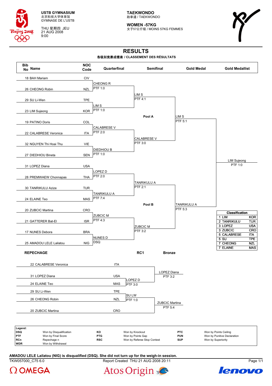

THU 星期四 JEU 21 AUG 2008 9:00

**TAEKWONDO** 跆拳道 / TAEKWONDO

**WOMEN -57KG** 女子57公斤级 / MOINS 57KG FEMMES



# **RESULTS**

#### 各级别竞赛成绩表 **/ CLASSEMENT DES RÉSULTATS**



TKW057000 C75 6.0 Report Created THU 21 AUG 2008 20:11 Page 1/1 **AMADOU LELE Lailatou (NIG) is disqualified (DSQ). She did not turn up for the weigh-in session.**





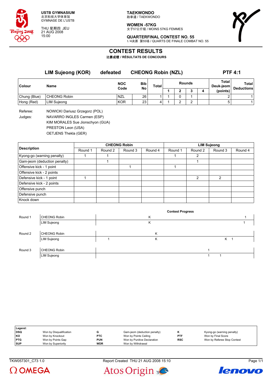

THU 星期四 JEU 21 AUG 2008 15:00

**TAEKWONDO** 跆拳道 / TAEKWONDO

**WOMEN -57KG** 女子57公斤级 / MOINS 57KG FEMMES



**QUARTERFINAL CONTEST NO. 55** 1/4决赛 第55场 / QUARTS DE FINALE COMBAT NO. 55

### **CONTEST RESULTS**

比赛成绩 **/ RÉSULTATS DE CONCOURS**

|              | <b>LIM Sujeong (KOR)</b> | defeated           |                  | <b>CHEONG Robin (NZL)</b> |               |  |  | <b>PTF 4:1</b> |                    |                            |
|--------------|--------------------------|--------------------|------------------|---------------------------|---------------|--|--|----------------|--------------------|----------------------------|
| Colour       | Name                     | <b>NOC</b><br>Code | <b>Bib</b><br>No | Total                     | <b>Rounds</b> |  |  |                | Total<br>Deuk-jeom | Total<br><b>Deductions</b> |
|              |                          |                    |                  |                           |               |  |  | 4              | (points)           |                            |
| Chung (Blue) | CHEONG Robin             | <b>NZL</b>         | 26               |                           |               |  |  |                |                    |                            |
| Hong (Red)   | <b>LIM Sujeong</b>       | <b>KOR</b>         | 23               |                           |               |  |  |                |                    |                            |

Referee: NOWICKI Dariusz Grzegorz (POL) Judges: NAVARRO INGLES Carmen (ESP) KIM MORALES Sue Jionschyon (GUA) PRESTON Leon (USA)

OETJENS Thekla (GER)

|                              | <b>CHEONG Robin</b> |         |         |         | <b>LIM Sujeong</b> |                |         |         |
|------------------------------|---------------------|---------|---------|---------|--------------------|----------------|---------|---------|
| <b>Description</b>           | Round 1             | Round 2 | Round 3 | Round 4 | Round 1            | Round 2        | Round 3 | Round 4 |
| Kyong-go (warning penalty)   |                     |         |         |         |                    | 2              |         |         |
| Gam-jeom (deduction penalty) |                     |         |         |         |                    |                |         |         |
| Offensive kick - 1 point     |                     |         |         |         |                    |                |         |         |
| Offensive kick - 2 points    |                     |         |         |         |                    |                |         |         |
| Defensive kick - 1 point     |                     |         |         |         |                    | $\mathfrak{p}$ | 2       |         |
| Defensive kick - 2 points    |                     |         |         |         |                    |                |         |         |
| Offensive punch              |                     |         |         |         |                    |                |         |         |
| Defensive punch              |                     |         |         |         |                    |                |         |         |
| Knock down                   |                     |         |         |         |                    |                |         |         |

|         |                     |   | <b>Contest Progress</b> |   |
|---------|---------------------|---|-------------------------|---|
| Round 1 | <b>CHEONG Robin</b> | Κ |                         |   |
|         | <b>LIM Sujeong</b>  | Κ |                         |   |
|         |                     |   |                         |   |
| Round 2 | <b>CHEONG Robin</b> | Κ |                         |   |
|         | <b>LIM Sujeong</b>  | Κ |                         | K |
|         |                     |   |                         |   |
| Round 3 | <b>CHEONG Robin</b> |   |                         |   |
|         | <b>LIM Sujeong</b>  |   |                         |   |

| Legend:    |                         |            |                              |            |                             |
|------------|-------------------------|------------|------------------------------|------------|-----------------------------|
| DSQ        | Won by Disqualification |            | Gam-jeom (deduction penalty) |            | Kyong-go (warning penalty)  |
| KO         | Won by Knockout         | <b>PTC</b> | Won by Points Ceiling        | PTF        | Won by Final Score          |
| <b>PTG</b> | Won by Points Gap       | PUN        | Won by Punitive Declaration  | <b>RSC</b> | Won by Referee Stop Contest |
| <b>SUP</b> | Won by Superiority      | WDR        | Won by Withdrawal            |            |                             |







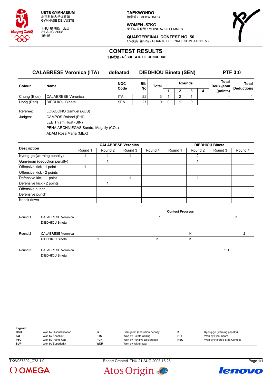

THU 星期四 JEU 21 AUG 2008 15:15

**TAEKWONDO** 跆拳道 / TAEKWONDO

**WOMEN -57KG** 女子57公斤级 / MOINS 57KG FEMMES



**QUARTERFINAL CONTEST NO. 56** 1/4决赛 第56场 / QUARTS DE FINALE COMBAT NO. 56

## **CONTEST RESULTS**

比赛成绩 **/ RÉSULTATS DE CONCOURS**

#### **CALABRESE Veronica (ITA) defeated DIEDHIOU Bineta (SEN) PTF 3:0**

| <b>Colour</b> | Name                      | <b>NOC</b><br>Code | <b>Bib</b><br>No | <b>Total</b>   | <b>Rounds</b> |  |  |          | Total<br>Deuk-jeom | <b>Total</b><br><b>Deductions</b> |
|---------------|---------------------------|--------------------|------------------|----------------|---------------|--|--|----------|--------------------|-----------------------------------|
|               |                           |                    |                  |                |               |  |  | (points) |                    |                                   |
| Chung (Blue)  | <b>CALABRESE Veronica</b> | ITA                | 22               | ົ              |               |  |  |          |                    |                                   |
| Hong (Red)    | <b>DIEDHIOU Bineta</b>    | <b>SEN</b>         | 27               | 0 <sub>1</sub> |               |  |  |          |                    |                                   |

Referee: LOIACONO Samuel (AUS) Judges: CAMPOS Roland (PHI) LEE Thiam Huat (SIN) PENA ARCHNIEGAS Sandra Magally (COL) ADAM Rosa Maria (MEX)

|                              |         |         | <b>CALABRESE Veronica</b> |         | <b>DIEDHIOU Bineta</b> |         |         |         |  |
|------------------------------|---------|---------|---------------------------|---------|------------------------|---------|---------|---------|--|
| <b>Description</b>           | Round 1 | Round 2 | Round 3                   | Round 4 | Round 1                | Round 2 | Round 3 | Round 4 |  |
| Kyong-go (warning penalty)   |         |         |                           |         |                        | 2       |         |         |  |
| Gam-jeom (deduction penalty) |         |         |                           |         |                        |         |         |         |  |
| Offensive kick - 1 point     |         |         |                           |         |                        |         |         |         |  |
| Offensive kick - 2 points    |         |         |                           |         |                        |         |         |         |  |
| Defensive kick - 1 point     |         |         |                           |         |                        |         |         |         |  |
| Defensive kick - 2 points    |         |         |                           |         |                        |         |         |         |  |
| Offensive punch              |         |         |                           |         |                        |         |         |         |  |
| Defensive punch              |         |         |                           |         |                        |         |         |         |  |
| Knock down                   |         |         |                           |         |                        |         |         |         |  |

|         |                           |   | <b>Contest Progress</b> |     |
|---------|---------------------------|---|-------------------------|-----|
| Round 1 | <b>CALABRESE Veronica</b> |   |                         | K   |
|         | <b>DIEDHIOU Bineta</b>    |   |                         |     |
|         |                           |   |                         |     |
| Round 2 | <b>CALABRESE Veronica</b> |   | K                       | ົ   |
|         | <b>DIEDHIOU Bineta</b>    | Κ | К                       |     |
|         |                           |   |                         |     |
| Round 3 | <b>CALABRESE Veronica</b> |   |                         | K 1 |
|         | <b>DIEDHIOU Bineta</b>    |   |                         |     |

| Legend:    |                         |            |                              |            |                             |
|------------|-------------------------|------------|------------------------------|------------|-----------------------------|
| <b>DSQ</b> | Won by Disqualification |            | Gam-jeom (deduction penalty) |            | Kyong-go (warning penalty)  |
| KO         | Won by Knockout         | <b>PTC</b> | Won by Points Ceiling        | <b>PTF</b> | Won by Final Score          |
| <b>PTG</b> | Won by Points Gap       | <b>PUN</b> | Won by Punitive Declaration  | <b>RSC</b> | Won by Referee Stop Contest |
| <b>SUP</b> | Won by Superiority      | <b>WDR</b> | Won by Withdrawal            |            |                             |

 $\Omega$  OMEGA

TKW057302\_C73 1.0 Report Created THU 21 AUG 2008 15:26 Page 1/1



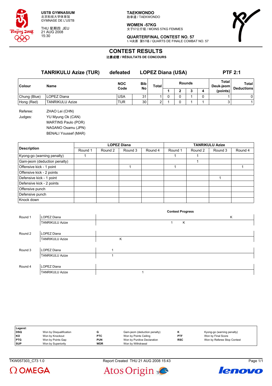

THU 星期四 JEU 21 AUG 2008 15:30

**TAEKWONDO** 跆拳道 / TAEKWONDO

**WOMEN -57KG** 女子57公斤级 / MOINS 57KG FEMMES



**QUARTERFINAL CONTEST NO. 57** 1/4决赛 第57场 / QUARTS DE FINALE COMBAT NO. 57

## **CONTEST RESULTS**

比赛成绩 **/ RÉSULTATS DE CONCOURS**

| <b>TANRIKULU Azize (TUR)</b> |                                                                                                                 | defeated           | <b>LOPEZ Diana (USA)</b> |                |               |   |   |   | <b>PTF 2:1</b>     |                   |  |
|------------------------------|-----------------------------------------------------------------------------------------------------------------|--------------------|--------------------------|----------------|---------------|---|---|---|--------------------|-------------------|--|
| Colour                       | Name                                                                                                            | <b>NOC</b><br>Code | <b>Bib</b>               | Total          | <b>Rounds</b> |   |   |   | Total<br>Deuk-jeom | <b>Total</b>      |  |
|                              |                                                                                                                 |                    | <b>No</b>                |                |               | 2 | 3 | 4 | (points)           | <b>Deductions</b> |  |
| Chung (Blue)                 | LOPEZ Diana                                                                                                     | <b>USA</b>         | 31                       |                | 0             | 0 |   | 0 |                    | 0                 |  |
| Hong (Red)                   | <b>TANRIKULU Azize</b>                                                                                          | <b>TUR</b>         | 30                       | $\overline{2}$ |               | 0 |   |   | 3                  | 1                 |  |
| Referee:<br>Judges:          | ZHAO Lei (CHN)<br>YU Myung Ok (CAN)<br>MARTINS Paulo (POR)<br>NAGANO Osamu (JPN)<br><b>BENALI Youssef (MAR)</b> |                    |                          |                |               |   |   |   |                    |                   |  |

|                              |         |         | <b>LOPEZ Diana</b> |         | <b>TANRIKULU Azize</b> |         |         |         |  |  |
|------------------------------|---------|---------|--------------------|---------|------------------------|---------|---------|---------|--|--|
| <b>Description</b>           | Round 1 | Round 2 | Round 3            | Round 4 | Round 1                | Round 2 | Round 3 | Round 4 |  |  |
| Kyong-go (warning penalty)   |         |         |                    |         |                        |         |         |         |  |  |
| Gam-jeom (deduction penalty) |         |         |                    |         |                        |         |         |         |  |  |
| Offensive kick - 1 point     |         |         |                    |         |                        |         |         |         |  |  |
| Offensive kick - 2 points    |         |         |                    |         |                        |         |         |         |  |  |
| Defensive kick - 1 point     |         |         |                    |         |                        |         |         |         |  |  |
| Defensive kick - 2 points    |         |         |                    |         |                        |         |         |         |  |  |
| Offensive punch              |         |         |                    |         |                        |         |         |         |  |  |
| Defensive punch              |         |         |                    |         |                        |         |         |         |  |  |
| Knock down                   |         |         |                    |         |                        |         |         |         |  |  |

|         |                        |   | <b>Contest Progress</b> |   |
|---------|------------------------|---|-------------------------|---|
| Round 1 | LOPEZ Diana            |   |                         | Κ |
|         | <b>TANRIKULU Azize</b> |   | Κ                       |   |
|         |                        |   |                         |   |
| Round 2 | LOPEZ Diana            |   |                         |   |
|         | <b>TANRIKULU Azize</b> | Κ |                         |   |
|         |                        |   |                         |   |
| Round 3 | LOPEZ Diana            |   |                         |   |
|         | <b>TANRIKULU Azize</b> |   |                         |   |
|         |                        |   |                         |   |
| Round 4 | LOPEZ Diana            |   |                         |   |
|         | <b>TANRIKULU Azize</b> |   |                         |   |

| Legend:    |                         |            |                              |            |                             |
|------------|-------------------------|------------|------------------------------|------------|-----------------------------|
| DSQ        | Won by Disqualification |            | Gam-jeom (deduction penalty) |            | Kyong-go (warning penalty)  |
| l KO       | Won by Knockout         | <b>PTC</b> | Won by Points Ceiling        | <b>PTF</b> | Won by Final Score          |
| PTG        | Won by Points Gap       | <b>PUN</b> | Won by Punitive Declaration  | <b>RSC</b> | Won by Referee Stop Contest |
| <b>SUP</b> | Won by Superiority      | <b>WDR</b> | Won by Withdrawal            |            |                             |

TKW057303\_C73 1.0 Report Created THU 21 AUG 2008 15:43 Page 1/1



Atos Origin

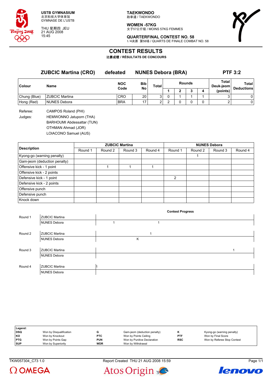

THU 星期四 JEU 21 AUG 2008 15:45

**TAEKWONDO** 跆拳道 / TAEKWONDO

**WOMEN -57KG** 女子57公斤级 / MOINS 57KG FEMMES



**QUARTERFINAL CONTEST NO. 58** 1/4决赛 第58场 / QUARTS DE FINALE COMBAT NO. 58

## **CONTEST RESULTS**

比赛成绩 **/ RÉSULTATS DE CONCOURS**

|                     | <b>ZUBCIC Martina (CRO)</b>                                                                                                                                                                             | defeated   | <b>NUNES Debora (BRA)</b> |              |               |   |   |   | <b>PTF 3:2</b>     |                            |  |
|---------------------|---------------------------------------------------------------------------------------------------------------------------------------------------------------------------------------------------------|------------|---------------------------|--------------|---------------|---|---|---|--------------------|----------------------------|--|
| <b>Colour</b>       | Name                                                                                                                                                                                                    | <b>NOC</b> | <b>Bib</b><br>No          | <b>Total</b> | <b>Rounds</b> |   |   |   | Total<br>Deuk-jeom | Total<br><b>Deductions</b> |  |
|                     |                                                                                                                                                                                                         | Code       |                           |              |               | 2 | 3 | 4 | (points)           |                            |  |
| Chung (Blue)        | <b>ZUBCIC Martina</b>                                                                                                                                                                                   | <b>CRO</b> | 20                        | 3            | 0             |   |   |   |                    | 0                          |  |
| Hong (Red)          | <b>NUNES Debora</b>                                                                                                                                                                                     | <b>BRA</b> | 17                        | 2            | າ             | 0 |   | 0 |                    | 0                          |  |
| Referee:<br>Judges: | CAMPOS Roland (PHI)<br>HEMWONNO Jatuporn (THA)<br>$\mathbf{D}$ A $\mathbf{D}$ I I $\mathbf{A}$ I I A I $\mathbf{A}$ L $\mathbf{A}$ L $\mathbf{A}$ L $\mathbf{A}$ L $\mathbf{A}$ L $\mathbf{A}$ I II III |            |                           |              |               |   |   |   |                    |                            |  |

BARHOUMI Abdessattar (TUN)

OTHMAN Ahmad (JOR)

LOIACONO Samuel (AUS)

|                              |         |         | <b>ZUBCIC Martina</b> |         | <b>NUNES Debora</b> |         |         |         |  |
|------------------------------|---------|---------|-----------------------|---------|---------------------|---------|---------|---------|--|
| <b>Description</b>           | Round 1 | Round 2 | Round 3               | Round 4 | Round 1             | Round 2 | Round 3 | Round 4 |  |
| Kyong-go (warning penalty)   |         |         |                       |         |                     |         |         |         |  |
| Gam-jeom (deduction penalty) |         |         |                       |         |                     |         |         |         |  |
| Offensive kick - 1 point     |         |         |                       |         |                     |         |         |         |  |
| Offensive kick - 2 points    |         |         |                       |         |                     |         |         |         |  |
| Defensive kick - 1 point     |         |         |                       |         | $\mathcal{P}$       |         |         |         |  |
| Defensive kick - 2 points    |         |         |                       |         |                     |         |         |         |  |
| Offensive punch              |         |         |                       |         |                     |         |         |         |  |
| Defensive punch              |         |         |                       |         |                     |         |         |         |  |
| Knock down                   |         |         |                       |         |                     |         |         |         |  |

|         |                       | <b>Contest Progress</b> |  |
|---------|-----------------------|-------------------------|--|
| Round 1 | <b>ZUBCIC Martina</b> |                         |  |
|         | <b>NUNES Debora</b>   |                         |  |
|         |                       |                         |  |
| Round 2 | <b>ZUBCIC Martina</b> | ٠                       |  |
|         | <b>NUNES Debora</b>   | Κ                       |  |
|         |                       |                         |  |
| Round 3 | <b>ZUBCIC Martina</b> |                         |  |
|         | <b>NUNES Debora</b>   |                         |  |
|         |                       |                         |  |
| Round 4 | <b>ZUBCIC Martina</b> |                         |  |
|         | <b>NUNES Debora</b>   |                         |  |

| Legend:    |                         |            |                              |            |                             |
|------------|-------------------------|------------|------------------------------|------------|-----------------------------|
| DSQ        | Won by Disqualification |            | Gam-jeom (deduction penalty) | n          | Kyong-go (warning penalty)  |
| KO         | Won by Knockout         | <b>PTC</b> | Won by Points Ceiling        | <b>PTF</b> | Won by Final Score          |
| <b>PTG</b> | Won by Points Gap       | <b>PUN</b> | Won by Punitive Declaration  | <b>RSC</b> | Won by Referee Stop Contest |
| <b>SUP</b> | Won by Superiority      | <b>WDR</b> | Won by Withdrawal            |            |                             |



TKW057304\_C73 1.0 Report Created THU 21 AUG 2008 15:59 Page 1/1



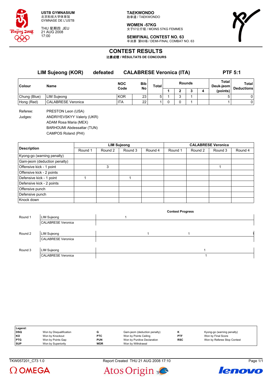

THU 星期四 JEU 21 AUG 2008 17:00

**TAEKWONDO** 跆拳道 / TAEKWONDO

**WOMEN -57KG** 女子57公斤级 / MOINS 57KG FEMMES



**SEMIFINAL CONTEST NO. 63** 半决赛 第63场 / DEMI-FINAL COMBAT NO. 63

## **CONTEST RESULTS**

比赛成绩 **/ RÉSULTATS DE CONCOURS**

|              | <b>LIM Sujeong (KOR)</b> | defeated |                    | <b>CALABRESE Veronica (ITA)</b> |       |               |   |   |                    | <b>PTF 5:1</b>             |
|--------------|--------------------------|----------|--------------------|---------------------------------|-------|---------------|---|---|--------------------|----------------------------|
| Colour       | Name                     |          | <b>NOC</b><br>Code | <b>Bib</b><br>No                | Total | <b>Rounds</b> |   |   | Total<br>Deuk-ieom | Total<br><b>Deductions</b> |
|              |                          |          |                    |                                 |       |               |   | 3 | (points)           |                            |
| Chung (Blue) | <b>LIM Sujeong</b>       |          | <b>KOR</b>         | 23                              | 5     |               | ◠ |   | 5                  | 0                          |
| Hong (Red)   | CALABRESE Veronica       |          | <b>ITA</b>         | 22 <sub>1</sub>                 |       |               |   |   |                    | 0                          |

Referee: PRESTON Leon (USA) Judges: ANDRIYEVSKYY Valeriy (UKR) ADAM Rosa Maria (MEX)

BARHOUMI Abdessattar (TUN)

CAMPOS Roland (PHI)

|                              |         |         | <b>LIM Sujeong</b> |         | <b>CALABRESE Veronica</b> |         |         |         |  |  |
|------------------------------|---------|---------|--------------------|---------|---------------------------|---------|---------|---------|--|--|
| <b>Description</b>           | Round 1 | Round 2 | Round 3            | Round 4 | Round 1                   | Round 2 | Round 3 | Round 4 |  |  |
| Kyong-go (warning penalty)   |         |         |                    |         |                           |         |         |         |  |  |
| Gam-jeom (deduction penalty) |         |         |                    |         |                           |         |         |         |  |  |
| Offensive kick - 1 point     |         | 3       |                    |         |                           |         |         |         |  |  |
| Offensive kick - 2 points    |         |         |                    |         |                           |         |         |         |  |  |
| Defensive kick - 1 point     |         |         |                    |         |                           |         |         |         |  |  |
| Defensive kick - 2 points    |         |         |                    |         |                           |         |         |         |  |  |
| Offensive punch              |         |         |                    |         |                           |         |         |         |  |  |
| Defensive punch              |         |         |                    |         |                           |         |         |         |  |  |
| Knock down                   |         |         |                    |         |                           |         |         |         |  |  |

|         |                           |  | <b>Contest Progress</b> |  |
|---------|---------------------------|--|-------------------------|--|
| Round 1 | <b>LIM Sujeong</b>        |  |                         |  |
|         | <b>CALABRESE Veronica</b> |  |                         |  |
|         |                           |  |                         |  |
| Round 2 | <b>LIM Sujeong</b>        |  |                         |  |
|         | <b>CALABRESE Veronica</b> |  |                         |  |
|         |                           |  |                         |  |
| Round 3 | <b>LIM Sujeong</b>        |  |                         |  |
|         | <b>CALABRESE Veronica</b> |  |                         |  |

| Legend:    |                         |            |                              |            |                             |
|------------|-------------------------|------------|------------------------------|------------|-----------------------------|
| DSQ        | Won by Disqualification |            | Gam-jeom (deduction penalty) |            | Kyong-go (warning penalty)  |
| l KO       | Won by Knockout         | <b>PTC</b> | Won by Points Ceiling        | <b>PTF</b> | Won by Final Score          |
| <b>PTG</b> | Won by Points Gap       | PUN        | Won by Punitive Declaration  | <b>RSC</b> | Won by Referee Stop Contest |
| <b>SUP</b> | Won by Superiority      | <b>WDR</b> | Won by Withdrawal            |            |                             |

TKW057201\_C73 1.0 Report Created THU 21 AUG 2008 17:10 Page 1/1





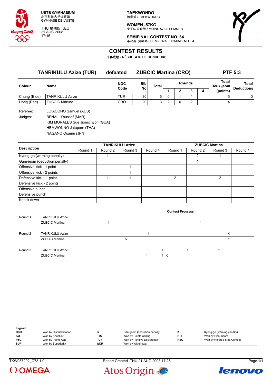

THU 星期四 JEU 21 AUG 2008 17:15

**TAEKWONDO** 跆拳道 / TAEKWONDO

**WOMEN -57KG** 女子57公斤级 / MOINS 57KG FEMMES



**SEMIFINAL CONTEST NO. 64** 半决赛 第64场 / DEMI-FINAL COMBAT NO. 64

## **CONTEST RESULTS**

比赛成绩 **/ RÉSULTATS DE CONCOURS**

|               | <b>TANRIKULU Azize (TUR)</b> | defeated           |           | <b>ZUBCIC Martina (CRO)</b> | <b>PTF 5:3</b> |  |   |   |                    |                            |
|---------------|------------------------------|--------------------|-----------|-----------------------------|----------------|--|---|---|--------------------|----------------------------|
| <b>Colour</b> | <b>Name</b>                  | <b>NOC</b><br>Code | Bib<br>No | <b>Total</b>                | Rounds         |  |   |   | Total<br>Deuk-jeom | Total<br><b>Deductions</b> |
|               |                              |                    |           |                             |                |  |   | 4 | (points)           |                            |
| Chung (Blue)  | <b>TANRIKULU Azize</b>       | TUR                | 30        | 5                           |                |  |   |   |                    | 0                          |
| Hong (Red)    | <b>ZUBCIC Martina</b>        | <b>CRO</b>         | 201       | 3 <sub>1</sub>              |                |  | ົ |   | 4                  |                            |
|               |                              |                    |           |                             |                |  |   |   |                    |                            |

Referee: LOIACONO Samuel (AUS) Judges: BENALI Youssef (MAR) KIM MORALES Sue Jionschyon (GUA) HEMWONNO Jatuporn (THA) NAGANO Osamu (JPN)

|                              |         |         | <b>TANRIKULU Azize</b> |         | <b>ZUBCIC Martina</b> |         |                               |         |  |  |
|------------------------------|---------|---------|------------------------|---------|-----------------------|---------|-------------------------------|---------|--|--|
| <b>Description</b>           | Round 1 | Round 2 | Round 3                | Round 4 | Round 1               | Round 2 | Round 3<br>2<br>$\mathcal{P}$ | Round 4 |  |  |
| Kyong-go (warning penalty)   |         |         |                        |         |                       |         |                               |         |  |  |
| Gam-jeom (deduction penalty) |         |         |                        |         |                       |         |                               |         |  |  |
| Offensive kick - 1 point     |         |         |                        |         |                       |         |                               |         |  |  |
| Offensive kick - 2 points    |         |         |                        |         |                       |         |                               |         |  |  |
| Defensive kick - 1 point     |         |         |                        |         | $\mathcal{P}$         |         |                               |         |  |  |
| Defensive kick - 2 points    |         |         |                        |         |                       |         |                               |         |  |  |
| Offensive punch              |         |         |                        |         |                       |         |                               |         |  |  |
| Defensive punch              |         |         |                        |         |                       |         |                               |         |  |  |
| Knock down                   |         |         |                        |         |                       |         |                               |         |  |  |

|         |                        |   |     | <b>Contest Progress</b> |   |  |
|---------|------------------------|---|-----|-------------------------|---|--|
| Round 1 | <b>TANRIKULU Azize</b> |   |     |                         |   |  |
|         | <b>ZUBCIC Martina</b>  |   |     |                         |   |  |
|         |                        |   |     |                         |   |  |
| Round 2 | <b>TANRIKULU Azize</b> |   |     |                         | K |  |
|         | <b>ZUBCIC Martina</b>  | Κ |     |                         | ĸ |  |
|         |                        |   |     |                         |   |  |
| Round 3 | <b>TANRIKULU Azize</b> |   |     |                         | ົ |  |
|         | <b>ZUBCIC Martina</b>  |   | 1 K |                         |   |  |

| Legend:    |                         |            |                              |            |                             |
|------------|-------------------------|------------|------------------------------|------------|-----------------------------|
| <b>DSQ</b> | Won by Disqualification |            | Gam-jeom (deduction penalty) | n          | Kyong-go (warning penalty)  |
| KO         | Won by Knockout         | <b>PTC</b> | Won by Points Ceiling        | <b>PTF</b> | Won by Final Score          |
| <b>PTG</b> | Won by Points Gap       | <b>PUN</b> | Won by Punitive Declaration  | <b>RSC</b> | Won by Referee Stop Contest |
| <b>SUP</b> | Won by Superiority      | <b>WDR</b> | Won by Withdrawal            |            |                             |

TKW057202\_C73 1.0 Report Created THU 21 AUG 2008 17:25 Page 1/1





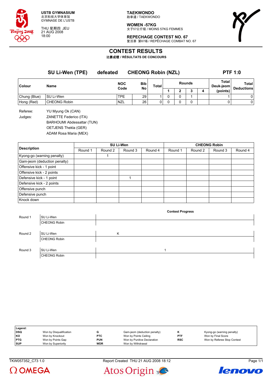

THU 星期四 JEU 21 AUG 2008 18:00

**WOMEN -57KG** 女子57公斤级 / MOINS 57KG FEMMES

**REPECHAGE CONTEST NO. 67**



复活赛 第67场 / REPÊCHAGE COMBAT NO. 67

# **CONTEST RESULTS**

比赛成绩 **/ RÉSULTATS DE CONCOURS**

**SU Li-Wen (TPE) defeated CHEONG Robin (NZL) PTF 1:0 Colour Name NOC Code Bib No Total Rounds Total Deuk-jeom Total Deductions 1 2 3 4 (points)** Chung (Blue) SU Li-Wen TPE 29 1 0 0 1 1 0 Hong (Red) CHEONG Robin NZL 26 0 0 0 0 0 0

Referee: YU Myung Ok (CAN) Judges: ZANETTE Federico (ITA) BARHOUMI Abdessattar (TUN) OETJENS Thekla (GER)

ADAM Rosa Maria (MEX)

|                              |         |         | SU Li-Wen |         | <b>CHEONG Robin</b> |         |         |         |  |  |
|------------------------------|---------|---------|-----------|---------|---------------------|---------|---------|---------|--|--|
| <b>Description</b>           | Round 1 | Round 2 | Round 3   | Round 4 | Round 1             | Round 2 | Round 3 | Round 4 |  |  |
| Kyong-go (warning penalty)   |         |         |           |         |                     |         |         |         |  |  |
| Gam-jeom (deduction penalty) |         |         |           |         |                     |         |         |         |  |  |
| Offensive kick - 1 point     |         |         |           |         |                     |         |         |         |  |  |
| Offensive kick - 2 points    |         |         |           |         |                     |         |         |         |  |  |
| Defensive kick - 1 point     |         |         |           |         |                     |         |         |         |  |  |
| Defensive kick - 2 points    |         |         |           |         |                     |         |         |         |  |  |
| Offensive punch              |         |         |           |         |                     |         |         |         |  |  |
| Defensive punch              |         |         |           |         |                     |         |         |         |  |  |
| Knock down                   |         |         |           |         |                     |         |         |         |  |  |

|         |                     |   | <b>Contest Progress</b> |  |
|---------|---------------------|---|-------------------------|--|
| Round 1 | SU Li-Wen           |   |                         |  |
|         | <b>CHEONG Robin</b> |   |                         |  |
|         |                     |   |                         |  |
| Round 2 | SU Li-Wen           | K |                         |  |
|         | <b>CHEONG Robin</b> |   |                         |  |
|         |                     |   |                         |  |
| Round 3 | SU Li-Wen           |   | ◢                       |  |
|         | <b>CHEONG Robin</b> |   |                         |  |

| Legend:    |                         |            |                              |            |                             |
|------------|-------------------------|------------|------------------------------|------------|-----------------------------|
| <b>DSQ</b> | Won by Disqualification |            | Gam-jeom (deduction penalty) |            | Kyong-go (warning penalty)  |
| <b>KO</b>  | Won by Knockout         | <b>PTC</b> | Won by Points Ceiling        | <b>PTF</b> | Won by Final Score          |
| <b>PTG</b> | Won by Points Gap       | <b>PUN</b> | Won by Punitive Declaration  | <b>RSC</b> | Won by Referee Stop Contest |
| <b>SUP</b> | Won by Superiority      | <b>WDR</b> | Won by Withdrawal            |            |                             |

 $\Omega$  OMEGA

TKW057352\_C73 1.0 Report Created THU 21 AUG 2008 18:12 Page 1/1



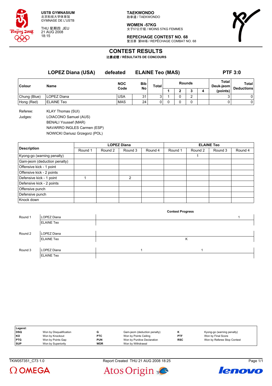

THU 星期四 JEU 21 AUG 2008 18:15

**TAEKWONDO** 跆拳道 / TAEKWONDO

**WOMEN -57KG** 女子57公斤级 / MOINS 57KG FEMMES



**REPECHAGE CONTEST NO. 68** 复活赛 第68场 / REPÊCHAGE COMBAT NO. 68

## **CONTEST RESULTS**

比赛成绩 **/ RÉSULTATS DE CONCOURS**

|                       | <b>LOPEZ Diana (USA)</b> | defeated           |           | <b>ELAINE Teo (MAS)</b> | <b>PTF 3:0</b> |               |  |                    |                            |
|-----------------------|--------------------------|--------------------|-----------|-------------------------|----------------|---------------|--|--------------------|----------------------------|
| <b>Colour</b><br>Name |                          | <b>NOC</b><br>Code | Bib<br>No | Total                   |                | <b>Rounds</b> |  | Total<br>Deuk-jeom | Total<br><b>Deductions</b> |
|                       |                          |                    |           |                         |                |               |  | (points)           |                            |
| Chung (Blue)          | LOPEZ Diana              | <b>USA</b>         | 31        | 3                       |                | $\sim$        |  |                    | 0                          |
| Hong (Red)            | <b>ELAINE Teo</b>        | <b>MAS</b>         | 24        | 0                       | 0              | 0             |  |                    | 0                          |
|                       |                          |                    |           |                         |                |               |  |                    |                            |

Referee: KLAY Thomas (SUI) Judges: LOIACONO Samuel (AUS) BENALI Youssef (MAR) NAVARRO INGLES Carmen (ESP)

NOWICKI Dariusz Grzegorz (POL)

|                              |         |         | <b>LOPEZ Diana</b> |         | <b>ELAINE Teo</b> |         |         |         |  |
|------------------------------|---------|---------|--------------------|---------|-------------------|---------|---------|---------|--|
| <b>Description</b>           | Round 1 | Round 2 | Round 3            | Round 4 | Round 1           | Round 2 | Round 3 | Round 4 |  |
| Kyong-go (warning penalty)   |         |         |                    |         |                   |         |         |         |  |
| Gam-jeom (deduction penalty) |         |         |                    |         |                   |         |         |         |  |
| Offensive kick - 1 point     |         |         |                    |         |                   |         |         |         |  |
| Offensive kick - 2 points    |         |         |                    |         |                   |         |         |         |  |
| Defensive kick - 1 point     |         |         | 2                  |         |                   |         |         |         |  |
| Defensive kick - 2 points    |         |         |                    |         |                   |         |         |         |  |
| Offensive punch              |         |         |                    |         |                   |         |         |         |  |
| Defensive punch              |         |         |                    |         |                   |         |         |         |  |
| Knock down                   |         |         |                    |         |                   |         |         |         |  |

|         |                   | <b>Contest Progress</b> |  |
|---------|-------------------|-------------------------|--|
| Round 1 | LOPEZ Diana       |                         |  |
|         | <b>ELAINE Teo</b> |                         |  |
|         |                   |                         |  |
| Round 2 | LOPEZ Diana       |                         |  |
|         | <b>ELAINE Teo</b> | Κ                       |  |
|         |                   |                         |  |
| Round 3 | LOPEZ Diana       |                         |  |
|         | <b>ELAINE Teo</b> |                         |  |

| Legend:    |                         |            |                              |            |                             |
|------------|-------------------------|------------|------------------------------|------------|-----------------------------|
| DSQ        | Won by Disqualification |            | Gam-jeom (deduction penalty) |            | Kyong-go (warning penalty)  |
| KO         | Won by Knockout         | <b>PTC</b> | Won by Points Ceiling        | <b>PTF</b> | Won by Final Score          |
| <b>PTG</b> | Won by Points Gap       | <b>PUN</b> | Won by Punitive Declaration  | <b>RSC</b> | Won by Referee Stop Contest |
| <b>SUP</b> | Won by Superiority      | <b>WDR</b> | Won by Withdrawal            |            |                             |

 $\Omega$  OMEGA

TKW057351\_C73 1.0 Report Created THU 21 AUG 2008 18:25 Page 1/1



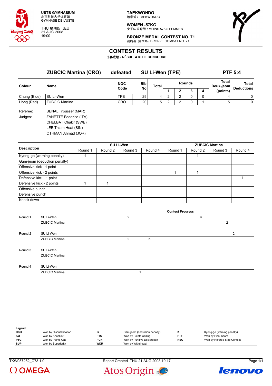

THU 星期四 JEU 21 AUG 2008 19:00

**TAEKWONDO** 跆拳道 / TAEKWONDO

**WOMEN -57KG** 女子57公斤级 / MOINS 57KG FEMMES

**BRONZE MEDAL CONTEST NO. 71** 铜牌赛 第71场 / BRONZE COMBAT NO. 71



## **CONTEST RESULTS**

比赛成绩 **/ RÉSULTATS DE CONCOURS**

|                     | <b>ZUBCIC Martina (CRO)</b><br>Name                                                                                         | defeated<br><b>NOC</b> | <b>SU Li-Wen (TPE)</b> |              |               |   |   |          | <b>PTF 5:4</b>            |                   |  |
|---------------------|-----------------------------------------------------------------------------------------------------------------------------|------------------------|------------------------|--------------|---------------|---|---|----------|---------------------------|-------------------|--|
| Colour              |                                                                                                                             |                        | Bib                    | <b>Total</b> | <b>Rounds</b> |   |   |          | <b>Total</b><br>Deuk-jeom | <b>Total</b>      |  |
|                     |                                                                                                                             | Code                   | No                     |              |               | 2 | 3 | 4        | (points)                  | <b>Deductions</b> |  |
| Chung (Blue)        | SU Li-Wen                                                                                                                   | <b>TPE</b>             | 29                     | 4            | 2             | 2 | 0 | $\Omega$ | 4                         | 0                 |  |
| Hong (Red)          | <b>ZUBCIC Martina</b>                                                                                                       | <b>CRO</b>             | 20                     | 5            | 2             | 2 | 0 |          | 5                         | 0                 |  |
| Referee:<br>Judges: | <b>BENALI Youssef (MAR)</b><br>ZANETTE Federico (ITA)<br>CHELBAT Chakir (SWE)<br>LEE Thiam Huat (SIN)<br>OTHMAN Ahmad (JOR) |                        |                        |              |               |   |   |          |                           |                   |  |
|                     |                                                                                                                             |                        |                        |              |               |   |   |          |                           |                   |  |

|                              |         |         | SU Li-Wen |         | <b>ZUBCIC Martina</b> |         |         |         |  |
|------------------------------|---------|---------|-----------|---------|-----------------------|---------|---------|---------|--|
| <b>Description</b>           | Round 1 | Round 2 | Round 3   | Round 4 | Round 1               | Round 2 | Round 3 | Round 4 |  |
| Kyong-go (warning penalty)   |         |         |           |         |                       |         |         |         |  |
| Gam-jeom (deduction penalty) |         |         |           |         |                       |         |         |         |  |
| Offensive kick - 1 point     |         |         |           |         |                       |         |         |         |  |
| Offensive kick - 2 points    |         |         |           |         |                       |         |         |         |  |
| Defensive kick - 1 point     |         |         |           |         |                       |         |         |         |  |
| Defensive kick - 2 points    |         |         |           |         |                       |         |         |         |  |
| Offensive punch              |         |         |           |         |                       |         |         |         |  |
| Defensive punch              |         |         |           |         |                       |         |         |         |  |
| Knock down                   |         |         |           |         |                       |         |         |         |  |

|         |                       |   |   | <b>Contest Progress</b> |   |                |
|---------|-----------------------|---|---|-------------------------|---|----------------|
| Round 1 | SU Li-Wen             | 2 |   |                         | Κ |                |
|         | <b>ZUBCIC Martina</b> |   |   |                         |   | $\overline{2}$ |
|         |                       |   |   |                         |   |                |
| Round 2 | SU Li-Wen             |   |   |                         |   | $\overline{c}$ |
|         | <b>ZUBCIC Martina</b> | 2 | K |                         |   |                |
|         |                       |   |   |                         |   |                |
| Round 3 | SU Li-Wen             |   |   |                         |   |                |
|         | <b>ZUBCIC Martina</b> |   |   |                         |   |                |
|         |                       |   |   |                         |   |                |
| Round 4 | SU Li-Wen             |   |   |                         |   |                |
|         | <b>ZUBCIC Martina</b> |   |   |                         |   |                |

| Legend:    |                         |            |                              |            |                             |
|------------|-------------------------|------------|------------------------------|------------|-----------------------------|
| DSQ        | Won by Disqualification |            | Gam-jeom (deduction penalty) |            | Kyong-go (warning penalty)  |
| KO         | Won by Knockout         | <b>PTC</b> | Won by Points Ceiling        | <b>PTF</b> | Won by Final Score          |
| <b>PTG</b> | Won by Points Gap       | <b>PUN</b> | Won by Punitive Declaration  | <b>RSC</b> | Won by Referee Stop Contest |
| <b>SUP</b> | Won by Superiority      | <b>WDR</b> | Won by Withdrawal            |            |                             |

TKW057252\_C73 1.0 Report Created THU 21 AUG 2008 19:17 Page 1/1





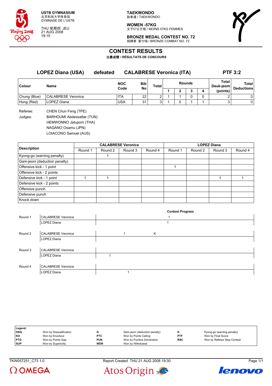

THU 星期四 JEU 21 AUG 2008 19:15

**TAEKWONDO** 跆拳道 / TAEKWONDO

**WOMEN -57KG** 女子57公斤级 / MOINS 57KG FEMMES



**BRONZE MEDAL CONTEST NO. 72** 铜牌赛 第72场 / BRONZE COMBAT NO. 72

## **CONTEST RESULTS**

比赛成绩 **/ RÉSULTATS DE CONCOURS**

**LOPEZ Diana (USA) defeated CALABRESE Veronica (ITA) PTF 3:2 Colour Name NOC Code Bib No Total Rounds Total Deuk-jeom Total Deductions 1 2 3 4 (points)** Chung (Blue) CALABRESE Veronica  $\vert$ ITA  $\vert$  22 2 1 1 0 0 0 2 0 Hong (Red) |LOPEZ Diana |USA | 31 | 3 | 1 | 0 | 1 | 1 | 3 | 0 Referee: CHEN Chun Feng (TPE)

Judges: BARHOUMI Abdessattar (TUN) HEMWONNO Jatuporn (THA) NAGANO Osamu (JPN) LOIACONO Samuel (AUS)

|                              | <b>CALABRESE Veronica</b> |         |         |         | <b>LOPEZ Diana</b> |         |         |         |
|------------------------------|---------------------------|---------|---------|---------|--------------------|---------|---------|---------|
| <b>Description</b>           | Round 1                   | Round 2 | Round 3 | Round 4 | Round 1            | Round 2 | Round 3 | Round 4 |
| Kyong-go (warning penalty)   |                           |         |         |         |                    |         |         |         |
| Gam-jeom (deduction penalty) |                           |         |         |         |                    |         |         |         |
| Offensive kick - 1 point     |                           |         |         |         |                    |         |         |         |
| Offensive kick - 2 points    |                           |         |         |         |                    |         |         |         |
| Defensive kick - 1 point     |                           |         |         |         |                    |         |         |         |
| Defensive kick - 2 points    |                           |         |         |         |                    |         |         |         |
| Offensive punch              |                           |         |         |         |                    |         |         |         |
| Defensive punch              |                           |         |         |         |                    |         |         |         |
| Knock down                   |                           |         |         |         |                    |         |         |         |

|         |                           |  |   | <b>Contest Progress</b> |
|---------|---------------------------|--|---|-------------------------|
| Round 1 | <b>CALABRESE Veronica</b> |  |   |                         |
|         | LOPEZ Diana               |  |   |                         |
|         |                           |  |   |                         |
| Round 2 | <b>CALABRESE Veronica</b> |  | K |                         |
|         | LOPEZ Diana               |  |   |                         |
|         |                           |  |   |                         |
| Round 3 | <b>CALABRESE Veronica</b> |  |   |                         |
|         | LOPEZ Diana               |  |   |                         |
|         |                           |  |   |                         |
| Round 4 | <b>CALABRESE Veronica</b> |  |   |                         |
|         | LOPEZ Diana               |  |   |                         |

| Legend:    |                         |            |                              |            |                             |
|------------|-------------------------|------------|------------------------------|------------|-----------------------------|
| DSQ        | Won by Disqualification |            | Gam-jeom (deduction penalty) |            | Kyong-go (warning penalty)  |
| KO         | Won by Knockout         | <b>PTC</b> | Won by Points Ceiling        | <b>PTF</b> | Won by Final Score          |
| <b>PTG</b> | Won by Points Gap       | <b>PUN</b> | Won by Punitive Declaration  | <b>RSC</b> | Won by Referee Stop Contest |
| <b>SUP</b> | Won by Superiority      | <b>WDR</b> | Won by Withdrawal            |            |                             |

TKW057251\_C73 1.0 Report Created THU 21 AUG 2008 19:30 Page 1/1





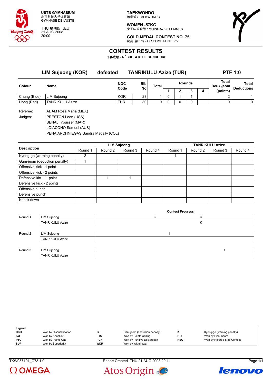

THU 星期四 JEU 21 AUG 2008 20:00

**TAEKWONDO** 跆拳道 / TAEKWONDO

**WOMEN -57KG** 女子57公斤级 / MOINS 57KG FEMMES



**GOLD MEDAL CONTEST NO. 75** 决赛 第75场 / OR COMBAT NO. 75

## **CONTEST RESULTS**

比赛成绩 **/ RÉSULTATS DE CONCOURS**

**LIM Sujeong (KOR) defeated TANRIKULU Azize (TUR) PTF 1:0 Colour Name NOC Code Bib No Total Rounds Total Deuk-jeom Total Deductions 1 2 3 4 (points)** Chung (Blue) LIM Sujeong KOR 23 1 0 1 1 2 1 Hong (Red) TANRIKULU Azize TUR 30 0 0 0 0 0 0

Referee: ADAM Rosa Maria (MEX) Judges: PRESTON Leon (USA) BENALI Youssef (MAR) LOIACONO Samuel (AUS) PENA ARCHNIEGAS Sandra Magally (COL)

|                              |         |         | <b>LIM Sujeong</b> |         | <b>TANRIKULU Azize</b> |         |         |         |  |
|------------------------------|---------|---------|--------------------|---------|------------------------|---------|---------|---------|--|
| <b>Description</b>           | Round 1 | Round 2 | Round 3            | Round 4 | Round 1                | Round 2 | Round 3 | Round 4 |  |
| Kyong-go (warning penalty)   |         |         |                    |         |                        |         |         |         |  |
| Gam-jeom (deduction penalty) |         |         |                    |         |                        |         |         |         |  |
| Offensive kick - 1 point     |         |         |                    |         |                        |         |         |         |  |
| Offensive kick - 2 points    |         |         |                    |         |                        |         |         |         |  |
| Defensive kick - 1 point     |         |         |                    |         |                        |         |         |         |  |
| Defensive kick - 2 points    |         |         |                    |         |                        |         |         |         |  |
| Offensive punch              |         |         |                    |         |                        |         |         |         |  |
| Defensive punch              |         |         |                    |         |                        |         |         |         |  |
| Knock down                   |         |         |                    |         |                        |         |         |         |  |

|         |                        |   | <b>Contest Progress</b> |   |  |
|---------|------------------------|---|-------------------------|---|--|
| Round 1 | LIM Sujeong            | Κ |                         | Κ |  |
|         | <b>TANRIKULU Azize</b> |   |                         | Κ |  |
|         |                        |   |                         |   |  |
| Round 2 | <b>LIM Sujeong</b>     |   |                         |   |  |
|         | <b>TANRIKULU Azize</b> |   |                         |   |  |
|         |                        |   |                         |   |  |
| Round 3 | <b>LIM Sujeong</b>     |   |                         |   |  |
|         | <b>TANRIKULU Azize</b> |   |                         |   |  |

| Legend:    |                         |            |                              |            |                             |
|------------|-------------------------|------------|------------------------------|------------|-----------------------------|
| <b>DSQ</b> | Won by Disqualification |            | Gam-jeom (deduction penalty) |            | Kyong-go (warning penalty)  |
| l KO       | Won by Knockout         | <b>PTC</b> | Won by Points Ceiling        | <b>PTF</b> | Won by Final Score          |
| <b>PTG</b> | Won by Points Gap       | <b>PUN</b> | Won by Punitive Declaration  | <b>RSC</b> | Won by Referee Stop Contest |
| <b>SUP</b> | Won by Superiority      | <b>WDR</b> | Won by Withdrawal            |            |                             |

 $\Omega$  OMEGA

TKW057101 C73 1.0 Page 1/1



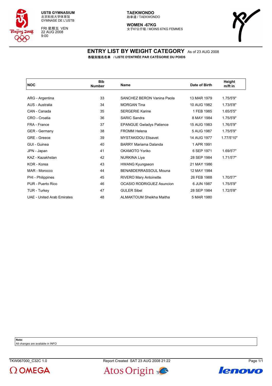

FRI 星期五 VEN 22 AUG 2008 9:00

#### **TAEKWONDO** 跆拳道 / TAEKWONDO

**WOMEN -67KG** 女子67公斤级 / MOINS 67KG FEMMES



#### **ENTRY LIST BY WEIGHT CATEGORY** As of 23 AUG 2008 各级别报名名单 **/ LISTE D'ENTRÉE PAR CATÉGORIE DU POIDS**

| <b>NOC</b>                        | <b>Bib</b><br><b>Number</b> | <b>Name</b>                       | Date of Birth | Height<br>m/ft in |
|-----------------------------------|-----------------------------|-----------------------------------|---------------|-------------------|
|                                   |                             |                                   |               |                   |
| ARG - Argentina                   | 33                          | <b>SANCHEZ BERON Vanina Paola</b> | 13 MAR 1979   | 1.75/5'9"         |
| AUS - Australia                   | 34                          | <b>MORGAN Tina</b>                | 10 AUG 1982   | 1.73/5'8"         |
| CAN - Canada                      | 35                          | <b>SERGERIE Karine</b>            | 1 FEB 1985    | 1.65/5'5"         |
| CRO - Croatia                     | 36                          | <b>SARIC Sandra</b>               | 8 MAY 1984    | 1.75/5'9"         |
| FRA - France                      | 37                          | <b>EPANGUE Gwladys Patience</b>   | 15 AUG 1983   | 1.76/5'9"         |
| <b>GER</b> - Germany              | 38                          | <b>FROMM Helena</b>               | 5 AUG 1987    | 1.75/5'9"         |
| GRE - Greece                      | 39                          | <b>MYSTAKIDOU Elisavet</b>        | 14 AUG 1977   | 1.77/5'10"        |
| GUI - Guinea                      | 40                          | BARRY Mariama Dalanda             | 1 APR 1991    |                   |
| JPN - Japan                       | 41                          | OKAMOTO Yoriko                    | 6 SEP 1971    | 1.69/5'7"         |
| KAZ - Kazakhstan                  | 42                          | <b>NURKINA Liya</b>               | 28 SEP 1984   | 1.71/5'7"         |
| KOR - Korea                       | 43                          | <b>HWANG Kyungseon</b>            | 21 MAY 1986   |                   |
| MAR - Morocco                     | 44                          | BENABDERRASSOUL Mouna             | 12 MAY 1984   |                   |
| PHI - Philippines                 | 45                          | <b>RIVERO Mary Antoinette</b>     | 26 FEB 1988   | 1.70/5'7"         |
| PUR - Puerto Rico                 | 46                          | <b>OCASIO RODRIGUEZ Asuncion</b>  | 6 JUN 1987    | 1.75/5'9"         |
| TUR - Turkey                      | 47                          | <b>GULER Sibel</b>                | 28 SEP 1984   | 1.72/5'8"         |
| <b>UAE - United Arab Emirates</b> | 48                          | ALMAKTOUM Sheikha Maitha          | 5 MAR 1980    |                   |
|                                   |                             |                                   |               |                   |

**Note:**

All changes are available in INFO





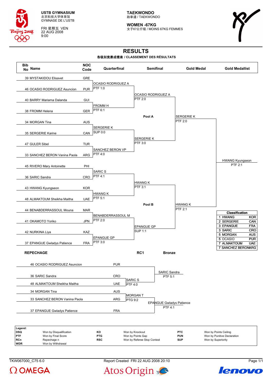

FRI 星期五 VEN 22 AUG 2008 9:00

**TAEKWONDO** 跆拳道 / TAEKWONDO

**WOMEN -67KG** 女子67公斤级 / MOINS 67KG FEMMES



# **RESULTS**

#### 各级别竞赛成绩表 **/ CLASSEMENT DES RÉSULTATS**



TKW067000\_C75 6.0 Report Created FRI 22 AUG 2008 20:10 Page 1/1

Atos Origin



lenovo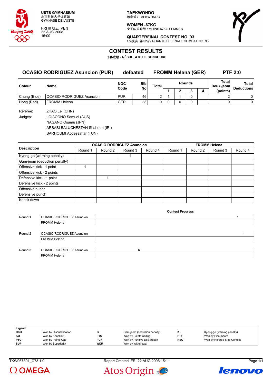

FRI 星期五 VEN 22 AUG 2008 15:00

**TAEKWONDO** 跆拳道 / TAEKWONDO

**WOMEN -67KG**

女子67公斤级 / MOINS 67KG FEMMES



**QUARTERFINAL CONTEST NO. 93** 1/4决赛 第93场 / QUARTS DE FINALE COMBAT NO. 93

**Contest Progress**

## **CONTEST RESULTS**

比赛成绩 **/ RÉSULTATS DE CONCOURS**

### **OCASIO RODRIGUEZ Asuncion (PUR) defeated FROMM Helena (GER) PTF 2:0**

| <b>Colour</b> | Name                             | <b>NOC</b><br>Code | <b>Bib</b><br>No | <b>Total</b> | <b>Rounds</b> |  |  |  | Total<br>Deuk-jeom | Total<br><b>Deductions</b> |
|---------------|----------------------------------|--------------------|------------------|--------------|---------------|--|--|--|--------------------|----------------------------|
|               |                                  |                    |                  |              |               |  |  |  | (points)           |                            |
| Chung (Blue)  | <b>OCASIO RODRIGUEZ Asuncion</b> | <b>PUR</b>         | 46               |              |               |  |  |  |                    |                            |
| Hong (Red)    | FROMM Helena                     | <b>GER</b>         | 38               |              |               |  |  |  |                    |                            |

Referee: ZHAO Lei (CHN) Judges: LOIACONO Samuel (AUS) NAGANO Osamu (JPN) ARBABI BALUCHESTAN Shahram (IRI) BARHOUMI Abdessattar (TUN)

|                              |         |         | <b>OCASIO RODRIGUEZ Asuncion</b> |         | <b>FROMM Helena</b> |         |         |         |  |
|------------------------------|---------|---------|----------------------------------|---------|---------------------|---------|---------|---------|--|
| <b>Description</b>           | Round 1 | Round 2 | Round 3                          | Round 4 | Round 1             | Round 2 | Round 3 | Round 4 |  |
| Kyong-go (warning penalty)   |         |         |                                  |         |                     |         |         |         |  |
| Gam-jeom (deduction penalty) |         |         |                                  |         |                     |         |         |         |  |
| Offensive kick - 1 point     |         |         |                                  |         |                     |         |         |         |  |
| Offensive kick - 2 points    |         |         |                                  |         |                     |         |         |         |  |
| Defensive kick - 1 point     |         |         |                                  |         |                     |         |         |         |  |
| Defensive kick - 2 points    |         |         |                                  |         |                     |         |         |         |  |
| Offensive punch              |         |         |                                  |         |                     |         |         |         |  |
| Defensive punch              |         |         |                                  |         |                     |         |         |         |  |
| Knock down                   |         |         |                                  |         |                     |         |         |         |  |

|         |                                  | . |  |
|---------|----------------------------------|---|--|
| Round 1 | OCASIO RODRIGUEZ Asuncion        |   |  |
|         | <b>FROMM Helena</b>              |   |  |
|         |                                  |   |  |
| Round 2 | OCASIO RODRIGUEZ Asuncion        |   |  |
|         | <b>FROMM Helena</b>              |   |  |
|         |                                  |   |  |
| Round 3 | <b>OCASIO RODRIGUEZ Asuncion</b> | K |  |
|         | <b>FROMM Helena</b>              |   |  |

| Legend:    |                         |            |                              |            |                             |
|------------|-------------------------|------------|------------------------------|------------|-----------------------------|
| <b>DSQ</b> | Won by Disqualification |            | Gam-jeom (deduction penalty) |            | Kyong-go (warning penalty)  |
| KO         | Won by Knockout         | <b>PTC</b> | Won by Points Ceiling        | <b>PTF</b> | Won by Final Score          |
| <b>PTG</b> | Won by Points Gap       | <b>PUN</b> | Won by Punitive Declaration  | <b>RSC</b> | Won by Referee Stop Contest |
| <b>SUP</b> | Won by Superiority      | <b>WDR</b> | Won by Withdrawal            |            |                             |



TKW067301\_C73 1.0 Report Created FRI 22 AUG 2008 15:11 Page 1/1



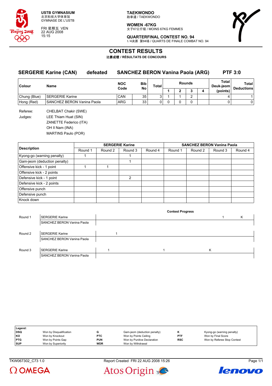

FRI 星期五 VEN 22 AUG 2008 15:15

**TAEKWONDO** 跆拳道 / TAEKWONDO

**WOMEN -67KG** 女子67公斤级 / MOINS 67KG FEMMES



**QUARTERFINAL CONTEST NO. 94** 1/4决赛 第94场 / QUARTS DE FINALE COMBAT NO. 94

## **CONTEST RESULTS**

比赛成绩 **/ RÉSULTATS DE CONCOURS**

|              | <b>SERGERIE Karine (CAN)</b> | defeated | <b>SANCHEZ BERON Vanina Paola (ARG)</b> |            |              |   |   |               |                    |                            | <b>PTF 3:0</b> |
|--------------|------------------------------|----------|-----------------------------------------|------------|--------------|---|---|---------------|--------------------|----------------------------|----------------|
| Colour       | Name                         |          | <b>NOC</b>                              | <b>Bib</b> | <b>Total</b> |   |   | <b>Rounds</b> | Total<br>Deuk-jeom | Total<br><b>Deductions</b> |                |
|              |                              |          | Code                                    | No         |              |   | 2 |               | 4                  | (points)                   |                |
| Chung (Blue) | <b>SERGERIE Karine</b>       |          | CAN                                     | 35         | 3            |   |   | 2             |                    | 4                          |                |
| Hong (Red)   | SANCHEZ BERON Vanina Paola   |          | <b>ARG</b>                              | 33         | 0            | 0 |   | 0             |                    |                            | 0              |
| Referee:     | CHELBAT Chakir (SWE)         |          |                                         |            |              |   |   |               |                    |                            |                |
| Judges:      | LEE Thiam Huat (SIN)         |          |                                         |            |              |   |   |               |                    |                            |                |
|              | ZANETTE Federico (ITA)       |          |                                         |            |              |   |   |               |                    |                            |                |
|              | OH II Nam (INA)              |          |                                         |            |              |   |   |               |                    |                            |                |

MARTINS Paulo (POR)

|                              |         |         | <b>SERGERIE Karine</b> |         | <b>SANCHEZ BERON Vanina Paola</b> |         |         |         |  |
|------------------------------|---------|---------|------------------------|---------|-----------------------------------|---------|---------|---------|--|
| <b>Description</b>           | Round 1 | Round 2 | Round 3                | Round 4 | Round 1                           | Round 2 | Round 3 | Round 4 |  |
| Kyong-go (warning penalty)   |         |         |                        |         |                                   |         |         |         |  |
| Gam-jeom (deduction penalty) |         |         |                        |         |                                   |         |         |         |  |
| Offensive kick - 1 point     |         |         |                        |         |                                   |         |         |         |  |
| Offensive kick - 2 points    |         |         |                        |         |                                   |         |         |         |  |
| Defensive kick - 1 point     |         |         | $\mathcal{P}$          |         |                                   |         |         |         |  |
| Defensive kick - 2 points    |         |         |                        |         |                                   |         |         |         |  |
| Offensive punch              |         |         |                        |         |                                   |         |         |         |  |
| Defensive punch              |         |         |                        |         |                                   |         |         |         |  |
| Knock down                   |         |         |                        |         |                                   |         |         |         |  |

|         |                            | <b>Contest Progress</b> |   |   |
|---------|----------------------------|-------------------------|---|---|
| Round 1 | <b>SERGERIE Karine</b>     |                         |   | K |
|         | SANCHEZ BERON Vanina Paola |                         |   |   |
|         |                            |                         |   |   |
| Round 2 | <b>SERGERIE Karine</b>     |                         |   |   |
|         | SANCHEZ BERON Vanina Paola |                         |   |   |
|         |                            |                         |   |   |
| Round 3 | <b>SERGERIE Karine</b>     |                         | Κ |   |
|         | SANCHEZ BERON Vanina Paola |                         |   |   |

| Legend:    |                         |            |                              |            |                             |
|------------|-------------------------|------------|------------------------------|------------|-----------------------------|
| DSQ        | Won by Disqualification |            | Gam-jeom (deduction penalty) |            | Kyong-go (warning penalty)  |
| KO         | Won by Knockout         | <b>PTC</b> | Won by Points Ceiling        | <b>PTF</b> | Won by Final Score          |
| <b>PTG</b> | Won by Points Gap       | <b>PUN</b> | Won by Punitive Declaration  | <b>RSC</b> | Won by Referee Stop Contest |
| <b>SUP</b> | Won by Superiority      | <b>WDR</b> | Won by Withdrawal            |            |                             |



TKW067302\_C73 1.0 Report Created FRI 22 AUG 2008 15:26 Page 1/1



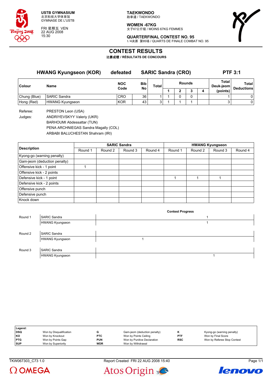

FRI 星期五 VEN 22 AUG 2008 15:30

**TAEKWONDO** 跆拳道 / TAEKWONDO

**WOMEN -67KG** 女子67公斤级 / MOINS 67KG FEMMES



**QUARTERFINAL CONTEST NO. 95** 1/4决赛 第95场 / QUARTS DE FINALE COMBAT NO. 95

## **CONTEST RESULTS**

比赛成绩 **/ RÉSULTATS DE CONCOURS**

|               | <b>HWANG Kyungseon (KOR)</b> | defeated           |            | <b>SARIC Sandra (CRO)</b> |        | <b>PTF 3:1</b> |  |   |                    |                                   |
|---------------|------------------------------|--------------------|------------|---------------------------|--------|----------------|--|---|--------------------|-----------------------------------|
| <b>Colour</b> | Name                         | <b>NOC</b><br>Code | <b>Bib</b> | Total                     | Rounds |                |  |   | Total<br>Deuk-jeom | <b>Total</b><br><b>Deductions</b> |
|               |                              |                    | No         |                           |        |                |  | 4 | (points)           |                                   |
| Chung (Blue)  | <b>SARIC Sandra</b>          | <b>CRO</b>         | 36         |                           |        | 0              |  |   |                    | 0                                 |
| Hong (Red)    | <b>HWANG Kyungseon</b>       | KOR                | 43         | 3                         |        |                |  |   |                    | 0                                 |

Referee: PRESTON Leon (USA)

Judges: ANDRIYEVSKYY Valeriy (UKR)

BARHOUMI Abdessattar (TUN)

PENA ARCHNIEGAS Sandra Magally (COL)

ARBABI BALUCHESTAN Shahram (IRI)

|                              |         |         | <b>SARIC Sandra</b> |         | <b>HWANG Kyungseon</b> |         |         |         |  |  |
|------------------------------|---------|---------|---------------------|---------|------------------------|---------|---------|---------|--|--|
| <b>Description</b>           | Round 1 | Round 2 | Round 3             | Round 4 | Round 1                | Round 2 | Round 3 | Round 4 |  |  |
| Kyong-go (warning penalty)   |         |         |                     |         |                        |         |         |         |  |  |
| Gam-jeom (deduction penalty) |         |         |                     |         |                        |         |         |         |  |  |
| Offensive kick - 1 point     |         |         |                     |         |                        |         |         |         |  |  |
| Offensive kick - 2 points    |         |         |                     |         |                        |         |         |         |  |  |
| Defensive kick - 1 point     |         |         |                     |         |                        |         |         |         |  |  |
| Defensive kick - 2 points    |         |         |                     |         |                        |         |         |         |  |  |
| Offensive punch              |         |         |                     |         |                        |         |         |         |  |  |
| Defensive punch              |         |         |                     |         |                        |         |         |         |  |  |
| Knock down                   |         |         |                     |         |                        |         |         |         |  |  |

|         |                        | <b>Contest Progress</b> |  |
|---------|------------------------|-------------------------|--|
| Round 1 | <b>SARIC Sandra</b>    |                         |  |
|         | <b>HWANG Kyungseon</b> |                         |  |
|         |                        |                         |  |
| Round 2 | <b>SARIC Sandra</b>    |                         |  |
|         | <b>HWANG Kyungseon</b> |                         |  |
|         |                        |                         |  |
| Round 3 | <b>SARIC Sandra</b>    |                         |  |
|         | <b>HWANG Kyungseon</b> |                         |  |

| Legend:    |                         |            |                              |            |                             |
|------------|-------------------------|------------|------------------------------|------------|-----------------------------|
| <b>DSQ</b> | Won by Disqualification |            | Gam-jeom (deduction penalty) |            | Kyong-go (warning penalty)  |
| KO         | Won by Knockout         | <b>PTC</b> | Won by Points Ceiling        | <b>PTF</b> | Won by Final Score          |
| <b>PTG</b> | Won by Points Gap       | <b>PUN</b> | Won by Punitive Declaration  | <b>RSC</b> | Won by Referee Stop Contest |
| <b>SUP</b> | Won by Superiority      | <b>WDR</b> | Won by Withdrawal            |            |                             |



TKW067303\_C73 1.0 Report Created FRI 22 AUG 2008 15:40 Page 1/1



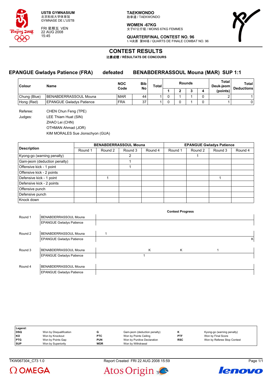

FRI 星期五 VEN 22 AUG 2008 15:45

**TAEKWONDO** 跆拳道 / TAEKWONDO

**WOMEN -67KG** 女子67公斤级 / MOINS 67KG FEMMES



#### **QUARTERFINAL CONTEST NO. 96** 1/4决赛 第96场 / QUARTS DE FINALE COMBAT NO. 96

**CONTEST RESULTS**

比赛成绩 **/ RÉSULTATS DE CONCOURS**

#### **EPANGUE Gwladys Patience (FRA) defeated BENABDERRASSOUL Mouna (MAR) SUP 1:1**

| Colour       | Name                            | <b>NOC</b> | Bib<br>No<br>Code |  | <b>Rounds</b><br>Total |  |  |   | Total<br>Deuk-jeom | Total<br><b>Deductions</b> |
|--------------|---------------------------------|------------|-------------------|--|------------------------|--|--|---|--------------------|----------------------------|
|              |                                 |            |                   |  |                        |  |  |   | (points)           |                            |
| Chung (Blue) | BENABDERRASSOUL Mouna           | <b>MAR</b> | 44                |  |                        |  |  | ◠ |                    |                            |
| Hong (Red)   | <b>EPANGUE Gwladys Patience</b> | <b>FRA</b> | 37                |  |                        |  |  |   |                    |                            |

Referee: CHEN Chun Feng (TPE) Judges: LEE Thiam Huat (SIN) ZHAO Lei (CHN) OTHMAN Ahmad (JOR) KIM MORALES Sue Jionschyon (GUA)

|                              |         |         | <b>BENABDERRASSOUL Mouna</b> |         | <b>EPANGUE Gwladys Patience</b> |         |         |         |  |
|------------------------------|---------|---------|------------------------------|---------|---------------------------------|---------|---------|---------|--|
| <b>Description</b>           | Round 1 | Round 2 | Round 3                      | Round 4 | Round 1                         | Round 2 | Round 3 | Round 4 |  |
| Kyong-go (warning penalty)   |         |         | 2                            |         |                                 |         |         |         |  |
| Gam-jeom (deduction penalty) |         |         |                              |         |                                 |         |         |         |  |
| Offensive kick - 1 point     |         |         |                              |         |                                 |         |         |         |  |
| Offensive kick - 2 points    |         |         |                              |         |                                 |         |         |         |  |
| Defensive kick - 1 point     |         |         |                              |         |                                 |         |         |         |  |
| Defensive kick - 2 points    |         |         |                              |         |                                 |         |         |         |  |
| Offensive punch              |         |         |                              |         |                                 |         |         |         |  |
| Defensive punch              |         |         |                              |         |                                 |         |         |         |  |
| Knock down                   |         |         |                              |         |                                 |         |         |         |  |

|         |                                 |   | <b>Contest Progress</b> |   |
|---------|---------------------------------|---|-------------------------|---|
| Round 1 | BENABDERRASSOUL Mouna           |   |                         |   |
|         | <b>EPANGUE Gwladys Patience</b> |   |                         |   |
|         |                                 |   |                         |   |
| Round 2 | BENABDERRASSOUL Mouna           |   |                         |   |
|         | <b>EPANGUE Gwladys Patience</b> |   |                         | ĸ |
|         |                                 |   |                         |   |
| Round 3 | BENABDERRASSOUL Mouna           | K | Κ                       |   |
|         | <b>EPANGUE Gwladys Patience</b> |   |                         |   |
|         |                                 |   |                         |   |
| Round 4 | BENABDERRASSOUL Mouna           |   |                         |   |
|         | <b>EPANGUE Gwladys Patience</b> |   |                         |   |

| Legend:    |                         |            |                              |            |                             |
|------------|-------------------------|------------|------------------------------|------------|-----------------------------|
| <b>DSQ</b> | Won by Disqualification | G          | Gam-jeom (deduction penalty) |            | Kyong-go (warning penalty)  |
| KO         | Won by Knockout         | <b>PTC</b> | Won by Points Ceiling        | <b>PTF</b> | Won by Final Score          |
| <b>PTG</b> | Won by Points Gap       | <b>PUN</b> | Won by Punitive Declaration  | <b>RSC</b> | Won by Referee Stop Contest |
| <b>SUP</b> | Won by Superiority      | <b>WDR</b> | Won by Withdrawal            |            |                             |





Atos Origin



lenovo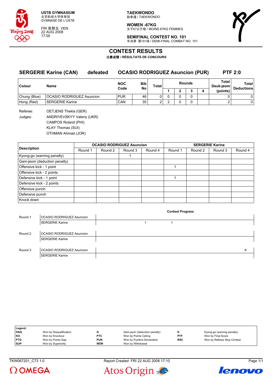

FRI 星期五 VEN 22 AUG 2008 17:00

**TAEKWONDO** 跆拳道 / TAEKWONDO

**WOMEN -67KG** 女子67公斤级 / MOINS 67KG FEMMES



**SEMIFINAL CONTEST NO. 101** 半决赛 第101场 / DEMI-FINAL COMBAT NO. 101

## **CONTEST RESULTS**

比赛成绩 **/ RÉSULTATS DE CONCOURS**

| <b>SERGERIE Karine (CAN)</b><br>defeated |                                  | <b>OCASIO RODRIGUEZ Asuncion (PUR)</b> |                    |                 |              |  |   |        | <b>PTF 2:0</b> |                    |                            |
|------------------------------------------|----------------------------------|----------------------------------------|--------------------|-----------------|--------------|--|---|--------|----------------|--------------------|----------------------------|
| <b>Colour</b>                            | Name                             |                                        | <b>NOC</b><br>Code | Bib<br>No       | <b>Total</b> |  |   | Rounds |                | Total<br>Deuk-ieom | Total<br><b>Deductions</b> |
|                                          |                                  |                                        |                    |                 |              |  | ∍ |        |                | (points)           |                            |
| Chung (Blue)                             | <b>OCASIO RODRIGUEZ Asuncion</b> |                                        | <b>PUR</b>         | 46              |              |  |   |        |                |                    |                            |
| Hong (Red)                               | SERGERIE Karine                  |                                        | CAN                | 35 <sub>1</sub> |              |  |   |        |                |                    | 0                          |

Referee: OETJENS Thekla (GER) Judges: ANDRIYEVSKYY Valeriy (UKR) CAMPOS Roland (PHI) KLAY Thomas (SUI) OTHMAN Ahmad (JOR)

|                              |         |         | <b>OCASIO RODRIGUEZ Asuncion</b> |         | <b>SERGERIE Karine</b> |         |         |         |  |  |
|------------------------------|---------|---------|----------------------------------|---------|------------------------|---------|---------|---------|--|--|
| <b>Description</b>           | Round 1 | Round 2 | Round 3                          | Round 4 | Round 1                | Round 2 | Round 3 | Round 4 |  |  |
| Kyong-go (warning penalty)   |         |         |                                  |         |                        |         |         |         |  |  |
| Gam-jeom (deduction penalty) |         |         |                                  |         |                        |         |         |         |  |  |
| Offensive kick - 1 point     |         |         |                                  |         |                        |         |         |         |  |  |
| Offensive kick - 2 points    |         |         |                                  |         |                        |         |         |         |  |  |
| Defensive kick - 1 point     |         |         |                                  |         |                        |         |         |         |  |  |
| Defensive kick - 2 points    |         |         |                                  |         |                        |         |         |         |  |  |
| Offensive punch              |         |         |                                  |         |                        |         |         |         |  |  |
| Defensive punch              |         |         |                                  |         |                        |         |         |         |  |  |
| Knock down                   |         |         |                                  |         |                        |         |         |         |  |  |

|                                  | <b>Contest Progress</b> |   |
|----------------------------------|-------------------------|---|
| <b>OCASIO RODRIGUEZ Asuncion</b> |                         |   |
| <b>SERGERIE Karine</b>           |                         |   |
|                                  |                         |   |
| OCASIO RODRIGUEZ Asuncion        |                         |   |
| <b>SERGERIE Karine</b>           |                         |   |
|                                  |                         |   |
| OCASIO RODRIGUEZ Asuncion        |                         | Κ |
| <b>SERGERIE Karine</b>           |                         |   |
|                                  |                         |   |

| Legend:    |                         |            |                              |            |                             |
|------------|-------------------------|------------|------------------------------|------------|-----------------------------|
| <b>DSQ</b> | Won by Disqualification |            | Gam-jeom (deduction penalty) |            | Kyong-go (warning penalty)  |
| <b>KO</b>  | Won by Knockout         | <b>PTC</b> | Won by Points Ceiling        | <b>PTF</b> | Won by Final Score          |
| <b>PTG</b> | Won by Points Gap       | <b>PUN</b> | Won by Punitive Declaration  | <b>RSC</b> | Won by Referee Stop Contest |
| <b>SUP</b> | Won by Superiority      | <b>WDR</b> | Won by Withdrawal            |            |                             |



TKW067201\_C73 1.0 Report Created FRI 22 AUG 2008 17:10 Page 1/1



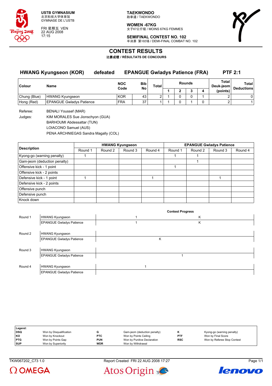

FRI 星期五 VEN 22 AUG 2008 17:15

**TAEKWONDO** 跆拳道 / TAEKWONDO

**WOMEN -67KG** 女子67公斤级 / MOINS 67KG FEMMES



**SEMIFINAL CONTEST NO. 102** 半决赛 第102场 / DEMI-FINAL COMBAT NO. 102

## **CONTEST RESULTS**

比赛成绩 **/ RÉSULTATS DE CONCOURS**

| <b>HWANG Kyungseon (KOR)</b> |                                 | <b>EPANGUE Gwladys Patience (FRA)</b><br>defeated |                    |           |       |   |              |               | <b>PTF 2:1</b> |                    |                            |
|------------------------------|---------------------------------|---------------------------------------------------|--------------------|-----------|-------|---|--------------|---------------|----------------|--------------------|----------------------------|
| Colour                       | Name                            |                                                   | <b>NOC</b><br>Code | Bib<br>No | Total |   |              | <b>Rounds</b> |                | Total<br>Deuk-ieom | Total<br><b>Deductions</b> |
|                              |                                 |                                                   |                    |           |       | c |              | 4             | (points)       |                    |                            |
| Chung (Blue)                 | HWANG Kyungseon                 |                                                   | <b>KOR</b>         | 43        | ົ     |   |              |               |                | ີ                  | 0                          |
| Hong (Red)                   | <b>EPANGUE Gwladys Patience</b> |                                                   | <b>FRA</b>         | 37        |       |   | <sup>n</sup> |               |                | $\sim$             |                            |

Referee: BENALI Youssef (MAR)

Judges: KIM MORALES Sue Jionschyon (GUA) BARHOUMI Abdessattar (TUN)

LOIACONO Samuel (AUS)

PENA ARCHNIEGAS Sandra Magally (COL)

|                              |         |         | <b>HWANG Kyungseon</b> |         | <b>EPANGUE Gwladys Patience</b> |         |         |         |  |  |
|------------------------------|---------|---------|------------------------|---------|---------------------------------|---------|---------|---------|--|--|
| <b>Description</b>           | Round 1 | Round 2 | Round 3                | Round 4 | Round 1                         | Round 2 | Round 3 | Round 4 |  |  |
| Kyong-go (warning penalty)   |         |         |                        |         |                                 |         |         |         |  |  |
| Gam-jeom (deduction penalty) |         |         |                        |         |                                 |         |         |         |  |  |
| Offensive kick - 1 point     |         |         |                        |         |                                 |         |         |         |  |  |
| Offensive kick - 2 points    |         |         |                        |         |                                 |         |         |         |  |  |
| Defensive kick - 1 point     |         |         |                        |         |                                 |         |         |         |  |  |
| Defensive kick - 2 points    |         |         |                        |         |                                 |         |         |         |  |  |
| Offensive punch              |         |         |                        |         |                                 |         |         |         |  |  |
| Defensive punch              |         |         |                        |         |                                 |         |         |         |  |  |
| Knock down                   |         |         |                        |         |                                 |         |         |         |  |  |

|         |                                 |   | <b>Contest Progress</b> |  |
|---------|---------------------------------|---|-------------------------|--|
| Round 1 | <b>HWANG Kyungseon</b>          |   | Κ                       |  |
|         | <b>EPANGUE Gwladys Patience</b> |   | Κ                       |  |
|         |                                 |   |                         |  |
| Round 2 | <b>HWANG Kyungseon</b>          |   |                         |  |
|         | <b>EPANGUE Gwladys Patience</b> | κ |                         |  |
|         |                                 |   |                         |  |
| Round 3 | <b>HWANG Kyungseon</b>          |   |                         |  |
|         | <b>EPANGUE Gwladys Patience</b> |   |                         |  |
|         |                                 |   |                         |  |
| Round 4 | <b>HWANG Kyungseon</b>          |   |                         |  |
|         | <b>EPANGUE Gwladys Patience</b> |   |                         |  |

| Legend:    |                         |            |                              |            |                             |
|------------|-------------------------|------------|------------------------------|------------|-----------------------------|
| <b>DSQ</b> | Won by Disqualification |            | Gam-jeom (deduction penalty) | г.         | Kyong-go (warning penalty)  |
| KO         | Won by Knockout         | <b>PTC</b> | Won by Points Ceiling        | PTF        | Won by Final Score          |
| <b>PTG</b> | Won by Points Gap       | <b>PUN</b> | Won by Punitive Declaration  | <b>RSC</b> | Won by Referee Stop Contest |
| <b>SUP</b> | Won by Superiority      | <b>WDR</b> | Won by Withdrawal            |            |                             |



TKW067202\_C73 1.0 Report Created FRI 22 AUG 2008 17:27 Page 1/1



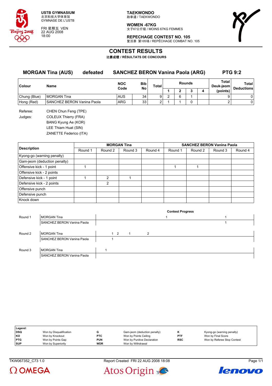

FRI 星期五 VEN 22 AUG 2008 18:00

**TAEKWONDO** 跆拳道 / TAEKWONDO

**WOMEN -67KG** 女子67公斤级 / MOINS 67KG FEMMES



**REPECHAGE CONTEST NO. 105** 复活赛 第105场 / REPÊCHAGE COMBAT NO. 105

## **CONTEST RESULTS**

比赛成绩 **/ RÉSULTATS DE CONCOURS**

|               | <b>MORGAN Tina (AUS)</b><br>defeated | <b>SANCHEZ BERON Vanina Paola (ARG)</b> |           | <b>PTG 9:2</b> |   |   |               |   |                    |                                   |
|---------------|--------------------------------------|-----------------------------------------|-----------|----------------|---|---|---------------|---|--------------------|-----------------------------------|
| <b>Colour</b> | <b>Name</b>                          | <b>NOC</b><br>Code                      | Bib<br>No | <b>Total</b>   |   |   | <b>Rounds</b> |   | Total<br>Deuk-jeom | <b>Total</b><br><b>Deductions</b> |
|               |                                      |                                         |           |                |   |   |               | 4 | (points)           |                                   |
| Chung (Blue)  | <b>MORGAN Tina</b>                   | <b>AUS</b>                              | 34        | 9              | ົ | 6 |               |   |                    | 0                                 |
| Hong (Red)    | SANCHEZ BERON Vanina Paola           | ARG                                     | 33        | ົ              |   |   |               |   |                    | 0                                 |
|               |                                      |                                         |           |                |   |   |               |   |                    |                                   |

Referee: CHEN Chun Feng (TPE) Judges: COLEUX Thierry (FRA) BANG Kyung Ae (KOR) LEE Thiam Huat (SIN) ZANETTE Federico (ITA)

|                              |         |                | <b>MORGAN Tina</b> |         | <b>SANCHEZ BERON Vanina Paola</b> |         |         |         |  |
|------------------------------|---------|----------------|--------------------|---------|-----------------------------------|---------|---------|---------|--|
| <b>Description</b>           | Round 1 | Round 2        | Round 3            | Round 4 | Round 1                           | Round 2 | Round 3 | Round 4 |  |
| Kyong-go (warning penalty)   |         |                |                    |         |                                   |         |         |         |  |
| Gam-jeom (deduction penalty) |         |                |                    |         |                                   |         |         |         |  |
| Offensive kick - 1 point     |         |                |                    |         |                                   |         |         |         |  |
| Offensive kick - 2 points    |         |                |                    |         |                                   |         |         |         |  |
| Defensive kick - 1 point     |         | $\mathfrak{p}$ |                    |         |                                   |         |         |         |  |
| Defensive kick - 2 points    |         | $\overline{2}$ |                    |         |                                   |         |         |         |  |
| Offensive punch              |         |                |                    |         |                                   |         |         |         |  |
| Defensive punch              |         |                |                    |         |                                   |         |         |         |  |
| Knock down                   |         |                |                    |         |                                   |         |         |         |  |

|         |                            |          |    |   | <b>Contest Progress</b> |  |  |
|---------|----------------------------|----------|----|---|-------------------------|--|--|
| Round 1 | <b>MORGAN Tina</b>         |          |    |   |                         |  |  |
|         | SANCHEZ BERON Vanina Paola |          |    |   |                         |  |  |
|         |                            |          |    |   |                         |  |  |
| Round 2 | <b>MORGAN Tina</b>         | $1\quad$ | -1 | 2 |                         |  |  |
|         | SANCHEZ BERON Vanina Paola |          |    |   |                         |  |  |
|         |                            |          |    |   |                         |  |  |
| Round 3 | <b>MORGAN Tina</b>         |          |    |   |                         |  |  |
|         | SANCHEZ BERON Vanina Paola |          |    |   |                         |  |  |

| Legend:    |                         |            |                              |            |                             |
|------------|-------------------------|------------|------------------------------|------------|-----------------------------|
| <b>DSQ</b> | Won by Disqualification |            | Gam-jeom (deduction penalty) |            | Kyong-go (warning penalty)  |
| KO         | Won by Knockout         | <b>PTC</b> | Won by Points Ceiling        | <b>PTF</b> | Won by Final Score          |
| <b>PTG</b> | Won by Points Gap       | <b>PUN</b> | Won by Punitive Declaration  | <b>RSC</b> | Won by Referee Stop Contest |
| <b>SUP</b> | Won by Superiority      | <b>WDR</b> | Won by Withdrawal            |            |                             |

 $\Omega$  OMEGA





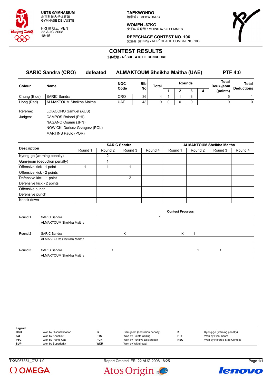

FRI 星期五 VEN 22 AUG 2008 18:15

**TAEKWONDO** 跆拳道 / TAEKWONDO

**WOMEN -67KG** 女子67公斤级 / MOINS 67KG FEMMES

**REPECHAGE CONTEST NO. 106** 复活赛 第106场 / REPÊCHAGE COMBAT NO. 106



**CONTEST RESULTS**

比赛成绩 **/ RÉSULTATS DE CONCOURS**

|               | <b>SARIC Sandra (CRO)</b><br>defeated | <b>ALMAKTOUM Sheikha Maitha (UAE)</b> |     |          |  |               |   | <b>PTF 4:0</b>     |                            |  |
|---------------|---------------------------------------|---------------------------------------|-----|----------|--|---------------|---|--------------------|----------------------------|--|
| <b>Colour</b> | Name                                  | <b>NOC</b>                            | Bib | Total    |  | <b>Rounds</b> |   | Total<br>Deuk-jeom | Total<br><b>Deductions</b> |  |
|               |                                       | Code                                  | No  |          |  | 3             | 4 | (points)           |                            |  |
| Chung (Blue)  | <b>SARIC Sandra</b>                   | <b>CRO</b>                            | 36  |          |  | ົ             |   |                    |                            |  |
| Hong (Red)    | ALMAKTOUM Sheikha Maitha              | <b>UAE</b>                            | 48  | $\Omega$ |  |               |   |                    | $\mathbf{0}$               |  |
| Referee:      | LOIACONO Samuel (AUS)                 |                                       |     |          |  |               |   |                    |                            |  |

Judges: CAMPOS Roland (PHI) NAGANO Osamu (JPN) NOWICKI Dariusz Grzegorz (POL) MARTINS Paulo (POR)

|                              |         |                | <b>SARIC Sandra</b> |         | <b>ALMAKTOUM Sheikha Maitha</b> |         |         |         |  |
|------------------------------|---------|----------------|---------------------|---------|---------------------------------|---------|---------|---------|--|
| <b>Description</b>           | Round 1 | Round 2        | Round 3             | Round 4 | Round 1                         | Round 2 | Round 3 | Round 4 |  |
| Kyong-go (warning penalty)   |         | $\overline{2}$ |                     |         |                                 |         |         |         |  |
| Gam-jeom (deduction penalty) |         |                |                     |         |                                 |         |         |         |  |
| Offensive kick - 1 point     |         |                |                     |         |                                 |         |         |         |  |
| Offensive kick - 2 points    |         |                |                     |         |                                 |         |         |         |  |
| Defensive kick - 1 point     |         |                | 2                   |         |                                 |         |         |         |  |
| Defensive kick - 2 points    |         |                |                     |         |                                 |         |         |         |  |
| Offensive punch              |         |                |                     |         |                                 |         |         |         |  |
| Defensive punch              |         |                |                     |         |                                 |         |         |         |  |
| Knock down                   |         |                |                     |         |                                 |         |         |         |  |

|         |                                 |   | <b>Contest Progress</b> |  |  |
|---------|---------------------------------|---|-------------------------|--|--|
| Round 1 | <b>SARIC Sandra</b>             |   |                         |  |  |
|         | ALMAKTOUM Sheikha Maitha        |   |                         |  |  |
|         |                                 |   |                         |  |  |
| Round 2 | <b>SARIC Sandra</b>             | K | Κ                       |  |  |
|         | ALMAKTOUM Sheikha Maitha        |   |                         |  |  |
|         |                                 |   |                         |  |  |
| Round 3 | <b>SARIC Sandra</b>             |   |                         |  |  |
|         | <b>ALMAKTOUM Sheikha Maitha</b> |   |                         |  |  |

| Legend:    |                         |            |                              |            |                             |
|------------|-------------------------|------------|------------------------------|------------|-----------------------------|
| <b>DSQ</b> | Won by Disqualification |            | Gam-jeom (deduction penalty) |            | Kyong-go (warning penalty)  |
| KO         | Won by Knockout         | <b>PTC</b> | Won by Points Ceiling        | PTF        | Won by Final Score          |
| <b>PTG</b> | Won by Points Gap       | <b>PUN</b> | Won by Punitive Declaration  | <b>RSC</b> | Won by Referee Stop Contest |
| <b>SUP</b> | Won by Superiority      | <b>WDR</b> | Won by Withdrawal            |            |                             |







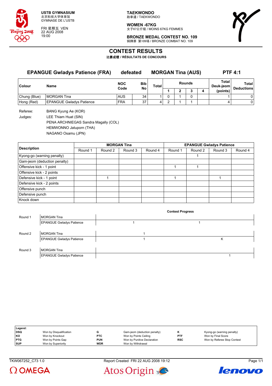

FRI 星期五 VEN 22 AUG 2008 19:00

**TAEKWONDO** 跆拳道 / TAEKWONDO

**WOMEN -67KG** 女子67公斤级 / MOINS 67KG FEMMES



**BRONZE MEDAL CONTEST NO. 109** 铜牌赛 第109场 / BRONZE COMBAT NO. 109

## **CONTEST RESULTS**

比赛成绩 **/ RÉSULTATS DE CONCOURS**

### **EPANGUE Gwladys Patience (FRA) defeated MORGAN Tina (AUS) PTF 4:1**

| <b>Colour</b> | Name                            | <b>NOC</b><br>Code | <b>Bib</b><br>No | Total |  | <b>Rounds</b> | Total<br>Deuk-jeom | Total<br><b>Deductions</b> |
|---------------|---------------------------------|--------------------|------------------|-------|--|---------------|--------------------|----------------------------|
|               |                                 |                    |                  |       |  |               | (points)           |                            |
| Chung (Blue)  | <b>MORGAN Tina</b>              | <b>AUS</b>         | 34               |       |  |               |                    |                            |
| Hong (Red)    | <b>EPANGUE Gwladys Patience</b> | <b>FRA</b>         | 37               |       |  |               |                    |                            |

Referee: BANG Kyung Ae (KOR) Judges: LEE Thiam Huat (SIN) PENA ARCHNIEGAS Sandra Magally (COL) HEMWONNO Jatuporn (THA) NAGANO Osamu (JPN)

|                              |         |         | <b>MORGAN Tina</b> |         |         |         |                                            |         |
|------------------------------|---------|---------|--------------------|---------|---------|---------|--------------------------------------------|---------|
| <b>Description</b>           | Round 1 | Round 2 | Round 3            | Round 4 | Round 1 | Round 2 | <b>EPANGUE Gwladys Patience</b><br>Round 3 | Round 4 |
| Kyong-go (warning penalty)   |         |         |                    |         |         |         |                                            |         |
| Gam-jeom (deduction penalty) |         |         |                    |         |         |         |                                            |         |
| Offensive kick - 1 point     |         |         |                    |         |         |         |                                            |         |
| Offensive kick - 2 points    |         |         |                    |         |         |         |                                            |         |
| Defensive kick - 1 point     |         |         |                    |         |         |         |                                            |         |
| Defensive kick - 2 points    |         |         |                    |         |         |         |                                            |         |
| Offensive punch              |         |         |                    |         |         |         |                                            |         |
| Defensive punch              |         |         |                    |         |         |         |                                            |         |
| Knock down                   |         |         |                    |         |         |         |                                            |         |

|         |                                 | <b>Contest Progress</b> |
|---------|---------------------------------|-------------------------|
| Round 1 | <b>MORGAN Tina</b>              |                         |
|         | <b>EPANGUE Gwladys Patience</b> |                         |
|         |                                 |                         |
| Round 2 | <b>MORGAN Tina</b>              |                         |
|         | <b>EPANGUE Gwladys Patience</b> | κ                       |
|         |                                 |                         |
| Round 3 | <b>MORGAN Tina</b>              |                         |
|         | <b>EPANGUE Gwladys Patience</b> |                         |

| Legend:    |                         |            |                              |            |                             |
|------------|-------------------------|------------|------------------------------|------------|-----------------------------|
| DSQ        | Won by Disqualification |            | Gam-jeom (deduction penalty) |            | Kyong-go (warning penalty)  |
| l KO       | Won by Knockout         | <b>PTC</b> | Won by Points Ceiling        | <b>PTF</b> | Won by Final Score          |
| <b>PTG</b> | Won by Points Gap       | <b>PUN</b> | Won by Punitive Declaration  | <b>RSC</b> | Won by Referee Stop Contest |
| <b>SUP</b> | Won by Superiority      | WDR        | Won by Withdrawal            |            |                             |

TKW067252\_C73 1.0 Report Created FRI 22 AUG 2008 19:12 Page 1/1





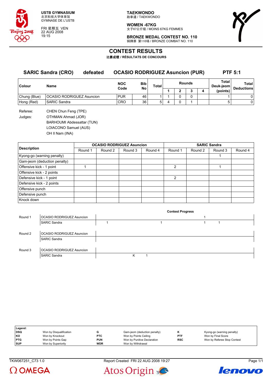

FRI 星期五 VEN 22 AUG 2008 19:15

**TAEKWONDO** 跆拳道 / TAEKWONDO

**WOMEN -67KG** 女子67公斤级 / MOINS 67KG FEMMES

**BRONZE MEDAL CONTEST NO. 110** 铜牌赛 第110场 / BRONZE COMBAT NO. 110



# **CONTEST RESULTS**

比赛成绩 **/ RÉSULTATS DE CONCOURS**

| <b>SARIC Sandra (CRO)</b><br>defeated |                                  |  | <b>OCASIO RODRIGUEZ Asuncion (PUR)</b> |                  |       |        |  |   |  | <b>PTF 5:1</b>      |                            |  |
|---------------------------------------|----------------------------------|--|----------------------------------------|------------------|-------|--------|--|---|--|---------------------|----------------------------|--|
| Colour                                | <b>Name</b>                      |  | <b>NOC</b><br>Code                     | <b>Bib</b><br>No | Total | Rounds |  |   |  | Total<br>Deuk-ieoml | Total<br><b>Deductions</b> |  |
|                                       |                                  |  |                                        |                  |       |        |  | ∍ |  | (points)            |                            |  |
| Chung (Blue)                          | <b>OCASIO RODRIGUEZ Asuncion</b> |  | <b>PUR</b>                             | 46               |       |        |  |   |  |                     |                            |  |
| Hong (Red)                            | <b>SARIC Sandra</b>              |  | <b>CRO</b>                             | 36               | 5.    | 4      |  |   |  |                     | 0                          |  |

Referee: CHEN Chun Feng (TPE) Judges: OTHMAN Ahmad (JOR) BARHOUMI Abdessattar (TUN) LOIACONO Samuel (AUS) OH Il Nam (INA)

|                              |         | <b>OCASIO RODRIGUEZ Asuncion</b> |         |         | <b>SARIC Sandra</b> |         |         |         |  |  |
|------------------------------|---------|----------------------------------|---------|---------|---------------------|---------|---------|---------|--|--|
| <b>Description</b>           | Round 1 | Round 2                          | Round 3 | Round 4 | Round 1             | Round 2 | Round 3 | Round 4 |  |  |
| Kyong-go (warning penalty)   |         |                                  |         |         |                     |         |         |         |  |  |
| Gam-jeom (deduction penalty) |         |                                  |         |         |                     |         |         |         |  |  |
| Offensive kick - 1 point     |         |                                  |         |         | $\mathcal{P}$       |         |         |         |  |  |
| Offensive kick - 2 points    |         |                                  |         |         |                     |         |         |         |  |  |
| Defensive kick - 1 point     |         |                                  |         |         | $\mathcal{P}$       |         |         |         |  |  |
| Defensive kick - 2 points    |         |                                  |         |         |                     |         |         |         |  |  |
| Offensive punch              |         |                                  |         |         |                     |         |         |         |  |  |
| Defensive punch              |         |                                  |         |         |                     |         |         |         |  |  |
| Knock down                   |         |                                  |         |         |                     |         |         |         |  |  |

|         |                                  |   | <b>Contest Progress</b> |  |  |
|---------|----------------------------------|---|-------------------------|--|--|
| Round 1 | OCASIO RODRIGUEZ Asuncion        |   |                         |  |  |
|         | <b>SARIC Sandra</b>              |   |                         |  |  |
|         |                                  |   |                         |  |  |
| Round 2 | OCASIO RODRIGUEZ Asuncion        |   |                         |  |  |
|         | <b>SARIC Sandra</b>              |   |                         |  |  |
|         |                                  |   |                         |  |  |
| Round 3 | <b>OCASIO RODRIGUEZ Asuncion</b> |   |                         |  |  |
|         | <b>SARIC Sandra</b>              | Κ |                         |  |  |
|         |                                  |   |                         |  |  |

| Legend:    |                         |            |                              |            |                             |
|------------|-------------------------|------------|------------------------------|------------|-----------------------------|
| <b>DSQ</b> | Won by Disqualification |            | Gam-jeom (deduction penalty) |            | Kyong-go (warning penalty)  |
| <b>KO</b>  | Won by Knockout         | <b>PTC</b> | Won by Points Ceiling        | <b>PTF</b> | Won by Final Score          |
| <b>PTG</b> | Won by Points Gap       | <b>PUN</b> | Won by Punitive Declaration  | <b>RSC</b> | Won by Referee Stop Contest |
| <b>SUP</b> | Won by Superiority      | <b>WDR</b> | Won by Withdrawal            |            |                             |



Atos Origin



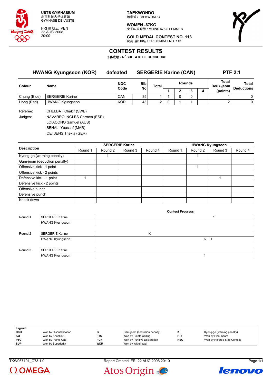

FRI 星期五 VEN 22 AUG 2008 20:00

**TAEKWONDO** 跆拳道 / TAEKWONDO

**WOMEN -67KG** 女子67公斤级 / MOINS 67KG FEMMES



**GOLD MEDAL CONTEST NO. 113** 决赛 第113场 / OR COMBAT NO. 113

## **CONTEST RESULTS**

比赛成绩 **/ RÉSULTATS DE CONCOURS**

| <b>HWANG Kyungseon (KOR)</b> |                        | defeated           |                  | <b>SERGERIE Karine (CAN)</b> |               | <b>PTF 2:1</b> |  |   |                    |                                   |
|------------------------------|------------------------|--------------------|------------------|------------------------------|---------------|----------------|--|---|--------------------|-----------------------------------|
| Colour                       | <b>Name</b>            | <b>NOC</b><br>Code | <b>Bib</b><br>No | <b>Total</b>                 | <b>Rounds</b> |                |  |   | Total<br>Deuk-ieom | <b>Total</b><br><b>Deductions</b> |
|                              |                        |                    |                  |                              |               | ◠              |  | 4 | (points)           |                                   |
| Chung (Blue)                 | <b>SERGERIE Karine</b> | CAN                | 35               |                              |               |                |  |   |                    | 0                                 |
| Hong (Red)                   | <b>HWANG Kyungseon</b> | <b>KOR</b>         | 43               | ົ                            |               |                |  |   | ົ                  | 0                                 |
|                              |                        |                    |                  |                              |               |                |  |   |                    |                                   |

Referee: CHELBAT Chakir (SWE) Judges: NAVARRO INGLES Carmen (ESP) LOIACONO Samuel (AUS) BENALI Youssef (MAR) OETJENS Thekla (GER)

|                              |         |         | <b>SERGERIE Karine</b> |         | <b>HWANG Kyungseon</b> |         |         |         |  |  |
|------------------------------|---------|---------|------------------------|---------|------------------------|---------|---------|---------|--|--|
| <b>Description</b>           | Round 1 | Round 2 | Round 3                | Round 4 | Round 1                | Round 2 | Round 3 | Round 4 |  |  |
| Kyong-go (warning penalty)   |         |         |                        |         |                        |         |         |         |  |  |
| Gam-jeom (deduction penalty) |         |         |                        |         |                        |         |         |         |  |  |
| Offensive kick - 1 point     |         |         |                        |         |                        |         |         |         |  |  |
| Offensive kick - 2 points    |         |         |                        |         |                        |         |         |         |  |  |
| Defensive kick - 1 point     |         |         |                        |         |                        |         |         |         |  |  |
| Defensive kick - 2 points    |         |         |                        |         |                        |         |         |         |  |  |
| Offensive punch              |         |         |                        |         |                        |         |         |         |  |  |
| Defensive punch              |         |         |                        |         |                        |         |         |         |  |  |
| Knock down                   |         |         |                        |         |                        |         |         |         |  |  |

|         |                        | <b>Contest Progress</b> |
|---------|------------------------|-------------------------|
| Round 1 | <b>SERGERIE Karine</b> |                         |
|         | <b>HWANG Kyungseon</b> |                         |
|         |                        |                         |
| Round 2 | <b>SERGERIE Karine</b> | Κ                       |
|         | <b>HWANG Kyungseon</b> | Κ                       |
|         |                        |                         |
| Round 3 | <b>SERGERIE Karine</b> |                         |
|         | <b>HWANG Kyungseon</b> |                         |
|         |                        |                         |

| Legend:    |                         |            |                              |            |                             |
|------------|-------------------------|------------|------------------------------|------------|-----------------------------|
| DSQ        | Won by Disqualification |            | Gam-jeom (deduction penalty) |            | Kyong-go (warning penalty)  |
| KO         | Won by Knockout         | <b>PTC</b> | Won by Points Ceiling        | <b>PTF</b> | Won by Final Score          |
| <b>PTG</b> | Won by Points Gap       | <b>PUN</b> | Won by Punitive Declaration  | <b>RSC</b> | Won by Referee Stop Contest |
| <b>SUP</b> | Won by Superiority      | <b>WDR</b> | Won by Withdrawal            |            |                             |

TKW067101\_C73 1.0 Report Created FRI 22 AUG 2008 20:10 Page 1/1





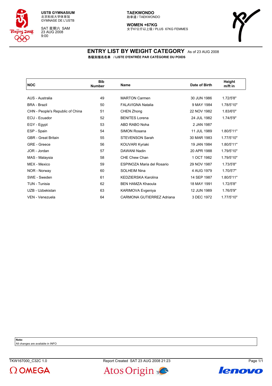

SAT 星期六 SAM 23 AUG 2008 9:00

#### **TAEKWONDO** 跆拳道 / TAEKWONDO

**WOMEN +67KG** 女子67公斤以上级 / PLUS 67KG FEMMES



#### **ENTRY LIST BY WEIGHT CATEGORY** As of 23 AUG 2008 各级别报名名单 **/ LISTE D'ENTRÉE PAR CATÉGORIE DU POIDS**

| <b>NOC</b>                       | <b>Bib</b><br><b>Number</b> | <b>Name</b>                | Date of Birth | Height<br>m/ft in |
|----------------------------------|-----------------------------|----------------------------|---------------|-------------------|
|                                  |                             |                            |               |                   |
| AUS - Australia                  | 49                          | <b>MARTON Carmen</b>       | 30 JUN 1986   | 1.72/5'8"         |
| <b>BRA - Brazil</b>              | 50                          | <b>FALAVIGNA Natalia</b>   | 9 MAY 1984    | 1.78/5'10"        |
| CHN - People's Republic of China | 51                          | CHEN Zhong                 | 22 NOV 1982   | 1.83/6'0"         |
| ECU - Ecuador                    | 52                          | <b>BENITES Lorena</b>      | 24 JUL 1982   | 1.74/5'9"         |
| EGY - Egypt                      | 53                          | ABD RABO Noha              | 2 JAN 1987    |                   |
| ESP - Spain                      | 54                          | <b>SIMON Rosana</b>        | 11 JUL 1989   | 1.80/5'11"        |
| <b>GBR</b> - Great Britain       | 55                          | <b>STEVENSON Sarah</b>     | 30 MAR 1983   | 1.77/5'10"        |
| GRE - Greece                     | 56                          | KOUVARI Kyriaki            | 19 JAN 1984   | 1.80/5'11"        |
| JOR - Jordan                     | 57                          | DAWANI Nadin               | 20 APR 1988   | 1.79/5'10"        |
| MAS - Malaysia                   | 58                          | CHE Chew Chan              | 1 OCT 1982    | 1.79/5'10"        |
| MEX - Mexico                     | 59                          | ESPINOZA Maria del Rosario | 29 NOV 1987   | 1.73/5'8"         |
| NOR - Norway                     | 60                          | <b>SOLHEIM Nina</b>        | 4 AUG 1979    | 1.70/5'7"         |
| SWE - Sweden                     | 61                          | KEDZIERSKA Karolina        | 14 SEP 1987   | 1.80/5'11"        |
| TUN - Tunisia                    | 62                          | <b>BEN HAMZA Khaoula</b>   | 18 MAY 1991   | 1.72/5'8"         |
| UZB - Uzbekistan                 | 63                          | KARIMOVA Evgeniya          | 12 JUN 1989   | 1.76/5'9"         |
| VEN - Venezuela                  | 64                          | CARMONA GUTIERREZ Adriana  | 3 DEC 1972    | 1.77/5'10"        |

**Note:**

All changes are available in INFO





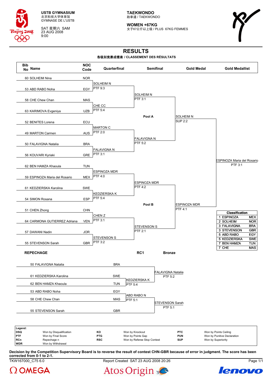

SAT 星期六 SAM 23 AUG 2008 9:00

**TAEKWONDO** 跆拳道 / TAEKWONDO

**WOMEN +67KG** 女子67公斤以上级 / PLUS 67KG FEMMES



# **RESULTS**

#### 各级别竞赛成绩表 **/ CLASSEMENT DES RÉSULTATS**



**Decision by the Competition Supervisory Board is to reverse the result of contest CHN-GBR because of error in judgment. The score has been corrected from 0-1 to 2-1.**

TKW167000\_C75 6.0 Report Created SAT 23 AUG 2008 20:26 Page 1/1





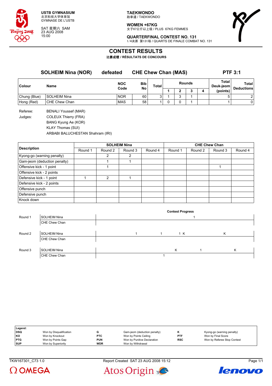

SAT 星期六 SAM 23 AUG 2008 15:00

**TAEKWONDO** 跆拳道 / TAEKWONDO

**WOMEN +67KG** 女子67公斤以上级 / PLUS 67KG FEMMES



**QUARTERFINAL CONTEST NO. 131** 1/4决赛 第131场 / QUARTS DE FINALE COMBAT NO. 131

## **CONTEST RESULTS**

比赛成绩 **/ RÉSULTATS DE CONCOURS**

|              | <b>SOLHEIM Nina (NOR)</b> | defeated   | <b>CHE Chew Chan (MAS)</b> |       | <b>PTF 3:1</b> |               |   |                                |                            |
|--------------|---------------------------|------------|----------------------------|-------|----------------|---------------|---|--------------------------------|----------------------------|
| Colour       | Name                      | <b>NOC</b> | <b>Bib</b>                 | Total |                | <b>Rounds</b> |   | Total<br>Deuk-jeom<br>(points) | Total<br><b>Deductions</b> |
|              |                           | Code       | No                         |       |                | J             | 4 |                                |                            |
| Chung (Blue) | SOLHEIM Nina              | <b>NOR</b> | 60                         | 3     |                |               |   | 5                              | 2 <sup>1</sup>             |
| Hong (Red)   | CHE Chew Chan             | <b>MAS</b> | 58                         |       |                |               |   |                                | 01                         |
|              |                           |            |                            |       |                |               |   |                                |                            |

Referee: BENALI Youssef (MAR) Judges: COLEUX Thierry (FRA) BANG Kyung Ae (KOR) KLAY Thomas (SUI)

ARBABI BALUCHESTAN Shahram (IRI)

|                              |         |                | <b>SOLHEIM Nina</b> |         | <b>CHE Chew Chan</b> |         |         |         |  |  |
|------------------------------|---------|----------------|---------------------|---------|----------------------|---------|---------|---------|--|--|
| <b>Description</b>           | Round 1 | Round 2        | Round 3             | Round 4 | Round 1              | Round 2 | Round 3 | Round 4 |  |  |
| Kyong-go (warning penalty)   |         | 2              | 2                   |         |                      |         |         |         |  |  |
| Gam-jeom (deduction penalty) |         |                |                     |         |                      |         |         |         |  |  |
| Offensive kick - 1 point     |         |                |                     |         |                      |         |         |         |  |  |
| Offensive kick - 2 points    |         |                |                     |         |                      |         |         |         |  |  |
| Defensive kick - 1 point     |         | $\mathfrak{p}$ |                     |         |                      |         |         |         |  |  |
| Defensive kick - 2 points    |         |                |                     |         |                      |         |         |         |  |  |
| Offensive punch              |         |                |                     |         |                      |         |         |         |  |  |
| Defensive punch              |         |                |                     |         |                      |         |         |         |  |  |
| Knock down                   |         |                |                     |         |                      |         |         |         |  |  |

|         |                     |  | <b>Contest Progress</b> |   |  |
|---------|---------------------|--|-------------------------|---|--|
| Round 1 | <b>SOLHEIM Nina</b> |  |                         |   |  |
|         | CHE Chew Chan       |  |                         |   |  |
|         |                     |  |                         |   |  |
| Round 2 | <b>SOLHEIM Nina</b> |  | 1 K                     | K |  |
|         | CHE Chew Chan       |  |                         |   |  |
|         |                     |  |                         |   |  |
| Round 3 | <b>SOLHEIM Nina</b> |  | Κ                       | ĸ |  |
|         | CHE Chew Chan       |  |                         |   |  |

| Legend:    |                         |            |                              |     |                             |
|------------|-------------------------|------------|------------------------------|-----|-----------------------------|
| <b>DSQ</b> | Won by Disqualification |            | Gam-jeom (deduction penalty) |     | Kyong-go (warning penalty)  |
| KO         | Won by Knockout         | <b>PTC</b> | Won by Points Ceiling        | PTF | Won by Final Score          |
| <b>PTG</b> | Won by Points Gap       | <b>PUN</b> | Won by Punitive Declaration  | RSC | Won by Referee Stop Contest |
| <b>SUP</b> | Won by Superiority      | <b>WDR</b> | Won by Withdrawal            |     |                             |



TKW167301\_C73 1.0 Report Created SAT 23 AUG 2008 15:12 Page 1/1



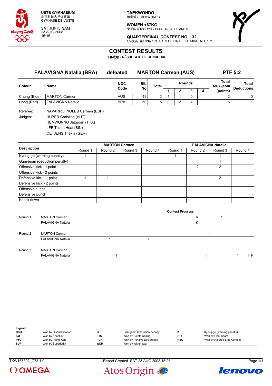

SAT 星期六 SAM 23 AUG 2008 15:15

**TAEKWONDO** 跆拳道 / TAEKWONDO

**WOMEN +67KG** 女子67公斤以上级 / PLUS 67KG FEMMES



**QUARTERFINAL CONTEST NO. 132** 1/4决赛 第132场 / QUARTS DE FINALE COMBAT NO. 132

## **CONTEST RESULTS**

比赛成绩 **/ RÉSULTATS DE CONCOURS**

| <b>FALAVIGNA Natalia (BRA)</b> |                             | defeated   |           | <b>MARTON Carmen (AUS)</b> | <b>PTF 5:2</b> |               |   |                    |                   |
|--------------------------------|-----------------------------|------------|-----------|----------------------------|----------------|---------------|---|--------------------|-------------------|
| <b>Colour</b>                  | Name                        | <b>NOC</b> | Bib<br>No | <b>Total</b>               |                | <b>Rounds</b> |   | Total<br>Deuk-jeom | <b>Total</b>      |
|                                |                             | Code       |           |                            |                |               | 4 | (points)           | <b>Deductions</b> |
| Chung (Blue)                   | <b>MARTON Carmen</b>        | AUS        | 49        |                            |                |               |   | ົ                  | 0                 |
| Hong (Red)                     | <b>FALAVIGNA Natalia</b>    | <b>BRA</b> | 50        | 5.                         | ົ              | 4             |   | 6                  |                   |
|                                | $\sim$ $\sim$ $\sim$ $\sim$ |            |           |                            |                |               |   |                    |                   |

Referee: NAVARRO INGLES Carmen (ESP) Judges: HUBER Christian (AUT) HEMWONNO Jatuporn (THA) LEE Thiam Huat (SIN)

OETJENS Thekla (GER)

|                              |         |         | <b>MARTON Carmen</b> |         | <b>FALAVIGNA Natalia</b> |               |               |         |  |  |
|------------------------------|---------|---------|----------------------|---------|--------------------------|---------------|---------------|---------|--|--|
| <b>Description</b>           | Round 1 | Round 2 | Round 3              | Round 4 | Round 1                  | Round 2       | Round 3       | Round 4 |  |  |
| Kyong-go (warning penalty)   |         |         |                      |         |                          |               |               |         |  |  |
| Gam-jeom (deduction penalty) |         |         |                      |         |                          |               |               |         |  |  |
| Offensive kick - 1 point     |         |         |                      |         |                          | $\mathcal{P}$ | 2             |         |  |  |
| Offensive kick - 2 points    |         |         |                      |         |                          |               |               |         |  |  |
| Defensive kick - 1 point     |         |         |                      |         |                          |               | $\mathcal{P}$ |         |  |  |
| Defensive kick - 2 points    |         |         |                      |         |                          |               |               |         |  |  |
| Offensive punch              |         |         |                      |         |                          |               |               |         |  |  |
| Defensive punch              |         |         |                      |         |                          |               |               |         |  |  |
| Knock down                   |         |         |                      |         |                          |               |               |         |  |  |

|         |                          |  | <b>Contest Progress</b> |     |
|---------|--------------------------|--|-------------------------|-----|
| Round 1 | <b>MARTON Carmen</b>     |  | Κ                       |     |
|         | <b>FALAVIGNA Natalia</b> |  | Κ                       |     |
|         |                          |  |                         |     |
| Round 2 | <b>MARTON Carmen</b>     |  |                         |     |
|         | <b>FALAVIGNA Natalia</b> |  |                         |     |
|         |                          |  |                         |     |
| Round 3 | <b>MARTON Carmen</b>     |  |                         |     |
|         | <b>FALAVIGNA Natalia</b> |  |                         | 1 K |

| Legend:    |                         |            |                              |            |                             |
|------------|-------------------------|------------|------------------------------|------------|-----------------------------|
| <b>DSQ</b> | Won by Disqualification |            | Gam-jeom (deduction penalty) |            | Kyong-go (warning penalty)  |
| KO         | Won by Knockout         | <b>PTC</b> | Won by Points Ceiling        | <b>PTF</b> | Won by Final Score          |
| <b>PTG</b> | Won by Points Gap       | <b>PUN</b> | Won by Punitive Declaration  | <b>RSC</b> | Won by Referee Stop Contest |
| <b>SUP</b> | Won by Superiority      | <b>WDR</b> | Won by Withdrawal            |            |                             |



TKW167302\_C73 1.0 Report Created SAT 23 AUG 2008 15:25 Page 1/1



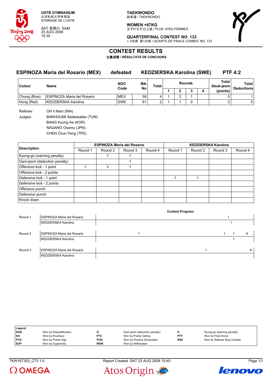

SAT 星期六 SAM 23 AUG 2008 15:30

**TAEKWONDO** 跆拳道 / TAEKWONDO

**WOMEN +67KG**

女子67公斤以上级 / PLUS 67KG FEMMES



**QUARTERFINAL CONTEST NO. 133** 1/4决赛 第133场 / QUARTS DE FINALE COMBAT NO. 133

## **CONTEST RESULTS**

比赛成绩 **/ RÉSULTATS DE CONCOURS**

**ESPINOZA Maria del Rosario (MEX) defeated KEDZIERSKA Karolina (SWE) PTF 4:2**

| Colour       | Name                       | <b>NOC</b><br>Code | <b>Bib</b><br>No | Total  | <b>Rounds</b> |  |  | Total<br>Deuk-jeoml | Total<br><b>Deductions</b> |
|--------------|----------------------------|--------------------|------------------|--------|---------------|--|--|---------------------|----------------------------|
|              |                            |                    |                  |        |               |  |  | (points)            |                            |
| Chung (Blue) | ESPINOZA Maria del Rosario | <b>MEX</b>         | 59               |        |               |  |  |                     |                            |
| Hong (Red)   | KEDZIERSKA Karolina        | <b>SWE</b>         | 61               | ⌒<br>_ |               |  |  |                     |                            |

Referee: OH II Nam (INA) Judges: BARHOUMI Abdessattar (TUN) BANG Kyung Ae (KOR) NAGANO Osamu (JPN) CHEN Chun Feng (TPE)

|                              |         | <b>ESPINOZA Maria del Rosario</b> |         |         | <b>KEDZIERSKA Karolina</b> |         |         |         |  |  |
|------------------------------|---------|-----------------------------------|---------|---------|----------------------------|---------|---------|---------|--|--|
| <b>Description</b>           | Round 1 | Round 2                           | Round 3 | Round 4 | Round 1                    | Round 2 | Round 3 | Round 4 |  |  |
| Kyong-go (warning penalty)   |         |                                   |         |         |                            |         |         |         |  |  |
| Gam-jeom (deduction penalty) |         |                                   |         |         |                            |         |         |         |  |  |
| Offensive kick - 1 point     |         | 3                                 |         |         |                            |         |         |         |  |  |
| Offensive kick - 2 points    |         |                                   |         |         |                            |         |         |         |  |  |
| Defensive kick - 1 point     |         |                                   |         |         |                            |         |         |         |  |  |
| Defensive kick - 2 points    |         |                                   |         |         |                            |         |         |         |  |  |
| Offensive punch              |         |                                   |         |         |                            |         |         |         |  |  |
| Defensive punch              |         |                                   |         |         |                            |         |         |         |  |  |
| Knock down                   |         |                                   |         |         |                            |         |         |         |  |  |

|         |                                   | <b>Contest Progress</b> |  |   |
|---------|-----------------------------------|-------------------------|--|---|
| Round 1 | <b>ESPINOZA Maria del Rosario</b> |                         |  |   |
|         | KEDZIERSKA Karolina               |                         |  |   |
|         |                                   |                         |  |   |
| Round 2 | <b>ESPINOZA Maria del Rosario</b> |                         |  | Κ |
|         | KEDZIERSKA Karolina               |                         |  |   |
|         |                                   |                         |  |   |
| Round 3 | ESPINOZA Maria del Rosario        |                         |  | Κ |
|         | KEDZIERSKA Karolina               |                         |  |   |

| Legend:    |                         |            |                              |            |                             |
|------------|-------------------------|------------|------------------------------|------------|-----------------------------|
| <b>DSQ</b> | Won by Disqualification |            | Gam-jeom (deduction penalty) | г.         | Kyong-go (warning penalty)  |
| KO         | Won by Knockout         | <b>PTC</b> | Won by Points Ceiling        | PTF        | Won by Final Score          |
| <b>PTG</b> | Won by Points Gap       | <b>PUN</b> | Won by Punitive Declaration  | <b>RSC</b> | Won by Referee Stop Contest |
| <b>SUP</b> | Won by Superiority      | <b>WDR</b> | Won by Withdrawal            |            |                             |



TKW167303\_C73 1.0 Report Created SAT 23 AUG 2008 15:40 Page 1/1



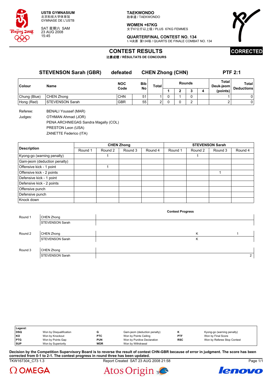

SAT 星期六 SAM 23 AUG 2008 15:45

**TAEKWONDO** 跆拳道 / TAEKWONDO

**WOMEN +67KG** 女子67公斤以上级 / PLUS 67KG FEMMES



**QUARTERFINAL CONTEST NO. 134** 1/4决赛 第134场 / QUARTS DE FINALE COMBAT NO. 134

## **CONTEST RESULTS**

比赛成绩 **/ RÉSULTATS DE CONCOURS**

# **CORRECTED**

**STEVENSON Sarah (GBR) defeated CHEN Zhong (CHN) PTF 2:1**

| Colour       | Name                   | <b>NOC</b><br>Code | Bib<br>No | <b>Total</b> |  | <b>Rounds</b> | Total<br>Deuk-jeom | Total<br><b>Deductions</b> |
|--------------|------------------------|--------------------|-----------|--------------|--|---------------|--------------------|----------------------------|
|              |                        |                    |           |              |  |               | (points)           |                            |
| Chung (Blue) | <b>CHEN Zhong</b>      | <b>CHN</b>         | 51        |              |  |               |                    | 0                          |
| Hong (Red)   | <b>STEVENSON Sarah</b> | <b>GBR</b>         | 55        |              |  |               |                    | 0                          |

Referee: BENALI Youssef (MAR) Judges: OTHMAN Ahmad (JOR) PENA ARCHNIEGAS Sandra Magally (COL) PRESTON Leon (USA) ZANETTE Federico (ITA)

|                              |         |         | <b>CHEN Zhong</b> |         | <b>STEVENSON Sarah</b> |         |         |         |  |  |
|------------------------------|---------|---------|-------------------|---------|------------------------|---------|---------|---------|--|--|
| <b>Description</b>           | Round 1 | Round 2 | Round 3           | Round 4 | Round 1                | Round 2 | Round 3 | Round 4 |  |  |
| Kyong-go (warning penalty)   |         |         |                   |         |                        |         |         |         |  |  |
| Gam-jeom (deduction penalty) |         |         |                   |         |                        |         |         |         |  |  |
| Offensive kick - 1 point     |         |         |                   |         |                        |         |         |         |  |  |
| Offensive kick - 2 points    |         |         |                   |         |                        |         |         |         |  |  |
| Defensive kick - 1 point     |         |         |                   |         |                        |         |         |         |  |  |
| Defensive kick - 2 points    |         |         |                   |         |                        |         |         |         |  |  |
| Offensive punch              |         |         |                   |         |                        |         |         |         |  |  |
| Defensive punch              |         |         |                   |         |                        |         |         |         |  |  |
| Knock down                   |         |         |                   |         |                        |         |         |         |  |  |

|         |                        | <b>Contest Progress</b> |   |
|---------|------------------------|-------------------------|---|
| Round 1 | CHEN Zhong             |                         |   |
|         | <b>STEVENSON Sarah</b> |                         |   |
|         |                        |                         |   |
| Round 2 | CHEN Zhong             | K                       |   |
|         | <b>STEVENSON Sarah</b> | Κ                       |   |
|         |                        |                         |   |
| Round 3 | CHEN Zhong             |                         |   |
|         | <b>STEVENSON Sarah</b> |                         | 2 |

| Legend:    |                         |            |                              |            |                             |
|------------|-------------------------|------------|------------------------------|------------|-----------------------------|
| <b>DSQ</b> | Won by Disqualification |            | Gam-jeom (deduction penalty) |            | Kyong-go (warning penalty)  |
| KO         | Won by Knockout         | <b>PTC</b> | Won by Points Ceiling        | <b>PTF</b> | Won by Final Score          |
| <b>PTG</b> | Won by Points Gap       | <b>PUN</b> | Won by Punitive Declaration  | <b>RSC</b> | Won by Referee Stop Contest |
| <b>SUP</b> | Won by Superiority      | <b>WDR</b> | Won by Withdrawal            |            |                             |

TKW167304\_C73 1.3 Report Created SAT 23 AUG 2008 21:58 Page 1/1 **Decision by the Competition Supervisory Board is to reverse the result of contest CHN-GBR because of error in judgment. The score has been corrected from 0-1 to 2-1. The contest progress in round three has been updated.**

 $\Omega$  OMEGA



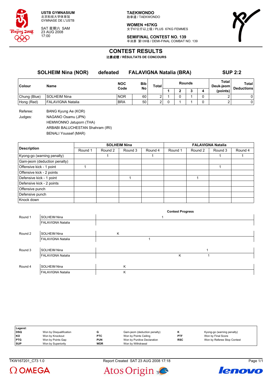

SAT 星期六 SAM 23 AUG 2008 17:00

**TAEKWONDO** 跆拳道 / TAEKWONDO

**WOMEN +67KG** 女子67公斤以上级 / PLUS 67KG FEMMES



**SEMIFINAL CONTEST NO. 139** 半决赛 第139场 / DEMI-FINAL COMBAT NO. 139

## **CONTEST RESULTS**

比赛成绩 **/ RÉSULTATS DE CONCOURS**

| <b>SOLHEIM Nina (NOR)</b> |                          | defeated           | <b>FALAVIGNA Natalia (BRA)</b> |               |               |   |  |   | <b>SUP 2:2</b>     |                            |  |
|---------------------------|--------------------------|--------------------|--------------------------------|---------------|---------------|---|--|---|--------------------|----------------------------|--|
| Colour                    | <b>Name</b>              | <b>NOC</b><br>Code | Bib<br>No                      | Total         | <b>Rounds</b> |   |  |   | Total<br>Deuk-jeom | Total<br><b>Deductions</b> |  |
|                           |                          |                    |                                |               |               | າ |  | 4 | (points)           |                            |  |
| Chung (Blue)              | SOLHEIM Nina             | <b>NOR</b>         | 60                             | າ             |               | 0 |  |   |                    | 0                          |  |
| Hong (Red)                | <b>FALAVIGNA Natalia</b> | <b>BRA</b>         | 50                             | $\mathcal{P}$ |               |   |  |   |                    | 0                          |  |
|                           |                          |                    |                                |               |               |   |  |   |                    |                            |  |

Referee: BANG Kyung Ae (KOR) Judges: NAGANO Osamu (JPN) HEMWONNO Jatuporn (THA) ARBABI BALUCHESTAN Shahram (IRI) BENALI Youssef (MAR)

|                              |         |         | <b>SOLHEIM Nina</b> |         | <b>FALAVIGNA Natalia</b> |         |         |         |  |  |
|------------------------------|---------|---------|---------------------|---------|--------------------------|---------|---------|---------|--|--|
| <b>Description</b>           | Round 1 | Round 2 | Round 3             | Round 4 | Round 1                  | Round 2 | Round 3 | Round 4 |  |  |
| Kyong-go (warning penalty)   |         |         |                     |         |                          |         |         |         |  |  |
| Gam-jeom (deduction penalty) |         |         |                     |         |                          |         |         |         |  |  |
| Offensive kick - 1 point     |         |         |                     |         |                          |         |         |         |  |  |
| Offensive kick - 2 points    |         |         |                     |         |                          |         |         |         |  |  |
| Defensive kick - 1 point     |         |         |                     |         |                          |         |         |         |  |  |
| Defensive kick - 2 points    |         |         |                     |         |                          |         |         |         |  |  |
| Offensive punch              |         |         |                     |         |                          |         |         |         |  |  |
| Defensive punch              |         |         |                     |         |                          |         |         |         |  |  |
| Knock down                   |         |         |                     |         |                          |         |         |         |  |  |

|         |                          |   | <b>Contest Progress</b> |  |
|---------|--------------------------|---|-------------------------|--|
| Round 1 | <b>SOLHEIM Nina</b>      |   |                         |  |
|         | <b>FALAVIGNA Natalia</b> |   |                         |  |
|         |                          |   |                         |  |
| Round 2 | <b>SOLHEIM Nina</b>      | Κ |                         |  |
|         | <b>FALAVIGNA Natalia</b> |   |                         |  |
|         |                          |   |                         |  |
| Round 3 | <b>SOLHEIM Nina</b>      |   |                         |  |
|         | <b>FALAVIGNA Natalia</b> |   | Κ                       |  |
|         |                          |   |                         |  |
| Round 4 | <b>SOLHEIM Nina</b>      | K |                         |  |
|         | <b>FALAVIGNA Natalia</b> | K |                         |  |

| Legend:    |                         |            |                              |            |                             |
|------------|-------------------------|------------|------------------------------|------------|-----------------------------|
| DSQ        | Won by Disqualification |            | Gam-jeom (deduction penalty) |            | Kyong-go (warning penalty)  |
| KO         | Won by Knockout         | <b>PTC</b> | Won by Points Ceiling        | <b>PTF</b> | Won by Final Score          |
| <b>PTG</b> | Won by Points Gap       | PUN        | Won by Punitive Declaration  | <b>RSC</b> | Won by Referee Stop Contest |
| <b>SUP</b> | Won by Superiority      | <b>WDR</b> | Won by Withdrawal            |            |                             |

TKW167201\_C73 1.0 Report Created SAT 23 AUG 2008 17:18 Page 1/1





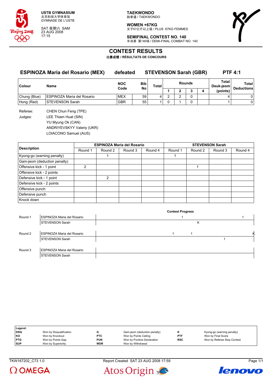

SAT 星期六 SAM 23 AUG 2008 17:15

**TAEKWONDO** 跆拳道 / TAEKWONDO

**WOMEN +67KG** 女子67公斤以上级 / PLUS 67KG FEMMES



**SEMIFINAL CONTEST NO. 140** 半决赛 第140场 / DEMI-FINAL COMBAT NO. 140

## **CONTEST RESULTS**

比赛成绩 **/ RÉSULTATS DE CONCOURS**

### **ESPINOZA Maria del Rosario (MEX) defeated STEVENSON Sarah (GBR) PTF 4:1**

| <b>Colour</b> | Name                       | <b>NOC</b><br>Code | <b>Bib</b><br>No | <b>Total</b> |  | <b>Rounds</b> | Total<br>Deuk-jeom | Total<br><b>Deductions</b> |
|---------------|----------------------------|--------------------|------------------|--------------|--|---------------|--------------------|----------------------------|
|               |                            |                    |                  |              |  |               | (points)           |                            |
| Chung (Blue)  | ESPINOZA Maria del Rosario | <b>MEX</b>         | 59               |              |  |               |                    |                            |
| Hong (Red)    | <b>STEVENSON Sarah</b>     | <b>GBR</b>         | 55               |              |  |               |                    |                            |

Referee: CHEN Chun Feng (TPE) Judges: LEE Thiam Huat (SIN) YU Myung Ok (CAN) ANDRIYEVSKYY Valeriy (UKR) LOIACONO Samuel (AUS)

|                              |         |               | <b>ESPINOZA Maria del Rosario</b> |         | <b>STEVENSON Sarah</b> |         |         |         |  |  |
|------------------------------|---------|---------------|-----------------------------------|---------|------------------------|---------|---------|---------|--|--|
| <b>Description</b>           | Round 1 | Round 2       | Round 3                           | Round 4 | Round 1                | Round 2 | Round 3 | Round 4 |  |  |
| Kyong-go (warning penalty)   |         |               |                                   |         |                        |         |         |         |  |  |
| Gam-jeom (deduction penalty) |         |               |                                   |         |                        |         |         |         |  |  |
| Offensive kick - 1 point     |         |               |                                   |         |                        |         |         |         |  |  |
| Offensive kick - 2 points    |         |               |                                   |         |                        |         |         |         |  |  |
| Defensive kick - 1 point     |         | $\mathcal{P}$ |                                   |         |                        |         |         |         |  |  |
| Defensive kick - 2 points    |         |               |                                   |         |                        |         |         |         |  |  |
| Offensive punch              |         |               |                                   |         |                        |         |         |         |  |  |
| Defensive punch              |         |               |                                   |         |                        |         |         |         |  |  |
| Knock down                   |         |               |                                   |         |                        |         |         |         |  |  |

|         |                            | <b>Contest Progress</b> |   |
|---------|----------------------------|-------------------------|---|
| Round 1 | ESPINOZA Maria del Rosario |                         |   |
|         | <b>STEVENSON Sarah</b>     | κ                       |   |
|         |                            |                         |   |
| Round 2 | ESPINOZA Maria del Rosario |                         | к |
|         | STEVENSON Sarah            |                         |   |
|         |                            |                         |   |
| Round 3 | ESPINOZA Maria del Rosario |                         |   |
|         | STEVENSON Sarah            |                         |   |

| Legend:    |                         |            |                              |            |                             |
|------------|-------------------------|------------|------------------------------|------------|-----------------------------|
| DSQ        | Won by Disqualification |            | Gam-jeom (deduction penalty) |            | Kyong-go (warning penalty)  |
| KO         | Won by Knockout         | <b>PTC</b> | Won by Points Ceiling        | PTF        | Won by Final Score          |
| <b>PTG</b> | Won by Points Gap       | <b>PUN</b> | Won by Punitive Declaration  | <b>RSC</b> | Won by Referee Stop Contest |
| <b>SUP</b> | Won by Superiority      | <b>WDR</b> | Won by Withdrawal            |            |                             |



TKW167202\_C73 1.0 Report Created SAT 23 AUG 2008 17:59 Page 1/1



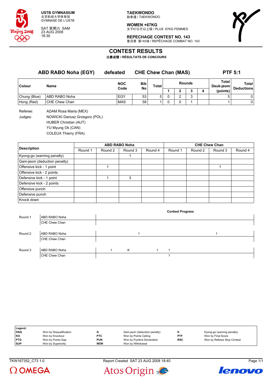

SAT 星期六 SAM 23 AUG 2008 18:30

**TAEKWONDO** 跆拳道 / TAEKWONDO

**WOMEN +67KG** 女子67公斤以上级 / PLUS 67KG FEMMES



**REPECHAGE CONTEST NO. 143** 复活赛 第143场 / REPÊCHAGE COMBAT NO. 143

## **CONTEST RESULTS**

比赛成绩 **/ RÉSULTATS DE CONCOURS**

| <b>ABD RABO Noha (EGY)</b> |               | defeated           |                         | <b>CHE Chew Chan (MAS)</b> | <b>PTF 5:1</b> |   |   |                    |                                   |
|----------------------------|---------------|--------------------|-------------------------|----------------------------|----------------|---|---|--------------------|-----------------------------------|
| Colour                     | Name          | <b>NOC</b><br>Code | <b>Bib</b><br><b>No</b> | Total                      | <b>Rounds</b>  |   |   | Total<br>Deuk-jeom | <b>Total</b><br><b>Deductions</b> |
|                            |               |                    |                         |                            |                |   | 4 | (points)           |                                   |
| Chung (Blue)               | ABD RABO Noha | EGY                | 53                      | 5.                         |                |   |   |                    | 0                                 |
| Hong (Red)                 | CHE Chew Chan | <b>MAS</b>         | 58                      |                            |                | 0 |   |                    | 0                                 |

Referee: ADAM Rosa Maria (MEX) Judges: NOWICKI Dariusz Grzegorz (POL) HUBER Christian (AUT) YU Myung Ok (CAN)

COLEUX Thierry (FRA)

|                              |         |         | <b>ABD RABO Noha</b> |         | <b>CHE Chew Chan</b> |         |         |         |  |  |
|------------------------------|---------|---------|----------------------|---------|----------------------|---------|---------|---------|--|--|
| <b>Description</b>           | Round 1 | Round 2 | Round 3              | Round 4 | Round 1              | Round 2 | Round 3 | Round 4 |  |  |
| Kyong-go (warning penalty)   |         |         |                      |         |                      |         |         |         |  |  |
| Gam-jeom (deduction penalty) |         |         |                      |         |                      |         |         |         |  |  |
| Offensive kick - 1 point     |         |         |                      |         |                      |         |         |         |  |  |
| Offensive kick - 2 points    |         |         |                      |         |                      |         |         |         |  |  |
| Defensive kick - 1 point     |         |         | 3                    |         |                      |         |         |         |  |  |
| Defensive kick - 2 points    |         |         |                      |         |                      |         |         |         |  |  |
| Offensive punch              |         |         |                      |         |                      |         |         |         |  |  |
| Defensive punch              |         |         |                      |         |                      |         |         |         |  |  |
| Knock down                   |         |         |                      |         |                      |         |         |         |  |  |

|         |               |  |   |  | <b>Contest Progress</b> |
|---------|---------------|--|---|--|-------------------------|
| Round 1 | ABD RABO Noha |  |   |  |                         |
|         | CHE Chew Chan |  |   |  |                         |
|         |               |  |   |  |                         |
| Round 2 | ABD RABO Noha |  |   |  |                         |
|         | CHE Chew Chan |  |   |  |                         |
|         |               |  |   |  |                         |
| Round 3 | ABD RABO Noha |  | K |  |                         |
|         | CHE Chew Chan |  |   |  |                         |

| Legend:    |                         |            |                              |            |                             |
|------------|-------------------------|------------|------------------------------|------------|-----------------------------|
| DSQ        | Won by Disqualification |            | Gam-jeom (deduction penalty) |            | Kyong-go (warning penalty)  |
| l KO       | Won by Knockout         | <b>PTC</b> | Won by Points Ceiling        | <b>PTF</b> | Won by Final Score          |
| <b>PTG</b> | Won by Points Gap       | <b>PUN</b> | Won by Punitive Declaration  | <b>RSC</b> | Won by Referee Stop Contest |
| <b>SUP</b> | Won by Superiority      | <b>WDR</b> | Won by Withdrawal            |            |                             |



TKW167352\_C73 1.0 Report Created SAT 23 AUG 2008 18:40 Page 1/1



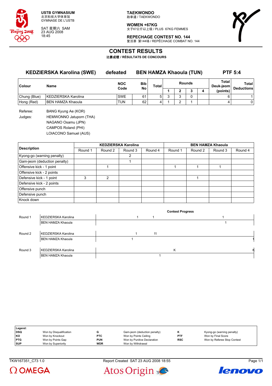

SAT 星期六 SAM 23 AUG 2008 18:45

**TAEKWONDO** 跆拳道 / TAEKWONDO

**WOMEN +67KG** 女子67公斤以上级 / PLUS 67KG FEMMES



**REPECHAGE CONTEST NO. 144** 复活赛 第144场 / REPÊCHAGE COMBAT NO. 144

## **CONTEST RESULTS**

比赛成绩 **/ RÉSULTATS DE CONCOURS**

| <b>KEDZIERSKA Karolina (SWE)</b> |                     | defeated           | <b>BEN HAMZA Khaoula (TUN)</b> |   |                               |   |  |   |                    | <b>PTF 5:4</b>             |  |
|----------------------------------|---------------------|--------------------|--------------------------------|---|-------------------------------|---|--|---|--------------------|----------------------------|--|
| <b>Colour</b>                    | Name                | <b>NOC</b><br>Code | <b>Bib</b>                     |   | <b>Rounds</b><br><b>Total</b> |   |  |   | Total<br>Deuk-jeom | Total<br><b>Deductions</b> |  |
|                                  |                     |                    | <b>No</b>                      |   |                               |   |  | 4 | (points)           |                            |  |
| Chung (Blue)                     | KEDZIERSKA Karolina | <b>SWE</b>         | 61                             | 5 | ິ                             | c |  |   | 6                  |                            |  |
| Hong (Red)                       | I BEN HAMZA Khaoula | TUN                | 62                             | 4 |                               | ົ |  |   | 4                  | 0                          |  |
|                                  |                     |                    |                                |   |                               |   |  |   |                    |                            |  |

Referee: BANG Kyung Ae (KOR) Judges: HEMWONNO Jatuporn (THA) NAGANO Osamu (JPN) CAMPOS Roland (PHI) LOIACONO Samuel (AUS)

|                              | <b>KEDZIERSKA Karolina</b> |               |         |         | <b>BEN HAMZA Khaoula</b> |         |         |         |  |  |
|------------------------------|----------------------------|---------------|---------|---------|--------------------------|---------|---------|---------|--|--|
| <b>Description</b>           | Round 1                    | Round 2       | Round 3 | Round 4 | Round 1                  | Round 2 | Round 3 | Round 4 |  |  |
| Kyong-go (warning penalty)   |                            |               | 2       |         |                          |         |         |         |  |  |
| Gam-jeom (deduction penalty) |                            |               |         |         |                          |         |         |         |  |  |
| Offensive kick - 1 point     |                            |               |         |         |                          |         |         |         |  |  |
| Offensive kick - 2 points    |                            |               |         |         |                          |         |         |         |  |  |
| Defensive kick - 1 point     |                            | $\mathcal{P}$ |         |         |                          |         |         |         |  |  |
| Defensive kick - 2 points    |                            |               |         |         |                          |         |         |         |  |  |
| Offensive punch              |                            |               |         |         |                          |         |         |         |  |  |
| Defensive punch              |                            |               |         |         |                          |         |         |         |  |  |
| Knock down                   |                            |               |         |         |                          |         |         |         |  |  |

|         |                          | <b>Contest Progress</b> |   |
|---------|--------------------------|-------------------------|---|
| Round 1 | KEDZIERSKA Karolina      |                         |   |
|         | BEN HAMZA Khaoula        |                         |   |
| Round 2 |                          |                         |   |
|         | KEDZIERSKA Karolina      | 11                      |   |
|         | BEN HAMZA Khaoula        |                         |   |
|         |                          |                         |   |
| Round 3 | KEDZIERSKA Karolina      | К                       | к |
|         | <b>BEN HAMZA Khaoula</b> |                         |   |

| Legend:    |                         |            |                              |            |                             |
|------------|-------------------------|------------|------------------------------|------------|-----------------------------|
| <b>DSQ</b> | Won by Disqualification |            | Gam-jeom (deduction penalty) |            | Kyong-go (warning penalty)  |
| KO         | Won by Knockout         | <b>PTC</b> | Won by Points Ceiling        | <b>PTF</b> | Won by Final Score          |
| <b>PTG</b> | Won by Points Gap       | <b>PUN</b> | Won by Punitive Declaration  | <b>RSC</b> | Won by Referee Stop Contest |
| <b>SUP</b> | Won by Superiority      | <b>WDR</b> | Won by Withdrawal            |            |                             |



TKW167351\_C73 1.0 Report Created SAT 23 AUG 2008 18:55 Page 1/1



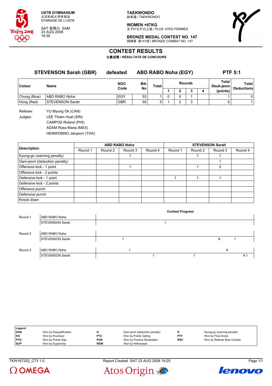

SAT 星期六 SAM 23 AUG 2008 19:30

**TAEKWONDO** 跆拳道 / TAEKWONDO

**WOMEN +67KG** 女子67公斤以上级 / PLUS 67KG FEMMES



**BRONZE MEDAL CONTEST NO. 147** 铜牌赛 第147场 / BRONZE COMBAT NO. 147

## **CONTEST RESULTS**

比赛成绩 **/ RÉSULTATS DE CONCOURS**

| <b>STEVENSON Sarah (GBR)</b> |                        | defeated   |           | <b>ABD RABO Noha (EGY)</b> |   |   |               | <b>PTF 5:1</b> |                                |                                   |
|------------------------------|------------------------|------------|-----------|----------------------------|---|---|---------------|----------------|--------------------------------|-----------------------------------|
| <b>Colour</b>                | Name                   | <b>NOC</b> | Bib       | Total                      |   |   | <b>Rounds</b> |                | Total<br>Deuk-jeom<br>(points) | <b>Total</b><br><b>Deductions</b> |
|                              |                        | Code       | <b>No</b> |                            |   |   |               | 4              |                                |                                   |
| Chung (Blue)                 | ABD RABO Noha          | EGY        | 53        |                            | 0 | 0 |               |                |                                | 0                                 |
| Hong (Red)                   | <b>STEVENSON Sarah</b> | <b>GBR</b> | 55        | 5                          |   | ົ | 3             |                | 6                              |                                   |
| Referee:                     | YU Myung Ok (CAN)      |            |           |                            |   |   |               |                |                                |                                   |
| Judges:                      | LEE Thiam Huat (SIN)   |            |           |                            |   |   |               |                |                                |                                   |
|                              |                        |            |           |                            |   |   |               |                |                                |                                   |

CAMPOS Roland (PHI)

ADAM Rosa Maria (MEX) HEMWONNO Jatuporn (THA)

| <b>Description</b>           |         |         | <b>ABD RABO Noha</b> |         | <b>STEVENSON Sarah</b> |         |         |         |  |  |
|------------------------------|---------|---------|----------------------|---------|------------------------|---------|---------|---------|--|--|
|                              | Round 1 | Round 2 | Round 3              | Round 4 | Round 1                | Round 2 | Round 3 | Round 4 |  |  |
| Kyong-go (warning penalty)   |         |         |                      |         |                        |         |         |         |  |  |
| Gam-jeom (deduction penalty) |         |         |                      |         |                        |         |         |         |  |  |
| Offensive kick - 1 point     |         |         |                      |         |                        |         | 2       |         |  |  |
| Offensive kick - 2 points    |         |         |                      |         |                        |         |         |         |  |  |
| Defensive kick - 1 point     |         |         |                      |         |                        |         |         |         |  |  |
| Defensive kick - 2 points    |         |         |                      |         |                        |         |         |         |  |  |
| Offensive punch              |         |         |                      |         |                        |         |         |         |  |  |
| Defensive punch              |         |         |                      |         |                        |         |         |         |  |  |
| Knock down                   |         |         |                      |         |                        |         |         |         |  |  |

|         |                        |  | <b>Contest Progress</b> |   |                |
|---------|------------------------|--|-------------------------|---|----------------|
| Round 1 | ABD RABO Noha          |  |                         |   |                |
|         | <b>STEVENSON Sarah</b> |  |                         |   |                |
|         |                        |  |                         |   |                |
| Round 2 | <b>ABD RABO Noha</b>   |  |                         |   |                |
|         | <b>STEVENSON Sarah</b> |  |                         | ĸ |                |
|         |                        |  |                         |   |                |
| Round 3 | ABD RABO Noha          |  |                         | Κ |                |
|         | <b>STEVENSON Sarah</b> |  |                         |   | K <sub>1</sub> |

| Legend:    |                         |            |                              |            |                             |
|------------|-------------------------|------------|------------------------------|------------|-----------------------------|
| <b>DSQ</b> | Won by Disqualification |            | Gam-jeom (deduction penalty) |            | Kyong-go (warning penalty)  |
| KO         | Won by Knockout         | <b>PTC</b> | Won by Points Ceiling        | <b>PTF</b> | Won by Final Score          |
| <b>PTG</b> | Won by Points Gap       | <b>PUN</b> | Won by Punitive Declaration  | <b>RSC</b> | Won by Referee Stop Contest |
| <b>SUP</b> | Won by Superiority      | <b>WDR</b> | Won by Withdrawal            |            |                             |

 $\Omega$  OMEGA



Atos Origin

lenovo

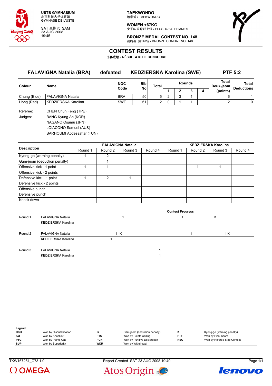

SAT 星期六 SAM 23 AUG 2008 19:45

**TAEKWONDO** 跆拳道 / TAEKWONDO

**WOMEN +67KG** 女子67公斤以上级 / PLUS 67KG FEMMES



**BRONZE MEDAL CONTEST NO. 148** 铜牌赛 第148场 / BRONZE COMBAT NO. 148

## **CONTEST RESULTS**

比赛成绩 **/ RÉSULTATS DE CONCOURS**

| <b>FALAVIGNA Natalia (BRA)</b> |                     | defeated   | <b>KEDZIERSKA Karolina (SWE)</b> |       |  |   |        |   | <b>PTF 5:2</b>     |                                   |
|--------------------------------|---------------------|------------|----------------------------------|-------|--|---|--------|---|--------------------|-----------------------------------|
| <b>Colour</b>                  | Name                | <b>NOC</b> | <b>Bib</b><br>No                 | Total |  |   | Rounds |   | Total<br>Deuk-ieom | <b>Total</b><br><b>Deductions</b> |
|                                |                     | Code       |                                  |       |  | o |        | 4 | (points)           |                                   |
| Chung (Blue)                   | FALAVIGNA Natalia   | <b>BRA</b> | 50                               | 5     |  | c |        |   | 6                  |                                   |
| Hong (Red)                     | KEDZIERSKA Karolina | <b>SWE</b> | 61                               | 2     |  |   |        |   |                    | 0                                 |
|                                |                     |            |                                  |       |  |   |        |   |                    |                                   |

Referee: CHEN Chun Feng (TPE) Judges: BANG Kyung Ae (KOR) NAGANO Osamu (JPN) LOIACONO Samuel (AUS) BARHOUMI Abdessattar (TUN)

|                              |         |               | <b>FALAVIGNA Natalia</b> |         | <b>KEDZIERSKA Karolina</b> |         |         |         |  |  |
|------------------------------|---------|---------------|--------------------------|---------|----------------------------|---------|---------|---------|--|--|
| <b>Description</b>           | Round 1 | Round 2       | Round 3                  | Round 4 | Round 1                    | Round 2 | Round 3 | Round 4 |  |  |
| Kyong-go (warning penalty)   |         | 2             |                          |         |                            |         |         |         |  |  |
| Gam-jeom (deduction penalty) |         |               |                          |         |                            |         |         |         |  |  |
| Offensive kick - 1 point     |         |               |                          |         |                            |         |         |         |  |  |
| Offensive kick - 2 points    |         |               |                          |         |                            |         |         |         |  |  |
| Defensive kick - 1 point     |         | $\mathcal{P}$ |                          |         |                            |         |         |         |  |  |
| Defensive kick - 2 points    |         |               |                          |         |                            |         |         |         |  |  |
| Offensive punch              |         |               |                          |         |                            |         |         |         |  |  |
| Defensive punch              |         |               |                          |         |                            |         |         |         |  |  |
| Knock down                   |         |               |                          |         |                            |         |         |         |  |  |

|         |                     |     | <b>Contest Progress</b> |     |  |
|---------|---------------------|-----|-------------------------|-----|--|
| Round 1 | FALAVIGNA Natalia   |     |                         | ĸ   |  |
|         | KEDZIERSKA Karolina |     |                         |     |  |
|         |                     |     |                         |     |  |
| Round 2 | FALAVIGNA Natalia   | 1 K |                         | 1 K |  |
|         | KEDZIERSKA Karolina |     |                         |     |  |
|         |                     |     |                         |     |  |
| Round 3 | FALAVIGNA Natalia   |     |                         |     |  |
|         | KEDZIERSKA Karolina |     |                         |     |  |

| Legend:    |                         |            |                              |            |                             |
|------------|-------------------------|------------|------------------------------|------------|-----------------------------|
| <b>DSQ</b> | Won by Disqualification |            | Gam-jeom (deduction penalty) |            | Kyong-go (warning penalty)  |
| KO         | Won by Knockout         | <b>PTC</b> | Won by Points Ceiling        | <b>PTF</b> | Won by Final Score          |
| <b>PTG</b> | Won by Points Gap       | <b>PUN</b> | Won by Punitive Declaration  | <b>RSC</b> | Won by Referee Stop Contest |
| <b>SUP</b> | Won by Superiority      | <b>WDR</b> | Won by Withdrawal            |            |                             |



TKW167251\_C73 1.0 Report Created SAT 23 AUG 2008 19:40 Page 1/1



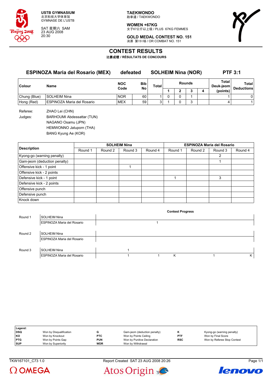

SAT 星期六 SAM 23 AUG 2008 20:30

**TAEKWONDO** 跆拳道 / TAEKWONDO

**WOMEN +67KG** 女子67公斤以上级 / PLUS 67KG FEMMES



**GOLD MEDAL CONTEST NO. 151** 决赛 第151场 / OR COMBAT NO. 151

## **CONTEST RESULTS**

比赛成绩 **/ RÉSULTATS DE CONCOURS**

### **ESPINOZA Maria del Rosario (MEX) defeated SOLHEIM Nina (NOR) PTF 3:1**

| ∣Colour      | Name                              | <b>NOC</b><br>Bib<br><b>No</b><br>Code |    | Total  | <b>Rounds</b> |  |  | Total<br>Deuk-jeom | Total<br><b>Deductions</b> |
|--------------|-----------------------------------|----------------------------------------|----|--------|---------------|--|--|--------------------|----------------------------|
|              |                                   |                                        |    |        |               |  |  | (points)           |                            |
| Chung (Blue) | SOLHEIM Nina                      | <b>NOR</b>                             | 60 |        |               |  |  |                    |                            |
| Hong (Red)   | <b>ESPINOZA Maria del Rosario</b> | <b>MEX</b>                             | 59 | $\sim$ |               |  |  |                    |                            |

Referee: ZHAO Lei (CHN) Judges: BARHOUMI Abdessattar (TUN)

NAGANO Osamu (JPN)

HEMWONNO Jatuporn (THA)

BANG Kyung Ae (KOR)

|                              | <b>SOLHEIM Nina</b> |         |         |         | <b>ESPINOZA Maria del Rosario</b> |         |         |         |  |
|------------------------------|---------------------|---------|---------|---------|-----------------------------------|---------|---------|---------|--|
| <b>Description</b>           | Round 1             | Round 2 | Round 3 | Round 4 | Round 1                           | Round 2 | Round 3 | Round 4 |  |
| Kyong-go (warning penalty)   |                     |         |         |         |                                   |         | 2       |         |  |
| Gam-jeom (deduction penalty) |                     |         |         |         |                                   |         |         |         |  |
| Offensive kick - 1 point     |                     |         |         |         |                                   |         |         |         |  |
| Offensive kick - 2 points    |                     |         |         |         |                                   |         |         |         |  |
| Defensive kick - 1 point     |                     |         |         |         |                                   |         | 3       |         |  |
| Defensive kick - 2 points    |                     |         |         |         |                                   |         |         |         |  |
| Offensive punch              |                     |         |         |         |                                   |         |         |         |  |
| Defensive punch              |                     |         |         |         |                                   |         |         |         |  |
| Knock down                   |                     |         |         |         |                                   |         |         |         |  |

|         |                                   |  | <b>Contest Progress</b> |   |
|---------|-----------------------------------|--|-------------------------|---|
| Round 1 | SOLHEIM Nina                      |  |                         |   |
|         | <b>ESPINOZA Maria del Rosario</b> |  |                         |   |
|         |                                   |  |                         |   |
| Round 2 | SOLHEIM Nina                      |  |                         |   |
|         | ESPINOZA Maria del Rosario        |  |                         |   |
|         |                                   |  |                         |   |
| Round 3 | SOLHEIM Nina                      |  |                         |   |
|         | ESPINOZA Maria del Rosario        |  | ĸ                       | Κ |

| Legend:    |                         |            |                              |            |                             |
|------------|-------------------------|------------|------------------------------|------------|-----------------------------|
| DSQ        | Won by Disqualification |            | Gam-jeom (deduction penalty) |            | Kyong-go (warning penalty)  |
| l KO       | Won by Knockout         | <b>PTC</b> | Won by Points Ceiling        | <b>PTF</b> | Won by Final Score          |
| <b>PTG</b> | Won by Points Gap       | <b>PUN</b> | Won by Punitive Declaration  | <b>RSC</b> | Won by Referee Stop Contest |
| <b>SUP</b> | Won by Superiority      | <b>WDR</b> | Won by Withdrawal            |            |                             |



TKW167101\_C73 1.0 Report Created SAT 23 AUG 2008 20:26 Page 1/1



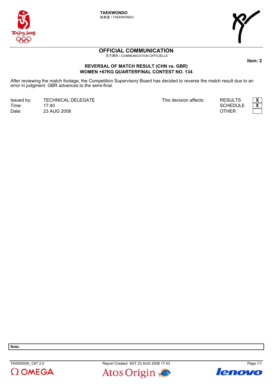

**TAEKWONDO** 跆拳道 / TAEKWONDO



# **OFFICIAL COMMUNICATION**

官方通告 / COMMUNICATION OFFICIELLE

## **REVERSAL OF MATCH RESULT (CHN vs. GBR)** WOMEN +67KG QUARTERFINAL CONTEST NO. 134

After reviewing the match footage, the Competition Supervisory Board has decided to reverse the match result due to an error in judgment. GBR advances to the semi-final.

Issued by: **TECHNICAL DELEGATE** Time: 17:40 23 AUG 2008 Date:

This decision affects:





Item: 2

Page 1/1

Note:

TK0000000\_C67 2.0  $\Omega$  OMEGA





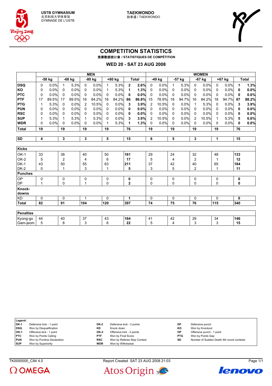





## **COMPETITION STATISTICS** 竞赛数据统计表 **/ STATISTIQUES DE COMPÉTITION**

#### **WED 20 - SAT 23 AUG 2008**

|                  | <b>MEN</b>     |        |                |        |     |        |              | <b>WOMEN</b> |                |              |                |        |              |        |                |          |              |        |              |              |
|------------------|----------------|--------|----------------|--------|-----|--------|--------------|--------------|----------------|--------------|----------------|--------|--------------|--------|----------------|----------|--------------|--------|--------------|--------------|
|                  |                | -58 kg |                | -68 kg |     | -80 kg |              | +80 kg       |                | <b>Total</b> |                | -49 kg |              | -57 kg |                | $-67$ kg |              | +67 kg |              | <b>Total</b> |
| <b>DSQ</b>       | 0              | 0.0%   | 1              | 5.3%   | 0   | 0.0%   | $\mathbf{1}$ | 5.3%         | $\mathbf{2}$   | 2.6%         | 0              | 0.0%   | $\mathbf{1}$ | 5.3%   | $\mathbf 0$    | 0.0%     | 0            | 0.0%   | 1            | 1.3%         |
| KO               | 0              | 0.0%   | 0              | 0.0%   | 0   | 0.0%   | 1            | 5.3%         | 1              | 1.3%         | 0              | 0.0%   | 0            | 0.0%   | 0              | 0.0%     | 0            | 0.0%   | 0            | 0.0%         |
| <b>PTC</b>       | 0              | 0.0%   | 0              | 0.0%   | 0   | 0.0%   | 0            | 0.0%         | 0              | 0.0%         | 0              | 0.0%   | 0            | 0.0%   | $\mathbf{0}$   | 0.0%     | $\mathbf{0}$ | 0.0%   | 0            | 0.0%         |
| PTF              | 17             | 89.5%  | 17             | 89.5%  | 16  | 84.2%  | 16           | 84.2%        | 66             | 86.8%        | 15             | 78.9%  | 18           | 94.7%  | 16             | 84.2%    | 18           | 94.7%  | 67           | 88.2%        |
| <b>PTG</b>       | 1              | 5.3%   | 0              | 0.0%   | 2   | 10.5%  | 0            | 0.0%         | 3              | 3.9%         | $\overline{2}$ | 10.5%  | 0            | 0.0%   | 1              | 5.3%     | $\mathbf{0}$ | 0.0%   | 3            | 3.9%         |
| <b>PUN</b>       | 0              | 0.0%   | 0              | 0.0%   | 0   | 0.0%   | 0            | 0.0%         | 0              | 0.0%         | $\Omega$       | 0.0%   | 0            | 0.0%   | 0              | 0.0%     | $\mathbf{0}$ | 0.0%   | 0            | 0.0%         |
| <b>RSC</b>       | 0              | 0.0%   | 0              | 0.0%   | 0   | 0.0%   | 0            | 0.0%         | 0              | 0.0%         | 0              | 0.0%   | 0            | 0.0%   | 0              | 0.0%     | 0            | 0.0%   | 0            | 0.0%         |
| <b>SUP</b>       | 1              | 5.3%   | 1              | 5.3%   | 1   | 5.3%   | 0            | 0.0%         | 3              | 3.9%         | $\overline{2}$ | 10.5%  | 0            | 0.0%   | 2              | 10.5%    | 1            | 5.3%   | 5            | 6.6%         |
| <b>WDR</b>       | $\Omega$       | 0.0%   | 0              | 0.0%   | 0   | 0.0%   | 1            | 5.3%         | 1              | 1.3%         | 0              | 0.0%   | 0            | 0.0%   | $\mathbf{0}$   | 0.0%     | 0            | 0.0%   | 0            | 0.0%         |
| <b>Total</b>     | 19             |        | 19             |        | 19  |        | 19           |              | 76             |              | 19             |        | 19           |        | 19             |          | 19           |        | 76           |              |
|                  |                |        |                |        |     |        |              |              |                |              |                |        |              |        |                |          |              |        |              |              |
| <b>SD</b>        | $\overline{4}$ |        | 3              |        | 3   |        | 5            |              | 15             |              | 6              |        | 5            |        | 3              |          | 1            |        | 15           |              |
|                  |                |        |                |        |     |        |              |              |                |              |                |        |              |        |                |          |              |        |              |              |
| <b>Kicks</b>     |                |        |                |        |     |        |              |              |                |              |                |        |              |        |                |          |              |        |              |              |
| OK-1             | 33             |        | 38             |        | 40  |        | 50           |              | 161            |              | 29             |        | 24           |        | 32             |          | 48           |        | 133          |              |
| OK-2             | 5              |        | $\overline{2}$ |        | 4   |        | 6            |              | 17             |              | 5              |        | 4            |        | $\overline{c}$ |          | 1            |        | 12           |              |
| $DK-1$           | 43             |        | 50             |        | 55  |        | 63           |              | 211            |              | 37             |        | 42           |        | 40             |          | 65           |        | 184          |              |
| $DK-2$           | $\mathbf 0$    |        | 1              |        | 3   |        | $\mathbf{1}$ |              | 5              |              | 3              |        | 5            |        | $\overline{2}$ |          | 1            |        | 11           |              |
| <b>Punches</b>   |                |        |                |        |     |        |              |              |                |              |                |        |              |        |                |          |              |        |              |              |
| OP               | 0              |        | 0              |        | 0   |        | 0            |              | 0              |              | 0              |        | 0            |        | 0              |          | 0            |        | 0            |              |
| <b>DP</b>        | 1              |        | 0              |        | 1   |        | 0            |              | $\overline{2}$ |              | 0              |        | 0            |        | 0              |          | 0            |        | 0            |              |
| Knock-<br>downs  |                |        |                |        |     |        |              |              |                |              |                |        |              |        |                |          |              |        |              |              |
| <b>KD</b>        | $\mathbf 0$    |        | 0              |        | 1   |        | $\Omega$     |              | $\mathbf{1}$   |              | $\Omega$       |        | $\Omega$     |        | $\Omega$       |          | $\Omega$     |        | $\mathbf{0}$ |              |
| <b>Total</b>     | 82             |        | 91             |        | 104 |        | 120          |              | 397            |              | 74             |        | 75           |        | 76             |          | 115          |        | 340          |              |
|                  |                |        |                |        |     |        |              |              |                |              |                |        |              |        |                |          |              |        |              |              |
| <b>Penalties</b> |                |        |                |        |     |        |              |              |                |              |                |        |              |        |                |          |              |        |              |              |
| Kyong-go         | 44             |        | 40             |        | 37  |        | 43           |              | 164            |              | 41             |        | 42           |        | 29             |          | 34           |        | 146          |              |
| Gam-jeom         | 5              |        | 8              |        | 3   |        | 6            |              | 22             |              | 5              |        | 4            |        | 3              |          | 3            |        | 15           |              |





TK0000000 C84 4.0 Report Created SAT 23 AUG 2008 21:03 Page 1/1



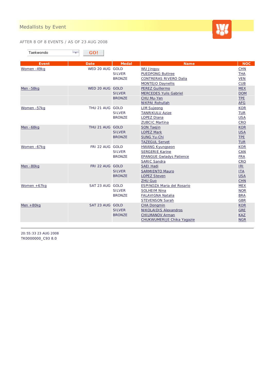

#### AFTER 8 OF 8 EVENTS / AS OF 23 AUG 2008

| Taekwondo |  |
|-----------|--|
|-----------|--|

| <b>Event</b>  | <b>Date</b>     | <b>Medal</b>  | <b>Name</b>                     | <b>NOC</b> |
|---------------|-----------------|---------------|---------------------------------|------------|
| Women -49kg   | WED 20 AUG GOLD |               | <b>WU Jingyu</b>                | <b>CHN</b> |
|               |                 | <b>SILVER</b> | <b>PUEDPONG Buttree</b>         | <b>THA</b> |
|               |                 | <b>BRONZE</b> | CONTRERAS RIVERO Dalia          | <b>VEN</b> |
|               |                 |               | <b>MONTEJO Daynellis</b>        | <b>CUB</b> |
| Men-58kg      | WED 20 AUG GOLD |               | <b>PEREZ Guillermo</b>          | <b>MEX</b> |
|               |                 | <b>SILVER</b> | <b>MERCEDES Yulis Gabriel</b>   | <b>DOM</b> |
|               |                 | <b>BRONZE</b> | CHU Mu-Yen                      | <b>TPE</b> |
|               |                 |               | NIKPAI Rohullah                 | <b>AFG</b> |
| Women -57kg   | THU 21 AUG GOLD |               | <b>LIM Sujeong</b>              | <b>KOR</b> |
|               |                 | <b>SILVER</b> | <b>TANRIKULU Azize</b>          | <b>TUR</b> |
|               |                 | <b>BRONZE</b> | LOPEZ Diana                     | <b>USA</b> |
|               |                 |               | <b>ZUBCIC Martina</b>           | <b>CRO</b> |
| Men-68kg      | THU 21 AUG GOLD |               | <b>SON Taejin</b>               | <b>KOR</b> |
|               |                 | <b>SILVER</b> | <b>LOPEZ Mark</b>               | <b>USA</b> |
|               |                 | <b>BRONZE</b> | SUNG Yu-Chi                     | <b>TPE</b> |
|               |                 |               | <b>TAZEGUL Servet</b>           | <b>TUR</b> |
| Women -67kg   | FRI 22 AUG GOLD |               | <b>HWANG Kyungseon</b>          | <b>KOR</b> |
|               |                 | <b>SILVER</b> | <b>SERGERIE Karine</b>          | CAN        |
|               |                 | <b>BRONZE</b> | <b>EPANGUE Gwladys Patience</b> | <b>FRA</b> |
|               |                 |               | <b>SARIC Sandra</b>             | <b>CRO</b> |
| Men-80kg      | FRI 22 AUG GOLD |               | <b>SAEI Hadi</b>                | IRI        |
|               |                 | <b>SILVER</b> | <b>SARMIENTO Mauro</b>          | <b>ITA</b> |
|               |                 | <b>BRONZE</b> | <b>LOPEZ Steven</b>             | <b>USA</b> |
|               |                 |               | <b>ZHU Guo</b>                  | <b>CHN</b> |
| Women $+67kq$ | SAT 23 AUG GOLD |               | ESPINOZA Maria del Rosario      | <b>MEX</b> |
|               |                 | <b>SILVER</b> | <b>SOLHEIM Nina</b>             | <b>NOR</b> |
|               |                 | <b>BRONZE</b> | FALAVIGNA Natalia               | <b>BRA</b> |
|               |                 |               | <b>STEVENSON Sarah</b>          | <b>GBR</b> |
| Men $+80$ kg  | SAT 23 AUG GOLD |               | <b>CHA Dongmin</b>              | <b>KOR</b> |
|               |                 | <b>SILVER</b> | <b>NIKOLAIDIS Alexandros</b>    | <b>GRE</b> |
|               |                 | <b>BRONZE</b> | <b>CHILMANOV Arman</b>          | <b>KAZ</b> |
|               |                 |               | CHUKWUMERIJE Chika Yagazie      | <b>NGR</b> |

20:55:33 23 AUG 2008 TK0000000\_C93 8.0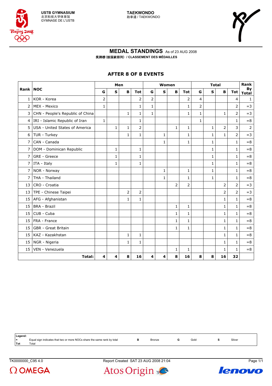



#### **MEDAL STANDINGS** As of 23 AUG 2008 奖牌榜(按国家排列) **/ CLASSEMENT DES MÉDAILLES**

## **AFTER 8 OF 8 EVENTS**

|                |                                  | Men         |              |                |                |                |              | Women          |                | <b>Total</b> |              |                |                | Rank               |
|----------------|----------------------------------|-------------|--------------|----------------|----------------|----------------|--------------|----------------|----------------|--------------|--------------|----------------|----------------|--------------------|
| <b>Rank</b>    | <b>NOC</b>                       | G           | $\mathbf{s}$ | B              | <b>Tot</b>     | G              | ${\bf s}$    | B              | <b>Tot</b>     | G            | ${\bf S}$    | B              | <b>Tot</b>     | By<br><b>Total</b> |
| 1              | KOR - Korea                      | 2           |              |                | $\overline{2}$ | $\overline{2}$ |              |                | 2              | 4            |              |                | 4              | $\mathbf{1}$       |
| 2              | MEX - Mexico                     | 1           |              |                | 1              | $\mathbf{1}$   |              |                | 1              | 2            |              |                | $\overline{2}$ | $=$ 3              |
| 3              | CHN - People's Republic of China |             |              | $\mathbf{1}$   | 1              | $\mathbf{1}$   |              |                | $\mathbf{1}$   | 1            |              | $1\,$          | 2              | $=3$               |
| 4              | IRI - Islamic Republic of Iran   | $\mathbf 1$ |              |                | 1              |                |              |                |                | $\mathbf{1}$ |              |                | $\mathbf{1}$   | $= 8$              |
| 5              | USA - United States of America   |             | 1            | $\mathbf{1}$   | $\overline{2}$ |                |              | $\mathbf{1}$   | 1              |              | $\mathbf{1}$ | $\overline{2}$ | 3              | $\overline{2}$     |
| 6              | TUR - Turkey                     |             |              | $\mathbf{1}$   | $\mathbf{1}$   |                | $\mathbf{1}$ |                | $\mathbf{1}$   |              | $\mathbf{1}$ | $\mathbf{1}$   | $\overline{2}$ | $=$ 3              |
| $\overline{7}$ | CAN - Canada                     |             |              |                |                |                | $\mathbf{1}$ |                | 1              |              | 1            |                | $\mathbf{1}$   | $= 8$              |
| 7              | DOM - Dominican Republic         |             | 1            |                | 1              |                |              |                |                |              | 1            |                | 1              | $= 8$              |
| 7              | GRE - Greece                     |             | 1            |                | 1              |                |              |                |                |              | 1            |                | 1              | $= 8$              |
| 7              | ITA - Italy                      |             | 1            |                | 1              |                |              |                |                |              | $\mathbf{1}$ |                | $\mathbf{1}$   | $= 8$              |
| 7              | NOR - Norway                     |             |              |                |                |                | $\mathbf{1}$ |                | 1              |              | $\mathbf{1}$ |                | 1              | $= 8$              |
| $\overline{7}$ | THA - Thailand                   |             |              |                |                |                | $\mathbf{1}$ |                | 1              |              | 1            |                | 1              | $= 8$              |
| 13             | CRO - Croatia                    |             |              |                |                |                |              | $\overline{2}$ | $\overline{2}$ |              |              | $\overline{2}$ | $\overline{2}$ | $=3$               |
| 13             | TPE - Chinese Taipei             |             |              | $\overline{2}$ | $\overline{2}$ |                |              |                |                |              |              | $\overline{2}$ | $\overline{2}$ | $=3$               |
| 15             | AFG - Afghanistan                |             |              | 1              | 1              |                |              |                |                |              |              | $\mathbf{1}$   | $\mathbf{1}$   | $= 8$              |
| 15             | <b>BRA</b> - Brazil              |             |              |                |                |                |              | $\mathbf{1}$   | 1              |              |              | $\mathbf 1$    | $\mathbf{1}$   | $= 8$              |
| 15             | CUB - Cuba                       |             |              |                |                |                |              | 1              | 1              |              |              | $\mathbf{1}$   | 1              | $= 8$              |
| 15             | FRA - France                     |             |              |                |                |                |              | 1              | 1              |              |              | $\mathbf{1}$   | 1              | $= 8$              |
| 15             | GBR - Great Britain              |             |              |                |                |                |              | $\mathbf{1}$   | 1              |              |              | $\mathbf{1}$   | 1              | $= 8$              |
| 15             | KAZ - Kazakhstan                 |             |              | $\mathbf 1$    | 1              |                |              |                |                |              |              | $\mathbf{1}$   | 1              | $= 8$              |
| 15             | NGR - Nigeria                    |             |              | $\mathbf{1}$   | 1              |                |              |                |                |              |              | $\mathbf{1}$   | 1              | $= 8$              |
| 15             | VEN - Venezuela                  |             |              |                |                |                |              | 1              | 1              |              |              | 1              | 1              | $= 8$              |
|                | <b>Total:</b>                    | 4           | 4            | 8              | 16             | 4              | 4            | 8              | 16             | 8            | 8            | 16             | 32             |                    |

| Legend:  |                                                                         |        |      |        |
|----------|-------------------------------------------------------------------------|--------|------|--------|
| $\equiv$ | Equal sign indicates that two or more NOCs share the same rank by total | Bronze | Gold | Silver |
| Tot      | $\tau$ otai                                                             |        |      |        |
|          |                                                                         |        |      |        |

 $\Omega$  OMEGA

TK0000000\_C95 4.0 Report Created SAT 23 AUG 2008 21:04 Page 1/1